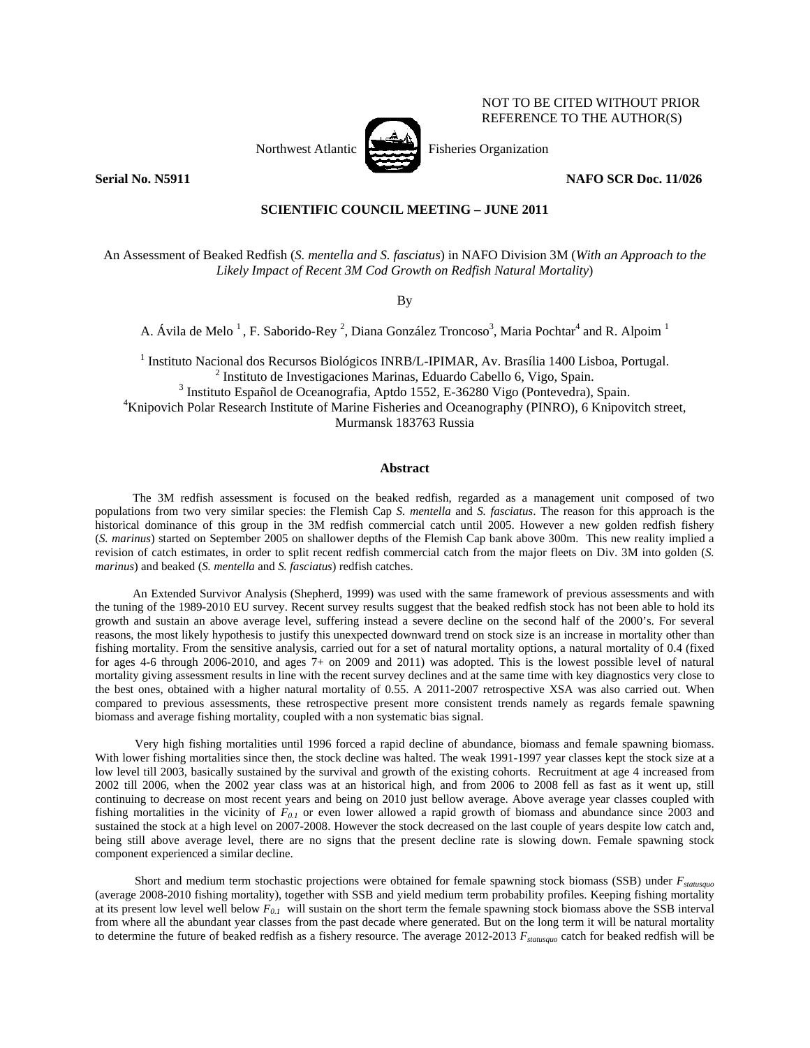

NOT TO BE CITED WITHOUT PRIOR REFERENCE TO THE AUTHOR(S)

**Serial No. N5911 NAFO SCR Doc. 11/026** 

# **SCIENTIFIC COUNCIL MEETING – JUNE 2011**

An Assessment of Beaked Redfish (*S. mentella and S. fasciatus*) in NAFO Division 3M (*With an Approach to the Likely Impact of Recent 3M Cod Growth on Redfish Natural Mortality*)

By

A. Ávila de Melo<sup>1</sup>, F. Saborido-Rey<sup>2</sup>, Diana González Troncoso<sup>3</sup>, Maria Pochtar<sup>4</sup> and R. Alpoim<sup>1</sup>

<sup>1</sup> Instituto Nacional dos Recursos Biológicos INRB/L-IPIMAR, Av. Brasília 1400 Lisboa, Portugal. <sup>2</sup> Instituto de Investigaciones Marinas, Eduardo Cabello 6, Vigo, Spain. <sup>3</sup> Instituto Español de Oceanografia, Aptdo 1552, E-36280 Vigo (Pontevedra), Spain. <sup>4</sup>Knipovich Polar Research Institute of Marine Fisheries and Oceanography (PINRO), 6 Knipovitch street, Murmansk 183763 Russia

### **Abstract**

The 3M redfish assessment is focused on the beaked redfish, regarded as a management unit composed of two populations from two very similar species: the Flemish Cap *S. mentella* and *S. fasciatus*. The reason for this approach is the historical dominance of this group in the 3M redfish commercial catch until 2005. However a new golden redfish fishery (*S. marinus*) started on September 2005 on shallower depths of the Flemish Cap bank above 300m. This new reality implied a revision of catch estimates, in order to split recent redfish commercial catch from the major fleets on Div. 3M into golden (*S. marinus*) and beaked (*S. mentella* and *S. fasciatus*) redfish catches.

An Extended Survivor Analysis (Shepherd, 1999) was used with the same framework of previous assessments and with the tuning of the 1989-2010 EU survey. Recent survey results suggest that the beaked redfish stock has not been able to hold its growth and sustain an above average level, suffering instead a severe decline on the second half of the 2000's. For several reasons, the most likely hypothesis to justify this unexpected downward trend on stock size is an increase in mortality other than fishing mortality. From the sensitive analysis, carried out for a set of natural mortality options, a natural mortality of 0.4 (fixed for ages 4-6 through 2006-2010, and ages 7+ on 2009 and 2011) was adopted. This is the lowest possible level of natural mortality giving assessment results in line with the recent survey declines and at the same time with key diagnostics very close to the best ones, obtained with a higher natural mortality of 0.55. A 2011-2007 retrospective XSA was also carried out. When compared to previous assessments, these retrospective present more consistent trends namely as regards female spawning biomass and average fishing mortality, coupled with a non systematic bias signal.

Very high fishing mortalities until 1996 forced a rapid decline of abundance, biomass and female spawning biomass. With lower fishing mortalities since then, the stock decline was halted. The weak 1991-1997 year classes kept the stock size at a low level till 2003, basically sustained by the survival and growth of the existing cohorts. Recruitment at age 4 increased from 2002 till 2006, when the 2002 year class was at an historical high, and from 2006 to 2008 fell as fast as it went up, still continuing to decrease on most recent years and being on 2010 just bellow average. Above average year classes coupled with fishing mortalities in the vicinity of *F0.1* or even lower allowed a rapid growth of biomass and abundance since 2003 and sustained the stock at a high level on 2007-2008. However the stock decreased on the last couple of years despite low catch and, being still above average level, there are no signs that the present decline rate is slowing down. Female spawning stock component experienced a similar decline.

Short and medium term stochastic projections were obtained for female spawning stock biomass (SSB) under *Fstatusquo* (average 2008-2010 fishing mortality), together with SSB and yield medium term probability profiles. Keeping fishing mortality at its present low level well below *F0.1* will sustain on the short term the female spawning stock biomass above the SSB interval from where all the abundant year classes from the past decade where generated. But on the long term it will be natural mortality to determine the future of beaked redfish as a fishery resource. The average 2012-2013 *F<sub>statusquo</sub>* catch for beaked redfish will be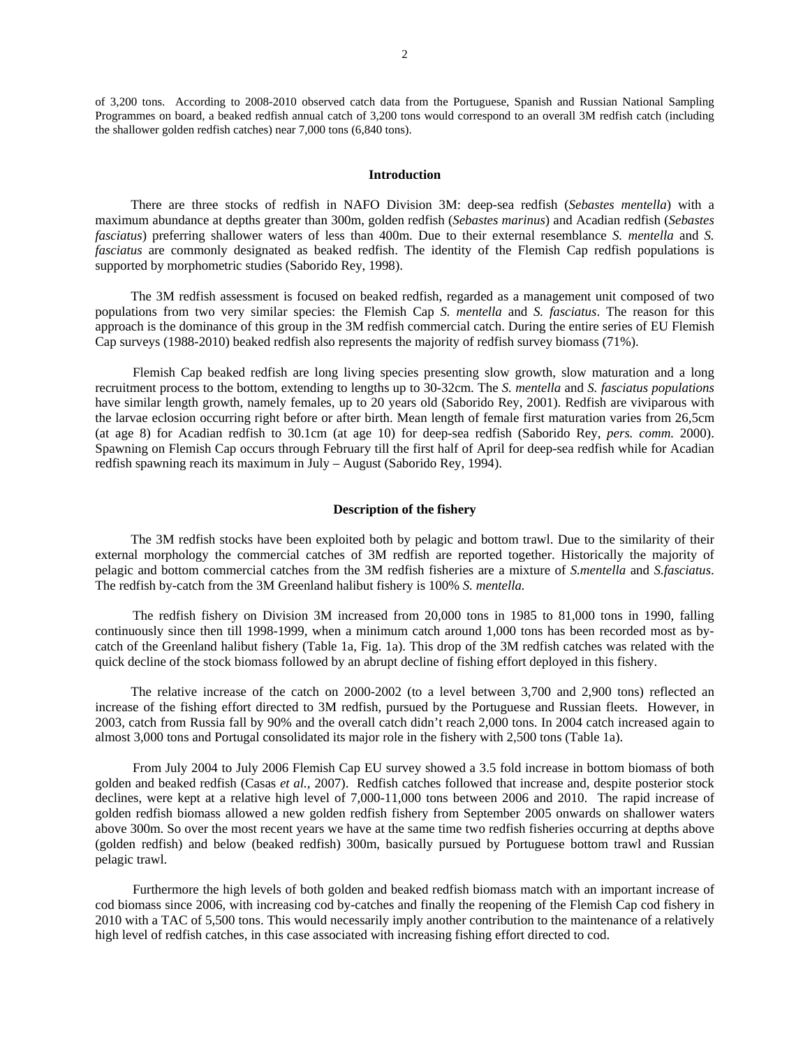of 3,200 tons. According to 2008-2010 observed catch data from the Portuguese, Spanish and Russian National Sampling Programmes on board, a beaked redfish annual catch of 3,200 tons would correspond to an overall 3M redfish catch (including the shallower golden redfish catches) near 7,000 tons (6,840 tons).

#### **Introduction**

There are three stocks of redfish in NAFO Division 3M: deep-sea redfish (*Sebastes mentella*) with a maximum abundance at depths greater than 300m, golden redfish (*Sebastes marinus*) and Acadian redfish (*Sebastes fasciatus*) preferring shallower waters of less than 400m. Due to their external resemblance *S. mentella* and *S. fasciatus* are commonly designated as beaked redfish. The identity of the Flemish Cap redfish populations is supported by morphometric studies (Saborido Rey, 1998).

The 3M redfish assessment is focused on beaked redfish, regarded as a management unit composed of two populations from two very similar species: the Flemish Cap *S. mentella* and *S. fasciatus*. The reason for this approach is the dominance of this group in the 3M redfish commercial catch. During the entire series of EU Flemish Cap surveys (1988-2010) beaked redfish also represents the majority of redfish survey biomass (71%).

Flemish Cap beaked redfish are long living species presenting slow growth, slow maturation and a long recruitment process to the bottom, extending to lengths up to 30-32cm. The *S. mentella* and *S. fasciatus populations* have similar length growth, namely females, up to 20 years old (Saborido Rey, 2001). Redfish are viviparous with the larvae eclosion occurring right before or after birth. Mean length of female first maturation varies from 26,5cm (at age 8) for Acadian redfish to 30.1cm (at age 10) for deep-sea redfish (Saborido Rey, *pers. comm.* 2000). Spawning on Flemish Cap occurs through February till the first half of April for deep-sea redfish while for Acadian redfish spawning reach its maximum in July – August (Saborido Rey, 1994).

# **Description of the fishery**

The 3M redfish stocks have been exploited both by pelagic and bottom trawl. Due to the similarity of their external morphology the commercial catches of 3M redfish are reported together. Historically the majority of pelagic and bottom commercial catches from the 3M redfish fisheries are a mixture of *S.mentella* and *S.fasciatus*. The redfish by-catch from the 3M Greenland halibut fishery is 100% *S. mentella.* 

The redfish fishery on Division 3M increased from 20,000 tons in 1985 to 81,000 tons in 1990, falling continuously since then till 1998-1999, when a minimum catch around 1,000 tons has been recorded most as bycatch of the Greenland halibut fishery (Table 1a, Fig. 1a). This drop of the 3M redfish catches was related with the quick decline of the stock biomass followed by an abrupt decline of fishing effort deployed in this fishery.

The relative increase of the catch on 2000-2002 (to a level between 3,700 and 2,900 tons) reflected an increase of the fishing effort directed to 3M redfish, pursued by the Portuguese and Russian fleets. However, in 2003, catch from Russia fall by 90% and the overall catch didn't reach 2,000 tons. In 2004 catch increased again to almost 3,000 tons and Portugal consolidated its major role in the fishery with 2,500 tons (Table 1a).

From July 2004 to July 2006 Flemish Cap EU survey showed a 3.5 fold increase in bottom biomass of both golden and beaked redfish (Casas *et al.*, 2007). Redfish catches followed that increase and, despite posterior stock declines, were kept at a relative high level of 7,000-11,000 tons between 2006 and 2010. The rapid increase of golden redfish biomass allowed a new golden redfish fishery from September 2005 onwards on shallower waters above 300m. So over the most recent years we have at the same time two redfish fisheries occurring at depths above (golden redfish) and below (beaked redfish) 300m, basically pursued by Portuguese bottom trawl and Russian pelagic trawl.

Furthermore the high levels of both golden and beaked redfish biomass match with an important increase of cod biomass since 2006, with increasing cod by-catches and finally the reopening of the Flemish Cap cod fishery in 2010 with a TAC of 5,500 tons. This would necessarily imply another contribution to the maintenance of a relatively high level of redfish catches, in this case associated with increasing fishing effort directed to cod.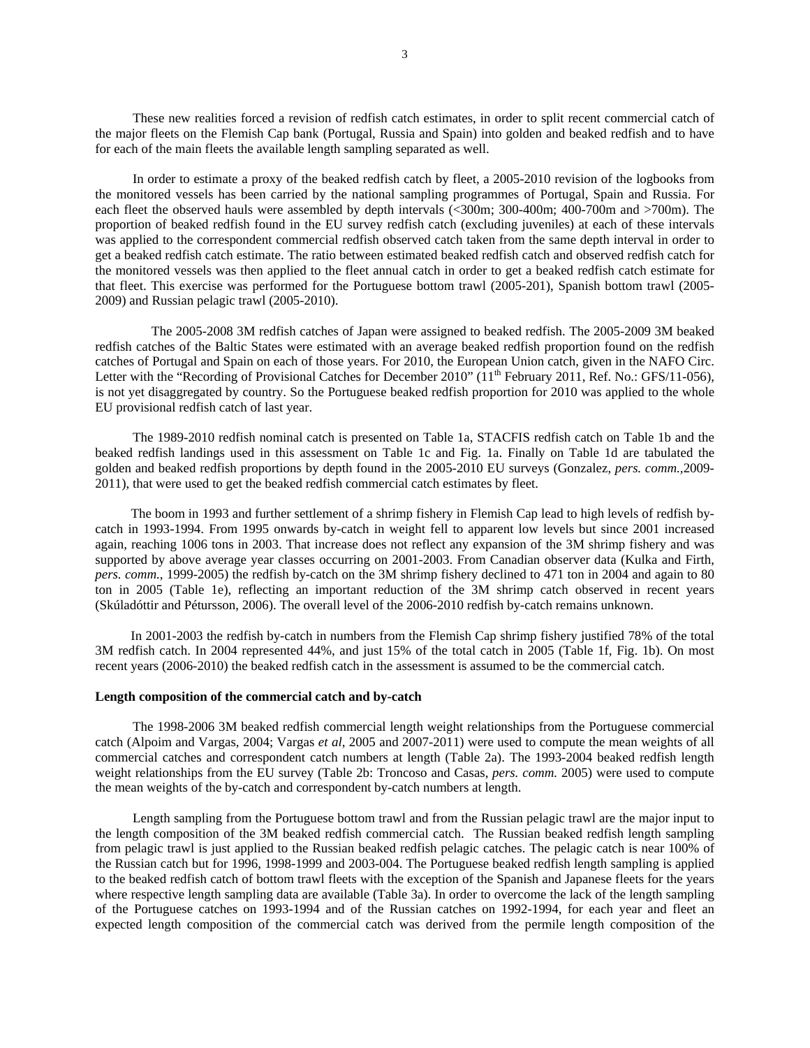These new realities forced a revision of redfish catch estimates, in order to split recent commercial catch of the major fleets on the Flemish Cap bank (Portugal, Russia and Spain) into golden and beaked redfish and to have for each of the main fleets the available length sampling separated as well.

In order to estimate a proxy of the beaked redfish catch by fleet, a 2005-2010 revision of the logbooks from the monitored vessels has been carried by the national sampling programmes of Portugal, Spain and Russia. For each fleet the observed hauls were assembled by depth intervals (<300m; 300-400m; 400-700m and >700m). The proportion of beaked redfish found in the EU survey redfish catch (excluding juveniles) at each of these intervals was applied to the correspondent commercial redfish observed catch taken from the same depth interval in order to get a beaked redfish catch estimate. The ratio between estimated beaked redfish catch and observed redfish catch for the monitored vessels was then applied to the fleet annual catch in order to get a beaked redfish catch estimate for that fleet. This exercise was performed for the Portuguese bottom trawl (2005-201), Spanish bottom trawl (2005- 2009) and Russian pelagic trawl (2005-2010).

The 2005-2008 3M redfish catches of Japan were assigned to beaked redfish. The 2005-2009 3M beaked redfish catches of the Baltic States were estimated with an average beaked redfish proportion found on the redfish catches of Portugal and Spain on each of those years. For 2010, the European Union catch, given in the NAFO Circ. Letter with the "Recording of Provisional Catches for December 2010" (11<sup>th</sup> February 2011, Ref. No.: GFS/11-056), is not yet disaggregated by country. So the Portuguese beaked redfish proportion for 2010 was applied to the whole EU provisional redfish catch of last year.

The 1989-2010 redfish nominal catch is presented on Table 1a, STACFIS redfish catch on Table 1b and the beaked redfish landings used in this assessment on Table 1c and Fig. 1a. Finally on Table 1d are tabulated the golden and beaked redfish proportions by depth found in the 2005-2010 EU surveys (Gonzalez, *pers. comm.,*2009- 2011), that were used to get the beaked redfish commercial catch estimates by fleet.

The boom in 1993 and further settlement of a shrimp fishery in Flemish Cap lead to high levels of redfish bycatch in 1993-1994. From 1995 onwards by-catch in weight fell to apparent low levels but since 2001 increased again, reaching 1006 tons in 2003. That increase does not reflect any expansion of the 3M shrimp fishery and was supported by above average year classes occurring on 2001-2003. From Canadian observer data (Kulka and Firth, *pers. comm.*, 1999-2005) the redfish by-catch on the 3M shrimp fishery declined to 471 ton in 2004 and again to 80 ton in 2005 (Table 1e), reflecting an important reduction of the 3M shrimp catch observed in recent years (Skúladóttir and Pétursson, 2006). The overall level of the 2006-2010 redfish by-catch remains unknown.

In 2001-2003 the redfish by-catch in numbers from the Flemish Cap shrimp fishery justified 78% of the total 3M redfish catch. In 2004 represented 44%, and just 15% of the total catch in 2005 (Table 1f, Fig. 1b). On most recent years (2006-2010) the beaked redfish catch in the assessment is assumed to be the commercial catch.

### **Length composition of the commercial catch and by-catch**

The 1998-2006 3M beaked redfish commercial length weight relationships from the Portuguese commercial catch (Alpoim and Vargas, 2004; Vargas *et al*, 2005 and 2007-2011) were used to compute the mean weights of all commercial catches and correspondent catch numbers at length (Table 2a). The 1993-2004 beaked redfish length weight relationships from the EU survey (Table 2b: Troncoso and Casas, *pers. comm.* 2005) were used to compute the mean weights of the by-catch and correspondent by-catch numbers at length.

Length sampling from the Portuguese bottom trawl and from the Russian pelagic trawl are the major input to the length composition of the 3M beaked redfish commercial catch. The Russian beaked redfish length sampling from pelagic trawl is just applied to the Russian beaked redfish pelagic catches. The pelagic catch is near 100% of the Russian catch but for 1996, 1998-1999 and 2003-004. The Portuguese beaked redfish length sampling is applied to the beaked redfish catch of bottom trawl fleets with the exception of the Spanish and Japanese fleets for the years where respective length sampling data are available (Table 3a). In order to overcome the lack of the length sampling of the Portuguese catches on 1993-1994 and of the Russian catches on 1992-1994, for each year and fleet an expected length composition of the commercial catch was derived from the permile length composition of the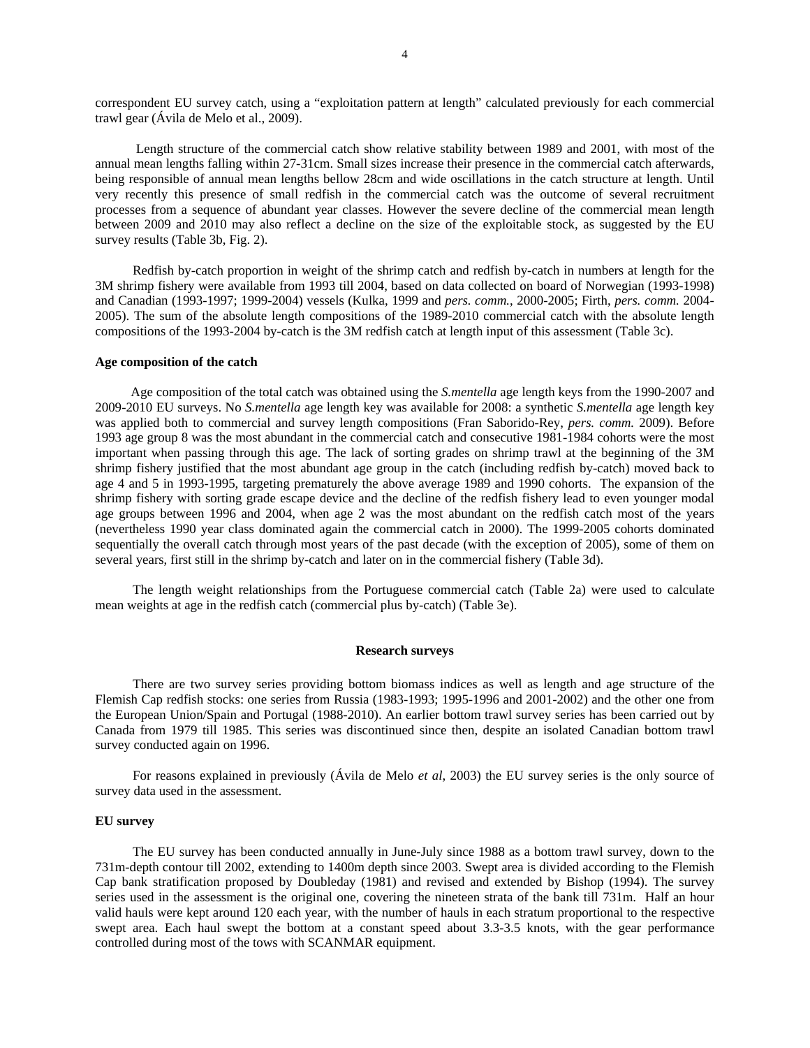correspondent EU survey catch, using a "exploitation pattern at length" calculated previously for each commercial trawl gear (Ávila de Melo et al., 2009).

 Length structure of the commercial catch show relative stability between 1989 and 2001, with most of the annual mean lengths falling within 27-31cm. Small sizes increase their presence in the commercial catch afterwards, being responsible of annual mean lengths bellow 28cm and wide oscillations in the catch structure at length. Until very recently this presence of small redfish in the commercial catch was the outcome of several recruitment processes from a sequence of abundant year classes. However the severe decline of the commercial mean length between 2009 and 2010 may also reflect a decline on the size of the exploitable stock, as suggested by the EU survey results (Table 3b, Fig. 2).

Redfish by-catch proportion in weight of the shrimp catch and redfish by-catch in numbers at length for the 3M shrimp fishery were available from 1993 till 2004, based on data collected on board of Norwegian (1993-1998) and Canadian (1993-1997; 1999-2004) vessels (Kulka, 1999 and *pers. comm.*, 2000-2005; Firth, *pers. comm.* 2004- 2005). The sum of the absolute length compositions of the 1989-2010 commercial catch with the absolute length compositions of the 1993-2004 by-catch is the 3M redfish catch at length input of this assessment (Table 3c).

#### **Age composition of the catch**

Age composition of the total catch was obtained using the *S.mentella* age length keys from the 1990-2007 and 2009-2010 EU surveys. No *S.mentella* age length key was available for 2008: a synthetic *S.mentella* age length key was applied both to commercial and survey length compositions (Fran Saborido-Rey, *pers. comm.* 2009). Before 1993 age group 8 was the most abundant in the commercial catch and consecutive 1981-1984 cohorts were the most important when passing through this age. The lack of sorting grades on shrimp trawl at the beginning of the 3M shrimp fishery justified that the most abundant age group in the catch (including redfish by-catch) moved back to age 4 and 5 in 1993-1995, targeting prematurely the above average 1989 and 1990 cohorts. The expansion of the shrimp fishery with sorting grade escape device and the decline of the redfish fishery lead to even younger modal age groups between 1996 and 2004, when age 2 was the most abundant on the redfish catch most of the years (nevertheless 1990 year class dominated again the commercial catch in 2000). The 1999-2005 cohorts dominated sequentially the overall catch through most years of the past decade (with the exception of 2005), some of them on several years, first still in the shrimp by-catch and later on in the commercial fishery (Table 3d).

The length weight relationships from the Portuguese commercial catch (Table 2a) were used to calculate mean weights at age in the redfish catch (commercial plus by-catch) (Table 3e).

#### **Research surveys**

There are two survey series providing bottom biomass indices as well as length and age structure of the Flemish Cap redfish stocks: one series from Russia (1983-1993; 1995-1996 and 2001-2002) and the other one from the European Union/Spain and Portugal (1988-2010). An earlier bottom trawl survey series has been carried out by Canada from 1979 till 1985. This series was discontinued since then, despite an isolated Canadian bottom trawl survey conducted again on 1996.

For reasons explained in previously (Ávila de Melo *et al*, 2003) the EU survey series is the only source of survey data used in the assessment.

## **EU survey**

The EU survey has been conducted annually in June-July since 1988 as a bottom trawl survey, down to the 731m-depth contour till 2002, extending to 1400m depth since 2003. Swept area is divided according to the Flemish Cap bank stratification proposed by Doubleday (1981) and revised and extended by Bishop (1994). The survey series used in the assessment is the original one, covering the nineteen strata of the bank till 731m. Half an hour valid hauls were kept around 120 each year, with the number of hauls in each stratum proportional to the respective swept area. Each haul swept the bottom at a constant speed about 3.3-3.5 knots, with the gear performance controlled during most of the tows with SCANMAR equipment.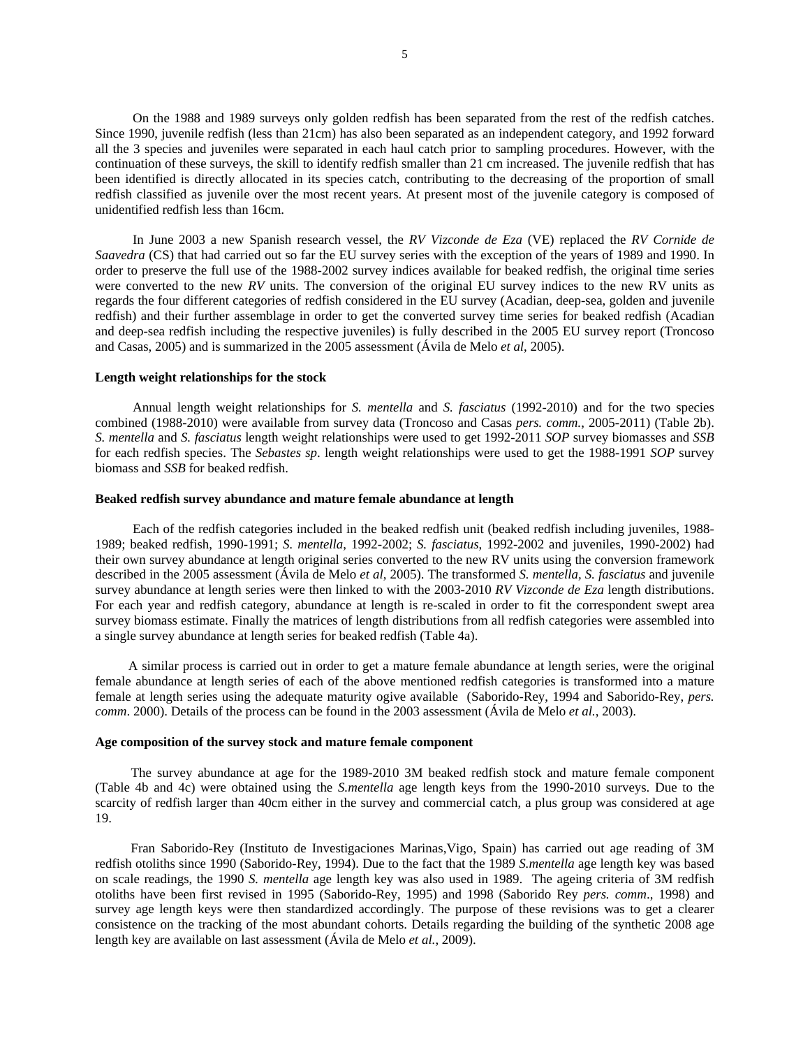On the 1988 and 1989 surveys only golden redfish has been separated from the rest of the redfish catches. Since 1990, juvenile redfish (less than 21cm) has also been separated as an independent category, and 1992 forward all the 3 species and juveniles were separated in each haul catch prior to sampling procedures. However, with the continuation of these surveys, the skill to identify redfish smaller than 21 cm increased. The juvenile redfish that has been identified is directly allocated in its species catch, contributing to the decreasing of the proportion of small redfish classified as juvenile over the most recent years. At present most of the juvenile category is composed of unidentified redfish less than 16cm.

In June 2003 a new Spanish research vessel, the *RV Vizconde de Eza* (VE) replaced the *RV Cornide de Saavedra* (CS) that had carried out so far the EU survey series with the exception of the years of 1989 and 1990. In order to preserve the full use of the 1988-2002 survey indices available for beaked redfish, the original time series were converted to the new *RV* units. The conversion of the original EU survey indices to the new RV units as regards the four different categories of redfish considered in the EU survey (Acadian, deep-sea, golden and juvenile redfish) and their further assemblage in order to get the converted survey time series for beaked redfish (Acadian and deep-sea redfish including the respective juveniles) is fully described in the 2005 EU survey report (Troncoso and Casas, 2005) and is summarized in the 2005 assessment (Ávila de Melo *et al*, 2005).

#### **Length weight relationships for the stock**

Annual length weight relationships for *S. mentella* and *S. fasciatus* (1992-2010) and for the two species combined (1988-2010) were available from survey data (Troncoso and Casas *pers. comm.*, 2005-2011) (Table 2b). *S. mentella* and *S. fasciatus* length weight relationships were used to get 1992-2011 *SOP* survey biomasses and *SSB* for each redfish species. The *Sebastes sp*. length weight relationships were used to get the 1988-1991 *SOP* survey biomass and *SSB* for beaked redfish.

#### **Beaked redfish survey abundance and mature female abundance at length**

Each of the redfish categories included in the beaked redfish unit (beaked redfish including juveniles, 1988- 1989; beaked redfish, 1990-1991; *S. mentella*, 1992-2002; *S. fasciatus*, 1992-2002 and juveniles, 1990-2002) had their own survey abundance at length original series converted to the new RV units using the conversion framework described in the 2005 assessment (Ávila de Melo *et al*, 2005). The transformed *S. mentella, S. fasciatus* and juvenile survey abundance at length series were then linked to with the 2003-2010 *RV Vizconde de Eza* length distributions. For each year and redfish category, abundance at length is re-scaled in order to fit the correspondent swept area survey biomass estimate. Finally the matrices of length distributions from all redfish categories were assembled into a single survey abundance at length series for beaked redfish (Table 4a).

A similar process is carried out in order to get a mature female abundance at length series, were the original female abundance at length series of each of the above mentioned redfish categories is transformed into a mature female at length series using the adequate maturity ogive available (Saborido-Rey, 1994 and Saborido-Rey, *pers. comm*. 2000). Details of the process can be found in the 2003 assessment (Ávila de Melo *et al.*, 2003).

# **Age composition of the survey stock and mature female component**

The survey abundance at age for the 1989-2010 3M beaked redfish stock and mature female component (Table 4b and 4c) were obtained using the *S.mentella* age length keys from the 1990-2010 surveys. Due to the scarcity of redfish larger than 40cm either in the survey and commercial catch, a plus group was considered at age 19.

Fran Saborido-Rey (Instituto de Investigaciones Marinas,Vigo, Spain) has carried out age reading of 3M redfish otoliths since 1990 (Saborido-Rey, 1994). Due to the fact that the 1989 *S.mentella* age length key was based on scale readings, the 1990 *S. mentella* age length key was also used in 1989. The ageing criteria of 3M redfish otoliths have been first revised in 1995 (Saborido-Rey, 1995) and 1998 (Saborido Rey *pers. comm*., 1998) and survey age length keys were then standardized accordingly. The purpose of these revisions was to get a clearer consistence on the tracking of the most abundant cohorts. Details regarding the building of the synthetic 2008 age length key are available on last assessment (Ávila de Melo *et al.*, 2009).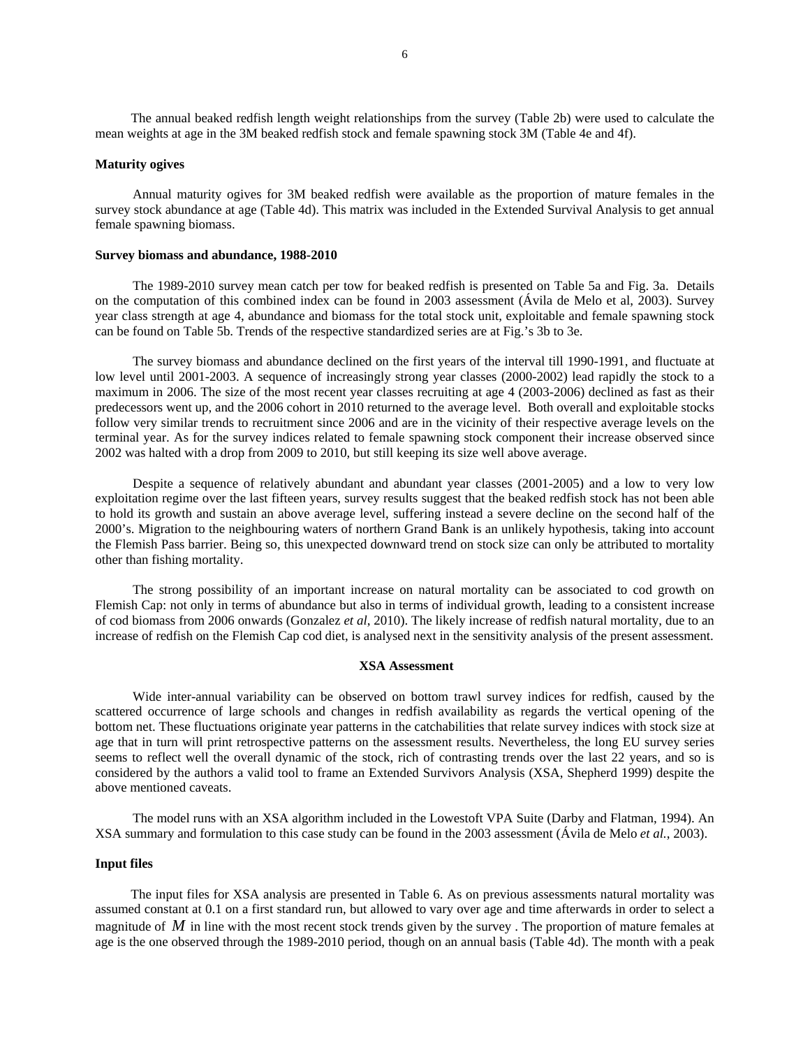The annual beaked redfish length weight relationships from the survey (Table 2b) were used to calculate the mean weights at age in the 3M beaked redfish stock and female spawning stock 3M (Table 4e and 4f).

#### **Maturity ogives**

Annual maturity ogives for 3M beaked redfish were available as the proportion of mature females in the survey stock abundance at age (Table 4d). This matrix was included in the Extended Survival Analysis to get annual female spawning biomass.

## **Survey biomass and abundance, 1988-2010**

The 1989-2010 survey mean catch per tow for beaked redfish is presented on Table 5a and Fig. 3a. Details on the computation of this combined index can be found in 2003 assessment (Ávila de Melo et al, 2003). Survey year class strength at age 4, abundance and biomass for the total stock unit, exploitable and female spawning stock can be found on Table 5b. Trends of the respective standardized series are at Fig.'s 3b to 3e.

The survey biomass and abundance declined on the first years of the interval till 1990-1991, and fluctuate at low level until 2001-2003. A sequence of increasingly strong year classes (2000-2002) lead rapidly the stock to a maximum in 2006. The size of the most recent year classes recruiting at age 4 (2003-2006) declined as fast as their predecessors went up, and the 2006 cohort in 2010 returned to the average level. Both overall and exploitable stocks follow very similar trends to recruitment since 2006 and are in the vicinity of their respective average levels on the terminal year. As for the survey indices related to female spawning stock component their increase observed since 2002 was halted with a drop from 2009 to 2010, but still keeping its size well above average.

Despite a sequence of relatively abundant and abundant year classes (2001-2005) and a low to very low exploitation regime over the last fifteen years, survey results suggest that the beaked redfish stock has not been able to hold its growth and sustain an above average level, suffering instead a severe decline on the second half of the 2000's. Migration to the neighbouring waters of northern Grand Bank is an unlikely hypothesis, taking into account the Flemish Pass barrier. Being so, this unexpected downward trend on stock size can only be attributed to mortality other than fishing mortality.

The strong possibility of an important increase on natural mortality can be associated to cod growth on Flemish Cap: not only in terms of abundance but also in terms of individual growth, leading to a consistent increase of cod biomass from 2006 onwards (Gonzalez *et al*, 2010). The likely increase of redfish natural mortality, due to an increase of redfish on the Flemish Cap cod diet, is analysed next in the sensitivity analysis of the present assessment.

#### **XSA Assessment**

Wide inter-annual variability can be observed on bottom trawl survey indices for redfish, caused by the scattered occurrence of large schools and changes in redfish availability as regards the vertical opening of the bottom net. These fluctuations originate year patterns in the catchabilities that relate survey indices with stock size at age that in turn will print retrospective patterns on the assessment results. Nevertheless, the long EU survey series seems to reflect well the overall dynamic of the stock, rich of contrasting trends over the last 22 years, and so is considered by the authors a valid tool to frame an Extended Survivors Analysis (XSA, Shepherd 1999) despite the above mentioned caveats.

The model runs with an XSA algorithm included in the Lowestoft VPA Suite (Darby and Flatman, 1994). An XSA summary and formulation to this case study can be found in the 2003 assessment (Ávila de Melo *et al.*, 2003).

#### **Input files**

The input files for XSA analysis are presented in Table 6. As on previous assessments natural mortality was assumed constant at 0.1 on a first standard run, but allowed to vary over age and time afterwards in order to select a magnitude of *M* in line with the most recent stock trends given by the survey . The proportion of mature females at age is the one observed through the 1989-2010 period, though on an annual basis (Table 4d). The month with a peak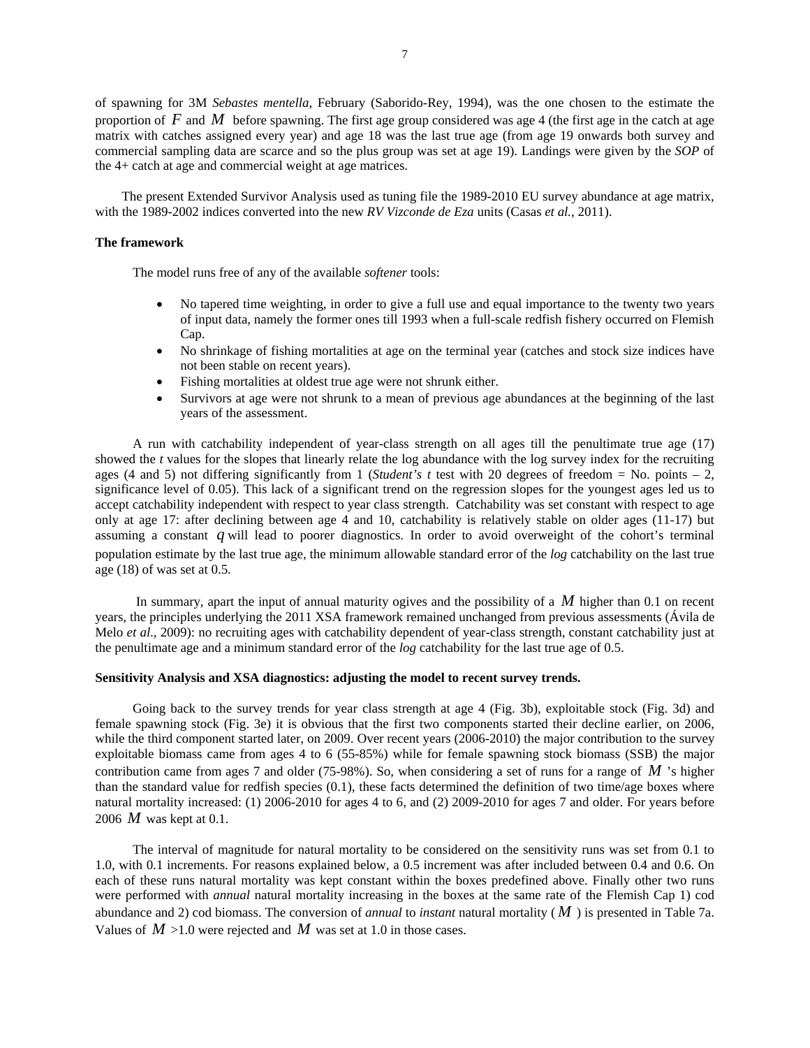of spawning for 3M *Sebastes mentella*, February (Saborido-Rey, 1994), was the one chosen to the estimate the proportion of *F* and *M* before spawning. The first age group considered was age 4 (the first age in the catch at age matrix with catches assigned every year) and age 18 was the last true age (from age 19 onwards both survey and commercial sampling data are scarce and so the plus group was set at age 19). Landings were given by the *SOP* of the 4+ catch at age and commercial weight at age matrices.

 The present Extended Survivor Analysis used as tuning file the 1989-2010 EU survey abundance at age matrix, with the 1989-2002 indices converted into the new *RV Vizconde de Eza* units (Casas *et al.*, 2011).

# **The framework**

The model runs free of any of the available *softener* tools:

- No tapered time weighting, in order to give a full use and equal importance to the twenty two years of input data, namely the former ones till 1993 when a full-scale redfish fishery occurred on Flemish Cap.
- No shrinkage of fishing mortalities at age on the terminal year (catches and stock size indices have not been stable on recent years).
- Fishing mortalities at oldest true age were not shrunk either.
- Survivors at age were not shrunk to a mean of previous age abundances at the beginning of the last years of the assessment.

A run with catchability independent of year-class strength on all ages till the penultimate true age (17) showed the *t* values for the slopes that linearly relate the log abundance with the log survey index for the recruiting ages (4 and 5) not differing significantly from 1 (*Student's t* test with 20 degrees of freedom = No. points  $-2$ , significance level of 0.05). This lack of a significant trend on the regression slopes for the youngest ages led us to accept catchability independent with respect to year class strength. Catchability was set constant with respect to age only at age 17: after declining between age 4 and 10, catchability is relatively stable on older ages (11-17) but assuming a constant *q* will lead to poorer diagnostics. In order to avoid overweight of the cohort's terminal population estimate by the last true age, the minimum allowable standard error of the *log* catchability on the last true age (18) of was set at 0.5.

 In summary, apart the input of annual maturity ogives and the possibility of a *M* higher than 0.1 on recent years, the principles underlying the 2011 XSA framework remained unchanged from previous assessments (Ávila de Melo *et al*., 2009): no recruiting ages with catchability dependent of year-class strength, constant catchability just at the penultimate age and a minimum standard error of the *log* catchability for the last true age of 0.5.

## **Sensitivity Analysis and XSA diagnostics: adjusting the model to recent survey trends.**

Going back to the survey trends for year class strength at age 4 (Fig. 3b), exploitable stock (Fig. 3d) and female spawning stock (Fig. 3e) it is obvious that the first two components started their decline earlier, on 2006, while the third component started later, on 2009. Over recent years (2006-2010) the major contribution to the survey exploitable biomass came from ages 4 to 6 (55-85%) while for female spawning stock biomass (SSB) the major contribution came from ages 7 and older (75-98%). So, when considering a set of runs for a range of *M* 's higher than the standard value for redfish species (0.1), these facts determined the definition of two time/age boxes where natural mortality increased: (1) 2006-2010 for ages 4 to 6, and (2) 2009-2010 for ages 7 and older. For years before 2006 *M* was kept at 0.1.

The interval of magnitude for natural mortality to be considered on the sensitivity runs was set from 0.1 to 1.0, with 0.1 increments. For reasons explained below, a 0.5 increment was after included between 0.4 and 0.6. On each of these runs natural mortality was kept constant within the boxes predefined above. Finally other two runs were performed with *annual* natural mortality increasing in the boxes at the same rate of the Flemish Cap 1) cod abundance and 2) cod biomass. The conversion of *annual* to *instant* natural mortality ( *M* ) is presented in Table 7a. Values of  $M > 1.0$  were rejected and  $M$  was set at 1.0 in those cases.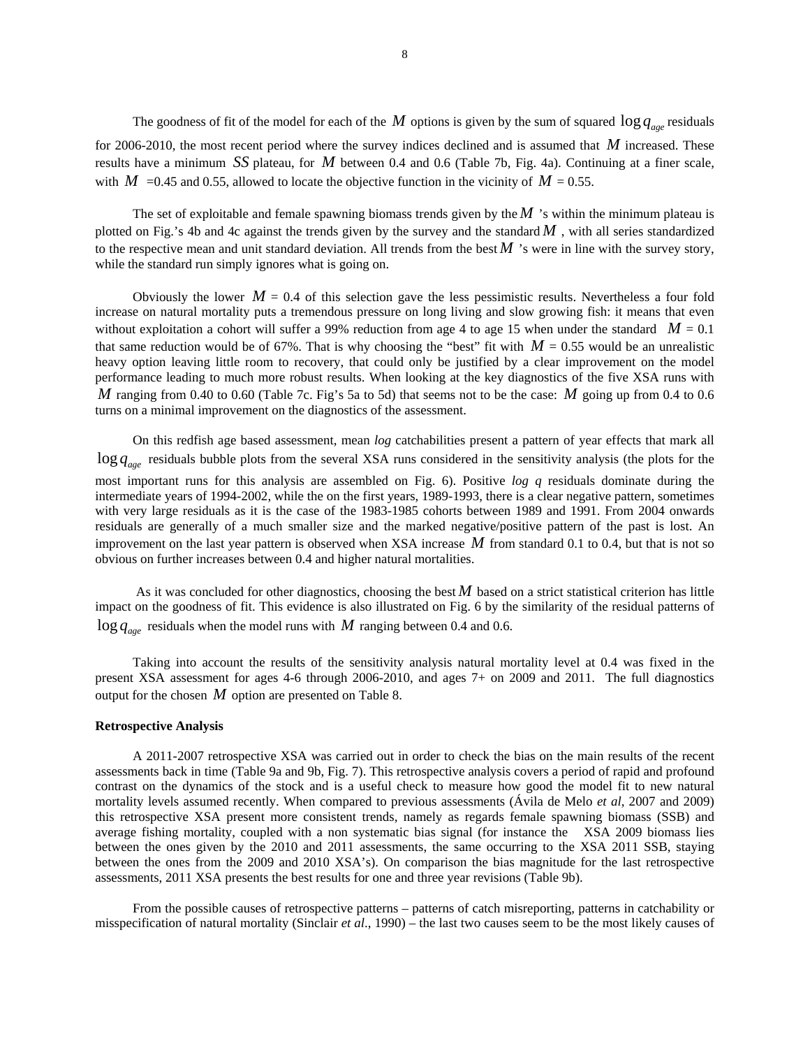The goodness of fit of the model for each of the *M* options is given by the sum of squared  $\log q_{\text{gas}}$  residuals for 2006-2010, the most recent period where the survey indices declined and is assumed that *M* increased. These results have a minimum *SS* plateau, for *M* between 0.4 and 0.6 (Table 7b, Fig. 4a). Continuing at a finer scale, with  $M$  =0.45 and 0.55, allowed to locate the objective function in the vicinity of  $M = 0.55$ .

The set of exploitable and female spawning biomass trends given by the *M* 's within the minimum plateau is plotted on Fig.'s 4b and 4c against the trends given by the survey and the standard  $M$ , with all series standardized to the respective mean and unit standard deviation. All trends from the best  $M$  's were in line with the survey story, while the standard run simply ignores what is going on.

Obviously the lower  $M = 0.4$  of this selection gave the less pessimistic results. Nevertheless a four fold increase on natural mortality puts a tremendous pressure on long living and slow growing fish: it means that even without exploitation a cohort will suffer a 99% reduction from age 4 to age 15 when under the standard  $M = 0.1$ that same reduction would be of 67%. That is why choosing the "best" fit with  $M = 0.55$  would be an unrealistic heavy option leaving little room to recovery, that could only be justified by a clear improvement on the model performance leading to much more robust results. When looking at the key diagnostics of the five XSA runs with *M* ranging from 0.40 to 0.60 (Table 7c. Fig's 5a to 5d) that seems not to be the case: *M* going up from 0.4 to 0.6 turns on a minimal improvement on the diagnostics of the assessment.

On this redfish age based assessment, mean *log* catchabilities present a pattern of year effects that mark all log q<sub>age</sub> residuals bubble plots from the several XSA runs considered in the sensitivity analysis (the plots for the most important runs for this analysis are assembled on Fig. 6). Positive *log q* residuals dominate during the intermediate years of 1994-2002, while the on the first years, 1989-1993, there is a clear negative pattern, sometimes with very large residuals as it is the case of the 1983-1985 cohorts between 1989 and 1991. From 2004 onwards residuals are generally of a much smaller size and the marked negative/positive pattern of the past is lost. An improvement on the last year pattern is observed when XSA increase *M* from standard 0.1 to 0.4, but that is not so obvious on further increases between 0.4 and higher natural mortalities.

 As it was concluded for other diagnostics, choosing the best *M* based on a strict statistical criterion has little impact on the goodness of fit. This evidence is also illustrated on Fig. 6 by the similarity of the residual patterns of  $\log q_{\text{age}}$  residuals when the model runs with *M* ranging between 0.4 and 0.6.

Taking into account the results of the sensitivity analysis natural mortality level at 0.4 was fixed in the present XSA assessment for ages 4-6 through 2006-2010, and ages 7+ on 2009 and 2011. The full diagnostics output for the chosen *M* option are presented on Table 8.

## **Retrospective Analysis**

A 2011-2007 retrospective XSA was carried out in order to check the bias on the main results of the recent assessments back in time (Table 9a and 9b, Fig. 7). This retrospective analysis covers a period of rapid and profound contrast on the dynamics of the stock and is a useful check to measure how good the model fit to new natural mortality levels assumed recently. When compared to previous assessments (Ávila de Melo *et al*, 2007 and 2009) this retrospective XSA present more consistent trends, namely as regards female spawning biomass (SSB) and average fishing mortality, coupled with a non systematic bias signal (for instance the XSA 2009 biomass lies between the ones given by the 2010 and 2011 assessments, the same occurring to the XSA 2011 SSB, staying between the ones from the 2009 and 2010 XSA's). On comparison the bias magnitude for the last retrospective assessments, 2011 XSA presents the best results for one and three year revisions (Table 9b).

From the possible causes of retrospective patterns – patterns of catch misreporting, patterns in catchability or misspecification of natural mortality (Sinclair *et al*., 1990) – the last two causes seem to be the most likely causes of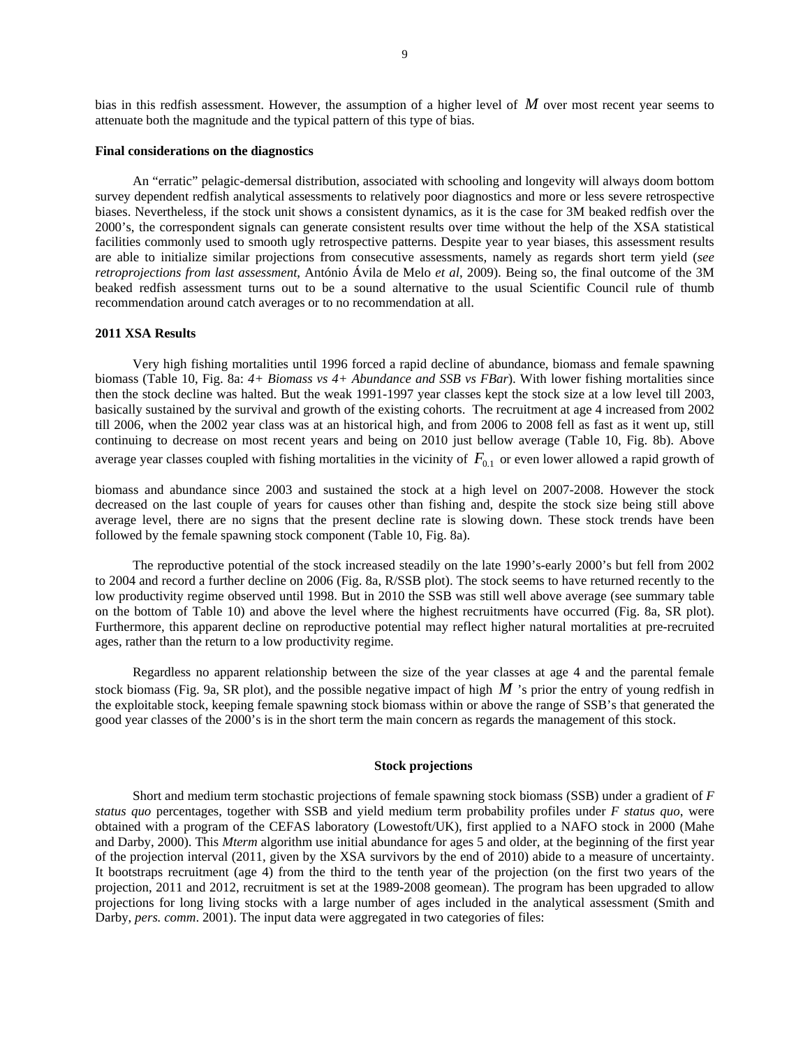bias in this redfish assessment. However, the assumption of a higher level of *M* over most recent year seems to attenuate both the magnitude and the typical pattern of this type of bias.

# **Final considerations on the diagnostics**

An "erratic" pelagic-demersal distribution, associated with schooling and longevity will always doom bottom survey dependent redfish analytical assessments to relatively poor diagnostics and more or less severe retrospective biases. Nevertheless, if the stock unit shows a consistent dynamics, as it is the case for 3M beaked redfish over the 2000's, the correspondent signals can generate consistent results over time without the help of the XSA statistical facilities commonly used to smooth ugly retrospective patterns. Despite year to year biases, this assessment results are able to initialize similar projections from consecutive assessments, namely as regards short term yield (*see retroprojections from last assessment*, António Ávila de Melo *et al*, 2009). Being so, the final outcome of the 3M beaked redfish assessment turns out to be a sound alternative to the usual Scientific Council rule of thumb recommendation around catch averages or to no recommendation at all.

# **2011 XSA Results**

Very high fishing mortalities until 1996 forced a rapid decline of abundance, biomass and female spawning biomass (Table 10, Fig. 8a: *4+ Biomass vs 4+ Abundance and SSB vs FBar*). With lower fishing mortalities since then the stock decline was halted. But the weak 1991-1997 year classes kept the stock size at a low level till 2003, basically sustained by the survival and growth of the existing cohorts. The recruitment at age 4 increased from 2002 till 2006, when the 2002 year class was at an historical high, and from 2006 to 2008 fell as fast as it went up, still continuing to decrease on most recent years and being on 2010 just bellow average (Table 10, Fig. 8b). Above average year classes coupled with fishing mortalities in the vicinity of  $F_{01}$  or even lower allowed a rapid growth of

biomass and abundance since 2003 and sustained the stock at a high level on 2007-2008. However the stock decreased on the last couple of years for causes other than fishing and, despite the stock size being still above average level, there are no signs that the present decline rate is slowing down. These stock trends have been followed by the female spawning stock component (Table 10, Fig. 8a).

The reproductive potential of the stock increased steadily on the late 1990's-early 2000's but fell from 2002 to 2004 and record a further decline on 2006 (Fig. 8a, R/SSB plot). The stock seems to have returned recently to the low productivity regime observed until 1998. But in 2010 the SSB was still well above average (see summary table on the bottom of Table 10) and above the level where the highest recruitments have occurred (Fig. 8a, SR plot). Furthermore, this apparent decline on reproductive potential may reflect higher natural mortalities at pre-recruited ages, rather than the return to a low productivity regime.

Regardless no apparent relationship between the size of the year classes at age 4 and the parental female stock biomass (Fig. 9a, SR plot), and the possible negative impact of high  $M$  's prior the entry of young redfish in the exploitable stock, keeping female spawning stock biomass within or above the range of SSB's that generated the good year classes of the 2000's is in the short term the main concern as regards the management of this stock.

# **Stock projections**

Short and medium term stochastic projections of female spawning stock biomass (SSB) under a gradient of *F status quo* percentages, together with SSB and yield medium term probability profiles under *F status quo*, were obtained with a program of the CEFAS laboratory (Lowestoft/UK), first applied to a NAFO stock in 2000 (Mahe and Darby, 2000). This *Mterm* algorithm use initial abundance for ages 5 and older, at the beginning of the first year of the projection interval (2011, given by the XSA survivors by the end of 2010) abide to a measure of uncertainty. It bootstraps recruitment (age 4) from the third to the tenth year of the projection (on the first two years of the projection, 2011 and 2012, recruitment is set at the 1989-2008 geomean). The program has been upgraded to allow projections for long living stocks with a large number of ages included in the analytical assessment (Smith and Darby, *pers. comm*. 2001). The input data were aggregated in two categories of files: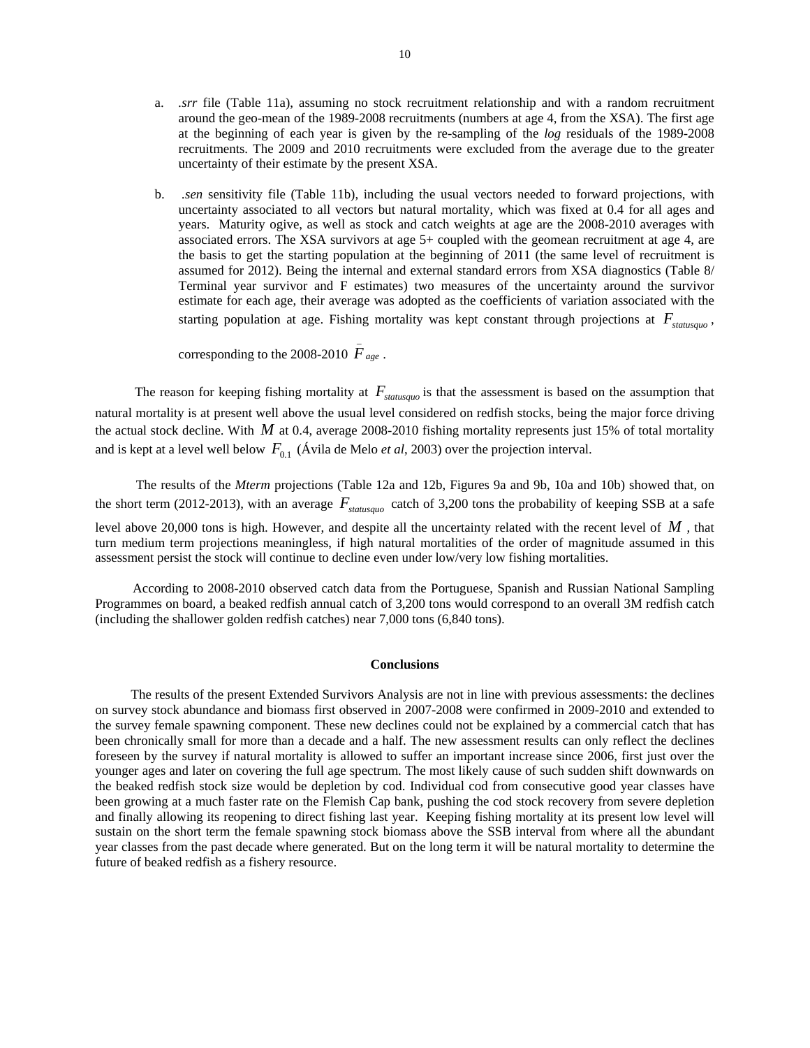- a. *.srr* file (Table 11a), assuming no stock recruitment relationship and with a random recruitment around the geo-mean of the 1989-2008 recruitments (numbers at age 4, from the XSA). The first age at the beginning of each year is given by the re-sampling of the *log* residuals of the 1989-2008 recruitments. The 2009 and 2010 recruitments were excluded from the average due to the greater uncertainty of their estimate by the present XSA.
- b. *.sen* sensitivity file (Table 11b), including the usual vectors needed to forward projections, with uncertainty associated to all vectors but natural mortality, which was fixed at 0.4 for all ages and years. Maturity ogive, as well as stock and catch weights at age are the 2008-2010 averages with associated errors. The XSA survivors at age 5+ coupled with the geomean recruitment at age 4, are the basis to get the starting population at the beginning of 2011 (the same level of recruitment is assumed for 2012). Being the internal and external standard errors from XSA diagnostics (Table 8/ Terminal year survivor and F estimates) two measures of the uncertainty around the survivor estimate for each age, their average was adopted as the coefficients of variation associated with the starting population at age. Fishing mortality was kept constant through projections at  $F_{statusawa}$ ,

corresponding to the 2008-2010  $\bar{F}_{age}$ .

The reason for keeping fishing mortality at  $F_{statusau}$  is that the assessment is based on the assumption that natural mortality is at present well above the usual level considered on redfish stocks, being the major force driving the actual stock decline. With  $M$  at 0.4, average 2008-2010 fishing mortality represents just 15% of total mortality and is kept at a level well below  $F_{0,1}$  (Ávila de Melo *et al*, 2003) over the projection interval.

 The results of the *Mterm* projections (Table 12a and 12b, Figures 9a and 9b, 10a and 10b) showed that, on the short term (2012-2013), with an average  $F_{\text{statusawa}}$  catch of 3,200 tons the probability of keeping SSB at a safe level above 20,000 tons is high. However, and despite all the uncertainty related with the recent level of *M* , that turn medium term projections meaningless, if high natural mortalities of the order of magnitude assumed in this assessment persist the stock will continue to decline even under low/very low fishing mortalities.

According to 2008-2010 observed catch data from the Portuguese, Spanish and Russian National Sampling Programmes on board, a beaked redfish annual catch of 3,200 tons would correspond to an overall 3M redfish catch (including the shallower golden redfish catches) near 7,000 tons (6,840 tons).

#### **Conclusions**

The results of the present Extended Survivors Analysis are not in line with previous assessments: the declines on survey stock abundance and biomass first observed in 2007-2008 were confirmed in 2009-2010 and extended to the survey female spawning component. These new declines could not be explained by a commercial catch that has been chronically small for more than a decade and a half. The new assessment results can only reflect the declines foreseen by the survey if natural mortality is allowed to suffer an important increase since 2006, first just over the younger ages and later on covering the full age spectrum. The most likely cause of such sudden shift downwards on the beaked redfish stock size would be depletion by cod. Individual cod from consecutive good year classes have been growing at a much faster rate on the Flemish Cap bank, pushing the cod stock recovery from severe depletion and finally allowing its reopening to direct fishing last year. Keeping fishing mortality at its present low level will sustain on the short term the female spawning stock biomass above the SSB interval from where all the abundant year classes from the past decade where generated. But on the long term it will be natural mortality to determine the future of beaked redfish as a fishery resource.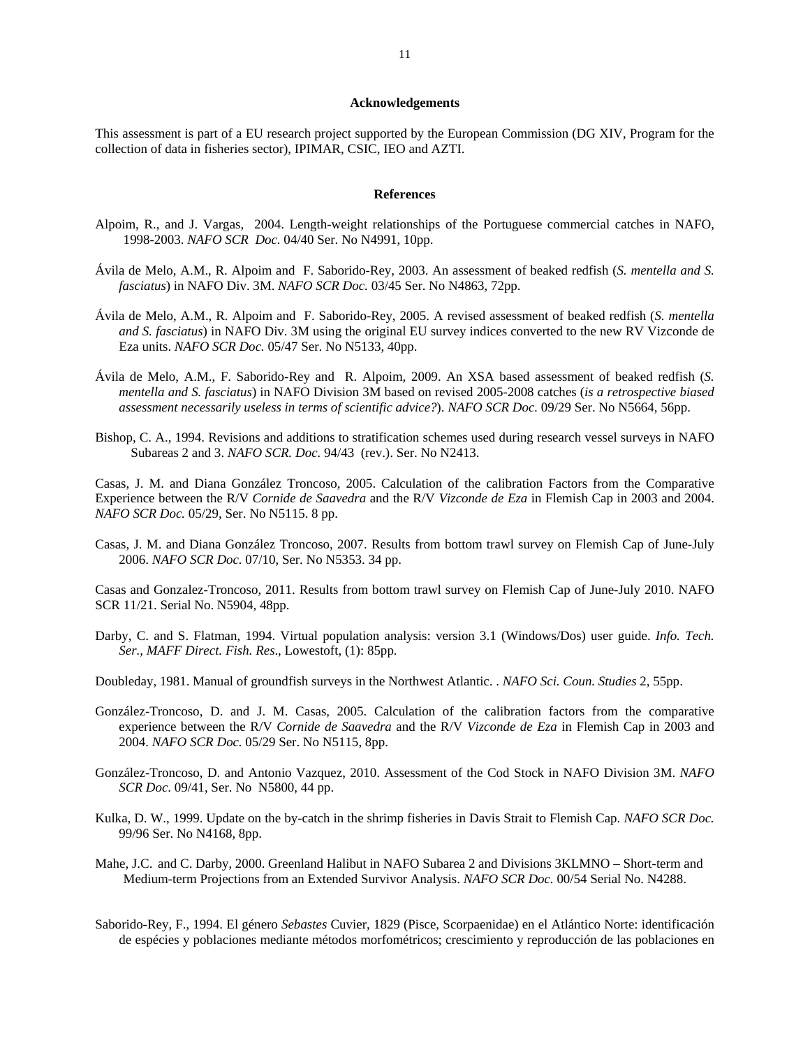#### **Acknowledgements**

This assessment is part of a EU research project supported by the European Commission (DG XIV, Program for the collection of data in fisheries sector), IPIMAR, CSIC, IEO and AZTI.

#### **References**

- Alpoim, R., and J. Vargas, 2004. Length-weight relationships of the Portuguese commercial catches in NAFO, 1998-2003. *NAFO SCR Doc.* 04/40 Ser. No N4991, 10pp.
- Ávila de Melo, A.M., R. Alpoim and F. Saborido-Rey, 2003. An assessment of beaked redfish (*S. mentella and S. fasciatus*) in NAFO Div. 3M. *NAFO SCR Doc.* 03/45 Ser. No N4863, 72pp.
- Ávila de Melo, A.M., R. Alpoim and F. Saborido-Rey, 2005. A revised assessment of beaked redfish (*S. mentella and S. fasciatus*) in NAFO Div. 3M using the original EU survey indices converted to the new RV Vizconde de Eza units. *NAFO SCR Doc.* 05/47 Ser. No N5133, 40pp.
- Ávila de Melo, A.M., F. Saborido-Rey and R. Alpoim, 2009. An XSA based assessment of beaked redfish (*S. mentella and S. fasciatus*) in NAFO Division 3M based on revised 2005-2008 catches (*is a retrospective biased assessment necessarily useless in terms of scientific advice?*). *NAFO SCR Doc.* 09/29 Ser. No N5664, 56pp.
- Bishop, C. A., 1994. Revisions and additions to stratification schemes used during research vessel surveys in NAFO Subareas 2 and 3. *NAFO SCR. Doc.* 94/43 (rev.). Ser. No N2413.

Casas, J. M. and Diana González Troncoso, 2005. Calculation of the calibration Factors from the Comparative Experience between the R/V *Cornide de Saavedra* and the R/V *Vizconde de Eza* in Flemish Cap in 2003 and 2004. *NAFO SCR Doc.* 05/29, Ser. No N5115. 8 pp.

Casas, J. M. and Diana González Troncoso, 2007. Results from bottom trawl survey on Flemish Cap of June-July 2006. *NAFO SCR Doc.* 07/10, Ser. No N5353. 34 pp.

Casas and Gonzalez-Troncoso, 2011. Results from bottom trawl survey on Flemish Cap of June-July 2010. NAFO SCR 11/21. Serial No. N5904, 48pp.

Darby, C. and S. Flatman, 1994. Virtual population analysis: version 3.1 (Windows/Dos) user guide. *Info. Tech. Ser., MAFF Direct. Fish. Res*., Lowestoft, (1): 85pp.

Doubleday, 1981. Manual of groundfish surveys in the Northwest Atlantic. . *NAFO Sci. Coun. Studies* 2, 55pp.

- González-Troncoso, D. and J. M. Casas, 2005. Calculation of the calibration factors from the comparative experience between the R/V *Cornide de Saavedra* and the R/V *Vizconde de Eza* in Flemish Cap in 2003 and 2004. *NAFO SCR Doc.* 05/29 Ser. No N5115, 8pp.
- González-Troncoso, D. and Antonio Vazquez, 2010. Assessment of the Cod Stock in NAFO Division 3M. *NAFO SCR Doc*. 09/41, Ser. No N5800, 44 pp.
- Kulka, D. W., 1999. Update on the by-catch in the shrimp fisheries in Davis Strait to Flemish Cap. *NAFO SCR Doc.*  99/96 Ser. No N4168, 8pp.
- Mahe, J.C. and C. Darby, 2000. Greenland Halibut in NAFO Subarea 2 and Divisions 3KLMNO Short-term and Medium-term Projections from an Extended Survivor Analysis. *NAFO SCR Doc.* 00/54 Serial No. N4288.
- Saborido-Rey, F., 1994. El género *Sebastes* Cuvier, 1829 (Pisce, Scorpaenidae) en el Atlántico Norte: identificación de espécies y poblaciones mediante métodos morfométricos; crescimiento y reproducción de las poblaciones en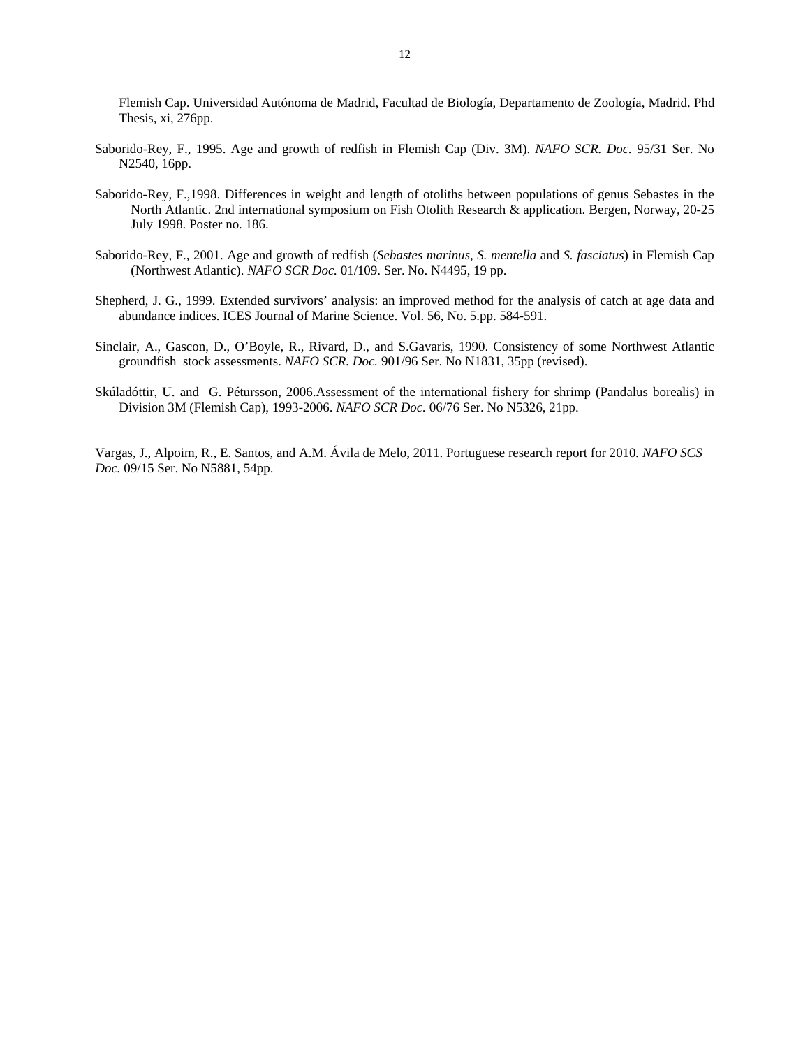Flemish Cap. Universidad Autónoma de Madrid, Facultad de Biología, Departamento de Zoología, Madrid. Phd Thesis, xi, 276pp.

- Saborido-Rey, F., 1995. Age and growth of redfish in Flemish Cap (Div. 3M). *NAFO SCR. Doc.* 95/31 Ser. No N2540, 16pp.
- Saborido-Rey, F.,1998. Differences in weight and length of otoliths between populations of genus Sebastes in the North Atlantic. 2nd international symposium on Fish Otolith Research & application. Bergen, Norway, 20-25 July 1998. Poster no. 186.
- Saborido-Rey, F., 2001. Age and growth of redfish (*Sebastes marinus*, *S. mentella* and *S. fasciatus*) in Flemish Cap (Northwest Atlantic). *NAFO SCR Doc.* 01/109. Ser. No. N4495, 19 pp.
- Shepherd, J. G., 1999. Extended survivors' analysis: an improved method for the analysis of catch at age data and abundance indices. ICES Journal of Marine Science. Vol. 56, No. 5.pp. 584-591.
- Sinclair, A., Gascon, D., O'Boyle, R., Rivard, D., and S.Gavaris, 1990. Consistency of some Northwest Atlantic groundfish stock assessments. *NAFO SCR. Doc.* 901/96 Ser. No N1831, 35pp (revised).
- Skúladóttir, U. and G. Pétursson, 2006.Assessment of the international fishery for shrimp (Pandalus borealis) in Division 3M (Flemish Cap), 1993-2006. *NAFO SCR Doc.* 06/76 Ser. No N5326, 21pp.

Vargas, J., Alpoim, R., E. Santos, and A.M. Ávila de Melo, 2011. Portuguese research report for 2010*. NAFO SCS Doc.* 09/15 Ser. No N5881, 54pp.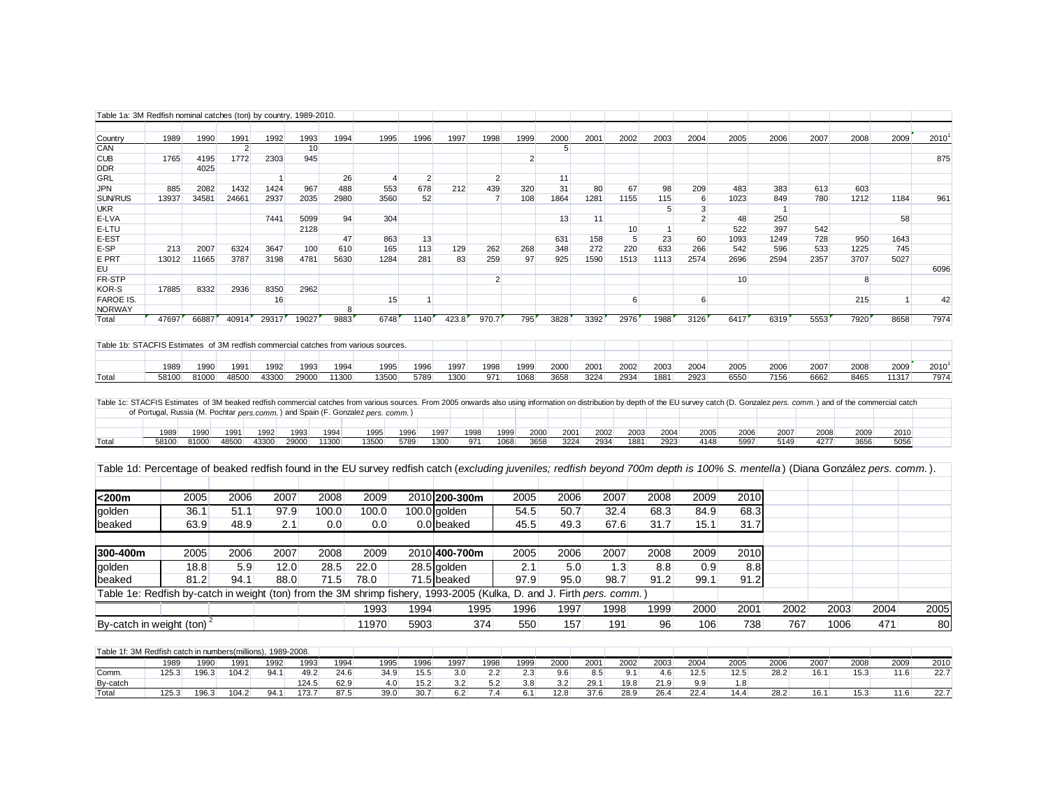| 1989<br>1992<br>2000<br>2010<br>1990<br>1991<br>1993<br>1994<br>1995<br>1996<br>1997<br>1998<br>1999<br>2001<br>2002<br>2003<br>2004<br>2005<br>2006<br>2007<br>2008<br>2009<br>Country<br>CAN<br>10<br>$\overline{2}$<br>5<br>$\overline{2}$<br>875<br><b>CUB</b><br>1765<br>4195<br>1772<br>2303<br>945<br><b>DDR</b><br>4025<br>2<br>GRL<br>26<br>$\overline{2}$<br>11<br>$\overline{1}$<br>$\overline{4}$<br>488<br>678<br>439<br>320<br>31<br>80<br>67<br>JPN<br>885<br>2082<br>1432<br>1424<br>967<br>553<br>212<br>98<br>209<br>483<br>383<br>613<br>603<br>SUN/RUS<br>13937<br>34581<br>24661<br>2937<br>2035<br>2980<br>3560<br>52<br>$\overline{7}$<br>108<br>1864<br>1281<br>1155<br>115<br>6<br>1023<br>849<br>780<br>1212<br>1184<br>961<br><b>UKR</b><br>$\overline{3}$<br>5<br>$\overline{1}$<br>7441<br>5099<br>304<br>13<br>$\overline{2}$<br>58<br>E-LVA<br>94<br>11<br>48<br>250<br>2128<br>522<br>397<br>542<br>E-LTU<br>10<br>-1<br>47<br>631<br>5 <sup>5</sup><br>23<br>1093<br>1643<br>863<br>13<br>158<br>60<br>1249<br>728<br>950<br>E-EST<br>1225<br>745<br>E-SP<br>213<br>2007<br>6324<br>3647<br>100<br>610<br>165<br>113<br>129<br>262<br>268<br>348<br>272<br>220<br>633<br>266<br>542<br>596<br>533<br>E PRT<br>13012<br>11665<br>3787<br>3198<br>4781<br>5630<br>281<br>83<br>259<br>97<br>925<br>1590<br>1513<br>2574<br>2696<br>2594<br>2357<br>3707<br>5027<br>1284<br>1113<br>EU<br>$\overline{2}$<br>FR-STP<br>10<br>8<br>KOR-S<br>17885<br>8332<br>2936<br>8350<br>2962<br><b>FAROE IS.</b><br>16<br>15<br>6<br>$6 \overline{6}$<br>215<br>$\mathbf{1}$<br>$\mathbf{1}$<br><b>NORWAY</b><br>8<br>47697<br>40914<br>29317<br>423.8<br>970.7<br>795<br>3828<br>3392<br>2976<br>1988<br>3126<br>6417<br>6319<br>7920<br>8658<br>7974<br>66887<br>19027<br>9883<br>6748<br>1140<br>5553<br>Total<br>Table 1b: STACFIS Estimates of 3M redfish commercial catches from various sources<br>2001<br>2003<br>2010 <sup>1</sup><br>1993<br>1994<br>1996<br>1997<br>1998<br>1999<br>2000<br>2002<br>2004<br>2005<br>2006<br>2007<br>2008<br>2009<br>1989<br>1990<br>1991<br>1992<br>1995<br>7974<br>81000<br>48500<br>43300<br>29000<br>13500<br>5789<br>1300<br>971<br>1068<br>3658<br>3224<br>1881<br>2923<br>6550<br>7156<br>6662<br>58100<br>11300<br>2934<br>8465<br>11317<br>Total<br>Table 1c: STACFIS Estimates of 3M beaked redfish commercial catches from various sources. From 2005 onwards also using information on distribution by depth of the EU survey catch (D. Gonzalez pers. comm.) and of the commer<br>of Portugal, Russia (M. Pochtar pers.comm.) and Spain (F. Gonzalez pers. comm.)<br>2000<br>1997<br>1998<br>1999<br>2001<br>2002<br>2003<br>2004<br>2005<br>2006<br>2007<br>2008<br>2009<br>2010<br>1989<br>1990<br>1991<br>1992<br>1993<br>1994<br>1995<br>1996<br>81000<br>48500<br>43300<br>29000<br>11300<br>13500<br>1300<br>1068<br>3224<br>2934<br>2923<br>5997<br>5149<br>5056<br>58100<br>5789<br>971<br>3658<br>1881<br>4148<br>4277<br>3656<br>Total<br>Table 1d: Percentage of beaked redfish found in the EU survey redfish catch (excluding juveniles; redfish beyond 700m depth is 100% S. mentella) (Diana González pers. comm.).<br>2010 200-300m<br><200m<br>2006<br>2008<br>2009<br>2005<br>2006<br>2007<br>2008<br>2010<br>2005<br>2007<br>2009<br>51.1<br>97.9<br>100.0<br>100.0<br>100.0 golden<br>54.5<br>50.7<br>32.4<br>68.3<br>68.3<br>36.1<br>84.9<br>golden<br>45.5<br>31.7<br>63.9<br>48.9<br>2.1<br>0.0<br>0.0<br>0.0 beaked<br>49.3<br>67.6<br>31.7<br>15.1<br>beaked<br>300-400m<br>2010 400-700m<br>2010<br>2007<br>2008<br>2009<br>2005<br>2006<br>2007<br>2008<br>2009<br>2005<br>2006<br>22.0<br>2.1<br>5.0<br>1.3<br>8.8<br>18.8<br>5.9<br>12.0<br>28.5<br>28.5 golden<br>8.8<br>0.9<br>golden<br>81.2<br>78.0<br>97.9<br>98.7<br>91.2<br>94.1<br>88.0<br>71.5<br>71.5 beaked<br>95.0<br>91.2<br>99.1<br>beaked<br>Table 1e: Redfish by-catch in weight (ton) from the 3M shrimp fishery, 1993-2005 (Kulka, D. and J. Firth pers. comm.)<br>1993<br>1994<br>1995<br>1996<br>1997<br>1998<br>1999<br>2000<br>2001<br>2002<br>2003<br>2004<br>2005<br>By-catch in weight (ton) <sup>2</sup><br>11970<br>5903<br>374<br>550<br>157<br>191<br>96<br>106<br>738<br>767<br>1006<br>471<br>Table 1f: 3M Redfish catch in numbers(millions), 1989-2008.<br>2000<br>2004<br>1990<br>1991<br>1992<br>1993<br>1994<br>1995<br>1996<br>1997<br>1998<br>1999<br>2001<br>2002<br>2003<br>2005<br>2006<br>2007<br>2008<br>2009<br>2010<br>1989<br>125.3<br>196.3<br>104.2<br>94.1<br>49.2<br>24.6<br>34.9<br>15.5<br>3.0<br>2.2<br>2.3<br>8.5<br>9.1<br>4.6<br>12.5<br>12.5<br>28.2<br>16.1<br>15.3<br>11.6<br>22.7<br>9.6<br>Comm.<br>124.5<br>62.9<br>4.0<br>15.2<br>3.2<br>5.2<br>3.8<br>3.2<br>29.1<br>19.8<br>21.9<br>9.9<br>1.8<br>By-catch<br>196.3<br>104.2<br>94.1<br>173.7<br>87.5<br>39.0<br>30.7<br>6.2<br>7.4<br>6.1<br>12.8<br>37.6<br>28.9<br>26.4<br>22.4<br>14.4<br>28.2<br>15.3<br>22.7<br>125.3<br>16.1<br>11.6<br>Total | Table 1a: 3M Redfish nominal catches (ton) by country, 1989-2010. |  |  |  |  |  |  |  |  |  |  |      |
|----------------------------------------------------------------------------------------------------------------------------------------------------------------------------------------------------------------------------------------------------------------------------------------------------------------------------------------------------------------------------------------------------------------------------------------------------------------------------------------------------------------------------------------------------------------------------------------------------------------------------------------------------------------------------------------------------------------------------------------------------------------------------------------------------------------------------------------------------------------------------------------------------------------------------------------------------------------------------------------------------------------------------------------------------------------------------------------------------------------------------------------------------------------------------------------------------------------------------------------------------------------------------------------------------------------------------------------------------------------------------------------------------------------------------------------------------------------------------------------------------------------------------------------------------------------------------------------------------------------------------------------------------------------------------------------------------------------------------------------------------------------------------------------------------------------------------------------------------------------------------------------------------------------------------------------------------------------------------------------------------------------------------------------------------------------------------------------------------------------------------------------------------------------------------------------------------------------------------------------------------------------------------------------------------------------------------------------------------------------------------------------------------------------------------------------------------------------------------------------------------------------------------------------------------------------------------------------------------------------------------------------------------------------------------------------------------------------------------------------------------------------------------------------------------------------------------------------------------------------------------------------------------------------------------------------------------------------------------------------------------------------------------------------------------------------------------------------------------------------------------------------------------------------------------------------------------------------------------------------------------------------------------------------------------------------------------------------------------------------------------------------------------------------------------------------------------------------------------------------------------------------------------------------------------------------------------------------------------------------------------------------------------------------------------------------------------------------------------------------------------------------------------------------------------------------------------------------------------------------------------------------------------------------------------------------------------------------------------------------------------------------------------------------------------------------------------------------------------------------------------------------------------------------------------------------------------------------------------------------------------------------------------------------------------------------------------------------------------------------------------------------------------------------------------------------------------------------------------------------------------------------------------------------------------------------------------------------------------------------------------------------------------------------------------------------------------------------------------------------------------------------------------------------------------------------------------------------------------------------------------------------------------------------------------------------------------------------------------------------------------------------------------|-------------------------------------------------------------------|--|--|--|--|--|--|--|--|--|--|------|
|                                                                                                                                                                                                                                                                                                                                                                                                                                                                                                                                                                                                                                                                                                                                                                                                                                                                                                                                                                                                                                                                                                                                                                                                                                                                                                                                                                                                                                                                                                                                                                                                                                                                                                                                                                                                                                                                                                                                                                                                                                                                                                                                                                                                                                                                                                                                                                                                                                                                                                                                                                                                                                                                                                                                                                                                                                                                                                                                                                                                                                                                                                                                                                                                                                                                                                                                                                                                                                                                                                                                                                                                                                                                                                                                                                                                                                                                                                                                                                                                                                                                                                                                                                                                                                                                                                                                                                                                                                                                                                                                                                                                                                                                                                                                                                                                                                                                                                                                                                                                                            |                                                                   |  |  |  |  |  |  |  |  |  |  |      |
|                                                                                                                                                                                                                                                                                                                                                                                                                                                                                                                                                                                                                                                                                                                                                                                                                                                                                                                                                                                                                                                                                                                                                                                                                                                                                                                                                                                                                                                                                                                                                                                                                                                                                                                                                                                                                                                                                                                                                                                                                                                                                                                                                                                                                                                                                                                                                                                                                                                                                                                                                                                                                                                                                                                                                                                                                                                                                                                                                                                                                                                                                                                                                                                                                                                                                                                                                                                                                                                                                                                                                                                                                                                                                                                                                                                                                                                                                                                                                                                                                                                                                                                                                                                                                                                                                                                                                                                                                                                                                                                                                                                                                                                                                                                                                                                                                                                                                                                                                                                                                            |                                                                   |  |  |  |  |  |  |  |  |  |  |      |
|                                                                                                                                                                                                                                                                                                                                                                                                                                                                                                                                                                                                                                                                                                                                                                                                                                                                                                                                                                                                                                                                                                                                                                                                                                                                                                                                                                                                                                                                                                                                                                                                                                                                                                                                                                                                                                                                                                                                                                                                                                                                                                                                                                                                                                                                                                                                                                                                                                                                                                                                                                                                                                                                                                                                                                                                                                                                                                                                                                                                                                                                                                                                                                                                                                                                                                                                                                                                                                                                                                                                                                                                                                                                                                                                                                                                                                                                                                                                                                                                                                                                                                                                                                                                                                                                                                                                                                                                                                                                                                                                                                                                                                                                                                                                                                                                                                                                                                                                                                                                                            |                                                                   |  |  |  |  |  |  |  |  |  |  |      |
|                                                                                                                                                                                                                                                                                                                                                                                                                                                                                                                                                                                                                                                                                                                                                                                                                                                                                                                                                                                                                                                                                                                                                                                                                                                                                                                                                                                                                                                                                                                                                                                                                                                                                                                                                                                                                                                                                                                                                                                                                                                                                                                                                                                                                                                                                                                                                                                                                                                                                                                                                                                                                                                                                                                                                                                                                                                                                                                                                                                                                                                                                                                                                                                                                                                                                                                                                                                                                                                                                                                                                                                                                                                                                                                                                                                                                                                                                                                                                                                                                                                                                                                                                                                                                                                                                                                                                                                                                                                                                                                                                                                                                                                                                                                                                                                                                                                                                                                                                                                                                            |                                                                   |  |  |  |  |  |  |  |  |  |  |      |
|                                                                                                                                                                                                                                                                                                                                                                                                                                                                                                                                                                                                                                                                                                                                                                                                                                                                                                                                                                                                                                                                                                                                                                                                                                                                                                                                                                                                                                                                                                                                                                                                                                                                                                                                                                                                                                                                                                                                                                                                                                                                                                                                                                                                                                                                                                                                                                                                                                                                                                                                                                                                                                                                                                                                                                                                                                                                                                                                                                                                                                                                                                                                                                                                                                                                                                                                                                                                                                                                                                                                                                                                                                                                                                                                                                                                                                                                                                                                                                                                                                                                                                                                                                                                                                                                                                                                                                                                                                                                                                                                                                                                                                                                                                                                                                                                                                                                                                                                                                                                                            |                                                                   |  |  |  |  |  |  |  |  |  |  |      |
|                                                                                                                                                                                                                                                                                                                                                                                                                                                                                                                                                                                                                                                                                                                                                                                                                                                                                                                                                                                                                                                                                                                                                                                                                                                                                                                                                                                                                                                                                                                                                                                                                                                                                                                                                                                                                                                                                                                                                                                                                                                                                                                                                                                                                                                                                                                                                                                                                                                                                                                                                                                                                                                                                                                                                                                                                                                                                                                                                                                                                                                                                                                                                                                                                                                                                                                                                                                                                                                                                                                                                                                                                                                                                                                                                                                                                                                                                                                                                                                                                                                                                                                                                                                                                                                                                                                                                                                                                                                                                                                                                                                                                                                                                                                                                                                                                                                                                                                                                                                                                            |                                                                   |  |  |  |  |  |  |  |  |  |  |      |
|                                                                                                                                                                                                                                                                                                                                                                                                                                                                                                                                                                                                                                                                                                                                                                                                                                                                                                                                                                                                                                                                                                                                                                                                                                                                                                                                                                                                                                                                                                                                                                                                                                                                                                                                                                                                                                                                                                                                                                                                                                                                                                                                                                                                                                                                                                                                                                                                                                                                                                                                                                                                                                                                                                                                                                                                                                                                                                                                                                                                                                                                                                                                                                                                                                                                                                                                                                                                                                                                                                                                                                                                                                                                                                                                                                                                                                                                                                                                                                                                                                                                                                                                                                                                                                                                                                                                                                                                                                                                                                                                                                                                                                                                                                                                                                                                                                                                                                                                                                                                                            |                                                                   |  |  |  |  |  |  |  |  |  |  |      |
|                                                                                                                                                                                                                                                                                                                                                                                                                                                                                                                                                                                                                                                                                                                                                                                                                                                                                                                                                                                                                                                                                                                                                                                                                                                                                                                                                                                                                                                                                                                                                                                                                                                                                                                                                                                                                                                                                                                                                                                                                                                                                                                                                                                                                                                                                                                                                                                                                                                                                                                                                                                                                                                                                                                                                                                                                                                                                                                                                                                                                                                                                                                                                                                                                                                                                                                                                                                                                                                                                                                                                                                                                                                                                                                                                                                                                                                                                                                                                                                                                                                                                                                                                                                                                                                                                                                                                                                                                                                                                                                                                                                                                                                                                                                                                                                                                                                                                                                                                                                                                            |                                                                   |  |  |  |  |  |  |  |  |  |  |      |
|                                                                                                                                                                                                                                                                                                                                                                                                                                                                                                                                                                                                                                                                                                                                                                                                                                                                                                                                                                                                                                                                                                                                                                                                                                                                                                                                                                                                                                                                                                                                                                                                                                                                                                                                                                                                                                                                                                                                                                                                                                                                                                                                                                                                                                                                                                                                                                                                                                                                                                                                                                                                                                                                                                                                                                                                                                                                                                                                                                                                                                                                                                                                                                                                                                                                                                                                                                                                                                                                                                                                                                                                                                                                                                                                                                                                                                                                                                                                                                                                                                                                                                                                                                                                                                                                                                                                                                                                                                                                                                                                                                                                                                                                                                                                                                                                                                                                                                                                                                                                                            |                                                                   |  |  |  |  |  |  |  |  |  |  |      |
|                                                                                                                                                                                                                                                                                                                                                                                                                                                                                                                                                                                                                                                                                                                                                                                                                                                                                                                                                                                                                                                                                                                                                                                                                                                                                                                                                                                                                                                                                                                                                                                                                                                                                                                                                                                                                                                                                                                                                                                                                                                                                                                                                                                                                                                                                                                                                                                                                                                                                                                                                                                                                                                                                                                                                                                                                                                                                                                                                                                                                                                                                                                                                                                                                                                                                                                                                                                                                                                                                                                                                                                                                                                                                                                                                                                                                                                                                                                                                                                                                                                                                                                                                                                                                                                                                                                                                                                                                                                                                                                                                                                                                                                                                                                                                                                                                                                                                                                                                                                                                            |                                                                   |  |  |  |  |  |  |  |  |  |  |      |
|                                                                                                                                                                                                                                                                                                                                                                                                                                                                                                                                                                                                                                                                                                                                                                                                                                                                                                                                                                                                                                                                                                                                                                                                                                                                                                                                                                                                                                                                                                                                                                                                                                                                                                                                                                                                                                                                                                                                                                                                                                                                                                                                                                                                                                                                                                                                                                                                                                                                                                                                                                                                                                                                                                                                                                                                                                                                                                                                                                                                                                                                                                                                                                                                                                                                                                                                                                                                                                                                                                                                                                                                                                                                                                                                                                                                                                                                                                                                                                                                                                                                                                                                                                                                                                                                                                                                                                                                                                                                                                                                                                                                                                                                                                                                                                                                                                                                                                                                                                                                                            |                                                                   |  |  |  |  |  |  |  |  |  |  |      |
|                                                                                                                                                                                                                                                                                                                                                                                                                                                                                                                                                                                                                                                                                                                                                                                                                                                                                                                                                                                                                                                                                                                                                                                                                                                                                                                                                                                                                                                                                                                                                                                                                                                                                                                                                                                                                                                                                                                                                                                                                                                                                                                                                                                                                                                                                                                                                                                                                                                                                                                                                                                                                                                                                                                                                                                                                                                                                                                                                                                                                                                                                                                                                                                                                                                                                                                                                                                                                                                                                                                                                                                                                                                                                                                                                                                                                                                                                                                                                                                                                                                                                                                                                                                                                                                                                                                                                                                                                                                                                                                                                                                                                                                                                                                                                                                                                                                                                                                                                                                                                            |                                                                   |  |  |  |  |  |  |  |  |  |  |      |
|                                                                                                                                                                                                                                                                                                                                                                                                                                                                                                                                                                                                                                                                                                                                                                                                                                                                                                                                                                                                                                                                                                                                                                                                                                                                                                                                                                                                                                                                                                                                                                                                                                                                                                                                                                                                                                                                                                                                                                                                                                                                                                                                                                                                                                                                                                                                                                                                                                                                                                                                                                                                                                                                                                                                                                                                                                                                                                                                                                                                                                                                                                                                                                                                                                                                                                                                                                                                                                                                                                                                                                                                                                                                                                                                                                                                                                                                                                                                                                                                                                                                                                                                                                                                                                                                                                                                                                                                                                                                                                                                                                                                                                                                                                                                                                                                                                                                                                                                                                                                                            |                                                                   |  |  |  |  |  |  |  |  |  |  |      |
|                                                                                                                                                                                                                                                                                                                                                                                                                                                                                                                                                                                                                                                                                                                                                                                                                                                                                                                                                                                                                                                                                                                                                                                                                                                                                                                                                                                                                                                                                                                                                                                                                                                                                                                                                                                                                                                                                                                                                                                                                                                                                                                                                                                                                                                                                                                                                                                                                                                                                                                                                                                                                                                                                                                                                                                                                                                                                                                                                                                                                                                                                                                                                                                                                                                                                                                                                                                                                                                                                                                                                                                                                                                                                                                                                                                                                                                                                                                                                                                                                                                                                                                                                                                                                                                                                                                                                                                                                                                                                                                                                                                                                                                                                                                                                                                                                                                                                                                                                                                                                            |                                                                   |  |  |  |  |  |  |  |  |  |  | 6096 |
|                                                                                                                                                                                                                                                                                                                                                                                                                                                                                                                                                                                                                                                                                                                                                                                                                                                                                                                                                                                                                                                                                                                                                                                                                                                                                                                                                                                                                                                                                                                                                                                                                                                                                                                                                                                                                                                                                                                                                                                                                                                                                                                                                                                                                                                                                                                                                                                                                                                                                                                                                                                                                                                                                                                                                                                                                                                                                                                                                                                                                                                                                                                                                                                                                                                                                                                                                                                                                                                                                                                                                                                                                                                                                                                                                                                                                                                                                                                                                                                                                                                                                                                                                                                                                                                                                                                                                                                                                                                                                                                                                                                                                                                                                                                                                                                                                                                                                                                                                                                                                            |                                                                   |  |  |  |  |  |  |  |  |  |  |      |
|                                                                                                                                                                                                                                                                                                                                                                                                                                                                                                                                                                                                                                                                                                                                                                                                                                                                                                                                                                                                                                                                                                                                                                                                                                                                                                                                                                                                                                                                                                                                                                                                                                                                                                                                                                                                                                                                                                                                                                                                                                                                                                                                                                                                                                                                                                                                                                                                                                                                                                                                                                                                                                                                                                                                                                                                                                                                                                                                                                                                                                                                                                                                                                                                                                                                                                                                                                                                                                                                                                                                                                                                                                                                                                                                                                                                                                                                                                                                                                                                                                                                                                                                                                                                                                                                                                                                                                                                                                                                                                                                                                                                                                                                                                                                                                                                                                                                                                                                                                                                                            |                                                                   |  |  |  |  |  |  |  |  |  |  |      |
|                                                                                                                                                                                                                                                                                                                                                                                                                                                                                                                                                                                                                                                                                                                                                                                                                                                                                                                                                                                                                                                                                                                                                                                                                                                                                                                                                                                                                                                                                                                                                                                                                                                                                                                                                                                                                                                                                                                                                                                                                                                                                                                                                                                                                                                                                                                                                                                                                                                                                                                                                                                                                                                                                                                                                                                                                                                                                                                                                                                                                                                                                                                                                                                                                                                                                                                                                                                                                                                                                                                                                                                                                                                                                                                                                                                                                                                                                                                                                                                                                                                                                                                                                                                                                                                                                                                                                                                                                                                                                                                                                                                                                                                                                                                                                                                                                                                                                                                                                                                                                            |                                                                   |  |  |  |  |  |  |  |  |  |  | 42   |
|                                                                                                                                                                                                                                                                                                                                                                                                                                                                                                                                                                                                                                                                                                                                                                                                                                                                                                                                                                                                                                                                                                                                                                                                                                                                                                                                                                                                                                                                                                                                                                                                                                                                                                                                                                                                                                                                                                                                                                                                                                                                                                                                                                                                                                                                                                                                                                                                                                                                                                                                                                                                                                                                                                                                                                                                                                                                                                                                                                                                                                                                                                                                                                                                                                                                                                                                                                                                                                                                                                                                                                                                                                                                                                                                                                                                                                                                                                                                                                                                                                                                                                                                                                                                                                                                                                                                                                                                                                                                                                                                                                                                                                                                                                                                                                                                                                                                                                                                                                                                                            |                                                                   |  |  |  |  |  |  |  |  |  |  |      |
|                                                                                                                                                                                                                                                                                                                                                                                                                                                                                                                                                                                                                                                                                                                                                                                                                                                                                                                                                                                                                                                                                                                                                                                                                                                                                                                                                                                                                                                                                                                                                                                                                                                                                                                                                                                                                                                                                                                                                                                                                                                                                                                                                                                                                                                                                                                                                                                                                                                                                                                                                                                                                                                                                                                                                                                                                                                                                                                                                                                                                                                                                                                                                                                                                                                                                                                                                                                                                                                                                                                                                                                                                                                                                                                                                                                                                                                                                                                                                                                                                                                                                                                                                                                                                                                                                                                                                                                                                                                                                                                                                                                                                                                                                                                                                                                                                                                                                                                                                                                                                            |                                                                   |  |  |  |  |  |  |  |  |  |  |      |
|                                                                                                                                                                                                                                                                                                                                                                                                                                                                                                                                                                                                                                                                                                                                                                                                                                                                                                                                                                                                                                                                                                                                                                                                                                                                                                                                                                                                                                                                                                                                                                                                                                                                                                                                                                                                                                                                                                                                                                                                                                                                                                                                                                                                                                                                                                                                                                                                                                                                                                                                                                                                                                                                                                                                                                                                                                                                                                                                                                                                                                                                                                                                                                                                                                                                                                                                                                                                                                                                                                                                                                                                                                                                                                                                                                                                                                                                                                                                                                                                                                                                                                                                                                                                                                                                                                                                                                                                                                                                                                                                                                                                                                                                                                                                                                                                                                                                                                                                                                                                                            |                                                                   |  |  |  |  |  |  |  |  |  |  |      |
|                                                                                                                                                                                                                                                                                                                                                                                                                                                                                                                                                                                                                                                                                                                                                                                                                                                                                                                                                                                                                                                                                                                                                                                                                                                                                                                                                                                                                                                                                                                                                                                                                                                                                                                                                                                                                                                                                                                                                                                                                                                                                                                                                                                                                                                                                                                                                                                                                                                                                                                                                                                                                                                                                                                                                                                                                                                                                                                                                                                                                                                                                                                                                                                                                                                                                                                                                                                                                                                                                                                                                                                                                                                                                                                                                                                                                                                                                                                                                                                                                                                                                                                                                                                                                                                                                                                                                                                                                                                                                                                                                                                                                                                                                                                                                                                                                                                                                                                                                                                                                            |                                                                   |  |  |  |  |  |  |  |  |  |  |      |
|                                                                                                                                                                                                                                                                                                                                                                                                                                                                                                                                                                                                                                                                                                                                                                                                                                                                                                                                                                                                                                                                                                                                                                                                                                                                                                                                                                                                                                                                                                                                                                                                                                                                                                                                                                                                                                                                                                                                                                                                                                                                                                                                                                                                                                                                                                                                                                                                                                                                                                                                                                                                                                                                                                                                                                                                                                                                                                                                                                                                                                                                                                                                                                                                                                                                                                                                                                                                                                                                                                                                                                                                                                                                                                                                                                                                                                                                                                                                                                                                                                                                                                                                                                                                                                                                                                                                                                                                                                                                                                                                                                                                                                                                                                                                                                                                                                                                                                                                                                                                                            |                                                                   |  |  |  |  |  |  |  |  |  |  |      |
|                                                                                                                                                                                                                                                                                                                                                                                                                                                                                                                                                                                                                                                                                                                                                                                                                                                                                                                                                                                                                                                                                                                                                                                                                                                                                                                                                                                                                                                                                                                                                                                                                                                                                                                                                                                                                                                                                                                                                                                                                                                                                                                                                                                                                                                                                                                                                                                                                                                                                                                                                                                                                                                                                                                                                                                                                                                                                                                                                                                                                                                                                                                                                                                                                                                                                                                                                                                                                                                                                                                                                                                                                                                                                                                                                                                                                                                                                                                                                                                                                                                                                                                                                                                                                                                                                                                                                                                                                                                                                                                                                                                                                                                                                                                                                                                                                                                                                                                                                                                                                            |                                                                   |  |  |  |  |  |  |  |  |  |  |      |
|                                                                                                                                                                                                                                                                                                                                                                                                                                                                                                                                                                                                                                                                                                                                                                                                                                                                                                                                                                                                                                                                                                                                                                                                                                                                                                                                                                                                                                                                                                                                                                                                                                                                                                                                                                                                                                                                                                                                                                                                                                                                                                                                                                                                                                                                                                                                                                                                                                                                                                                                                                                                                                                                                                                                                                                                                                                                                                                                                                                                                                                                                                                                                                                                                                                                                                                                                                                                                                                                                                                                                                                                                                                                                                                                                                                                                                                                                                                                                                                                                                                                                                                                                                                                                                                                                                                                                                                                                                                                                                                                                                                                                                                                                                                                                                                                                                                                                                                                                                                                                            |                                                                   |  |  |  |  |  |  |  |  |  |  |      |
|                                                                                                                                                                                                                                                                                                                                                                                                                                                                                                                                                                                                                                                                                                                                                                                                                                                                                                                                                                                                                                                                                                                                                                                                                                                                                                                                                                                                                                                                                                                                                                                                                                                                                                                                                                                                                                                                                                                                                                                                                                                                                                                                                                                                                                                                                                                                                                                                                                                                                                                                                                                                                                                                                                                                                                                                                                                                                                                                                                                                                                                                                                                                                                                                                                                                                                                                                                                                                                                                                                                                                                                                                                                                                                                                                                                                                                                                                                                                                                                                                                                                                                                                                                                                                                                                                                                                                                                                                                                                                                                                                                                                                                                                                                                                                                                                                                                                                                                                                                                                                            |                                                                   |  |  |  |  |  |  |  |  |  |  |      |
|                                                                                                                                                                                                                                                                                                                                                                                                                                                                                                                                                                                                                                                                                                                                                                                                                                                                                                                                                                                                                                                                                                                                                                                                                                                                                                                                                                                                                                                                                                                                                                                                                                                                                                                                                                                                                                                                                                                                                                                                                                                                                                                                                                                                                                                                                                                                                                                                                                                                                                                                                                                                                                                                                                                                                                                                                                                                                                                                                                                                                                                                                                                                                                                                                                                                                                                                                                                                                                                                                                                                                                                                                                                                                                                                                                                                                                                                                                                                                                                                                                                                                                                                                                                                                                                                                                                                                                                                                                                                                                                                                                                                                                                                                                                                                                                                                                                                                                                                                                                                                            |                                                                   |  |  |  |  |  |  |  |  |  |  |      |
|                                                                                                                                                                                                                                                                                                                                                                                                                                                                                                                                                                                                                                                                                                                                                                                                                                                                                                                                                                                                                                                                                                                                                                                                                                                                                                                                                                                                                                                                                                                                                                                                                                                                                                                                                                                                                                                                                                                                                                                                                                                                                                                                                                                                                                                                                                                                                                                                                                                                                                                                                                                                                                                                                                                                                                                                                                                                                                                                                                                                                                                                                                                                                                                                                                                                                                                                                                                                                                                                                                                                                                                                                                                                                                                                                                                                                                                                                                                                                                                                                                                                                                                                                                                                                                                                                                                                                                                                                                                                                                                                                                                                                                                                                                                                                                                                                                                                                                                                                                                                                            |                                                                   |  |  |  |  |  |  |  |  |  |  |      |
|                                                                                                                                                                                                                                                                                                                                                                                                                                                                                                                                                                                                                                                                                                                                                                                                                                                                                                                                                                                                                                                                                                                                                                                                                                                                                                                                                                                                                                                                                                                                                                                                                                                                                                                                                                                                                                                                                                                                                                                                                                                                                                                                                                                                                                                                                                                                                                                                                                                                                                                                                                                                                                                                                                                                                                                                                                                                                                                                                                                                                                                                                                                                                                                                                                                                                                                                                                                                                                                                                                                                                                                                                                                                                                                                                                                                                                                                                                                                                                                                                                                                                                                                                                                                                                                                                                                                                                                                                                                                                                                                                                                                                                                                                                                                                                                                                                                                                                                                                                                                                            |                                                                   |  |  |  |  |  |  |  |  |  |  |      |
|                                                                                                                                                                                                                                                                                                                                                                                                                                                                                                                                                                                                                                                                                                                                                                                                                                                                                                                                                                                                                                                                                                                                                                                                                                                                                                                                                                                                                                                                                                                                                                                                                                                                                                                                                                                                                                                                                                                                                                                                                                                                                                                                                                                                                                                                                                                                                                                                                                                                                                                                                                                                                                                                                                                                                                                                                                                                                                                                                                                                                                                                                                                                                                                                                                                                                                                                                                                                                                                                                                                                                                                                                                                                                                                                                                                                                                                                                                                                                                                                                                                                                                                                                                                                                                                                                                                                                                                                                                                                                                                                                                                                                                                                                                                                                                                                                                                                                                                                                                                                                            |                                                                   |  |  |  |  |  |  |  |  |  |  |      |
|                                                                                                                                                                                                                                                                                                                                                                                                                                                                                                                                                                                                                                                                                                                                                                                                                                                                                                                                                                                                                                                                                                                                                                                                                                                                                                                                                                                                                                                                                                                                                                                                                                                                                                                                                                                                                                                                                                                                                                                                                                                                                                                                                                                                                                                                                                                                                                                                                                                                                                                                                                                                                                                                                                                                                                                                                                                                                                                                                                                                                                                                                                                                                                                                                                                                                                                                                                                                                                                                                                                                                                                                                                                                                                                                                                                                                                                                                                                                                                                                                                                                                                                                                                                                                                                                                                                                                                                                                                                                                                                                                                                                                                                                                                                                                                                                                                                                                                                                                                                                                            |                                                                   |  |  |  |  |  |  |  |  |  |  |      |
|                                                                                                                                                                                                                                                                                                                                                                                                                                                                                                                                                                                                                                                                                                                                                                                                                                                                                                                                                                                                                                                                                                                                                                                                                                                                                                                                                                                                                                                                                                                                                                                                                                                                                                                                                                                                                                                                                                                                                                                                                                                                                                                                                                                                                                                                                                                                                                                                                                                                                                                                                                                                                                                                                                                                                                                                                                                                                                                                                                                                                                                                                                                                                                                                                                                                                                                                                                                                                                                                                                                                                                                                                                                                                                                                                                                                                                                                                                                                                                                                                                                                                                                                                                                                                                                                                                                                                                                                                                                                                                                                                                                                                                                                                                                                                                                                                                                                                                                                                                                                                            |                                                                   |  |  |  |  |  |  |  |  |  |  |      |
|                                                                                                                                                                                                                                                                                                                                                                                                                                                                                                                                                                                                                                                                                                                                                                                                                                                                                                                                                                                                                                                                                                                                                                                                                                                                                                                                                                                                                                                                                                                                                                                                                                                                                                                                                                                                                                                                                                                                                                                                                                                                                                                                                                                                                                                                                                                                                                                                                                                                                                                                                                                                                                                                                                                                                                                                                                                                                                                                                                                                                                                                                                                                                                                                                                                                                                                                                                                                                                                                                                                                                                                                                                                                                                                                                                                                                                                                                                                                                                                                                                                                                                                                                                                                                                                                                                                                                                                                                                                                                                                                                                                                                                                                                                                                                                                                                                                                                                                                                                                                                            |                                                                   |  |  |  |  |  |  |  |  |  |  |      |
|                                                                                                                                                                                                                                                                                                                                                                                                                                                                                                                                                                                                                                                                                                                                                                                                                                                                                                                                                                                                                                                                                                                                                                                                                                                                                                                                                                                                                                                                                                                                                                                                                                                                                                                                                                                                                                                                                                                                                                                                                                                                                                                                                                                                                                                                                                                                                                                                                                                                                                                                                                                                                                                                                                                                                                                                                                                                                                                                                                                                                                                                                                                                                                                                                                                                                                                                                                                                                                                                                                                                                                                                                                                                                                                                                                                                                                                                                                                                                                                                                                                                                                                                                                                                                                                                                                                                                                                                                                                                                                                                                                                                                                                                                                                                                                                                                                                                                                                                                                                                                            |                                                                   |  |  |  |  |  |  |  |  |  |  |      |
|                                                                                                                                                                                                                                                                                                                                                                                                                                                                                                                                                                                                                                                                                                                                                                                                                                                                                                                                                                                                                                                                                                                                                                                                                                                                                                                                                                                                                                                                                                                                                                                                                                                                                                                                                                                                                                                                                                                                                                                                                                                                                                                                                                                                                                                                                                                                                                                                                                                                                                                                                                                                                                                                                                                                                                                                                                                                                                                                                                                                                                                                                                                                                                                                                                                                                                                                                                                                                                                                                                                                                                                                                                                                                                                                                                                                                                                                                                                                                                                                                                                                                                                                                                                                                                                                                                                                                                                                                                                                                                                                                                                                                                                                                                                                                                                                                                                                                                                                                                                                                            |                                                                   |  |  |  |  |  |  |  |  |  |  |      |
|                                                                                                                                                                                                                                                                                                                                                                                                                                                                                                                                                                                                                                                                                                                                                                                                                                                                                                                                                                                                                                                                                                                                                                                                                                                                                                                                                                                                                                                                                                                                                                                                                                                                                                                                                                                                                                                                                                                                                                                                                                                                                                                                                                                                                                                                                                                                                                                                                                                                                                                                                                                                                                                                                                                                                                                                                                                                                                                                                                                                                                                                                                                                                                                                                                                                                                                                                                                                                                                                                                                                                                                                                                                                                                                                                                                                                                                                                                                                                                                                                                                                                                                                                                                                                                                                                                                                                                                                                                                                                                                                                                                                                                                                                                                                                                                                                                                                                                                                                                                                                            |                                                                   |  |  |  |  |  |  |  |  |  |  |      |
|                                                                                                                                                                                                                                                                                                                                                                                                                                                                                                                                                                                                                                                                                                                                                                                                                                                                                                                                                                                                                                                                                                                                                                                                                                                                                                                                                                                                                                                                                                                                                                                                                                                                                                                                                                                                                                                                                                                                                                                                                                                                                                                                                                                                                                                                                                                                                                                                                                                                                                                                                                                                                                                                                                                                                                                                                                                                                                                                                                                                                                                                                                                                                                                                                                                                                                                                                                                                                                                                                                                                                                                                                                                                                                                                                                                                                                                                                                                                                                                                                                                                                                                                                                                                                                                                                                                                                                                                                                                                                                                                                                                                                                                                                                                                                                                                                                                                                                                                                                                                                            |                                                                   |  |  |  |  |  |  |  |  |  |  |      |
|                                                                                                                                                                                                                                                                                                                                                                                                                                                                                                                                                                                                                                                                                                                                                                                                                                                                                                                                                                                                                                                                                                                                                                                                                                                                                                                                                                                                                                                                                                                                                                                                                                                                                                                                                                                                                                                                                                                                                                                                                                                                                                                                                                                                                                                                                                                                                                                                                                                                                                                                                                                                                                                                                                                                                                                                                                                                                                                                                                                                                                                                                                                                                                                                                                                                                                                                                                                                                                                                                                                                                                                                                                                                                                                                                                                                                                                                                                                                                                                                                                                                                                                                                                                                                                                                                                                                                                                                                                                                                                                                                                                                                                                                                                                                                                                                                                                                                                                                                                                                                            |                                                                   |  |  |  |  |  |  |  |  |  |  | 80   |
|                                                                                                                                                                                                                                                                                                                                                                                                                                                                                                                                                                                                                                                                                                                                                                                                                                                                                                                                                                                                                                                                                                                                                                                                                                                                                                                                                                                                                                                                                                                                                                                                                                                                                                                                                                                                                                                                                                                                                                                                                                                                                                                                                                                                                                                                                                                                                                                                                                                                                                                                                                                                                                                                                                                                                                                                                                                                                                                                                                                                                                                                                                                                                                                                                                                                                                                                                                                                                                                                                                                                                                                                                                                                                                                                                                                                                                                                                                                                                                                                                                                                                                                                                                                                                                                                                                                                                                                                                                                                                                                                                                                                                                                                                                                                                                                                                                                                                                                                                                                                                            |                                                                   |  |  |  |  |  |  |  |  |  |  |      |
|                                                                                                                                                                                                                                                                                                                                                                                                                                                                                                                                                                                                                                                                                                                                                                                                                                                                                                                                                                                                                                                                                                                                                                                                                                                                                                                                                                                                                                                                                                                                                                                                                                                                                                                                                                                                                                                                                                                                                                                                                                                                                                                                                                                                                                                                                                                                                                                                                                                                                                                                                                                                                                                                                                                                                                                                                                                                                                                                                                                                                                                                                                                                                                                                                                                                                                                                                                                                                                                                                                                                                                                                                                                                                                                                                                                                                                                                                                                                                                                                                                                                                                                                                                                                                                                                                                                                                                                                                                                                                                                                                                                                                                                                                                                                                                                                                                                                                                                                                                                                                            |                                                                   |  |  |  |  |  |  |  |  |  |  |      |
|                                                                                                                                                                                                                                                                                                                                                                                                                                                                                                                                                                                                                                                                                                                                                                                                                                                                                                                                                                                                                                                                                                                                                                                                                                                                                                                                                                                                                                                                                                                                                                                                                                                                                                                                                                                                                                                                                                                                                                                                                                                                                                                                                                                                                                                                                                                                                                                                                                                                                                                                                                                                                                                                                                                                                                                                                                                                                                                                                                                                                                                                                                                                                                                                                                                                                                                                                                                                                                                                                                                                                                                                                                                                                                                                                                                                                                                                                                                                                                                                                                                                                                                                                                                                                                                                                                                                                                                                                                                                                                                                                                                                                                                                                                                                                                                                                                                                                                                                                                                                                            |                                                                   |  |  |  |  |  |  |  |  |  |  |      |
|                                                                                                                                                                                                                                                                                                                                                                                                                                                                                                                                                                                                                                                                                                                                                                                                                                                                                                                                                                                                                                                                                                                                                                                                                                                                                                                                                                                                                                                                                                                                                                                                                                                                                                                                                                                                                                                                                                                                                                                                                                                                                                                                                                                                                                                                                                                                                                                                                                                                                                                                                                                                                                                                                                                                                                                                                                                                                                                                                                                                                                                                                                                                                                                                                                                                                                                                                                                                                                                                                                                                                                                                                                                                                                                                                                                                                                                                                                                                                                                                                                                                                                                                                                                                                                                                                                                                                                                                                                                                                                                                                                                                                                                                                                                                                                                                                                                                                                                                                                                                                            |                                                                   |  |  |  |  |  |  |  |  |  |  |      |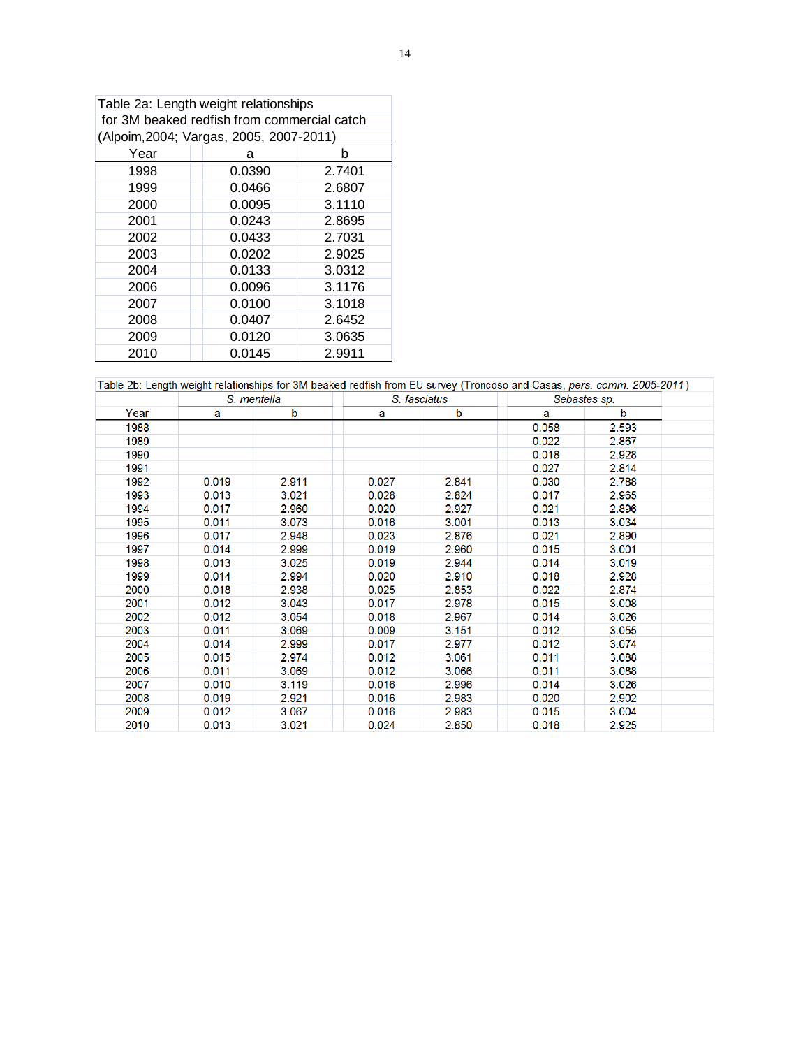|                                             | Table 2a: Length weight relationships |        |  |  |  |  |  |  |  |  |  |  |  |
|---------------------------------------------|---------------------------------------|--------|--|--|--|--|--|--|--|--|--|--|--|
| for 3M beaked redfish from commercial catch |                                       |        |  |  |  |  |  |  |  |  |  |  |  |
| (Alpoim, 2004; Vargas, 2005, 2007-2011)     |                                       |        |  |  |  |  |  |  |  |  |  |  |  |
| Year                                        | а                                     | b      |  |  |  |  |  |  |  |  |  |  |  |
| 1998                                        | 0.0390                                | 2.7401 |  |  |  |  |  |  |  |  |  |  |  |
| 1999                                        | 0.0466                                | 2.6807 |  |  |  |  |  |  |  |  |  |  |  |
| 2000                                        | 0.0095                                | 3.1110 |  |  |  |  |  |  |  |  |  |  |  |
| 2001                                        | 0.0243                                | 2.8695 |  |  |  |  |  |  |  |  |  |  |  |
| 2002                                        | 0.0433                                | 2.7031 |  |  |  |  |  |  |  |  |  |  |  |
| 2003                                        | 0.0202                                | 2.9025 |  |  |  |  |  |  |  |  |  |  |  |
| 2004                                        | 0.0133                                | 3.0312 |  |  |  |  |  |  |  |  |  |  |  |
| 2006                                        | 0.0096                                | 3.1176 |  |  |  |  |  |  |  |  |  |  |  |
| 2007                                        | 0.0100                                | 3.1018 |  |  |  |  |  |  |  |  |  |  |  |
| 2008                                        | 0.0407                                | 2.6452 |  |  |  |  |  |  |  |  |  |  |  |
| 2009                                        | 0.0120                                | 3.0635 |  |  |  |  |  |  |  |  |  |  |  |
| 2010                                        | 0.0145                                | 2.9911 |  |  |  |  |  |  |  |  |  |  |  |

|      | S. mentella |       |       | S. fasciatus |       | Sebastes sp. |
|------|-------------|-------|-------|--------------|-------|--------------|
| Year | а           | b     | а     | b            | a     | b            |
| 1988 |             |       |       |              | 0.058 | 2.593        |
| 1989 |             |       |       |              | 0.022 | 2.867        |
| 1990 |             |       |       |              | 0.018 | 2.928        |
| 1991 |             |       |       |              | 0.027 | 2.814        |
| 1992 | 0.019       | 2.911 | 0.027 | 2.841        | 0.030 | 2.788        |
| 1993 | 0.013       | 3.021 | 0.028 | 2.824        | 0.017 | 2.965        |
| 1994 | 0.017       | 2.960 | 0.020 | 2.927        | 0.021 | 2.896        |
| 1995 | 0.011       | 3.073 | 0.016 | 3.001        | 0.013 | 3.034        |
| 1996 | 0.017       | 2.948 | 0.023 | 2.876        | 0.021 | 2.890        |
| 1997 | 0.014       | 2.999 | 0.019 | 2.960        | 0.015 | 3.001        |
| 1998 | 0.013       | 3.025 | 0.019 | 2.944        | 0.014 | 3.019        |
| 1999 | 0.014       | 2.994 | 0.020 | 2.910        | 0.018 | 2.928        |
| 2000 | 0.018       | 2.938 | 0.025 | 2.853        | 0.022 | 2.874        |
| 2001 | 0.012       | 3.043 | 0.017 | 2.978        | 0.015 | 3.008        |
| 2002 | 0.012       | 3.054 | 0.018 | 2.967        | 0.014 | 3.026        |
| 2003 | 0.011       | 3.069 | 0.009 | 3.151        | 0.012 | 3.055        |
| 2004 | 0.014       | 2.999 | 0.017 | 2.977        | 0.012 | 3.074        |
| 2005 | 0.015       | 2.974 | 0.012 | 3.061        | 0.011 | 3.088        |
| 2006 | 0.011       | 3.069 | 0.012 | 3.066        | 0.011 | 3.088        |
| 2007 | 0.010       | 3.119 | 0.016 | 2.996        | 0.014 | 3.026        |
| 2008 | 0.019       | 2.921 | 0.016 | 2.983        | 0.020 | 2.902        |
| 2009 | 0.012       | 3.067 | 0.016 | 2.983        | 0.015 | 3.004        |
| 2010 | 0.013       | 3.021 | 0.024 | 2.850        | 0.018 | 2.925        |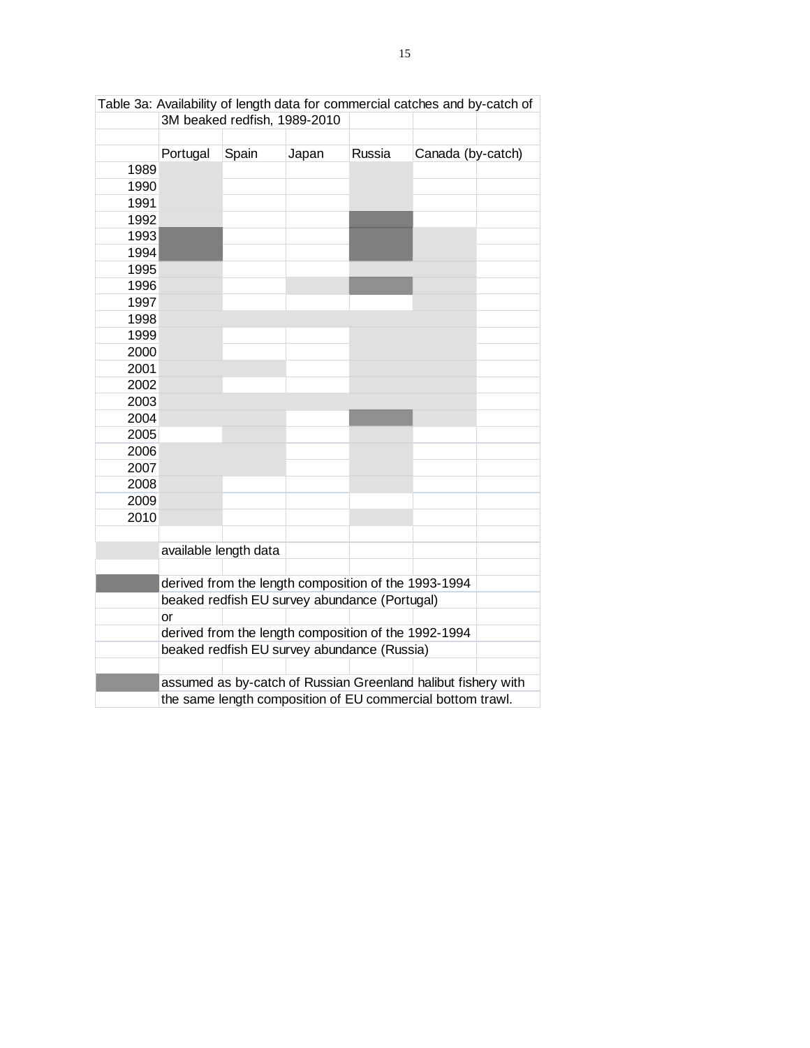|              |          | 3M beaked redfish, 1989-2010                  |       |        | rabic oa. Avallability or iongth uata for commondial catolics and by catoli or |  |
|--------------|----------|-----------------------------------------------|-------|--------|--------------------------------------------------------------------------------|--|
|              |          |                                               |       |        |                                                                                |  |
|              | Portugal | Spain                                         | Japan | Russia | Canada (by-catch)                                                              |  |
| 1989         |          |                                               |       |        |                                                                                |  |
| 1990         |          |                                               |       |        |                                                                                |  |
| 1991         |          |                                               |       |        |                                                                                |  |
| 1992         |          |                                               |       |        |                                                                                |  |
| 1993<br>1994 |          |                                               |       |        |                                                                                |  |
| 1995         |          |                                               |       |        |                                                                                |  |
| 1996         |          |                                               |       |        |                                                                                |  |
| 1997         |          |                                               |       |        |                                                                                |  |
| 1998         |          |                                               |       |        |                                                                                |  |
| 1999         |          |                                               |       |        |                                                                                |  |
| 2000         |          |                                               |       |        |                                                                                |  |
| 2001         |          |                                               |       |        |                                                                                |  |
| 2002         |          |                                               |       |        |                                                                                |  |
| 2003         |          |                                               |       |        |                                                                                |  |
| 2004         |          |                                               |       |        |                                                                                |  |
| 2005         |          |                                               |       |        |                                                                                |  |
| 2006         |          |                                               |       |        |                                                                                |  |
| 2007         |          |                                               |       |        |                                                                                |  |
| 2008         |          |                                               |       |        |                                                                                |  |
| 2009         |          |                                               |       |        |                                                                                |  |
| 2010         |          |                                               |       |        |                                                                                |  |
|              |          |                                               |       |        |                                                                                |  |
|              |          | available length data                         |       |        |                                                                                |  |
|              |          |                                               |       |        | derived from the length composition of the 1993-1994                           |  |
|              |          | beaked redfish EU survey abundance (Portugal) |       |        |                                                                                |  |
|              | or       |                                               |       |        |                                                                                |  |
|              |          |                                               |       |        | derived from the length composition of the 1992-1994                           |  |
|              |          | beaked redfish EU survey abundance (Russia)   |       |        |                                                                                |  |
|              |          |                                               |       |        |                                                                                |  |
|              |          |                                               |       |        | assumed as by-catch of Russian Greenland halibut fishery with                  |  |
|              |          |                                               |       |        | the same length composition of EU commercial bottom trawl.                     |  |

|                              | Table 3a: Availability of length data for commercial catches and by-catch of |  |  |
|------------------------------|------------------------------------------------------------------------------|--|--|
| 3M beaked redfish, 1989-2010 |                                                                              |  |  |
|                              |                                                                              |  |  |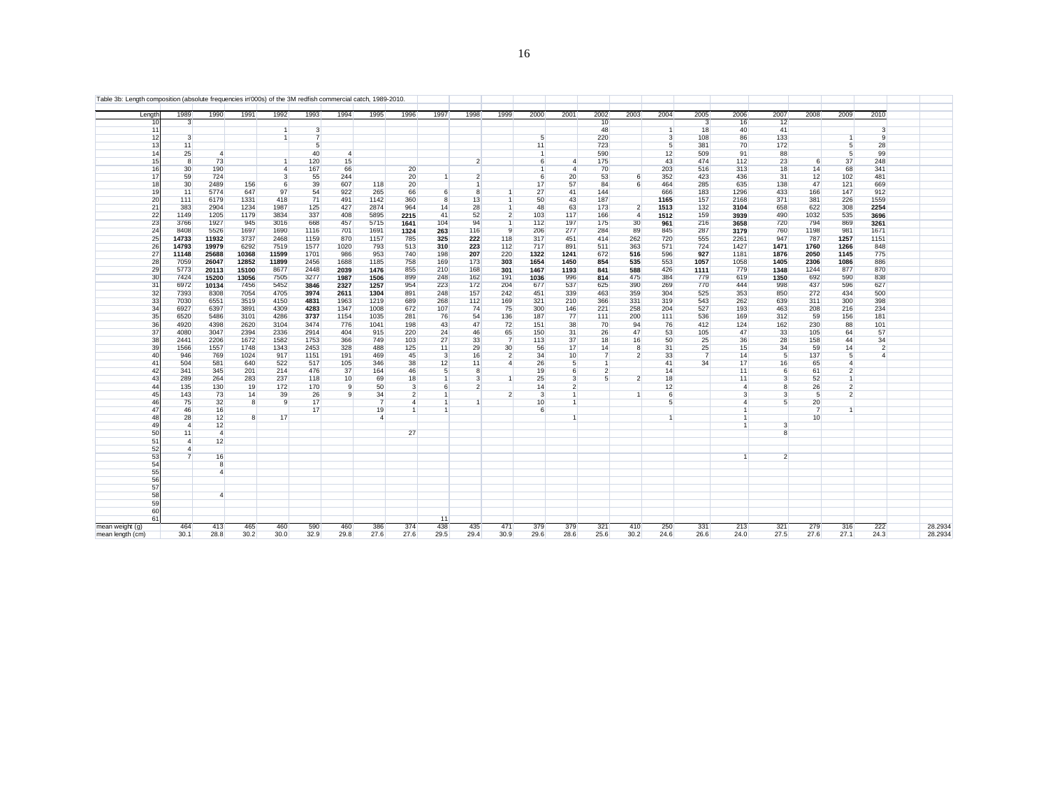| Table 3b: Length composition (absolute frequencies in'000s) of the 3M redfish commercial catch, 1989-2010. |             |                              |                |                |                 |                |                |                         |                     |                     |                             |                      |                |                |                |                |                         |                |                |                |                |                |         |
|------------------------------------------------------------------------------------------------------------|-------------|------------------------------|----------------|----------------|-----------------|----------------|----------------|-------------------------|---------------------|---------------------|-----------------------------|----------------------|----------------|----------------|----------------|----------------|-------------------------|----------------|----------------|----------------|----------------|----------------|---------|
| Lengtl                                                                                                     |             | 1989<br>1990                 | 1991           | 1992           | 1993            | 1994           | 1995           | 1996                    | 1997                | 1998                | 1999                        | 2000                 | 2001           | 2002           | 2003           | 2004           | 2005                    | 2006           | 2007           | 2008           | 2009           | 2010           |         |
|                                                                                                            |             | $\mathbf{3}$                 |                |                |                 |                |                |                         |                     |                     |                             |                      |                | 10             |                |                | $\overline{\mathbf{3}}$ | 16             | 12             |                |                |                |         |
|                                                                                                            |             |                              |                | $\overline{1}$ | $\overline{3}$  |                |                |                         |                     |                     |                             |                      |                | 48             |                | $\vert$ 1      | 18                      | 40             | 41             |                |                | 3              |         |
|                                                                                                            |             | $\overline{3}$               |                | $\overline{1}$ | $\overline{7}$  |                |                |                         |                     |                     |                             | 5                    |                | 220            |                | $\overline{3}$ | 108                     | 86             | 133            |                | $\mathbf{1}$   | 9              |         |
|                                                                                                            | 13          | 11                           |                |                | $5\overline{5}$ |                |                |                         |                     |                     |                             | 11                   |                | 723            |                | -5             | 381                     | 70             | 172            |                | 5 <sup>1</sup> | 28             |         |
|                                                                                                            |             | 25<br>$\overline{4}$         |                |                | 40              | $\overline{4}$ |                |                         |                     |                     |                             | $\ddot{\phantom{0}}$ |                | 590            |                | 12             | 509                     | 91             | 88             |                | 5              | 99             |         |
|                                                                                                            |             | 73<br>8                      |                | $\overline{1}$ | 120             | 15             |                |                         |                     | $\overline{2}$      |                             | 6                    | $\overline{4}$ | 175            |                | 43             | 474                     | 112            | 23             | 6              | 37             | 248            |         |
|                                                                                                            |             | 30<br>190                    |                | $\mathbf{A}$   | 167             | 66             |                | 20                      |                     |                     |                             | $\mathbf{1}$         | $\overline{4}$ | 70             |                | 203            | 516                     | 313            | 18             | 14             | 68             | 341            |         |
|                                                                                                            | 17          | 59<br>724                    |                | 3              | 55              | 244            |                | 20                      | $\overline{1}$      | $\overline{2}$      |                             | 6                    | 20             | 53             | 6              | 352            | 423                     | 436            | 31             | 12             | 102            | 481            |         |
|                                                                                                            | 18          | 30 <sup>°</sup><br>2489      | 156            | 6              | 39              | 607            | 118            | 20                      |                     | $\overline{1}$<br>8 |                             | 17                   | 57             | 84             | 6              | 464            | 285                     | 635            | 138            | 47             | 121            | 669            |         |
|                                                                                                            | 20          | 5774<br>11                   | 647            | 97             | 54              | 922            | 265            | 66<br>360               | 6<br>$\overline{8}$ |                     |                             | 27                   | 41             | 144            |                | 666<br>1165    | 183                     | 1296           | 433<br>371     | 166            | 147            | 912            |         |
|                                                                                                            | 21          | 111<br>6179<br>383           | 1331           | 418<br>1987    | 71<br>125       | 491            | 1142           |                         |                     | 13<br>28            | $\overline{1}$<br>$\vert$ 1 | 50<br>48             | 43<br>63       | 187<br>173     | $\overline{2}$ |                | 157                     | 2168           |                | 381            | 226            | 1559           |         |
|                                                                                                            |             | 2904<br>1149                 | 1234           | 3834           | 337             | 427<br>408     | 2874           | 964<br>2215             | 14<br>41            | 52                  | $\overline{2}$              | 103                  |                |                | $\overline{4}$ | 1513<br>1512   | 132                     | 3104           | 658<br>490     | 622<br>1032    | 308<br>535     | 2254<br>3696   |         |
|                                                                                                            | 22          | 1205                         | 1179           |                |                 |                | 5895           |                         |                     |                     |                             |                      | 117            | 166            |                |                | 159                     | 3939           |                |                | 869            |                |         |
|                                                                                                            | 23<br>24    | 3766<br>1927<br>8408<br>5526 | 945<br>1697    | 3016<br>1690   | 668<br>1116     | 457<br>701     | 5715<br>1691   | 1641                    | 104                 | 94<br>116           | $\overline{1}$<br>9         | 112<br>206           | 197<br>277     | 175<br>284     | 30<br>89       | 961<br>845     | 216<br>287              | 3658           | 720<br>760     | 794<br>1198    | 981            | 3261<br>1671   |         |
|                                                                                                            | 14733<br>25 | 11932                        | 3737           | 2468           | 1159            | 870            | 1157           | 1324<br>785             | 263<br>325          | 222                 | 118                         | 317                  | 451            | 414            | 262            | 720            | 555                     | 3179<br>2261   | 947            | 787            | 1257           | 1151           |         |
|                                                                                                            | 26<br>14793 | 19979                        | 6292           | 7519           | 1577            | 1020           | 793            | 513                     | 310                 | 223                 | 112                         | 717                  | 891            | 511            | 363            | 571            | 724                     | 1427           | 1471           | 1760           | 1266           | 848            |         |
|                                                                                                            | 27<br>11148 | 25688                        | 10368          | 11599          | 1701            | 986            | 953            | 740                     | 198                 | 207                 | 220                         | 1322                 | 1241           | 672            | 516            | 596            | 927                     | 1181           | 1876           | 2050           | 1145           | 775            |         |
|                                                                                                            | 28          | 7059<br>26047                | 12852          | 11899          | 2456            | 1688           | 1185           | 758                     | 169                 | 173                 | 303                         | 1654                 | 1450           | 854            | 535            | 553            | 1057                    | 1058           | 1405           | 2306           | 1086           | 886            |         |
|                                                                                                            | 29          | 5773<br>20113                | 15100          | 8677           | 2448            | 2039           | 1476           | 855                     | 210                 | 168                 | 301                         | 1467                 | 1193           | 841            | 588            | 426            | 1111                    | 779            | 1348           | 1244           | 877            | 870            |         |
|                                                                                                            | 30          | 7424<br>15200                | 13056          | 7505           | 3277            | 1987           | 1506           | 899                     | 248                 | 162                 | 191                         | 1036                 | 996            | 814            | 475            | 384            | 779                     | 619            | 1350           | 692            | 590            | 838            |         |
|                                                                                                            | 31          | 6972<br>10134                | 7456           | 5452           | 3846            | 2327           | 1257           | 954                     | 223                 | 172                 | 204                         | 677                  | 537            | 625            | 390            | 269            | 770                     | 444            | 998            | 437            | 596            | 627            |         |
|                                                                                                            | 32          | 7393<br>8308                 | 7054           | 4705           | 3974            | 2611           | 1304           | 891                     | 248                 | 157                 | 242                         | 451                  | 339            | 463            | 359            | 304            | 525                     | 353            | 850            | 272            | 434            | 500            |         |
|                                                                                                            | 33          | 7030<br>6551                 | 3519           | 4150           | 4831            | 1963           | 1219           | 689                     | 268                 | 112                 | 169                         | 321                  | 210            | 366            | 331            | 319            | 543                     | 262            | 639            | 311            | 300            | 398            |         |
|                                                                                                            | 34          | 6927<br>6397                 | 3891           | 4309           | 4283            | 1347           | 1008           | 672                     | 107                 | 74                  | 75                          | 300                  | 146            | 221            | 258            | 204            | 527                     | 193            | 463            | 208            | 216            | 234            |         |
|                                                                                                            | 35          | 6520<br>5486                 | 3101           | 4286           | 3737            | 1154           | 1035           | 281                     | 76                  | 54                  | 136                         | 187                  | 77             | 111            | 200            | 111            | 536                     | 169            | 312            | 59             | 156            | 181            |         |
|                                                                                                            | 36          | 4920<br>4398                 | 2620           | 3104           | 3474            | 776            | 1041           | 198                     | 43                  | 47                  | 72                          | 151                  | 38             | 70             | 94             | 76             | 412                     | 124            | 162            | 230            | 88             | 101            |         |
|                                                                                                            | 37          | 4080<br>3047                 | 2394           | 2336           | 2914            | 404            | 915            | 220                     | 24                  | 46                  | 65                          | 150                  | 31             | 26             | 47             | 53             | 105                     | 47             | 33             | 105            | 64             | 57             |         |
|                                                                                                            | 38          | 2441<br>2206                 | 1672           | 1582           | 1753            | 366            | 749            | 103                     | 27                  | 33                  | $\overline{7}$              | 113                  | 37             | 18             | 16             | 50             | 25                      | 36             | 28             | 158            | 44             | 34             |         |
|                                                                                                            | 39          | 1566<br>1557                 | 1748           | 1343           | 2453            | 328            | 488            | 125                     | 11                  | 29                  | 30                          | 56                   | 17             | 14             | 8              | 31             | 25                      | 15             | 34             | 59             | 14             | $\overline{2}$ |         |
|                                                                                                            | 40          | 946<br>769                   | 1024           | 917            | 1151            | 191            | 469            | 45                      | $\overline{3}$      | 16                  | $\overline{2}$              | 34                   | 10             | $\overline{7}$ | $\overline{2}$ | 33             | $\overline{7}$          | 14             | 5              | 137            | 5 <sup>1</sup> | $\overline{4}$ |         |
|                                                                                                            | 41          | 504<br>581                   | 640            | 522            | 517             | 105            | 346            | 38                      | 12                  | 11                  | $\overline{4}$              | 26                   | 5 <sup>1</sup> | $\vert$        |                | 41             | 34                      | 17             | 16             | 65             | $\overline{4}$ |                |         |
|                                                                                                            | 42          | 341<br>345                   | 201            | 214            | 476             | 37             | 164            | 46                      | 5                   | 8                   |                             | 19                   | 6              | $\overline{2}$ |                | 14             |                         | 11             | 6              | 61             | $\overline{2}$ |                |         |
|                                                                                                            | 43          | 289<br>264                   | 283            | 237            | 118             | 10             | 69             | 18                      | $\mathbf{1}$        | $\overline{3}$      |                             | 25                   | $\mathbf{3}$   | 5 <sup>5</sup> | $\overline{2}$ | 18             |                         | 11             | $\mathbf{3}$   | 52             |                |                |         |
|                                                                                                            | 44          | 135<br>130                   | 19             | 172            | 170             | 9              | 50             | $\overline{\mathbf{3}}$ | 6                   | $\overline{2}$      |                             | 14                   | $\overline{2}$ |                |                | 12             |                         | $\overline{4}$ | 8              | 26             | $\overline{2}$ |                |         |
|                                                                                                            | 45          | 143<br>73                    | 14             | 39             | 26              | 9              | 34             | $\overline{2}$          | 1                   |                     | $\overline{2}$              | 3                    | $\overline{1}$ |                |                | 6              |                         | 3              | $\mathbf{3}$   | 5              | $\overline{2}$ |                |         |
|                                                                                                            |             | 75<br>32                     | 8              | 9              | 17              |                | $\overline{7}$ | 4                       |                     |                     |                             | 10                   | $\overline{1}$ |                |                | 5              |                         | $\Delta$       | 5              | 20             |                |                |         |
|                                                                                                            | 47          | 46<br>16                     |                |                | 17              |                | 19             |                         |                     |                     |                             | 6                    |                |                |                |                |                         |                |                | $\overline{7}$ | 1              |                |         |
|                                                                                                            | 48          | 28<br>12                     | $\overline{8}$ | 17             |                 |                | $\overline{4}$ |                         |                     |                     |                             |                      |                |                |                |                |                         |                |                | 10             |                |                |         |
|                                                                                                            | 49          | 12<br>$\overline{4}$         |                |                |                 |                |                |                         |                     |                     |                             |                      |                |                |                |                |                         |                | $\mathbf{3}$   |                |                |                |         |
|                                                                                                            | 50          | 11<br>$\overline{4}$         |                |                |                 |                |                | 27                      |                     |                     |                             |                      |                |                |                |                |                         |                | 8              |                |                |                |         |
|                                                                                                            | 51          | 12<br>$\overline{4}$         |                |                |                 |                |                |                         |                     |                     |                             |                      |                |                |                |                |                         |                |                |                |                |                |         |
|                                                                                                            | 52          | $\overline{4}$               |                |                |                 |                |                |                         |                     |                     |                             |                      |                |                |                |                |                         |                |                |                |                |                |         |
|                                                                                                            | 53          | 16<br>$\overline{7}$         |                |                |                 |                |                |                         |                     |                     |                             |                      |                |                |                |                |                         |                | $\overline{2}$ |                |                |                |         |
|                                                                                                            | 54          | 8                            |                |                |                 |                |                |                         |                     |                     |                             |                      |                |                |                |                |                         |                |                |                |                |                |         |
|                                                                                                            | 55          | $\Lambda$                    |                |                |                 |                |                |                         |                     |                     |                             |                      |                |                |                |                |                         |                |                |                |                |                |         |
|                                                                                                            | 56          |                              |                |                |                 |                |                |                         |                     |                     |                             |                      |                |                |                |                |                         |                |                |                |                |                |         |
|                                                                                                            | 57          |                              |                |                |                 |                |                |                         |                     |                     |                             |                      |                |                |                |                |                         |                |                |                |                |                |         |
|                                                                                                            | 58          | $\overline{4}$               |                |                |                 |                |                |                         |                     |                     |                             |                      |                |                |                |                |                         |                |                |                |                |                |         |
|                                                                                                            | 59          |                              |                |                |                 |                |                |                         |                     |                     |                             |                      |                |                |                |                |                         |                |                |                |                |                |         |
|                                                                                                            | 60          |                              |                |                |                 |                |                |                         |                     |                     |                             |                      |                |                |                |                |                         |                |                |                |                |                |         |
|                                                                                                            | 61          |                              |                |                |                 |                |                |                         | 11                  |                     |                             |                      |                |                |                |                |                         |                |                |                |                |                |         |
| mean weight (g)                                                                                            |             | 464<br>413                   | 465            | 460            | 590             | 460            | 386            | 374                     | 438                 | 435                 | 471                         | 379                  | 379            | 321            | 410            | 250            | 331                     | 213            | 321            | 279            | 316            | 222            | 28.2934 |
| mean length (cm)                                                                                           |             | 30.1<br>28.8                 | 30.2           | 30.0           | 32.9            | 29.8           | 27.6           | 27.6                    | 29.5                | 29.4                | 30.9                        | 29.6                 | 28.6           | 25.6           | 30.2           | 24.6           | 26.6                    | 24.0           | 27.5           | 27.6           | 27.1           | 24.3           | 28.2934 |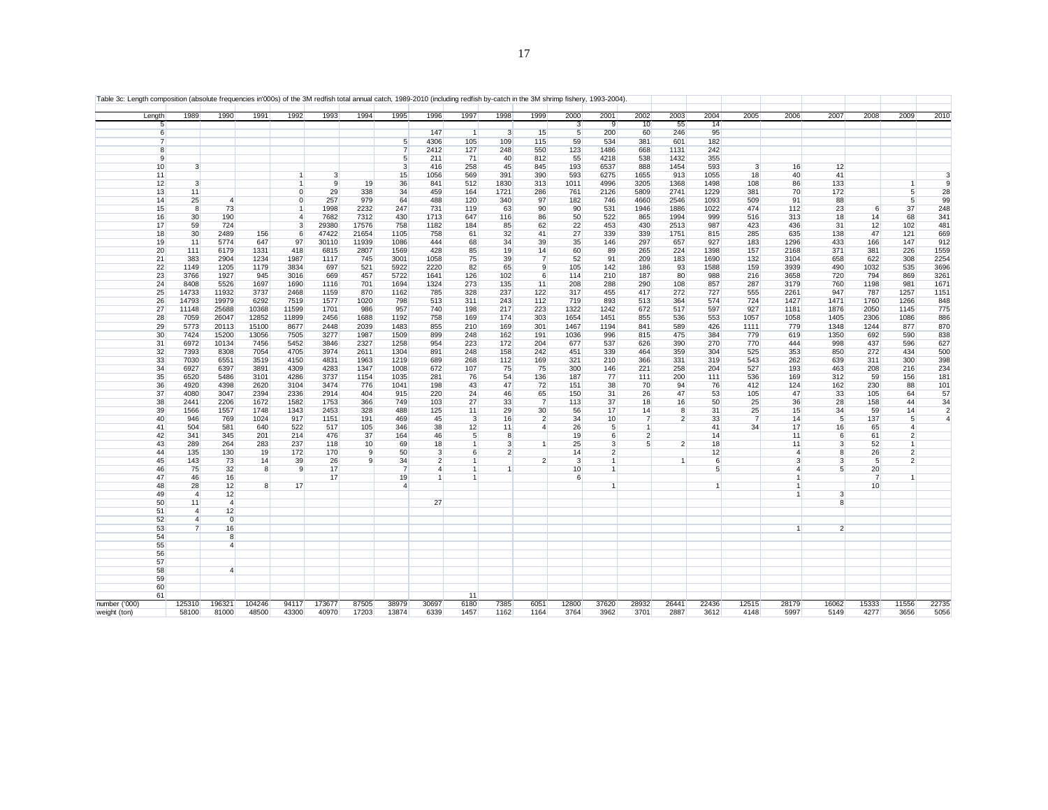| Length        |                | 1989           | 1990           | 1991         | 1992         | 1993         | 1994       | 1995                | 1996           | 1997               | 1998           | 1999                              | 2000            | 2001           | 2002                 | 2003           | 2004         | 2005                 | 2006           | 2007                    | 2008           | 2009           | 2010                             |
|---------------|----------------|----------------|----------------|--------------|--------------|--------------|------------|---------------------|----------------|--------------------|----------------|-----------------------------------|-----------------|----------------|----------------------|----------------|--------------|----------------------|----------------|-------------------------|----------------|----------------|----------------------------------|
|               | 5              |                |                |              |              |              |            |                     |                |                    |                |                                   | $\mathbf{3}$    | 9              | 10                   | 55             | 14           |                      |                |                         |                |                |                                  |
|               | 6              |                |                |              |              |              |            |                     | 147            | $\vert$ 1          | 3              | 15                                | $\overline{5}$  | 200            | 60                   | 246            | 95           |                      |                |                         |                |                |                                  |
|               | $\overline{7}$ |                |                |              |              |              |            | 5<br>$\overline{7}$ | 4306           | 105                | 109            | 115                               | 59              | 534            | 381                  | 601            | 182          |                      |                |                         |                |                |                                  |
|               | 8<br>9         |                |                |              |              |              |            | 5                   | 2412<br>211    | 127<br>71          | 248<br>40      | 550<br>812                        | 123<br>55       | 1486<br>4218   | 668<br>538           | 1131<br>1432   | 242<br>355   |                      |                |                         |                |                |                                  |
|               | 10             | $\overline{3}$ |                |              |              |              |            | $\overline{3}$      | 416            | 258                | 45             | 845                               | 193             | 6537           | 888                  | 1454           | 593          | 3                    | 16             | 12                      |                |                |                                  |
|               | 11             |                |                |              | $\mathbf{1}$ | $\mathbf{3}$ |            | 15                  | 1056           | 569                | 391            | 390                               | 593             | 6275           | 1655                 | 913            | 1055         | 18                   | 40             | 41                      |                |                | 3                                |
|               | 12             | $\mathbf{3}$   |                |              | $\mathbf{1}$ | 9            | 19         | 36                  | 841            | 512                | 1830           | 313                               | 1011            | 4996           | 3205                 | 1368           | 1498         | 108                  | 86             | 133                     |                | $\mathbf{1}$   | 9                                |
|               | 13             | 11             |                |              | $\Omega$     | 29           | 338        | 34                  | 459            | 164                | 1721           | 286                               | 761             | 2126           | 5809                 | 2741           | 1229         | 381                  | 70             | 172                     |                | 5              | 28                               |
|               | 14             | 25             | $\overline{4}$ |              | $\Omega$     | 257          | 979        | 64                  | 488            | 120                | 340            | 97                                | 182             | 746            | 4660                 | 2546           | 1093         | 509                  | 91             | 88                      |                | 5              | 99                               |
|               | 15             | 8              | 73             |              | $\mathbf{1}$ | 1998         | 2232       | 247                 | 731            | 119                | 63             | 90                                | 90              | 531            | 1946                 | 1886           | 1022         | 474                  | 112            | 23                      | 6              | 37             | 248                              |
|               | 16             | 30             | 190            |              | 4            | 7682         | 7312       | 430                 | 1713           | 647                | 116            | 86                                | 50              | 522            | 865                  | 1994           | 999          | 516                  | 313            | 18                      | 14             | 68             | 341                              |
|               | 17             | 59             | 724            |              | $\mathbf{3}$ | 29380        | 17576      | 758                 | 1182           | 184                | 85             | 62                                | 22              | 453            | 430                  | 2513           | 987          | 423                  | 436            | 31                      | 12             | 102            | 481                              |
|               | 18             | 30             | 2489           | 156          | 6            | 47422        | 21654      | 1105                | 758            | 61                 | 32             | 41                                | 27              | 339            | 339                  | 1751           | 815          | 285                  | 635            | 138                     | 47             | 121            | 669                              |
|               | 19             | 11             | 5774           | 647          | 97           | 30110        | 11939      | 1086                | 444            | 68                 | 34             | 39                                | 35              | 146            | 297                  | 657            | 927          | 183                  | 1296           | 433                     | 166            | 147            | 912                              |
|               | 20             | 111            | 6179           | 1331         | 418          | 6815         | 2807       | 1569                | 428            | 85                 | 19             | 14                                | 60              | 89             | 265                  | 224            | 1398         | 157                  | 2168           | 371                     | 381            | 226            | 1559                             |
|               | 21<br>22       | 383<br>1149    | 2904<br>1205   | 1234<br>1179 | 1987<br>3834 | 1117<br>697  | 745<br>521 | 3001<br>5922        | 1058<br>2220   | 75<br>82           | 39<br>65       | $\overline{7}$<br>9               | 52<br>105       | 91<br>142      | 209<br>186           | 183<br>93      | 1690         | 132<br>159           | 3104<br>3939   | 658<br>490              | 622<br>1032    | 308<br>535     | 2254<br>3696                     |
|               | 23             | 3766           | 1927           | 945          | 3016         | 669          | 457        | 5722                | 1641           | 126                | 102            | 6                                 | 114             | 210            | 187                  | 80             | 1588<br>988  | 216                  | 3658           | 720                     | 794            | 869            | 3261                             |
|               | 24             | 8408           | 5526           | 1697         | 1690         | 1116         | 701        | 1694                | 1324           | 273                | 135            | 11                                | 208             | 288            | 290                  | 108            | 857          | 287                  | 3179           | 760                     | 1198           | 981            | 1671                             |
|               | 25             | 14733          | 11932          | 3737         | 2468         | 1159         | 870        | 1162                | 785            | 328                | 237            | 122                               | 317             | 455            | 417                  | 272            | 727          | 555                  | 2261           | 947                     | 787            | 1257           | 1151                             |
|               | 26             | 14793          | 19979          | 6292         | 7519         | 1577         | 1020       | 798                 | 513            | 311                | 243            | 112                               | 719             | 893            | 513                  | 364            | 574          | 724                  | 1427           | 1471                    | 1760           | 1266           | 848                              |
|               | 27             | 11148          | 25688          | 10368        | 11599        | 1701         | 986        | 957                 | 740            | 198                | 217            | 223                               | 1322            | 1242           | 672                  | 517            | 597          | 927                  | 1181           | 1876                    | 2050           | 1145           | 775                              |
|               | 28             | 7059           | 26047          | 12852        | 11899        | 2456         | 1688       | 1192                | 758            | 169                | 174            | 303                               | 1654            | 1451           | 855                  | 536            | 553          | 1057                 | 1058           | 1405                    | 2306           | 1086           | 886                              |
|               | 29             | 5773           | 20113          | 15100        | 8677         | 2448         | 2039       | 1483                | 855            | 210                | 169            | 301                               | 1467            | 1194           | 841                  | 589            | 426          | 1111                 | 779            | 1348                    | 1244           | 877            | 870                              |
|               | 30             | 7424           | 15200          | 13056        | 7505         | 3277         | 1987       | 1509                | 899            | 248                | 162            | 191                               | 1036            | 996            | 815                  | 475            | 384          | 779                  | 619            | 1350                    | 692            | 590            | 838                              |
|               | 31             | 6972           | 10134          | 7456         | 5452         | 3846         | 2327       | 1258                | 954            | 223                | 172            | 204                               | 677             | 537            | 626                  | 390            | 270          | 770                  | 444            | 998                     | 437            | 596            | 627                              |
|               | 32             | 7393           | 8308           | 7054         | 4705         | 3974         | 2611       | 1304                | 891            | 248                | 158            | 242                               | 451             | 339            | 464                  | 359            | 304          | 525                  | 353            | 850                     | 272            | 434            | 500                              |
|               | 33             | 7030           | 6551           | 3519         | 4150         | 4831         | 1963       | 1219                | 689            | 268                | 112            | 169                               | 321             | 210            | 366                  | 331            | 319          | 543                  | 262            | 639                     | 311            | 300            | 398                              |
|               | 34             | 6927           | 6397           | 3891         | 4309         | 4283         | 1347       | 1008                | 672            | 107                | 75             | 75                                | 300             | 146            | 221                  | 258            | 204          | 527                  | 193            | 463                     | 208            | 216            | 234                              |
|               | 35             | 6520           | 5486           | 3101         | 4286         | 3737         | 1154       | 1035                | 281            | 76                 | 54             | 136                               | 187             | 77             | 111                  | 200            | 111          | 536                  | 169            | 312                     | 59             | 156            | 181                              |
|               | 36             | 4920           | 4398           | 2620         | 3104         | 3474         | 776        | 1041                | 198            | 43                 | 47             | 72                                | 151             | 38             | 70                   | 94             | 76           | 412                  | 124            | 162                     | 230            | 88             | 101                              |
|               | 37             | 4080           | 3047           | 2394         | 2336         | 2914         | 404        | 915                 | 220            | 24                 | 46             | 65                                | 150             | 31             | 26                   | 47             | 53           | 105                  | 47             | 33                      | 105            | 64             | 57                               |
|               | 38             | 2441           | 2206           | 1672         | 1582         | 1753<br>2453 | 366        | 749                 | 103            | 27                 | 33             | $\overline{7}$<br>30 <sup>°</sup> | 113             | 37             | 18                   | 16<br>8        | 50           | 25                   | 36             | 28                      | 158            | 44             | 34                               |
|               | 39<br>40       | 1566<br>946    | 1557<br>769    | 1748<br>1024 | 1343<br>917  | 1151         | 328<br>191 | 488<br>469          | 125<br>45      | 11<br>$\mathbf{3}$ | 29<br>16       | 2                                 | 56<br>34        | 17<br>10       | 14<br>$\overline{7}$ | $\overline{2}$ | 31<br>33     | 25<br>$\overline{7}$ | 15<br>14       | 34<br>$5\overline{)}$   | 59<br>137      | 14<br>5        | $\overline{2}$<br>$\overline{4}$ |
|               | 41             | 504            | 581            | 640          | 522          | 517          | 105        | 346                 | 38             | 12                 | 11             | $\overline{4}$                    | 26              | 5              | 1                    |                | 41           | 34                   | 17             | 16                      | 65             |                |                                  |
|               | 42             | 341            | 345            | 201          | 214          | 476          | 37         | 164                 | 46             | 5 <sup>5</sup>     | 8              |                                   | 19              | 6              | $\overline{2}$       |                | 14           |                      | 11             | 6                       | 61             | $\overline{2}$ |                                  |
|               | 43             | 289            | 264            | 283          | 237          | 118          | 10         | 69                  | 18             | 1                  | $\overline{3}$ | $\mathbf{1}$                      | 25              | 3              | 5                    | $\overline{2}$ | 18           |                      | 11             | $\overline{\mathbf{3}}$ | 52             |                |                                  |
|               | 44             | 135            | 130            | 19           | 172          | 170          | 9          | 50                  | 3              | 6                  | $\overline{2}$ |                                   | 14              | $\overline{2}$ |                      |                | 12           |                      | $\overline{4}$ | 8                       | 26             | $\overline{2}$ |                                  |
|               | 45             | 143            | 73             | 14           | 39           | 26           | 9          | 34                  | $\overline{2}$ | 1                  |                | $\overline{2}$                    | $\overline{3}$  | $\mathbf{1}$   |                      |                | 6            |                      | 3              | 3                       | 5              | $\overline{2}$ |                                  |
|               | 46             | 75             | 32             | 8            | 9            | 17           |            | $\overline{7}$      | $\overline{4}$ | $\mathbf{1}$       | $\mathbf{1}$   |                                   | 10 <sup>°</sup> |                |                      |                | 5            |                      |                | 5                       | 20             |                |                                  |
|               | 47             | 46             | 16             |              |              | 17           |            | 19                  | 1              | $\mathbf{1}$       |                |                                   | 6               |                |                      |                |              |                      |                |                         | $\overline{7}$ |                |                                  |
|               | 48             | 28             | 12             | 8            | 17           |              |            | $\overline{4}$      |                |                    |                |                                   |                 | $\mathbf{1}$   |                      |                | $\mathbf{1}$ |                      |                |                         | 10             |                |                                  |
|               | 49             | $\overline{4}$ | 12             |              |              |              |            |                     |                |                    |                |                                   |                 |                |                      |                |              |                      |                | 3                       |                |                |                                  |
|               | 50             | 11             | $\overline{4}$ |              |              |              |            |                     | 27             |                    |                |                                   |                 |                |                      |                |              |                      |                | $\overline{\mathbf{8}}$ |                |                |                                  |
|               | 51             | $\overline{4}$ | 12             |              |              |              |            |                     |                |                    |                |                                   |                 |                |                      |                |              |                      |                |                         |                |                |                                  |
|               | 52             | $\overline{4}$ | $\Omega$       |              |              |              |            |                     |                |                    |                |                                   |                 |                |                      |                |              |                      |                |                         |                |                |                                  |
|               | 53             | $\overline{7}$ | 16             |              |              |              |            |                     |                |                    |                |                                   |                 |                |                      |                |              |                      | $\overline{1}$ | $\overline{2}$          |                |                |                                  |
|               | 54<br>55       |                | 8<br>4         |              |              |              |            |                     |                |                    |                |                                   |                 |                |                      |                |              |                      |                |                         |                |                |                                  |
|               |                |                |                |              |              |              |            |                     |                |                    |                |                                   |                 |                |                      |                |              |                      |                |                         |                |                |                                  |
|               | 56<br>57       |                |                |              |              |              |            |                     |                |                    |                |                                   |                 |                |                      |                |              |                      |                |                         |                |                |                                  |
|               | 58             |                | $\overline{4}$ |              |              |              |            |                     |                |                    |                |                                   |                 |                |                      |                |              |                      |                |                         |                |                |                                  |
|               | 59             |                |                |              |              |              |            |                     |                |                    |                |                                   |                 |                |                      |                |              |                      |                |                         |                |                |                                  |
|               | 60             |                |                |              |              |              |            |                     |                |                    |                |                                   |                 |                |                      |                |              |                      |                |                         |                |                |                                  |
|               | 61             |                |                |              |              |              |            |                     |                | 11                 |                |                                   |                 |                |                      |                |              |                      |                |                         |                |                |                                  |
| number ('000) |                | 125310         | 196321         | 104246       | 94117        | 173677       | 87505      | 38979               | 30697          | 6180               | 7385           | 6051                              | 12800           | 37620          | 28932                | 26441          | 22436        | 12515                | 28179          | 16062                   | 15333          | 11556          | 22735                            |
| weight (ton)  |                | 58100          | 81000          | 48500        | 43300        | 40970        | 17203      | 13874               | 6339           | 1457               | 1162           | 1164                              | 3764            | 3962           | 3701                 | 2887           | 3612         | 4148                 | 5997           | 5149                    | 4277           | 3656           | 5056                             |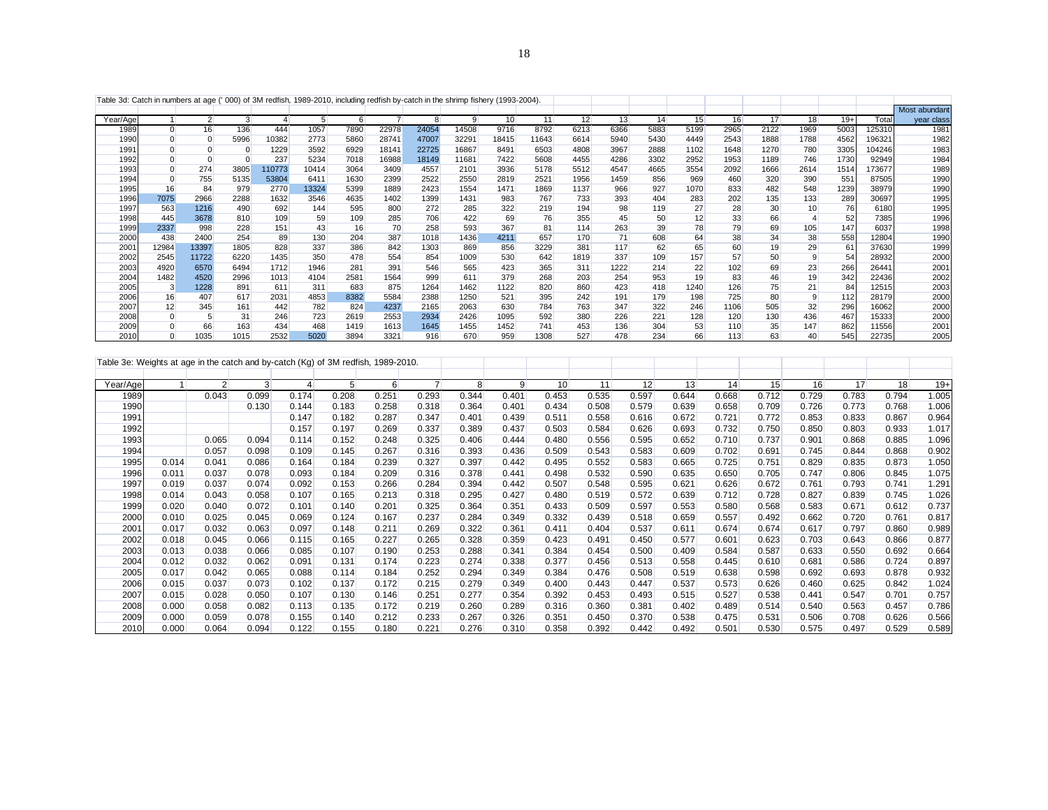| Table 3d: Catch in numbers at age (' 000) of 3M redfish, 1989-2010, including redfish by-catch in the shrimp fishery (1993-2004). |                |                |      |        |       |      |                |       |       |       |       |      |      |      |      |      |      |                 |                 |        |               |
|-----------------------------------------------------------------------------------------------------------------------------------|----------------|----------------|------|--------|-------|------|----------------|-------|-------|-------|-------|------|------|------|------|------|------|-----------------|-----------------|--------|---------------|
|                                                                                                                                   |                |                |      |        |       |      |                |       |       |       |       |      |      |      |      |      |      |                 |                 |        | Most abundant |
| Year/Age                                                                                                                          |                | $\overline{2}$ | 3    |        |       | 6    | $\overline{7}$ |       | 9     | 10    | 11    | 12   | 13   | 14   | 15   | 16   | 17   | 18              | $19+$           | Total  | year class    |
| 1989                                                                                                                              | $\overline{0}$ | 16             | 136  | 444    | 1057  | 7890 | 22978          | 24054 | 14508 | 9716  | 8792  | 6213 | 6366 | 5883 | 5199 | 2965 | 2122 | 1969            | 5003            | 125310 | 1981          |
| 1990                                                                                                                              |                |                | 5996 | 10382  | 2773  | 5860 | 28741          | 47007 | 32291 | 18415 | 11643 | 6614 | 5940 | 5430 | 4449 | 2543 | 1888 | 1788            | 4562            | 196321 | 1982          |
| 1991                                                                                                                              |                |                |      | 1229   | 3592  | 6929 | 18141          | 22725 | 16867 | 8491  | 6503  | 4808 | 3967 | 2888 | 1102 | 1648 | 1270 | 780             | 3305            | 104246 | 1983          |
| 1992                                                                                                                              |                |                |      | 237    | 5234  | 7018 | 16988          | 18149 | 11681 | 7422  | 5608  | 4455 | 4286 | 3302 | 2952 | 1953 | 1189 | 746             | 1730            | 92949  | 1984          |
| 1993                                                                                                                              |                | 274            | 3805 | 110773 | 10414 | 3064 | 3409           | 4557  | 2101  | 3936  | 5178  | 5512 | 4547 | 4665 | 3554 | 2092 | 1666 | 2614            | 1514            | 173677 | 1989          |
| 1994                                                                                                                              |                | 755            | 5135 | 53804  | 6411  | 1630 | 2399           | 2522  | 2550  | 2819  | 2521  | 1956 | 1459 | 856  | 969  | 460  | 320  | 390             | 55 <sup>2</sup> | 87505  | 1990          |
| 1995                                                                                                                              | 16             | 84             | 979  | 2770   | 13324 | 5399 | 1889           | 2423  | 1554  | 1471  | 1869  | 1137 | 966  | 927  | 1070 | 833  | 482  | 548             | 1239            | 38979  | 1990          |
| 1996                                                                                                                              | 7075           | 2966           | 2288 | 1632   | 3546  | 4635 | 1402           | 1399  | 1431  | 983   | 767   | 733  | 393  | 404  | 283  | 202  | 135  | 133             | 289             | 30697  | 1995          |
| 1997                                                                                                                              | 563            | 1216           | 490  | 692    | 144   | 595  | 800            | 272   | 285   | 322   | 219   | 194  | 98   | 119  | 27   | 28   | 30   | 10 <sub>1</sub> | 76              | 6180   | 1995          |
| 1998                                                                                                                              | 445            | 3678           | 810  | 109    | 59    | 109  | 285            | 706   | 422   | 69    | 76    | 355  | 45   | 50   | 12   | 33   | 66   |                 | 52              | 7385   | 1996          |
| 1999                                                                                                                              | 2337           | 998            | 228  | 151    | 43    | 16   | 70             | 258   | 593   | 367   | 81    | 114  | 263  | 39   | 78   | 79   | 69   | 105             | 147             | 6037   | 1998          |
| 2000                                                                                                                              | 438            | 2400           | 254  | 89     | 130   | 204  | 387            | 1018  | 1436  | 4211  | 657   | 170  | 71   | 608  | 64   | 38   | 34   | 38              | 558             | 12804  | 1990          |
| 2001                                                                                                                              | 12984          | 13397          | 1805 | 828    | 337   | 386  | 842            | 1303  | 869   | 856   | 3229  | 381  | 117  | 62   | 65   | 60   | 19   | 29              | 6'              | 37630  | 1999          |
| 2002                                                                                                                              | 2545           | 11722          | 6220 | 1435   | 350   | 478  | 554            | 854   | 1009  | 530   | 642   | 1819 | 337  | 109  | 157  | 57   | 50   | 9               | 54              | 28932  | 2000          |
| 2003                                                                                                                              | 4920           | 6570           | 6494 | 1712   | 1946  | 281  | 391            | 546   | 565   | 423   | 365   | 311  | 1222 | 214  | 22   | 102  | 69   | 23              | 266             | 26441  | 2001          |
| 2004                                                                                                                              | 1482           | 4520           | 2996 | 1013   | 4104  | 2581 | 1564           | 999   | 611   | 379   | 268   | 203  | 254  | 953  | 19   | 83   | 46   | 19              | 342             | 22436  | 2002          |
| 2005                                                                                                                              | 3              | 1228           | 891  | 611    | 311   | 683  | 875            | 1264  | 1462  | 1122  | 820   | 860  | 423  | 418  | 1240 | 126  | 75   | 21              | 84              | 12515  | 2003          |
| 2006                                                                                                                              | 16             | 407            | 617  | 2031   | 4853  | 8382 | 5584           | 2388  | 1250  | 521   | 395   | 242  | 191  | 179  | 198  | 725  | 80   | 9               | 112             | 28179  | 2000          |
| 2007                                                                                                                              | 12             | 345            | 161  | 442    | 782   | 824  | 4237           | 2165  | 2063  | 630   | 784   | 763  | 347  | 322  | 246  | 1106 | 505  | 32              | 296             | 16062  | 2000          |
| 2008                                                                                                                              |                |                | 31   | 246    | 723   | 2619 | 2553           | 2934  | 2426  | 1095  | 592   | 380  | 226  | 221  | 128  | 120  | 130  | 436             | 467             | 15333  | 2000          |
| 2009                                                                                                                              |                | 66             | 163  | 434    | 468   | 1419 | 1613           | 1645  | 1455  | 1452  | 741   | 453  | 136  | 304  | 53   | 110  | 35   | 147             | 862             | 11556  | 2001          |
| 2010                                                                                                                              |                | 1035           | 1015 | 2532   | 5020  | 3894 | 3321           | 916   | 670   | 959   | 1308  | 527  | 478  | 234  | 66   | 113  | 63   | 40              | 545             | 22735  | 2005          |

|          | Table 3e: Weights at age in the catch and by-catch (Kg) of 3M redfish, 1989-2010. |                |                |       |                |       |       |       |       |       |       |       |       |       |       |       |       |       |       |
|----------|-----------------------------------------------------------------------------------|----------------|----------------|-------|----------------|-------|-------|-------|-------|-------|-------|-------|-------|-------|-------|-------|-------|-------|-------|
|          |                                                                                   |                |                |       |                |       |       |       |       |       |       |       |       |       |       |       |       |       |       |
| Year/Age |                                                                                   | $\overline{2}$ | $\overline{3}$ | 4     | 5 <sup>5</sup> | 6     |       | 8     | 9     | 10    | 11    | 12    | 13    | 14    | 15    | 16    | 17    | 18    | $19+$ |
| 1989     |                                                                                   | 0.043          | 0.099          | 0.174 | 0.208          | 0.251 | 0.293 | 0.344 | 0.401 | 0.453 | 0.535 | 0.597 | 0.644 | 0.668 | 0.712 | 0.729 | 0.783 | 0.794 | 1.005 |
| 1990     |                                                                                   |                | 0.130          | 0.144 | 0.183          | 0.258 | 0.318 | 0.364 | 0.401 | 0.434 | 0.508 | 0.579 | 0.639 | 0.658 | 0.709 | 0.726 | 0.773 | 0.768 | 1.006 |
| 1991     |                                                                                   |                |                | 0.147 | 0.182          | 0.287 | 0.347 | 0.401 | 0.439 | 0.511 | 0.558 | 0.616 | 0.672 | 0.721 | 0.772 | 0.853 | 0.833 | 0.867 | 0.964 |
| 1992     |                                                                                   |                |                | 0.157 | 0.197          | 0.269 | 0.337 | 0.389 | 0.437 | 0.503 | 0.584 | 0.626 | 0.693 | 0.732 | 0.750 | 0.850 | 0.803 | 0.933 | 1.017 |
| 1993     |                                                                                   | 0.065          | 0.094          | 0.114 | 0.152          | 0.248 | 0.325 | 0.406 | 0.444 | 0.480 | 0.556 | 0.595 | 0.652 | 0.710 | 0.737 | 0.901 | 0.868 | 0.885 | 1.096 |
| 1994     |                                                                                   | 0.057          | 0.098          | 0.109 | 0.145          | 0.267 | 0.316 | 0.393 | 0.436 | 0.509 | 0.543 | 0.583 | 0.609 | 0.702 | 0.691 | 0.745 | 0.844 | 0.868 | 0.902 |
| 1995     | 0.014                                                                             | 0.041          | 0.086          | 0.164 | 0.184          | 0.239 | 0.327 | 0.397 | 0.442 | 0.495 | 0.552 | 0.583 | 0.665 | 0.725 | 0.751 | 0.829 | 0.835 | 0.873 | 1.050 |
| 1996     | 0.011                                                                             | 0.037          | 0.078          | 0.093 | 0.184          | 0.209 | 0.316 | 0.378 | 0.441 | 0.498 | 0.532 | 0.590 | 0.635 | 0.650 | 0.705 | 0.747 | 0.806 | 0.845 | 1.075 |
| 1997     | 0.019                                                                             | 0.037          | 0.074          | 0.092 | 0.153          | 0.266 | 0.284 | 0.394 | 0.442 | 0.507 | 0.548 | 0.595 | 0.621 | 0.626 | 0.672 | 0.761 | 0.793 | 0.741 | 1.291 |
| 1998     | 0.014                                                                             | 0.043          | 0.058          | 0.107 | 0.165          | 0.213 | 0.318 | 0.295 | 0.427 | 0.480 | 0.519 | 0.572 | 0.639 | 0.712 | 0.728 | 0.827 | 0.839 | 0.745 | 1.026 |
| 1999     | 0.020                                                                             | 0.040          | 0.072          | 0.101 | 0.140          | 0.201 | 0.325 | 0.364 | 0.351 | 0.433 | 0.509 | 0.597 | 0.553 | 0.580 | 0.568 | 0.583 | 0.671 | 0.612 | 0.737 |
| 2000     | 0.010                                                                             | 0.025          | 0.045          | 0.069 | 0.124          | 0.167 | 0.237 | 0.284 | 0.349 | 0.332 | 0.439 | 0.518 | 0.659 | 0.557 | 0.492 | 0.662 | 0.720 | 0.761 | 0.817 |
| 2001     | 0.017                                                                             | 0.032          | 0.063          | 0.097 | 0.148          | 0.211 | 0.269 | 0.322 | 0.361 | 0.411 | 0.404 | 0.537 | 0.611 | 0.674 | 0.674 | 0.617 | 0.797 | 0.860 | 0.989 |
| 2002     | 0.018                                                                             | 0.045          | 0.066          | 0.115 | 0.165          | 0.227 | 0.265 | 0.328 | 0.359 | 0.423 | 0.491 | 0.450 | 0.577 | 0.601 | 0.623 | 0.703 | 0.643 | 0.866 | 0.877 |
| 2003     | 0.013                                                                             | 0.038          | 0.066          | 0.085 | 0.107          | 0.190 | 0.253 | 0.288 | 0.341 | 0.384 | 0.454 | 0.500 | 0.409 | 0.584 | 0.587 | 0.633 | 0.550 | 0.692 | 0.664 |
| 2004     | 0.012                                                                             | 0.032          | 0.062          | 0.091 | 0.131          | 0.174 | 0.223 | 0.274 | 0.338 | 0.377 | 0.456 | 0.513 | 0.558 | 0.445 | 0.610 | 0.681 | 0.586 | 0.724 | 0.897 |
| 2005     | 0.017                                                                             | 0.042          | 0.065          | 0.088 | 0.114          | 0.184 | 0.252 | 0.294 | 0.349 | 0.384 | 0.476 | 0.508 | 0.519 | 0.638 | 0.598 | 0.692 | 0.693 | 0.878 | 0.932 |
| 2006     | 0.015                                                                             | 0.037          | 0.073          | 0.102 | 0.137          | 0.172 | 0.215 | 0.279 | 0.349 | 0.400 | 0.443 | 0.447 | 0.537 | 0.573 | 0.626 | 0.460 | 0.625 | 0.842 | 1.024 |
| 2007     | 0.015                                                                             | 0.028          | 0.050          | 0.107 | 0.130          | 0.146 | 0.251 | 0.277 | 0.354 | 0.392 | 0.453 | 0.493 | 0.515 | 0.527 | 0.538 | 0.441 | 0.547 | 0.701 | 0.757 |
| 2008     | 0.000                                                                             | 0.058          | 0.082          | 0.113 | 0.135          | 0.172 | 0.219 | 0.260 | 0.289 | 0.316 | 0.360 | 0.381 | 0.402 | 0.489 | 0.514 | 0.540 | 0.563 | 0.457 | 0.786 |
| 2009     | 0.000                                                                             | 0.059          | 0.078          | 0.155 | 0.140          | 0.212 | 0.233 | 0.267 | 0.326 | 0.351 | 0.450 | 0.370 | 0.538 | 0.475 | 0.531 | 0.506 | 0.708 | 0.626 | 0.566 |
| 2010     | 0.000                                                                             | 0.064          | 0.094          | 0.122 | 0.155          | 0.180 | 0.221 | 0.276 | 0.310 | 0.358 | 0.392 | 0.442 | 0.492 | 0.501 | 0.530 | 0.575 | 0.497 | 0.529 | 0.589 |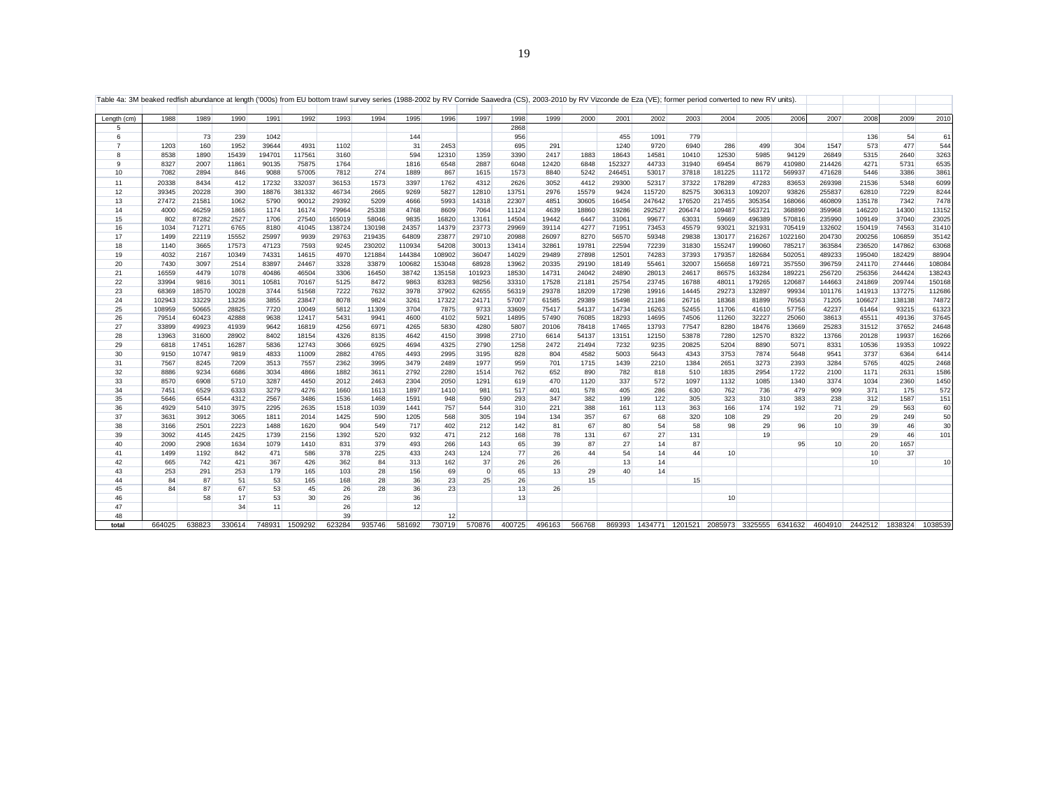| Table 4a: 3M beaked redfish abundance at length ('000s) from EU bottom trawl survey series (1988-2002 by RV Cornide Saavedra (CS), 2003-2010 by RV Vizconde de Eza (VE); former period converted to new RV units) |              |                |                |               |                |                 |                  |                 |                  |                |                |                |                |                  |                                 |                |                  |                  |                   |                  |                  |                  |                 |
|-------------------------------------------------------------------------------------------------------------------------------------------------------------------------------------------------------------------|--------------|----------------|----------------|---------------|----------------|-----------------|------------------|-----------------|------------------|----------------|----------------|----------------|----------------|------------------|---------------------------------|----------------|------------------|------------------|-------------------|------------------|------------------|------------------|-----------------|
| Length (cm)                                                                                                                                                                                                       | 1988         | 1989           | 1990           | 1991          | 1992           | 1993            | 1994             | 1995            | 1996             | 1997           | 1998           | 1999           | 2000           | 2001             | 2002                            | 2003           | 2004             | 2005             | 2006              | 2007             | 2008             | 2009             | 2010            |
| 5                                                                                                                                                                                                                 |              |                |                |               |                |                 |                  |                 |                  |                | 2868           |                |                |                  |                                 |                |                  |                  |                   |                  |                  |                  |                 |
| 6<br>$\overline{7}$                                                                                                                                                                                               |              | 73             | 239            | 1042          |                |                 |                  | 144             |                  |                | 956            |                |                | 455              | 1091                            | 779            |                  |                  |                   |                  | 136              | 54               | 61              |
|                                                                                                                                                                                                                   | 1203         | 160            | 1952           | 39644         | 4931           | 1102            |                  | 31              | 2453             |                | 695            | 291            |                | 1240             | 9720                            | 6940           | 286              | 499              | 304               | 1547             | 573              | 477              | 544             |
| 8<br>9                                                                                                                                                                                                            | 8538         | 1890           | 15439          | 194701        | 117561         | 3160            |                  | 594             | 12310            | 1359           | 3390           | 2417           | 1883           | 18643            | 14581                           | 10410          | 12530            | 5985             | 94129             | 26849            | 5315             | 2640             | 3263            |
| 10                                                                                                                                                                                                                | 8327<br>7082 | 2007<br>2894   | 11861<br>846   | 90135<br>9088 | 75875<br>57005 | 1764<br>7812    | 274              | 1816<br>1889    | 6548<br>867      | 2887<br>1615   | 6048<br>1573   | 12420<br>8840  | 6848<br>5242   | 152327<br>246451 | 44733<br>53017                  | 31940<br>37818 | 69454<br>181225  | 8679<br>11172    | 410980<br>569937  | 214426<br>471628 | 4271<br>5446     | 5731<br>3386     | 6535<br>3861    |
|                                                                                                                                                                                                                   |              |                |                |               |                |                 |                  |                 |                  |                |                |                |                |                  |                                 |                |                  |                  |                   |                  |                  |                  |                 |
| 11                                                                                                                                                                                                                | 20338        | 8434           | 412            | 17232         | 332037         | 36153           | 1573             | 3397            | 1762             | 4312           | 2626           | 3052           | 4412           | 29300            | 52317                           | 37322          | 178289           | 47283            | 83653             | 269398           | 21536            | 5348             | 6099            |
| 12                                                                                                                                                                                                                | 39345        | 20228          | 390            | 18876         | 381332         | 46734           | 2665             | 9269            | 5827             | 12810          | 13751          | 2976           | 15579          | 9424             | 115720                          | 82575          | 306313           | 109207           | 93826             | 255837           | 62810            | 7229             | 8244            |
| 13                                                                                                                                                                                                                | 27472        | 21581          | 1062           | 5790          | 90012          | 29392           | 5209             | 4666            | 5993             | 14318          | 22307          | 4851           | 30605          | 16454            | 247642                          | 176520         | 217455           | 305354           | 168066            | 460809           | 135178           | 7342             | 7478            |
| 14                                                                                                                                                                                                                | 4000         | 46259<br>87282 | 1865           | 1174          | 16174          | 79964           | 25338            | 4768            | 8609             | 7064           | 11124          | 4639<br>19442  | 18860          | 19286            | 292527                          | 206474         | 109487           | 563721           | 368890<br>570816  | 359968           | 146220           | 14300<br>37040   | 13152           |
| 15                                                                                                                                                                                                                | 802          |                | 2527           | 1706          | 27540          | 165019          | 58046            | 9835            | 16820            | 13161          | 14504          |                | 6447           | 31061            | 99677                           | 63031          | 59669            | 496389           |                   | 235990           | 109149           |                  | 23025           |
| 16<br>17                                                                                                                                                                                                          | 1034         | 71271<br>22119 | 6765           | 8180<br>25997 | 41045          | 138724<br>29763 | 130198           | 24357           | 14379            | 23773<br>29710 | 29969          | 39114          | 4277<br>8270   | 71951            | 73453                           | 45579          | 93021            | 321931           | 705419<br>1022160 | 132602           | 150419<br>200256 | 74563<br>106859  | 31410           |
| 18                                                                                                                                                                                                                | 1499         | 3665           | 15552<br>17573 | 47123         | 9939           |                 | 219435<br>230202 | 64809<br>110934 | 23877<br>54208   | 30013          | 20988          | 26097<br>32861 |                | 56570            | 59348<br>72239                  | 29838<br>31830 | 130177<br>155247 | 216267<br>199060 |                   | 204730           | 236520           | 147862           | 35142           |
| 19                                                                                                                                                                                                                | 1140         |                |                | 74331         | 7593           | 9245            |                  | 144384          |                  | 36047          | 13414          | 29489          | 19781          | 22594<br>12501   |                                 | 37393          |                  | 182684           | 785217<br>502051  | 363584           |                  |                  | 63068           |
| 20                                                                                                                                                                                                                | 4032<br>7430 | 2167<br>3097   | 10349<br>2514  | 83897         | 14615<br>24467 | 4970<br>3328    | 121884<br>33879  | 100682          | 108902<br>153048 | 68928          | 14029<br>13962 | 20335          | 27898<br>29190 | 18149            | 74283<br>55461                  | 32007          | 179357<br>156658 | 169721           | 357550            | 489233<br>396759 | 195040<br>241170 | 182429<br>274446 | 88904<br>108084 |
| 21                                                                                                                                                                                                                | 16559        | 4479           | 1078           | 40486         | 46504          | 3306            | 16450            | 38742           | 135158           | 101923         | 18530          | 14731          | 24042          | 24890            | 28013                           | 24617          | 86575            | 163284           | 189221            | 256720           | 256356           | 244424           | 138243          |
| 22                                                                                                                                                                                                                | 33994        | 9816           | 3011           | 10581         | 70167          | 5125            | 8472             | 9863            | 83283            | 98256          | 33310          | 17528          | 21181          | 25754            | 23745                           | 16788          | 48011            | 179265           | 120687            | 144663           | 241869           | 209744           | 150168          |
| 23                                                                                                                                                                                                                | 68369        | 18570          | 10028          | 3744          | 51568          | 7222            | 7632             | 3978            | 37902            | 62655          | 56319          | 29378          | 18209          | 17298            | 19916                           | 14445          | 29273            | 132897           | 99934             | 101176           | 141913           | 137275           | 112686          |
| 24                                                                                                                                                                                                                | 102943       | 33229          | 13236          | 3855          | 23847          | 8078            | 9824             | 3261            | 17322            | 24171          | 57007          | 61585          | 29389          | 15498            | 21186                           | 26716          | 18368            | 81899            | 76563             | 71205            | 106627           | 138138           | 74872           |
| 25                                                                                                                                                                                                                | 108959       | 50665          | 28825          | 7720          | 10049          | 5812            | 11309            | 3704            | 7875             | 9733           | 33609          | 75417          | 54137          | 14734            | 16263                           | 52455          | 11706            | 41610            | 57756             | 42237            | 61464            | 93215            | 61323           |
| 26                                                                                                                                                                                                                | 79514        | 60423          | 42888          | 9638          | 12417          | 5431            | 9941             | 4600            | 4102             | 5921           | 14895          | 57490          | 76085          | 18293            | 14695                           | 74506          | 11260            | 32227            | 25060             | 38613            | 45511            | 49136            | 37645           |
| 27                                                                                                                                                                                                                | 33899        | 49923          | 41939          | 9642          | 16819          | 4256            | 6971             | 4265            | 5830             | 4280           | 5807           | 20106          | 78418          | 17465            | 13793                           | 77547          | 8280             | 18476            | 13669             | 25283            | 31512            | 37652            | 24648           |
| 28                                                                                                                                                                                                                | 13963        | 31600          | 28902          | 8402          | 18154          | 4326            | 8135             | 4642            | 4150             | 3998           | 2710           | 6614           | 54137          | 13151            | 12150                           | 53878          | 7280             | 12570            | 8322              | 13766            | 20128            | 19937            | 16266           |
| 29                                                                                                                                                                                                                | 6818         | 17451          | 16287          | 5836          | 12743          | 3066            | 6925             | 4694            | 4325             | 2790           | 1258           | 2472           | 21494          | 7232             | 9235                            | 20825          | 5204             | 8890             | 5071              | 8331             | 10536            | 19353            | 10922           |
| 30                                                                                                                                                                                                                | 9150         | 10747          | 9819           | 4833          | 11009          | 2882            | 4765             | 4493            | 2995             | 3195           | 828            | 804            | 4582           | 5003             | 5643                            | 4343           | 3753             | 7874             | 5648              | 9541             | 3737             | 6364             | 6414            |
| 31                                                                                                                                                                                                                | 7567         | 8245           | 7209           | 3513          | 7557           | 2362            | 3995             | 3479            | 2489             | 1977           | 959            | 701            | 1715           | 1439             | 2210                            | 1384           | 2651             | 3273             | 2393              | 3284             | 5765             | 4025             | 2468            |
| 32                                                                                                                                                                                                                | 8886         | 9234           | 6686           | 3034          | 4866           | 1882            | 3611             | 2792            | 2280             | 1514           | 762            | 652            | 890            | 782              | 818                             | 510            | 1835             | 2954             | 1722              | 2100             | 1171             | 2631             | 1586            |
| 33                                                                                                                                                                                                                | 8570         | 6908           | 5710           | 3287          | 4450           | 2012            | 2463             | 2304            | 2050             | 1291           | 619            | 470            | 1120           | 337              | 572                             | 1097           | 1132             | 1085             | 1340              | 3374             | 1034             | 2360             | 1450            |
| 34                                                                                                                                                                                                                | 7451         | 6529           | 6333           | 3279          | 4276           | 1660            | 1613             | 1897            | 1410             | 981            | 517            | 401            | 578            | 405              | 286                             | 630            | 762              | 736              | 479               | 909              | 371              | 175              | 572             |
| 35                                                                                                                                                                                                                | 5646         | 6544           | 4312           | 2567          | 3486           | 1536            | 1468             | 1591            | 948              | 590            | 293            | 347            | 382            | 199              | 122                             | 305            | 323              | 310              | 383               | 238              | 312              | 1587             | 151             |
| 36                                                                                                                                                                                                                | 4929         | 5410           | 3975           | 2295          | 2635           | 1518            | 1039             | 1441            | 757              | 544            | 310            | 221            | 388            | 161              | 113                             | 363            | 166              | 174              | 192               | 71               | 29               | 563              | 60              |
| 37                                                                                                                                                                                                                | 3631         | 3912           | 3065           | 1811          | 2014           | 1425            | 590              | 1205            | 568              | 305            | 194            | 134            | 357            | 67               | 68                              | 320            | 108              | 29               |                   | 20               | 29               | 249              | 50              |
| 38                                                                                                                                                                                                                | 3166         | 2501           | 2223           | 1488          | 1620           | 904             | 549              | 717             | 402              | 212            | 142            | 81             | 67             | 80               | 54                              | 58             | 98               | 29               | 96                | 10               | 39               | 46               | 30              |
| 39                                                                                                                                                                                                                | 3092         | 4145           | 2425           | 1739          | 2156           | 1392            | 520              | 932             | 471              | 212            | 168            | 78             | 131            | 67               | 27                              | 131            |                  | 19               |                   |                  | 29               | 46               | 101             |
| 40                                                                                                                                                                                                                | 2090         | 2908           | 1634           | 1079          | 1410           | 831             | 379              | 493             | 266              | 143            | 65             | 39             | 87             | 27               | 14                              | 87             |                  |                  | 95                | 10               | 20               | 1657             |                 |
| 41                                                                                                                                                                                                                | 1499         | 1192           | 842            | 471           | 586            | 378             | 225              | 433             | 243              | 124            | 77             | 26             | 44             | 54               | 14                              | 44             | 10               |                  |                   |                  | 10 <sup>1</sup>  | 37               |                 |
| 42                                                                                                                                                                                                                | 665          | 742            | 421            | 367           | 426            | 362             | 84               | 313             | 162              | 37             | 26             | 26             |                | 13               | 14                              |                |                  |                  |                   |                  | 10 <sup>1</sup>  |                  | 10 <sup>1</sup> |
| 43                                                                                                                                                                                                                | 253          | 291            | 253            | 179           | 165            | 103             | 28               | 156             | 69               | $\mathbf 0$    | 65             | 13             | 29             | 40               | 14                              |                |                  |                  |                   |                  |                  |                  |                 |
| 44                                                                                                                                                                                                                | 84           | 87             | 51             | 53            | 165            | 168             | 28               | 36              | 23               | 25             | 26             |                | 15             |                  |                                 | 15             |                  |                  |                   |                  |                  |                  |                 |
| 45                                                                                                                                                                                                                | 84           | 87             | 67             | 53            | 45             | 26              | 28               | 36              | 23               |                | 13             | 26             |                |                  |                                 |                |                  |                  |                   |                  |                  |                  |                 |
| 46                                                                                                                                                                                                                |              | 58             | 17             | 53            | 30             | 26              |                  | 36              |                  |                | 13             |                |                |                  |                                 |                | 10               |                  |                   |                  |                  |                  |                 |
| 47                                                                                                                                                                                                                |              |                | 34             | 11            |                | 26              |                  | 12              |                  |                |                |                |                |                  |                                 |                |                  |                  |                   |                  |                  |                  |                 |
| 48                                                                                                                                                                                                                |              |                |                |               |                | 39              |                  |                 | 12               |                |                |                |                |                  |                                 |                |                  |                  |                   |                  |                  |                  |                 |
| total                                                                                                                                                                                                             | 664025       | 638823         | 330614         |               | 748931 1509292 | 623284          | 935746           | 581692          | 730719           | 570876         | 400725         | 496163         | 566768         | 869393           | 1434771 1201521 2085973 3325555 |                |                  |                  | 6341632           | 4604910          | 2442512          | 1838324          | 1038539         |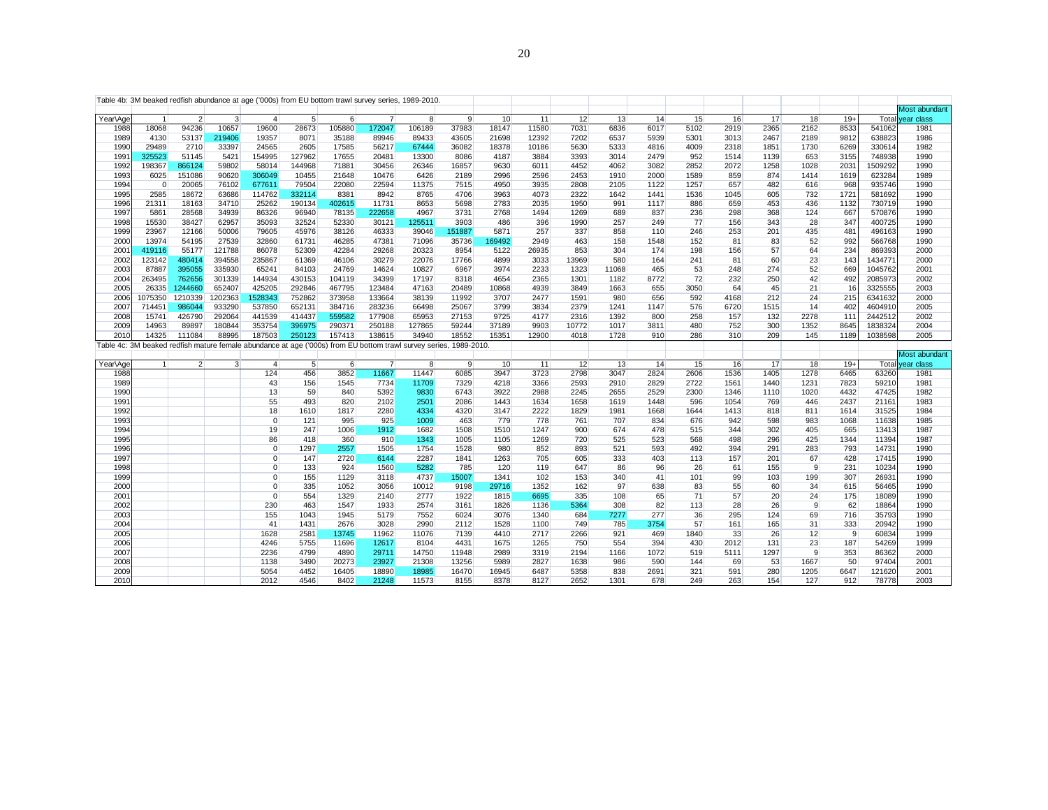|              |               |                |                |                 |                  | Table 4b: 3M beaked redfish abundance at age ('000s) from EU bottom trawl survey series, 1989-2010.               |                 |                |               |               |              |              |             |              |             |             |            |                |              |                  |               |
|--------------|---------------|----------------|----------------|-----------------|------------------|-------------------------------------------------------------------------------------------------------------------|-----------------|----------------|---------------|---------------|--------------|--------------|-------------|--------------|-------------|-------------|------------|----------------|--------------|------------------|---------------|
|              |               |                |                |                 |                  |                                                                                                                   |                 |                |               |               |              |              |             |              |             |             |            |                |              |                  | Most abundant |
| Year\Age     |               | $\overline{2}$ | $\overline{3}$ | $\overline{a}$  | 5                | 6                                                                                                                 |                 | 8              | 9             | 10            | 11           | 12           | 13          | 14           | 15          | 16          | 17         | 18             | $19+$        | Total            | ear class     |
| 1988         | 18068         | 94236          | 10657          | 19600           | 28673            | 105880                                                                                                            | 172047          | 106189         | 37983         | 18147         | 11580        | 7031         | 6836        | 6017         | 5102        | 2919        | 2365       | 2162           | 8533         | 541062           | 1981          |
| 1989         | 4130          | 53137          | 219406         | 19357           | 8071             | 35188                                                                                                             | 89946           | 89433          | 43605         | 21698         | 12392        | 7202         | 6537        | 5939         | 5301        | 3013        | 2467       | 2189           | 9812         | 638823           | 1986          |
| 1990         | 29489         | 2710           | 33397          | 24565           | 2605             | 17585                                                                                                             | 56217           | 67444          | 36082         | 18378         | 10186        | 5630         | 5333        | 4816         | 4009        | 2318        | 1851       | 1730           | 6269         | 330614           | 1982          |
| 199          | 325523        | 51145          | 5421           | 154995          | 127962           | 17655                                                                                                             | 20481           | 13300          | 8086          | 4187          | 3884         | 3393         | 3014        | 2479         | 952         | 1514        | 1139       | 653            | 3155         | 748938           | 1990          |
| 1992         | 198367        | 866124         | 59802          | 58014           | 144968           | 71881                                                                                                             | 30456           | 26346          | 16857         | 9630          | 6011         | 4452         | 4062        | 3082         | 2852        | 2072        | 1258       | 1028           | 203'         | 1509292          | 1990          |
| 1993         | 6025          | 151086         | 90620          | 306049          | 10455            | 21648                                                                                                             | 10476           | 6426           | 2189          | 2996          | 2596         | 2453         | 1910        | 2000         | 1589        | 859         | 874        | 1414           | 1619         | 623284           | 1989          |
| 1994         | $\Omega$      | 20065          | 76102          | 677611          | 79504            | 22080                                                                                                             | 22594           | 11375          | 7515          | 4950          | 3935<br>4073 | 2808         | 2105        | 1122         | 1257        | 657         | 482<br>605 | 616            | 968          | 935746           | 1990<br>1990  |
| 1995<br>1996 | 2585<br>21311 | 18672          | 63686<br>34710 | 114762<br>25262 | 332114<br>190134 | 8381<br>402615                                                                                                    | 8942            | 8765<br>8653   | 4706<br>5698  | 3963<br>2783  | 2035         | 2322<br>1950 | 1642<br>991 | 1441<br>1117 | 1536<br>886 | 1045<br>659 | 453        | 732<br>436     | 1721<br>1132 | 581692<br>730719 |               |
| 1997         | 5861          | 18163<br>28568 | 34939          | 86326           | 96940            | 78135                                                                                                             | 11731<br>222658 | 4967           | 3731          | 2768          | 1494         | 1269         | 689         | 837          | 236         | 298         | 368        | 124            | 667          | 570876           | 1990<br>1990  |
| 1998         | 15530         | 38427          | 62957          | 35093           | 32524            | 52330                                                                                                             | 30121           | 125511         | 3903          | 486           | 396          | 1990         | 257         | 249          | 77          | 156         | 343        | 28             | 347          | 400725           | 1990          |
| 1999         | 23967         | 12166          | 50006          | 79605           | 45976            | 38126                                                                                                             | 46333           | 39046          | 151887        | 5871          | 257          | 337          | 858         | 110          | 246         | 253         | 201        | 435            | 481          | 496163           | 1990          |
| 2000         | 13974         | 54195          | 27539          | 32860           | 61731            | 46285                                                                                                             | 47381           | 71096          | 35736         | 169492        | 2949         | 463          | 158         | 1548         | 152         | 81          | 83         | 52             | 992          | 566768           | 1990          |
| 200          | 419116        | 55177          | 121788         | 86078           | 52309            | 42284                                                                                                             | 29268           | 20323          | 8954          | 5122          | 26935        | 853          | 304         | 174          | 198         | 156         | 57         | 64             | 234          | 869393           | 2000          |
| 2002         | 123142        | 480414         | 394558         | 235867          | 61369            | 46106                                                                                                             | 30279           | 22076          | 17766         | 4899          | 3033         | 13969        | 580         | 164          | 241         | 81          | 60         | 23             | 143          | 1434771          | 2000          |
| 2003         | 87887         | 395055         | 335930         | 65241           | 84103            | 24769                                                                                                             | 14624           | 10827          | 6967          | 3974          | 2233         | 1323         | 11068       | 465          | 53          | 248         | 274        | 52             | 669          | 1045762          | 2001          |
| 2004         | 263495        | 762656         | 301339         | 144934          | 430153           | 104119                                                                                                            | 34399           | 17197          | 8318          | 4654          | 2365         | 1301         | 1182        | 8772         | 72          | 232         | 250        | 42             | 492          | 2085973          | 2002          |
| 2005         | 26335         | 1244660        | 652407         | 425205          | 292846           | 467795                                                                                                            | 123484          | 47163          | 20489         | 10868         | 4939         | 3849         | 1663        | 655          | 3050        | 64          | 45         | 21             | 16           | 3325555          | 2003          |
| 2006         | 1075350       | 1210339        | 1202363        | 1528343         | 752862           | 373958                                                                                                            | 133664          | 38139          | 11992         | 3707          | 2477         | 1591         | 980         | 656          | 592         | 4168        | 212        | 24             | 215          | 6341632          | 2000          |
| 2007         | 714451        | 986044         | 933290         | 537850          | 652131           | 384716                                                                                                            | 283236          | 66498          | 25067         | 3799          | 3834         | 2379         | 1241        | 1147         | 576         | 6720        | 1515       | 14             | 402          | 4604910          | 2005          |
| 2008         | 15741         | 426790         | 292064         | 441539          | 414437           | 559582                                                                                                            | 177908          | 65953          | 27153         | 9725          | 4177         | 2316         | 1392        | 800          | 258         | 157         | 132        | 2278           | 111          | 2442512          | 2002          |
| 2009         | 14963         | 89897          | 180844         | 353754          | 396975           | 290371                                                                                                            | 250188          | 127865         | 59244         | 37189         | 9903         | 10772        | 1017        | 3811         | 480         | 752         | 300        | 1352           | 8645         | 1838324          | 2004          |
| 2010         | 14325         | 111084         | 88995          | 187503          | 250123           | 157413                                                                                                            | 138615          | 34940          | 18552         | 15351         | 12900        | 4018         | 1728        | 910          | 286         | 310         | 209        | 145            | 1189         | 1038598          | 2005          |
|              |               |                |                |                 |                  |                                                                                                                   |                 |                |               |               |              |              |             |              |             |             |            |                |              |                  |               |
|              |               |                |                |                 |                  |                                                                                                                   |                 |                |               |               |              |              |             |              |             |             |            |                |              |                  |               |
|              |               |                |                |                 |                  | Table 4c: 3M beaked redfish mature female abundance at age ('000s) from EU bottom trawl survey series, 1989-2010. |                 |                |               |               |              |              |             |              |             |             |            |                |              |                  | Most abundant |
| Year\Age     | $\vert$ 1     | $\overline{2}$ | $\overline{3}$ | $\overline{A}$  | $5\overline{)}$  | 6                                                                                                                 |                 | 8              | 9             | 10            | 11           | 12           | 13          | 14           | 15          | 16          | 17         | 18             | $19+$        | Total            | ear class     |
| 1988         |               |                |                | 124             | 456              | 3852                                                                                                              | 11667           | 11447          | 6085          | 3947          | 3723         | 2798         | 3047        | 2824         | 2606        | 1536        | 1405       | 1278           | 6465         | 63260            | 1981          |
| 1989         |               |                |                | 43              | 156              | 1545                                                                                                              | 7734            | 11709          | 7329          | 4218          | 3366         | 2593         | 2910        | 2829         | 2722        | 1561        | 1440       | 1231           | 7823         | 59210            | 1981          |
| 1990         |               |                |                | 13              | 59               | 840                                                                                                               | 5392            | 9830           | 6743          | 3922          | 2988         | 2245         | 2655        | 2529         | 2300        | 1346        | 1110       | 1020           | 4432         | 47425            | 1982          |
| 199'         |               |                |                | 55              | 493              | 820                                                                                                               | 2102            | 2501           | 2086          | 1443          | 1634         | 1658         | 1619        | 1448         | 596         | 1054        | 769        | 446            | 2437         | 21161            | 1983          |
| 1992         |               |                |                | 18              | 1610             | 1817                                                                                                              | 2280            | 4334           | 4320          | 3147          | 2222         | 1829         | 1981        | 1668         | 1644        | 1413        | 818        | 811            | 1614         | 31525            | 1984          |
| 1993         |               |                |                | $\overline{0}$  | 121              | 995                                                                                                               | 925             | 1009           | 463           | 779           | 778          | 761          | 707         | 834          | 676         | 942         | 598        | 983            | 1068         | 11638            | 1985          |
| 1994         |               |                |                | 19              | 247              | 1006                                                                                                              | 1912            | 1682           | 1508          | 1510          | 1247         | 900          | 674         | 478          | 515         | 344         | 302        | 405            | 665          | 13413            | 1987          |
| 1995         |               |                |                | 86              | 418              | 360                                                                                                               | 910             | 1343           | 1005          | 1105          | 1269         | 720          | 525         | 523          | 568         | 498         | 296        | 425            | 1344         | 11394            | 1987          |
| 1996         |               |                |                | $\Omega$        | 1297             | 2557                                                                                                              | 1505            | 1754           | 1528          | 980           | 852          | 893          | 521         | 593          | 492         | 394         | 291        | 283            | 793          | 14731            | 1990          |
| 1997         |               |                |                | $\Omega$        | 147              | 2720                                                                                                              | 6144            | 2287           | 1841          | 1263          | 705          | 605          | 333         | 403          | 113         | 157         | 201        | 67             | 428          | 17415            | 1990          |
| 1998         |               |                |                | $\Omega$        | 133              | 924                                                                                                               | 1560            | 5282           | 785           | 120           | 119          | 647          | 86          | 96           | 26          | 61          | 155        | 9              | 231          | 10234            | 1990          |
| 1999         |               |                |                | $\Omega$        | 155              | 1129                                                                                                              | 3118            | 4737           | 15007         | 1341          | 102          | 153          | 340         | 41           | 101         | 99          | 103        | 199            | 307          | 26931            | 1990          |
| 2000         |               |                |                | $\Omega$        | 335              | 1052                                                                                                              | 3056            | 10012          | 9198          | 29716         | 1352         | 162          | 97          | 638          | 83          | 55          | 60         | 34             | 615          | 56465            | 1990          |
| 200'         |               |                |                | $\Omega$        | 554              | 1329                                                                                                              | 2140            | 2777           | 1922          | 1815          | 6695         | 335          | 108         | 65           | 71          | 57          | 20         | 24             | 175          | 18089            | 1990          |
| 2002         |               |                |                | 230             | 463              | 1547                                                                                                              | 1933            | 2574           | 3161          | 1826          | 1136         | 5364         | 308         | 82           | 113         | 28          | 26         | $\overline{9}$ | 62           | 18864            | 1990          |
| 2003         |               |                |                | 155             | 1043             | 1945                                                                                                              | 5179            | 7552           | 6024          | 3076          | 1340         | 684          | 7277        | 277          | 36          | 295         | 124        | 69             | 716          | 35793            | 1990          |
| 2004         |               |                |                | 41              | 1431             | 2676                                                                                                              | 3028            | 2990           | 2112          | 1528          | 1100         | 749          | 785         | 3754         | 57          | 161         | 165        | 31             | 333          | 20942            | 1990          |
| 2005         |               |                |                | 1628            | 2581             | 13745                                                                                                             | 11962           | 11076          | 7139          | 4410          | 2717         | 2266         | 921         | 469          | 1840        | 33          | 26         | 12             | 9            | 60834            | 1999          |
| 2006         |               |                |                | 4246            | 5755             | 11696                                                                                                             | 12617           | 8104           | 4431          | 1675          | 1265         | 750          | 554         | 394          | 430         | 2012        | 131        | 23             | 187          | 54269            | 1999          |
| 2007         |               |                |                | 2236            | 4799             | 4890                                                                                                              | 29711           | 14750          | 11948         | 2989          | 3319         | 2194         | 1166        | 1072         | 519         | 5111        | 1297       | 9              | 353          | 86362            | 2000          |
| 2008         |               |                |                | 1138            | 3490             | 20273                                                                                                             | 23927           | 21308          | 13256         | 5989          | 2827         | 1638         | 986         | 590          | 144         | 69          | 53         | 1667           | 50           | 97404            | 2001          |
| 2009<br>2010 |               |                |                | 5054<br>2012    | 4452<br>4546     | 16405<br>8402                                                                                                     | 18890<br>21248  | 18985<br>11573 | 16470<br>8155 | 16945<br>8378 | 6487<br>8127 | 5358<br>2652 | 838<br>1301 | 2691<br>678  | 321<br>249  | 591<br>263  | 280<br>154 | 1205<br>127    | 6647<br>912  | 121620<br>78778  | 2001<br>2003  |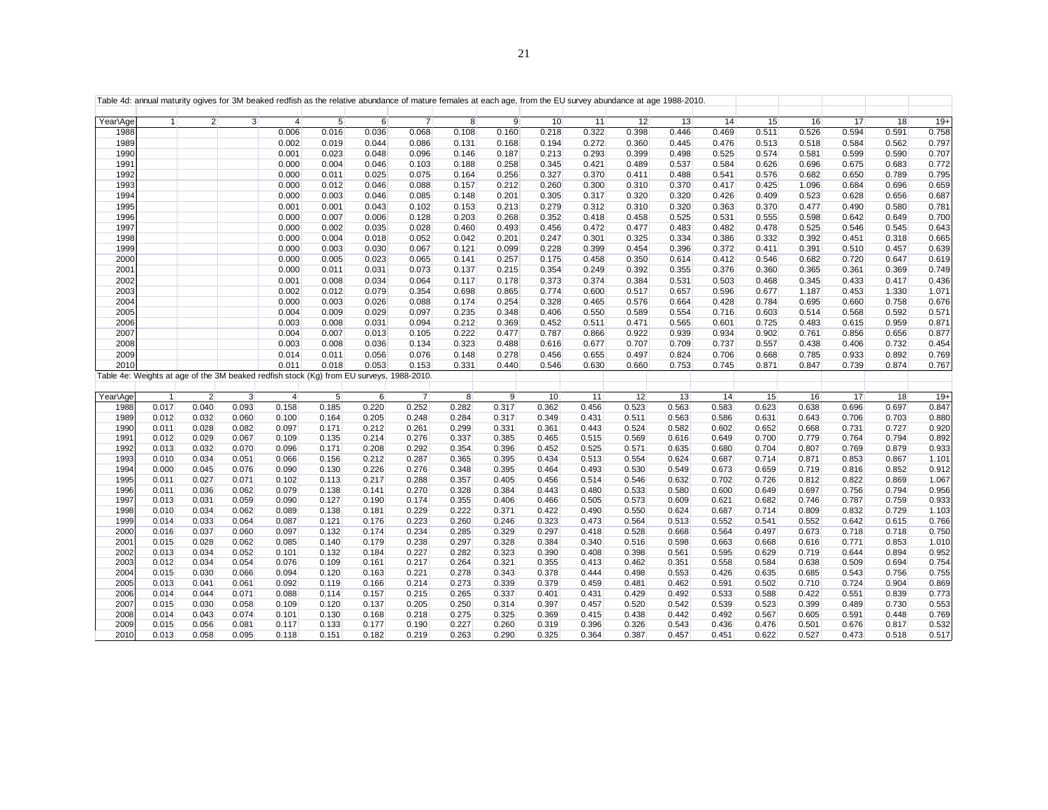| $\overline{2}$<br>3 <sup>1</sup><br>$5\overline{)}$<br>$\overline{7}$<br>10<br>13<br>14<br>15<br>17<br>Year\Age<br>$\overline{4}$<br>$6 \overline{6}$<br>8<br>9<br>11<br>12<br>16<br>$\mathbf{1}$<br>0.322<br>0.594<br>0.006<br>0.016<br>0.036<br>0.068<br>0.160<br>0.218<br>0.398<br>0.446<br>0.469<br>0.511<br>0.526<br>1988<br>0.108<br>1989<br>0.272<br>0.360<br>0.002<br>0.019<br>0.044<br>0.086<br>0.131<br>0.168<br>0.194<br>0.445<br>0.476<br>0.513<br>0.518<br>0.584 | 18<br>$19+$<br>0.758<br>0.591<br>0.562<br>0.797<br>0.590<br>0.707<br>0.683<br>0.772<br>0.789<br>0.795 |
|-------------------------------------------------------------------------------------------------------------------------------------------------------------------------------------------------------------------------------------------------------------------------------------------------------------------------------------------------------------------------------------------------------------------------------------------------------------------------------|-------------------------------------------------------------------------------------------------------|
|                                                                                                                                                                                                                                                                                                                                                                                                                                                                               |                                                                                                       |
|                                                                                                                                                                                                                                                                                                                                                                                                                                                                               |                                                                                                       |
|                                                                                                                                                                                                                                                                                                                                                                                                                                                                               |                                                                                                       |
| 1990<br>0.001<br>0.023<br>0.187<br>0.293<br>0.399<br>0.498<br>0.525<br>0.574<br>0.581<br>0.599<br>0.048<br>0.096<br>0.146<br>0.213                                                                                                                                                                                                                                                                                                                                            |                                                                                                       |
| 1991<br>0.000<br>0.258<br>0.421<br>0.489<br>0.537<br>0.584<br>0.004<br>0.046<br>0.103<br>0.188<br>0.345<br>0.626<br>0.696<br>0.675                                                                                                                                                                                                                                                                                                                                            |                                                                                                       |
| 1992<br>0.000<br>0.256<br>0.327<br>0.370<br>0.411<br>0.488<br>0.011<br>0.025<br>0.075<br>0.164<br>0.541<br>0.576<br>0.682<br>0.650                                                                                                                                                                                                                                                                                                                                            |                                                                                                       |
| 1993<br>0.000<br>0.012<br>0.046<br>0.088<br>0.157<br>0.212<br>0.260<br>0.300<br>0.310<br>0.370<br>0.417<br>0.425<br>1.096<br>0.684                                                                                                                                                                                                                                                                                                                                            | 0.659<br>0.696                                                                                        |
| 0.317<br>0.320<br>0.320<br>1994<br>0.000<br>0.003<br>0.046<br>0.085<br>0.148<br>0.201<br>0.305<br>0.426<br>0.409<br>0.523<br>0.628                                                                                                                                                                                                                                                                                                                                            | 0.687<br>0.656                                                                                        |
| 1995<br>0.001<br>0.213<br>0.279<br>0.312<br>0.310<br>0.320<br>0.001<br>0.043<br>0.102<br>0.153<br>0.363<br>0.370<br>0.477<br>0.490                                                                                                                                                                                                                                                                                                                                            | 0.580<br>0.781                                                                                        |
| 1996<br>0.000<br>0.007<br>0.203<br>0.268<br>0.352<br>0.418<br>0.458<br>0.525<br>0.531<br>0.555<br>0.598<br>0.642<br>0.006<br>0.128                                                                                                                                                                                                                                                                                                                                            | 0.649<br>0.700                                                                                        |
| 1997<br>0.000<br>0.493<br>0.456<br>0.472<br>0.477<br>0.483<br>0.482<br>0.478<br>0.546<br>0.002<br>0.035<br>0.028<br>0.460<br>0.525                                                                                                                                                                                                                                                                                                                                            | 0.643<br>0.545                                                                                        |
| 1998<br>0.325<br>0.334<br>0.000<br>0.004<br>0.052<br>0.042<br>0.201<br>0.247<br>0.301<br>0.386<br>0.332<br>0.392<br>0.451<br>0.018                                                                                                                                                                                                                                                                                                                                            | 0.665<br>0.318                                                                                        |
| 1999<br>0.000<br>0.003<br>0.030<br>0.067<br>0.099<br>0.228<br>0.399<br>0.454<br>0.396<br>0.372<br>0.391<br>0.121<br>0.411<br>0.510                                                                                                                                                                                                                                                                                                                                            | 0.639<br>0.457                                                                                        |
| 2000<br>0.000<br>0.005<br>0.257<br>0.175<br>0.350<br>0.614<br>0.412<br>0.720<br>0.023<br>0.065<br>0.141<br>0.458<br>0.546<br>0.682                                                                                                                                                                                                                                                                                                                                            | 0.647<br>0.619                                                                                        |
| 2001<br>0.000<br>0.249<br>0.392<br>0.355<br>0.011<br>0.031<br>0.073<br>0.137<br>0.215<br>0.354<br>0.376<br>0.360<br>0.365<br>0.361                                                                                                                                                                                                                                                                                                                                            | 0.749<br>0.369                                                                                        |
| 2002<br>0.001<br>0.008<br>0.034<br>0.064<br>0.117<br>0.178<br>0.373<br>0.374<br>0.384<br>0.531<br>0.503<br>0.468<br>0.345<br>0.433                                                                                                                                                                                                                                                                                                                                            | 0.436<br>0.417                                                                                        |
| 0.517<br>0.657<br>0.453<br>2003<br>0.002<br>0.012<br>0.079<br>0.354<br>0.698<br>0.865<br>0.774<br>0.600<br>0.596<br>0.677<br>1.187                                                                                                                                                                                                                                                                                                                                            | 1.330<br>1.071                                                                                        |
| 2004<br>0.000<br>0.254<br>0.328<br>0.576<br>0.664<br>0.003<br>0.026<br>0.088<br>0.174<br>0.465<br>0.428<br>0.784<br>0.695<br>0.660                                                                                                                                                                                                                                                                                                                                            | 0.758<br>0.676                                                                                        |
| 2005<br>0.004<br>0.009<br>0.029<br>0.097<br>0.235<br>0.348<br>0.406<br>0.550<br>0.589<br>0.554<br>0.716<br>0.603<br>0.514<br>0.568                                                                                                                                                                                                                                                                                                                                            | 0.592<br>0.571                                                                                        |
| 2006<br>0.003<br>0.369<br>0.452<br>0.511<br>0.471<br>0.565<br>0.008<br>0.031<br>0.094<br>0.212<br>0.601<br>0.725<br>0.483<br>0.615                                                                                                                                                                                                                                                                                                                                            | 0.959<br>0.871                                                                                        |
| 2007<br>0.004<br>0.007<br>0.222<br>0.477<br>0.866<br>0.922<br>0.939<br>0.013<br>0.105<br>0.787<br>0.934<br>0.902<br>0.761<br>0.856                                                                                                                                                                                                                                                                                                                                            | 0.656<br>0.877                                                                                        |
| 2008<br>0.003<br>0.008<br>0.036<br>0.323<br>0.488<br>0.677<br>0.707<br>0.709<br>0.737<br>0.557<br>0.406<br>0.134<br>0.616<br>0.438                                                                                                                                                                                                                                                                                                                                            | 0.732<br>0.454                                                                                        |
| 2009<br>0.014<br>0.011<br>0.278<br>0.497<br>0.824<br>0.706<br>0.933<br>0.056<br>0.076<br>0.148<br>0.456<br>0.655<br>0.668<br>0.785                                                                                                                                                                                                                                                                                                                                            | 0.892<br>0.769                                                                                        |
| 2010<br>0.011<br>0.018<br>0.053<br>0.153<br>0.331<br>0.660<br>0.753<br>0.745<br>0.440<br>0.546<br>0.630<br>0.871<br>0.847<br>0.739                                                                                                                                                                                                                                                                                                                                            | 0.874<br>0.767                                                                                        |
| Table 4e: Weights at age of the 3M beaked redfish stock (Kg) from EU surveys, 1988-2010.                                                                                                                                                                                                                                                                                                                                                                                      |                                                                                                       |
|                                                                                                                                                                                                                                                                                                                                                                                                                                                                               |                                                                                                       |
| 2<br>9<br>Year\Age<br>$\mathbf{3}$<br>$\overline{4}$<br>5<br>6<br>$\overline{7}$<br>8<br>10<br>11<br>12<br>13<br>14<br>15<br>16<br>17<br>$\overline{1}$                                                                                                                                                                                                                                                                                                                       | $19+$<br>18                                                                                           |
| 0.017<br>0.040<br>0.093<br>0.158<br>0.185<br>0.220<br>0.252<br>0.282<br>0.317<br>0.362<br>0.456<br>0.523<br>0.563<br>0.623<br>0.638<br>0.583<br>0.696<br>1988                                                                                                                                                                                                                                                                                                                 | 0.697<br>0.847                                                                                        |
| 1989<br>0.012<br>0.032<br>0.060<br>0.100<br>0.205<br>0.248<br>0.284<br>0.317<br>0.349<br>0.431<br>0.511<br>0.563<br>0.586<br>0.631<br>0.643<br>0.706<br>0.164                                                                                                                                                                                                                                                                                                                 | 0.880<br>0.703                                                                                        |
| 1990<br>0.582<br>0.011<br>0.028<br>0.082<br>0.097<br>0.171<br>0.212<br>0.261<br>0.299<br>0.331<br>0.361<br>0.443<br>0.524<br>0.602<br>0.652<br>0.668<br>0.731                                                                                                                                                                                                                                                                                                                 | 0.920<br>0.727                                                                                        |
| 0.012<br>0.029<br>0.569<br>1991<br>0.067<br>0.109<br>0.135<br>0.214<br>0.276<br>0.337<br>0.385<br>0.465<br>0.515<br>0.616<br>0.649<br>0.700<br>0.779<br>0.764                                                                                                                                                                                                                                                                                                                 | 0.892<br>0.794                                                                                        |
| 1992<br>0.013<br>0.032<br>0.070<br>0.208<br>0.292<br>0.354<br>0.452<br>0.525<br>0.571<br>0.635<br>0.704<br>0.769<br>0.096<br>0.171<br>0.396<br>0.680<br>0.807                                                                                                                                                                                                                                                                                                                 | 0.879<br>0.933                                                                                        |
| 1993<br>0.010<br>0.034<br>0.051<br>0.156<br>0.212<br>0.287<br>0.365<br>0.395<br>0.434<br>0.513<br>0.554<br>0.624<br>0.687<br>0.714<br>0.871<br>0.853<br>0.066                                                                                                                                                                                                                                                                                                                 | 0.867<br>1.101                                                                                        |
| 1994<br>0.000<br>0.045<br>0.076<br>0.090<br>0.130<br>0.226<br>0.276<br>0.348<br>0.395<br>0.464<br>0.493<br>0.530<br>0.549<br>0.673<br>0.659<br>0.719<br>0.816                                                                                                                                                                                                                                                                                                                 | 0.912<br>0.852                                                                                        |
| 1995<br>0.011<br>0.027<br>0.071<br>0.102<br>0.217<br>0.288<br>0.357<br>0.514<br>0.546<br>0.632<br>0.702<br>0.726<br>0.812<br>0.822<br>0.113<br>0.405<br>0.456                                                                                                                                                                                                                                                                                                                 | 0.869<br>1.067                                                                                        |
| 1996<br>0.011<br>0.036<br>0.062<br>0.079<br>0.141<br>0.270<br>0.328<br>0.443<br>0.480<br>0.533<br>0.580<br>0.600<br>0.697<br>0.138<br>0.384<br>0.649<br>0.756                                                                                                                                                                                                                                                                                                                 | 0.794<br>0.956                                                                                        |
| 1997<br>0.013<br>0.031<br>0.059<br>0.090<br>0.174<br>0.355<br>0.406<br>0.466<br>0.505<br>0.573<br>0.609<br>0.621<br>0.682<br>0.746<br>0.787<br>0.127<br>0.190                                                                                                                                                                                                                                                                                                                 | 0.759<br>0.933                                                                                        |
| 1998<br>0.010<br>0.034<br>0.062<br>0.229<br>0.222<br>0.490<br>0.550<br>0.809<br>0.832<br>0.089<br>0.138<br>0.181<br>0.371<br>0.422<br>0.624<br>0.687<br>0.714                                                                                                                                                                                                                                                                                                                 | 0.729<br>1.103                                                                                        |
| 1999<br>0.014<br>0.033<br>0.064<br>0.223<br>0.260<br>0.323<br>0.473<br>0.564<br>0.513<br>0.552<br>0.642<br>0.087<br>0.121<br>0.176<br>0.246<br>0.552<br>0.541                                                                                                                                                                                                                                                                                                                 | 0.615<br>0.766                                                                                        |
| 2000<br>0.016<br>0.037<br>0.060<br>0.097<br>0.174<br>0.234<br>0.329<br>0.297<br>0.418<br>0.528<br>0.668<br>0.718<br>0.132<br>0.285<br>0.564<br>0.497<br>0.673                                                                                                                                                                                                                                                                                                                 | 0.750<br>0.718                                                                                        |
| 0.028<br>0.384<br>2001<br>0.015<br>0.062<br>0.085<br>0.140<br>0.179<br>0.238<br>0.297<br>0.328<br>0.340<br>0.516<br>0.598<br>0.663<br>0.668<br>0.616<br>0.771                                                                                                                                                                                                                                                                                                                 | 0.853<br>1.010                                                                                        |
| 2002<br>0.052<br>0.227<br>0.282<br>0.398<br>0.013<br>0.034<br>0.101<br>0.132<br>0.184<br>0.323<br>0.390<br>0.408<br>0.561<br>0.595<br>0.629<br>0.719<br>0.644                                                                                                                                                                                                                                                                                                                 | 0.952<br>0.894                                                                                        |
| 2003<br>0.012<br>0.034<br>0.462<br>0.054<br>0.076<br>0.109<br>0.161<br>0.217<br>0.264<br>0.321<br>0.355<br>0.413<br>0.351<br>0.558<br>0.584<br>0.638<br>0.509<br>2004<br>0.015<br>0.030<br>0.066<br>0.094<br>0.120<br>0.163<br>0.221<br>0.278<br>0.343<br>0.378<br>0.444<br>0.498<br>0.553<br>0.426<br>0.635<br>0.685<br>0.543                                                                                                                                                | 0.694<br>0.754<br>0.755<br>0.756                                                                      |
| 0.119                                                                                                                                                                                                                                                                                                                                                                                                                                                                         |                                                                                                       |
| 2005<br>0.013<br>0.041<br>0.061<br>0.092<br>0.166<br>0.214<br>0.273<br>0.339<br>0.379<br>0.459<br>0.481<br>0.462<br>0.591<br>0.502<br>0.710<br>0.724<br>2006<br>0.014<br>0.044<br>0.265<br>0.429<br>0.492<br>0.088<br>0.114<br>0.533                                                                                                                                                                                                                                          | 0.904<br>0.869<br>0.773<br>0.839                                                                      |
| 0.071<br>0.157<br>0.215<br>0.337<br>0.401<br>0.431<br>0.588<br>0.422<br>0.551<br>2007<br>0.015<br>0.030<br>0.058<br>0.109<br>0.205<br>0.250<br>0.314<br>0.397<br>0.457<br>0.520<br>0.542<br>0.539<br>0.523<br>0.399<br>0.489<br>0.120<br>0.137                                                                                                                                                                                                                                | 0.553<br>0.730                                                                                        |
| 2008<br>0.014<br>0.043<br>0.074<br>0.101<br>0.130<br>0.168<br>0.218<br>0.275<br>0.325<br>0.369<br>0.415<br>0.438<br>0.442<br>0.492<br>0.567<br>0.605<br>0.591                                                                                                                                                                                                                                                                                                                 | 0.448<br>0.769                                                                                        |
| 2009<br>0.015<br>0.056<br>0.081<br>0.117<br>0.133<br>0.177<br>0.190<br>0.227<br>0.260<br>0.319<br>0.396<br>0.326<br>0.543<br>0.436<br>0.476<br>0.501<br>0.676                                                                                                                                                                                                                                                                                                                 | 0.532<br>0.817                                                                                        |
| 2010<br>0.013<br>0.058<br>0.095<br>0.219<br>0.263<br>0.325<br>0.364<br>0.387<br>0.457<br>0.622<br>0.527<br>0.473<br>0.118<br>0.151<br>0.182<br>0.290<br>0.451                                                                                                                                                                                                                                                                                                                 | 0.518<br>0.517                                                                                        |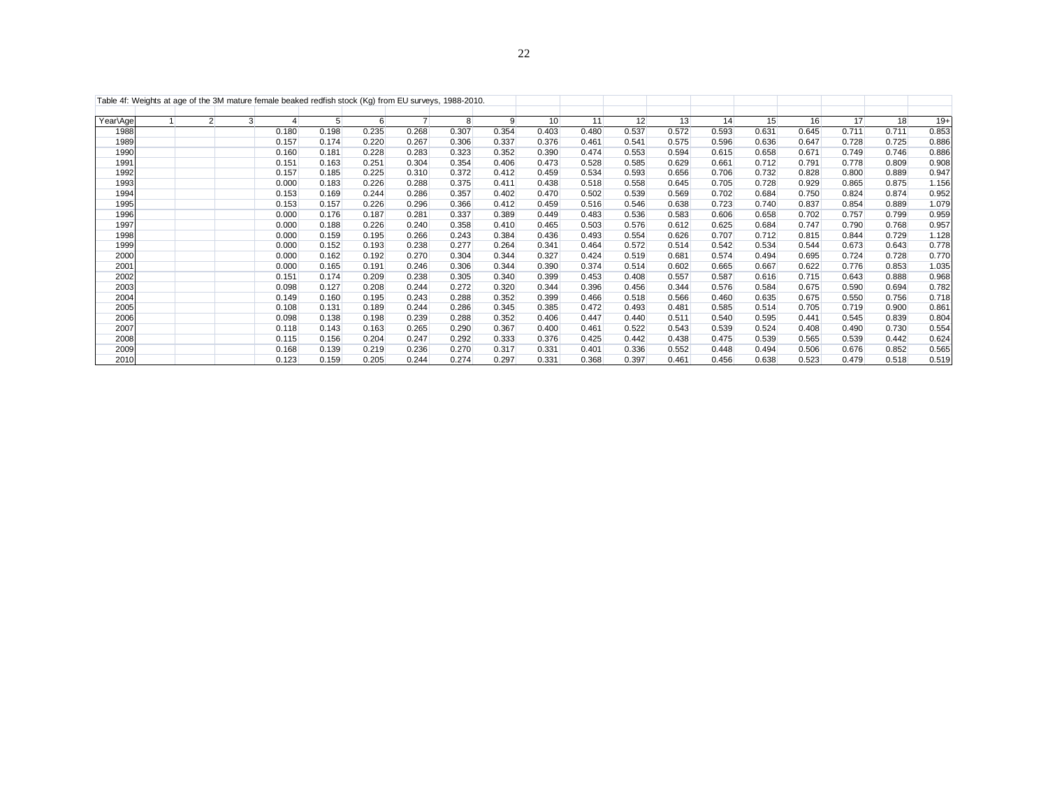|          | Table 4f: Weights at age of the 3M mature female beaked redfish stock (Kg) from EU surveys, 1988-2010. |                |   |       |       |       |                |                |       |       |       |       |       |       |       |       |       |       |       |
|----------|--------------------------------------------------------------------------------------------------------|----------------|---|-------|-------|-------|----------------|----------------|-------|-------|-------|-------|-------|-------|-------|-------|-------|-------|-------|
| Year\Age |                                                                                                        | $\overline{2}$ | 3 |       | 5     | 6     | $\overline{7}$ | 8 <sup>°</sup> | 9     | 10    | 11    | 12    | 13    | 14    | 15    | 16    | 17    | 18    | $19+$ |
| 1988     |                                                                                                        |                |   | 0.180 | 0.198 | 0.235 | 0.268          | 0.307          | 0.354 | 0.403 | 0.480 | 0.537 | 0.572 | 0.593 | 0.631 | 0.645 | 0.711 | 0.711 | 0.853 |
| 1989     |                                                                                                        |                |   | 0.157 | 0.174 | 0.220 | 0.267          | 0.306          | 0.337 | 0.376 | 0.461 | 0.541 | 0.575 | 0.596 | 0.636 | 0.647 | 0.728 | 0.725 | 0.886 |
| 1990     |                                                                                                        |                |   | 0.160 | 0.181 | 0.228 | 0.283          | 0.323          | 0.352 | 0.390 | 0.474 | 0.553 | 0.594 | 0.615 | 0.658 | 0.671 | 0.749 | 0.746 | 0.886 |
| 1991     |                                                                                                        |                |   | 0.151 | 0.163 | 0.251 | 0.304          | 0.354          | 0.406 | 0.473 | 0.528 | 0.585 | 0.629 | 0.661 | 0.712 | 0.791 | 0.778 | 0.809 | 0.908 |
| 1992     |                                                                                                        |                |   | 0.157 | 0.185 | 0.225 | 0.310          | 0.372          | 0.412 | 0.459 | 0.534 | 0.593 | 0.656 | 0.706 | 0.732 | 0.828 | 0.800 | 0.889 | 0.947 |
| 1993     |                                                                                                        |                |   | 0.000 | 0.183 | 0.226 | 0.288          | 0.375          | 0.411 | 0.438 | 0.518 | 0.558 | 0.645 | 0.705 | 0.728 | 0.929 | 0.865 | 0.875 | 1.156 |
| 1994     |                                                                                                        |                |   | 0.153 | 0.169 | 0.244 | 0.286          | 0.357          | 0.402 | 0.470 | 0.502 | 0.539 | 0.569 | 0.702 | 0.684 | 0.750 | 0.824 | 0.874 | 0.952 |
| 1995     |                                                                                                        |                |   | 0.153 | 0.157 | 0.226 | 0.296          | 0.366          | 0.412 | 0.459 | 0.516 | 0.546 | 0.638 | 0.723 | 0.740 | 0.837 | 0.854 | 0.889 | 1.079 |
| 1996     |                                                                                                        |                |   | 0.000 | 0.176 | 0.187 | 0.281          | 0.337          | 0.389 | 0.449 | 0.483 | 0.536 | 0.583 | 0.606 | 0.658 | 0.702 | 0.757 | 0.799 | 0.959 |
| 1997     |                                                                                                        |                |   | 0.000 | 0.188 | 0.226 | 0.240          | 0.358          | 0.410 | 0.465 | 0.503 | 0.576 | 0.612 | 0.625 | 0.684 | 0.747 | 0.790 | 0.768 | 0.957 |
| 1998     |                                                                                                        |                |   | 0.000 | 0.159 | 0.195 | 0.266          | 0.243          | 0.384 | 0.436 | 0.493 | 0.554 | 0.626 | 0.707 | 0.712 | 0.815 | 0.844 | 0.729 | 1.128 |
| 1999     |                                                                                                        |                |   | 0.000 | 0.152 | 0.193 | 0.238          | 0.277          | 0.264 | 0.341 | 0.464 | 0.572 | 0.514 | 0.542 | 0.534 | 0.544 | 0.673 | 0.643 | 0.778 |
| 2000     |                                                                                                        |                |   | 0.000 | 0.162 | 0.192 | 0.270          | 0.304          | 0.344 | 0.327 | 0.424 | 0.519 | 0.681 | 0.574 | 0.494 | 0.695 | 0.724 | 0.728 | 0.770 |
| 2001     |                                                                                                        |                |   | 0.000 | 0.165 | 0.191 | 0.246          | 0.306          | 0.344 | 0.390 | 0.374 | 0.514 | 0.602 | 0.665 | 0.667 | 0.622 | 0.776 | 0.853 | 1.035 |
| 2002     |                                                                                                        |                |   | 0.151 | 0.174 | 0.209 | 0.238          | 0.305          | 0.340 | 0.399 | 0.453 | 0.408 | 0.557 | 0.587 | 0.616 | 0.715 | 0.643 | 0.888 | 0.968 |
| 2003     |                                                                                                        |                |   | 0.098 | 0.127 | 0.208 | 0.244          | 0.272          | 0.320 | 0.344 | 0.396 | 0.456 | 0.344 | 0.576 | 0.584 | 0.675 | 0.590 | 0.694 | 0.782 |
| 2004     |                                                                                                        |                |   | 0.149 | 0.160 | 0.195 | 0.243          | 0.288          | 0.352 | 0.399 | 0.466 | 0.518 | 0.566 | 0.460 | 0.635 | 0.675 | 0.550 | 0.756 | 0.718 |
| 2005     |                                                                                                        |                |   | 0.108 | 0.131 | 0.189 | 0.244          | 0.286          | 0.345 | 0.385 | 0.472 | 0.493 | 0.481 | 0.585 | 0.514 | 0.705 | 0.719 | 0.900 | 0.861 |
| 2006     |                                                                                                        |                |   | 0.098 | 0.138 | 0.198 | 0.239          | 0.288          | 0.352 | 0.406 | 0.447 | 0.440 | 0.511 | 0.540 | 0.595 | 0.441 | 0.545 | 0.839 | 0.804 |
| 2007     |                                                                                                        |                |   | 0.118 | 0.143 | 0.163 | 0.265          | 0.290          | 0.367 | 0.400 | 0.461 | 0.522 | 0.543 | 0.539 | 0.524 | 0.408 | 0.490 | 0.730 | 0.554 |
| 2008     |                                                                                                        |                |   | 0.115 | 0.156 | 0.204 | 0.247          | 0.292          | 0.333 | 0.376 | 0.425 | 0.442 | 0.438 | 0.475 | 0.539 | 0.565 | 0.539 | 0.442 | 0.624 |
| 2009     |                                                                                                        |                |   | 0.168 | 0.139 | 0.219 | 0.236          | 0.270          | 0.317 | 0.331 | 0.401 | 0.336 | 0.552 | 0.448 | 0.494 | 0.506 | 0.676 | 0.852 | 0.565 |
| 2010     |                                                                                                        |                |   | 0.123 | 0.159 | 0.205 | 0.244          | 0.274          | 0.297 | 0.331 | 0.368 | 0.397 | 0.461 | 0.456 | 0.638 | 0.523 | 0.479 | 0.518 | 0.519 |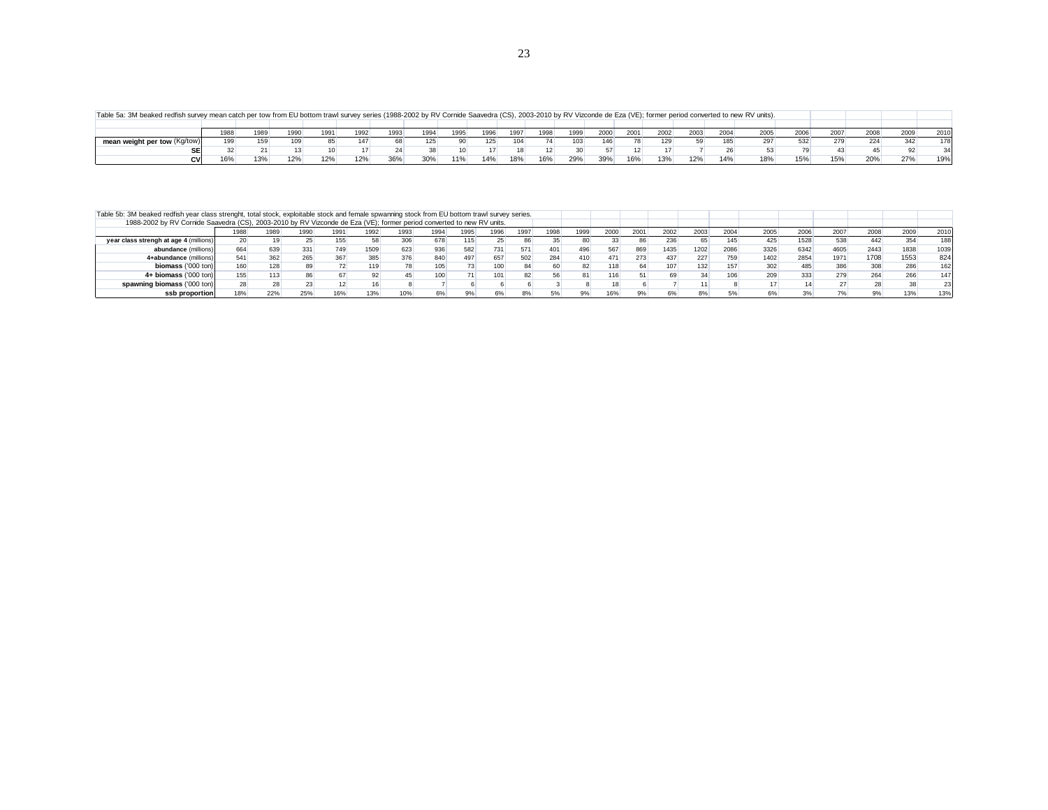Table 5a: 3M beaked redfish survey mean catch per tow from EU bottom trawl survey series (1988-2002 by RV Cornide Saavedra (CS), 2003-2010 by RV Vizconde de Eza (VE); former period converted to new RV units).

| Table 5a: 3M beaked redfish survey mean catch per tow from EU bottom trawl survey series (1988-2002 by RV Cornide Saavedra (CS), 2003-2010 by RV Vizconde de Eza (VE); former period converted to new RV units). |      |      |                  |      |     |      |     |      |      |      |      |      |      |      |      |      |      |      |      |      |      |      |
|------------------------------------------------------------------------------------------------------------------------------------------------------------------------------------------------------------------|------|------|------------------|------|-----|------|-----|------|------|------|------|------|------|------|------|------|------|------|------|------|------|------|
|                                                                                                                                                                                                                  |      |      |                  |      |     |      |     |      |      |      |      |      |      |      |      |      |      |      |      |      |      |      |
|                                                                                                                                                                                                                  | 1988 | 1989 | 1990             | 1991 |     | 1993 | 994 | 1995 | 1996 | 1997 | 1998 | 1999 | 2000 | 2001 | 2002 | 2003 | 2004 | 2005 | 2006 | 2007 | 2008 | 2010 |
| mean weight per tow (Kg/tow)                                                                                                                                                                                     |      |      |                  |      |     |      |     |      |      |      |      |      |      |      |      |      |      |      |      |      |      | 1781 |
|                                                                                                                                                                                                                  |      |      |                  |      |     |      |     |      |      |      |      |      |      |      |      |      |      |      |      |      |      | 34   |
| CV.                                                                                                                                                                                                              | 16%  | 13%  | 120 <sub>6</sub> | 12%  | 12% | 36%  | 30% | 11%  | 14%  | 18%  | 16%  | 29%  | 39%  | 16%  | 13%  | 12%  | 14%  | 18%  | 15%  | 15%  |      | 19%  |

| Table 5b: 3M beaked redfish year class strenght, total stock, exploitable stock and female spwanning stock from EU bottom trawl survey series. |      |      |      |      |      |      |                  |      |      |      |      |      |      |      |      |      |      |      |      |      |      |      |      |
|------------------------------------------------------------------------------------------------------------------------------------------------|------|------|------|------|------|------|------------------|------|------|------|------|------|------|------|------|------|------|------|------|------|------|------|------|
| 1988-2002 by RV Cornide Saavedra (CS), 2003-2010 by RV Vizconde de Eza (VE); former period converted to new RV units.                          |      |      |      |      |      |      |                  |      |      |      |      |      |      |      |      |      |      |      |      |      |      |      |      |
|                                                                                                                                                | 1988 | 1989 | 1990 | 1991 | 1992 | 1993 | 1994             | 1995 | 1996 | 1997 | 1998 | 1999 | 2000 | 2001 | 2002 | 2003 | 2004 | 2005 | 2006 | 2007 | 2008 | 2009 | 2010 |
| year class strengh at age 4 (millions)                                                                                                         | 20   |      |      | 155  |      |      | 678              |      |      |      |      |      | 33   | 86   | 236  | 65   | 145  | 425  | 1528 | 538  | 442  |      | 188  |
| abundance (millions)                                                                                                                           | 664  |      | 331  | 749  | 1509 | 623  | 936              |      | 731  |      | 401  | 496  | 567  | 869  | 1435 | 1202 | 2086 | 3326 | 6342 | 4605 | 2443 | 1838 | 1039 |
| 4+abundance (millions)                                                                                                                         | 541  | 362  | 265  |      | 385  |      | 840              |      | 657  | 502  | 284  | 410  | 471  | 273  | 437  | 227  | 759  | 1402 | 2854 | 1971 | 1708 | 1553 | 824  |
| biomass ('000 ton)                                                                                                                             |      | 128  |      |      | 119  |      |                  |      |      |      |      |      | 118  | 64   | 107  |      | 157  |      | 485  |      | 308  |      | 162  |
| 4+ biomass ('000 ton)                                                                                                                          | 155  |      |      |      |      |      | 100 <sub>1</sub> |      |      |      |      |      |      |      |      |      |      |      | 333  |      | 264  |      | 147  |
| spawning biomass ('000 ton)                                                                                                                    |      |      |      |      |      |      |                  |      |      |      |      |      |      |      |      |      |      |      |      |      |      |      | 23   |
| ssb proportion                                                                                                                                 |      | 22%  | 25%  |      | 13%  |      | 6%               |      |      |      |      |      | 16%  |      |      |      |      |      |      |      |      |      | 13%  |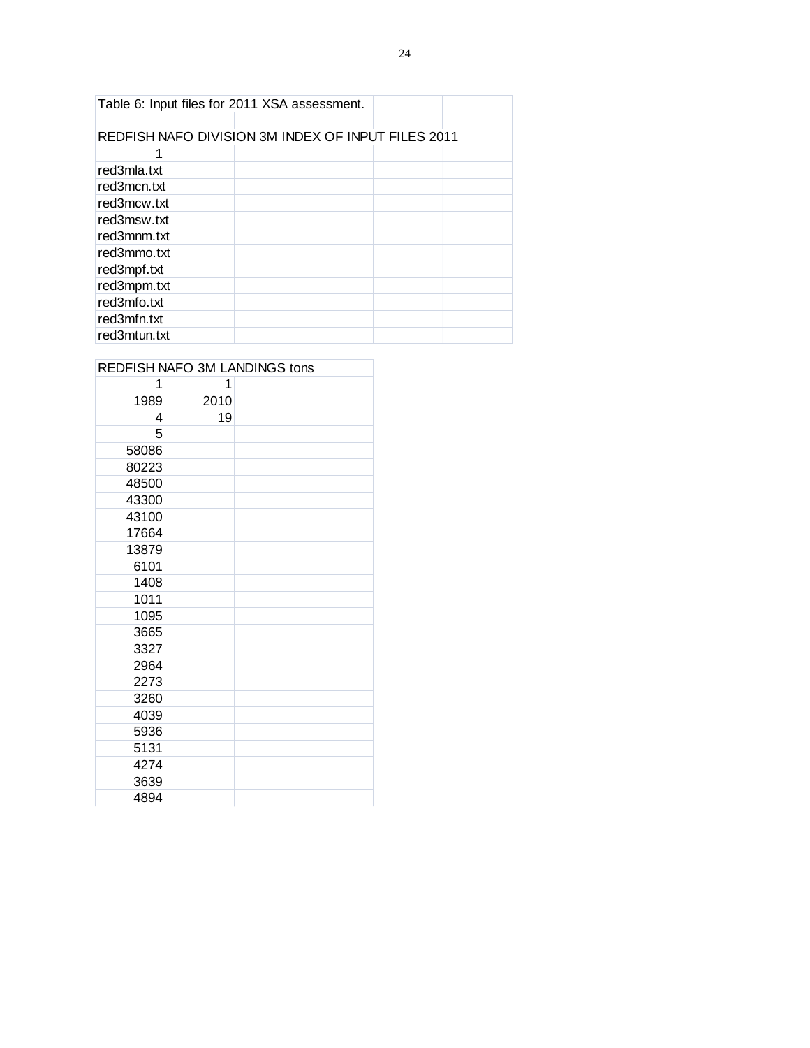| Table 6: Input files for 2011 XSA assessment.      |  |  |  |
|----------------------------------------------------|--|--|--|
|                                                    |  |  |  |
| REDFISH NAFO DIVISION 3M INDEX OF INPUT FILES 2011 |  |  |  |
|                                                    |  |  |  |
| red3mla.txt                                        |  |  |  |
| red3mcn.txt                                        |  |  |  |
| red3mcw.txt                                        |  |  |  |
| red3msw.txt                                        |  |  |  |
| red3mnm.txt                                        |  |  |  |
| red3mmo.txt                                        |  |  |  |
| red3mpf.txt                                        |  |  |  |
| red3mpm.txt                                        |  |  |  |
| red3mfo.txt                                        |  |  |  |
| red3mfn.txt                                        |  |  |  |
| red3mtun.txt                                       |  |  |  |

|       |      | REDFISH NAFO 3M LANDINGS tons |
|-------|------|-------------------------------|
| 1     | 1    |                               |
| 1989  | 2010 |                               |
| 4     | 19   |                               |
| 5     |      |                               |
| 58086 |      |                               |
| 80223 |      |                               |
| 48500 |      |                               |
| 43300 |      |                               |
| 43100 |      |                               |
| 17664 |      |                               |
| 13879 |      |                               |
| 6101  |      |                               |
| 1408  |      |                               |
| 1011  |      |                               |
| 1095  |      |                               |
| 3665  |      |                               |
| 3327  |      |                               |
| 2964  |      |                               |
| 2273  |      |                               |
| 3260  |      |                               |
| 4039  |      |                               |
| 5936  |      |                               |
| 5131  |      |                               |
| 4274  |      |                               |
| 3639  |      |                               |
| 4894  |      |                               |

# **DEDEICH NAFO 3M LANDINGS to**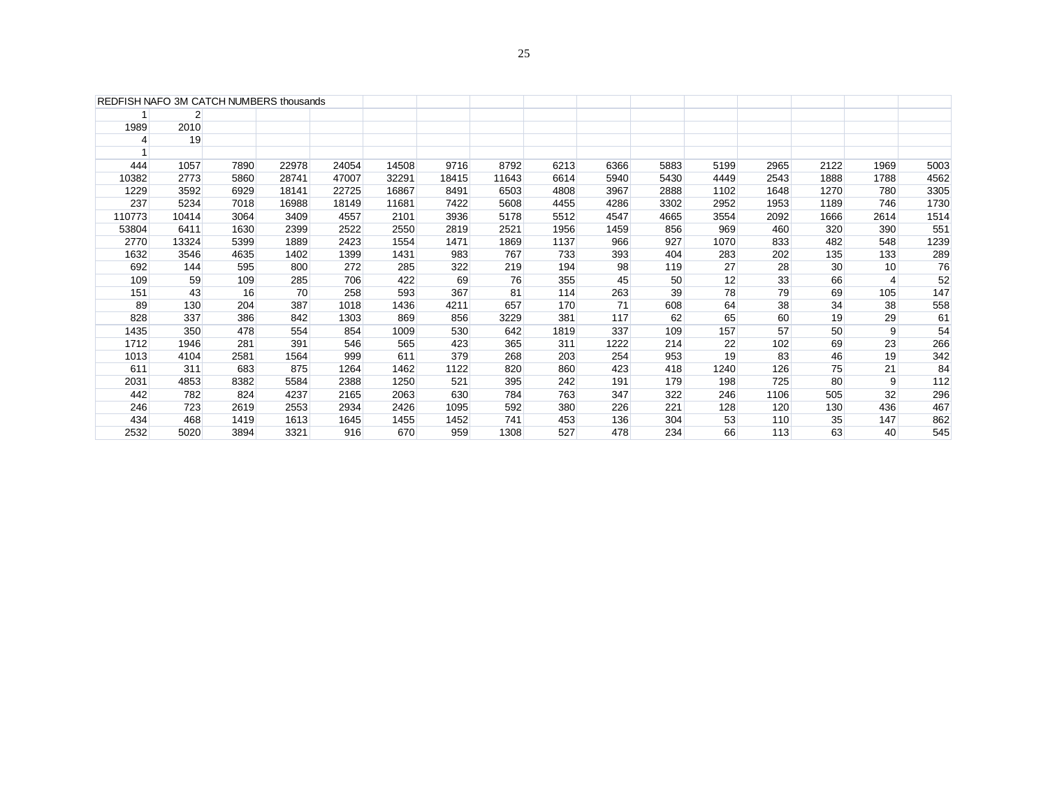|        | $\overline{2}$ |      |       |       |       |       |       |      |      |      |      |      |      |      |      |
|--------|----------------|------|-------|-------|-------|-------|-------|------|------|------|------|------|------|------|------|
| 1989   | 2010           |      |       |       |       |       |       |      |      |      |      |      |      |      |      |
| 4      | 19             |      |       |       |       |       |       |      |      |      |      |      |      |      |      |
|        |                |      |       |       |       |       |       |      |      |      |      |      |      |      |      |
| 444    | 1057           | 7890 | 22978 | 24054 | 14508 | 9716  | 8792  | 6213 | 6366 | 5883 | 5199 | 2965 | 2122 | 1969 | 5003 |
| 10382  | 2773           | 5860 | 28741 | 47007 | 32291 | 18415 | 11643 | 6614 | 5940 | 5430 | 4449 | 2543 | 1888 | 1788 | 4562 |
| 1229   | 3592           | 6929 | 18141 | 22725 | 16867 | 8491  | 6503  | 4808 | 3967 | 2888 | 1102 | 1648 | 1270 | 780  | 3305 |
| 237    | 5234           | 7018 | 16988 | 18149 | 11681 | 7422  | 5608  | 4455 | 4286 | 3302 | 2952 | 1953 | 1189 | 746  | 1730 |
| 110773 | 10414          | 3064 | 3409  | 4557  | 2101  | 3936  | 5178  | 5512 | 4547 | 4665 | 3554 | 2092 | 1666 | 2614 | 1514 |
| 53804  | 6411           | 1630 | 2399  | 2522  | 2550  | 2819  | 2521  | 1956 | 1459 | 856  | 969  | 460  | 320  | 390  | 551  |
| 2770   | 13324          | 5399 | 1889  | 2423  | 1554  | 1471  | 1869  | 1137 | 966  | 927  | 1070 | 833  | 482  | 548  | 1239 |
| 1632   | 3546           | 4635 | 1402  | 1399  | 1431  | 983   | 767   | 733  | 393  | 404  | 283  | 202  | 135  | 133  | 289  |
| 692    | 144            | 595  | 800   | 272   | 285   | 322   | 219   | 194  | 98   | 119  | 27   | 28   | 30   | 10   | 76   |
| 109    | 59             | 109  | 285   | 706   | 422   | 69    | 76    | 355  | 45   | 50   | 12   | 33   | 66   | 4    | 52   |
| 151    | 43             | 16   | 70    | 258   | 593   | 367   | 81    | 114  | 263  | 39   | 78   | 79   | 69   | 105  | 147  |
| 89     | 130            | 204  | 387   | 1018  | 1436  | 4211  | 657   | 170  | 71   | 608  | 64   | 38   | 34   | 38   | 558  |
| 828    | 337            | 386  | 842   | 1303  | 869   | 856   | 3229  | 381  | 117  | 62   | 65   | 60   | 19   | 29   | 61   |
| 1435   | 350            | 478  | 554   | 854   | 1009  | 530   | 642   | 1819 | 337  | 109  | 157  | 57   | 50   | 9    | 54   |
| 1712   | 1946           | 281  | 391   | 546   | 565   | 423   | 365   | 311  | 1222 | 214  | 22   | 102  | 69   | 23   | 266  |
| 1013   | 4104           | 2581 | 1564  | 999   | 611   | 379   | 268   | 203  | 254  | 953  | 19   | 83   | 46   | 19   | 342  |
| 611    | 311            | 683  | 875   | 1264  | 1462  | 1122  | 820   | 860  | 423  | 418  | 1240 | 126  | 75   | 21   | 84   |
| 2031   | 4853           | 8382 | 5584  | 2388  | 1250  | 521   | 395   | 242  | 191  | 179  | 198  | 725  | 80   | 9    | 112  |
| 442    | 782            | 824  | 4237  | 2165  | 2063  | 630   | 784   | 763  | 347  | 322  | 246  | 1106 | 505  | 32   | 296  |
| 246    | 723            | 2619 | 2553  | 2934  | 2426  | 1095  | 592   | 380  | 226  | 221  | 128  | 120  | 130  | 436  | 467  |
| 434    | 468            | 1419 | 1613  | 1645  | 1455  | 1452  | 741   | 453  | 136  | 304  | 53   | 110  | 35   | 147  | 862  |
| 2532   | 5020           | 3894 | 3321  | 916   | 670   | 959   | 1308  | 527  | 478  | 234  | 66   | 113  | 63   | 40   | 545  |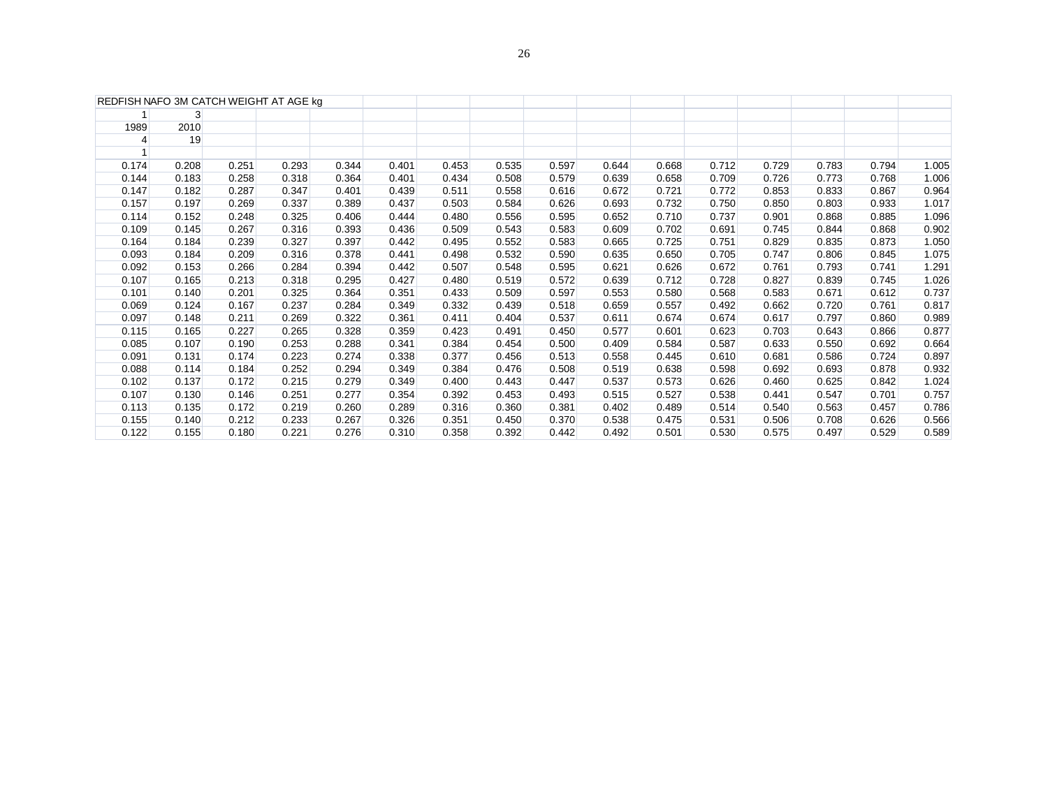| REDFISH NAFO 3M CATCH WEIGHT AT AGE kg |       |       |       |       |       |       |       |       |       |       |       |       |       |       |       |
|----------------------------------------|-------|-------|-------|-------|-------|-------|-------|-------|-------|-------|-------|-------|-------|-------|-------|
|                                        | 3     |       |       |       |       |       |       |       |       |       |       |       |       |       |       |
| 1989                                   | 2010  |       |       |       |       |       |       |       |       |       |       |       |       |       |       |
| 4                                      | 19    |       |       |       |       |       |       |       |       |       |       |       |       |       |       |
|                                        |       |       |       |       |       |       |       |       |       |       |       |       |       |       |       |
| 0.174                                  | 0.208 | 0.251 | 0.293 | 0.344 | 0.401 | 0.453 | 0.535 | 0.597 | 0.644 | 0.668 | 0.712 | 0.729 | 0.783 | 0.794 | 1.005 |
| 0.144                                  | 0.183 | 0.258 | 0.318 | 0.364 | 0.401 | 0.434 | 0.508 | 0.579 | 0.639 | 0.658 | 0.709 | 0.726 | 0.773 | 0.768 | 1.006 |
| 0.147                                  | 0.182 | 0.287 | 0.347 | 0.401 | 0.439 | 0.511 | 0.558 | 0.616 | 0.672 | 0.721 | 0.772 | 0.853 | 0.833 | 0.867 | 0.964 |
| 0.157                                  | 0.197 | 0.269 | 0.337 | 0.389 | 0.437 | 0.503 | 0.584 | 0.626 | 0.693 | 0.732 | 0.750 | 0.850 | 0.803 | 0.933 | 1.017 |
| 0.114                                  | 0.152 | 0.248 | 0.325 | 0.406 | 0.444 | 0.480 | 0.556 | 0.595 | 0.652 | 0.710 | 0.737 | 0.901 | 0.868 | 0.885 | 1.096 |
| 0.109                                  | 0.145 | 0.267 | 0.316 | 0.393 | 0.436 | 0.509 | 0.543 | 0.583 | 0.609 | 0.702 | 0.691 | 0.745 | 0.844 | 0.868 | 0.902 |
| 0.164                                  | 0.184 | 0.239 | 0.327 | 0.397 | 0.442 | 0.495 | 0.552 | 0.583 | 0.665 | 0.725 | 0.751 | 0.829 | 0.835 | 0.873 | 1.050 |
| 0.093                                  | 0.184 | 0.209 | 0.316 | 0.378 | 0.441 | 0.498 | 0.532 | 0.590 | 0.635 | 0.650 | 0.705 | 0.747 | 0.806 | 0.845 | 1.075 |
| 0.092                                  | 0.153 | 0.266 | 0.284 | 0.394 | 0.442 | 0.507 | 0.548 | 0.595 | 0.621 | 0.626 | 0.672 | 0.761 | 0.793 | 0.741 | 1.291 |
| 0.107                                  | 0.165 | 0.213 | 0.318 | 0.295 | 0.427 | 0.480 | 0.519 | 0.572 | 0.639 | 0.712 | 0.728 | 0.827 | 0.839 | 0.745 | 1.026 |
| 0.101                                  | 0.140 | 0.201 | 0.325 | 0.364 | 0.351 | 0.433 | 0.509 | 0.597 | 0.553 | 0.580 | 0.568 | 0.583 | 0.671 | 0.612 | 0.737 |
| 0.069                                  | 0.124 | 0.167 | 0.237 | 0.284 | 0.349 | 0.332 | 0.439 | 0.518 | 0.659 | 0.557 | 0.492 | 0.662 | 0.720 | 0.761 | 0.817 |
| 0.097                                  | 0.148 | 0.211 | 0.269 | 0.322 | 0.361 | 0.411 | 0.404 | 0.537 | 0.611 | 0.674 | 0.674 | 0.617 | 0.797 | 0.860 | 0.989 |
| 0.115                                  | 0.165 | 0.227 | 0.265 | 0.328 | 0.359 | 0.423 | 0.491 | 0.450 | 0.577 | 0.601 | 0.623 | 0.703 | 0.643 | 0.866 | 0.877 |
| 0.085                                  | 0.107 | 0.190 | 0.253 | 0.288 | 0.341 | 0.384 | 0.454 | 0.500 | 0.409 | 0.584 | 0.587 | 0.633 | 0.550 | 0.692 | 0.664 |
| 0.091                                  | 0.131 | 0.174 | 0.223 | 0.274 | 0.338 | 0.377 | 0.456 | 0.513 | 0.558 | 0.445 | 0.610 | 0.681 | 0.586 | 0.724 | 0.897 |
| 0.088                                  | 0.114 | 0.184 | 0.252 | 0.294 | 0.349 | 0.384 | 0.476 | 0.508 | 0.519 | 0.638 | 0.598 | 0.692 | 0.693 | 0.878 | 0.932 |
| 0.102                                  | 0.137 | 0.172 | 0.215 | 0.279 | 0.349 | 0.400 | 0.443 | 0.447 | 0.537 | 0.573 | 0.626 | 0.460 | 0.625 | 0.842 | 1.024 |
| 0.107                                  | 0.130 | 0.146 | 0.251 | 0.277 | 0.354 | 0.392 | 0.453 | 0.493 | 0.515 | 0.527 | 0.538 | 0.441 | 0.547 | 0.701 | 0.757 |
| 0.113                                  | 0.135 | 0.172 | 0.219 | 0.260 | 0.289 | 0.316 | 0.360 | 0.381 | 0.402 | 0.489 | 0.514 | 0.540 | 0.563 | 0.457 | 0.786 |
| 0.155                                  | 0.140 | 0.212 | 0.233 | 0.267 | 0.326 | 0.351 | 0.450 | 0.370 | 0.538 | 0.475 | 0.531 | 0.506 | 0.708 | 0.626 | 0.566 |
| 0.122                                  | 0.155 | 0.180 | 0.221 | 0.276 | 0.310 | 0.358 | 0.392 | 0.442 | 0.492 | 0.501 | 0.530 | 0.575 | 0.497 | 0.529 | 0.589 |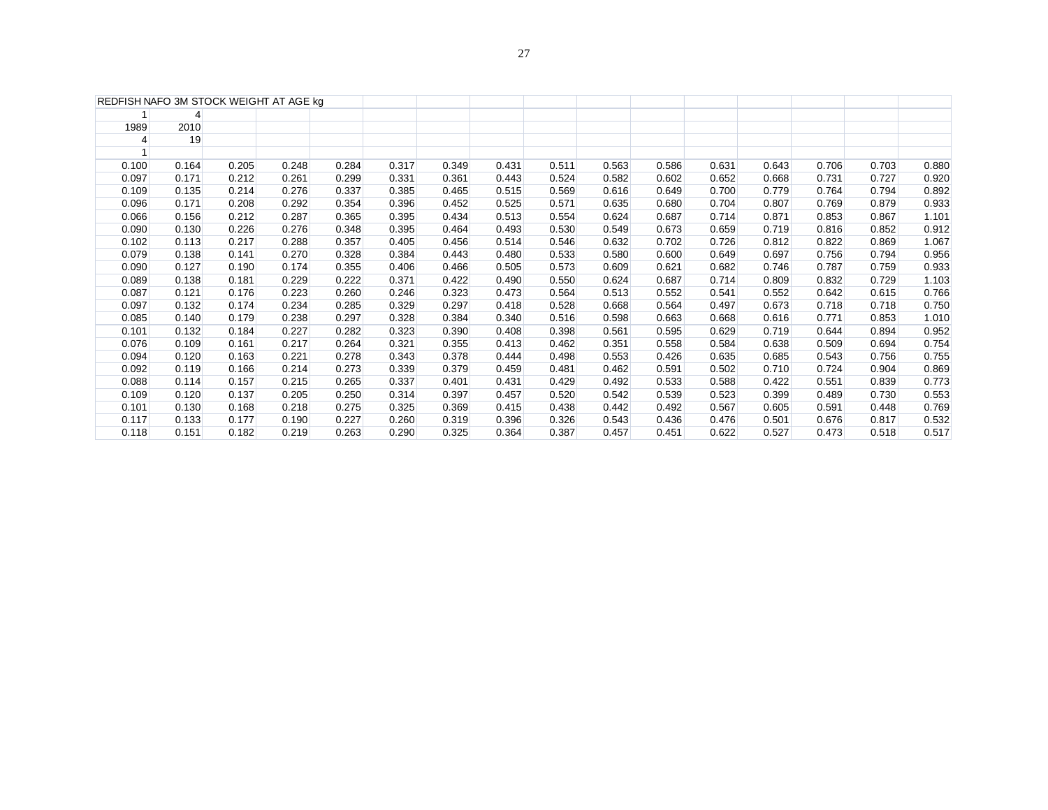|                | REDFISH NAFO 3M STOCK WEIGHT AT AGE kg |       |       |       |       |       |       |       |       |       |       |       |       |       |       |
|----------------|----------------------------------------|-------|-------|-------|-------|-------|-------|-------|-------|-------|-------|-------|-------|-------|-------|
|                |                                        |       |       |       |       |       |       |       |       |       |       |       |       |       |       |
| 1989           | 2010                                   |       |       |       |       |       |       |       |       |       |       |       |       |       |       |
| $\overline{4}$ | 19                                     |       |       |       |       |       |       |       |       |       |       |       |       |       |       |
|                |                                        |       |       |       |       |       |       |       |       |       |       |       |       |       |       |
| 0.100          | 0.164                                  | 0.205 | 0.248 | 0.284 | 0.317 | 0.349 | 0.431 | 0.511 | 0.563 | 0.586 | 0.631 | 0.643 | 0.706 | 0.703 | 0.880 |
| 0.097          | 0.171                                  | 0.212 | 0.261 | 0.299 | 0.331 | 0.361 | 0.443 | 0.524 | 0.582 | 0.602 | 0.652 | 0.668 | 0.731 | 0.727 | 0.920 |
| 0.109          | 0.135                                  | 0.214 | 0.276 | 0.337 | 0.385 | 0.465 | 0.515 | 0.569 | 0.616 | 0.649 | 0.700 | 0.779 | 0.764 | 0.794 | 0.892 |
| 0.096          | 0.171                                  | 0.208 | 0.292 | 0.354 | 0.396 | 0.452 | 0.525 | 0.571 | 0.635 | 0.680 | 0.704 | 0.807 | 0.769 | 0.879 | 0.933 |
| 0.066          | 0.156                                  | 0.212 | 0.287 | 0.365 | 0.395 | 0.434 | 0.513 | 0.554 | 0.624 | 0.687 | 0.714 | 0.871 | 0.853 | 0.867 | 1.101 |
| 0.090          | 0.130                                  | 0.226 | 0.276 | 0.348 | 0.395 | 0.464 | 0.493 | 0.530 | 0.549 | 0.673 | 0.659 | 0.719 | 0.816 | 0.852 | 0.912 |
| 0.102          | 0.113                                  | 0.217 | 0.288 | 0.357 | 0.405 | 0.456 | 0.514 | 0.546 | 0.632 | 0.702 | 0.726 | 0.812 | 0.822 | 0.869 | 1.067 |
| 0.079          | 0.138                                  | 0.141 | 0.270 | 0.328 | 0.384 | 0.443 | 0.480 | 0.533 | 0.580 | 0.600 | 0.649 | 0.697 | 0.756 | 0.794 | 0.956 |
| 0.090          | 0.127                                  | 0.190 | 0.174 | 0.355 | 0.406 | 0.466 | 0.505 | 0.573 | 0.609 | 0.621 | 0.682 | 0.746 | 0.787 | 0.759 | 0.933 |
| 0.089          | 0.138                                  | 0.181 | 0.229 | 0.222 | 0.371 | 0.422 | 0.490 | 0.550 | 0.624 | 0.687 | 0.714 | 0.809 | 0.832 | 0.729 | 1.103 |
| 0.087          | 0.121                                  | 0.176 | 0.223 | 0.260 | 0.246 | 0.323 | 0.473 | 0.564 | 0.513 | 0.552 | 0.541 | 0.552 | 0.642 | 0.615 | 0.766 |
| 0.097          | 0.132                                  | 0.174 | 0.234 | 0.285 | 0.329 | 0.297 | 0.418 | 0.528 | 0.668 | 0.564 | 0.497 | 0.673 | 0.718 | 0.718 | 0.750 |
| 0.085          | 0.140                                  | 0.179 | 0.238 | 0.297 | 0.328 | 0.384 | 0.340 | 0.516 | 0.598 | 0.663 | 0.668 | 0.616 | 0.771 | 0.853 | 1.010 |
| 0.101          | 0.132                                  | 0.184 | 0.227 | 0.282 | 0.323 | 0.390 | 0.408 | 0.398 | 0.561 | 0.595 | 0.629 | 0.719 | 0.644 | 0.894 | 0.952 |
| 0.076          | 0.109                                  | 0.161 | 0.217 | 0.264 | 0.321 | 0.355 | 0.413 | 0.462 | 0.351 | 0.558 | 0.584 | 0.638 | 0.509 | 0.694 | 0.754 |
| 0.094          | 0.120                                  | 0.163 | 0.221 | 0.278 | 0.343 | 0.378 | 0.444 | 0.498 | 0.553 | 0.426 | 0.635 | 0.685 | 0.543 | 0.756 | 0.755 |
| 0.092          | 0.119                                  | 0.166 | 0.214 | 0.273 | 0.339 | 0.379 | 0.459 | 0.481 | 0.462 | 0.591 | 0.502 | 0.710 | 0.724 | 0.904 | 0.869 |
| 0.088          | 0.114                                  | 0.157 | 0.215 | 0.265 | 0.337 | 0.401 | 0.431 | 0.429 | 0.492 | 0.533 | 0.588 | 0.422 | 0.551 | 0.839 | 0.773 |
| 0.109          | 0.120                                  | 0.137 | 0.205 | 0.250 | 0.314 | 0.397 | 0.457 | 0.520 | 0.542 | 0.539 | 0.523 | 0.399 | 0.489 | 0.730 | 0.553 |
| 0.101          | 0.130                                  | 0.168 | 0.218 | 0.275 | 0.325 | 0.369 | 0.415 | 0.438 | 0.442 | 0.492 | 0.567 | 0.605 | 0.591 | 0.448 | 0.769 |
| 0.117          | 0.133                                  | 0.177 | 0.190 | 0.227 | 0.260 | 0.319 | 0.396 | 0.326 | 0.543 | 0.436 | 0.476 | 0.501 | 0.676 | 0.817 | 0.532 |
| 0.118          | 0.151                                  | 0.182 | 0.219 | 0.263 | 0.290 | 0.325 | 0.364 | 0.387 | 0.457 | 0.451 | 0.622 | 0.527 | 0.473 | 0.518 | 0.517 |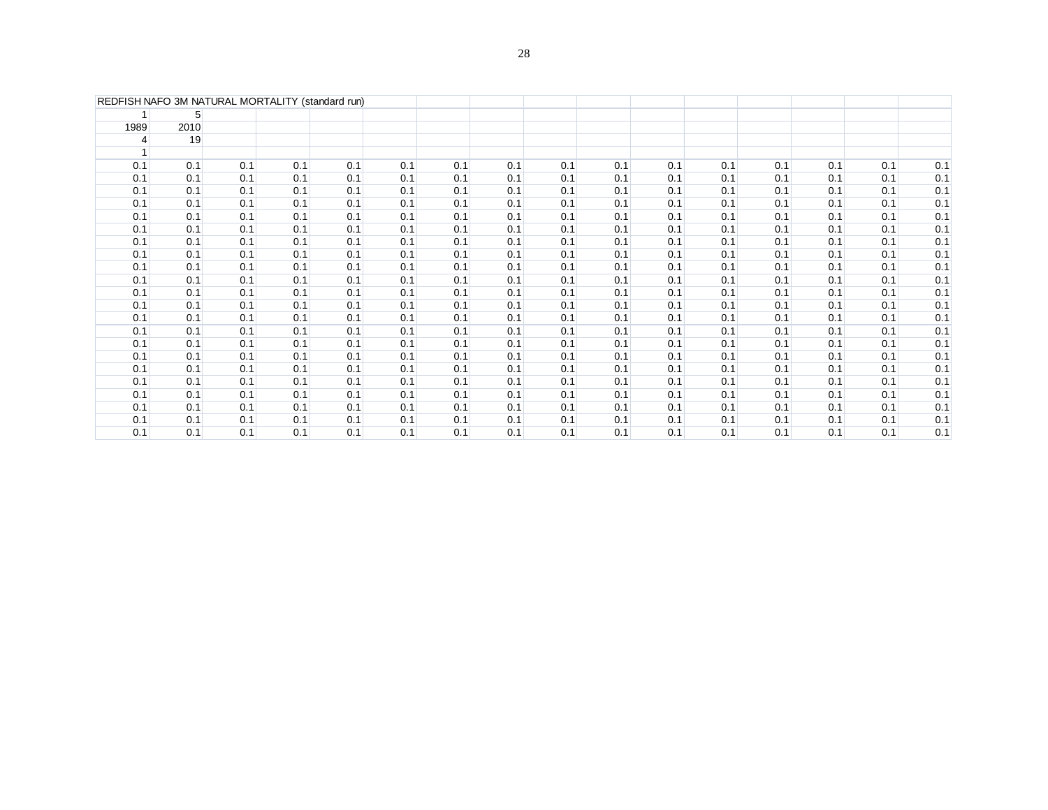|      | REDFISH NAFO 3M NATURAL MORTALITY (standard run) |     |     |     |     |     |     |     |     |     |     |     |     |     |     |
|------|--------------------------------------------------|-----|-----|-----|-----|-----|-----|-----|-----|-----|-----|-----|-----|-----|-----|
|      | $5^{\circ}$                                      |     |     |     |     |     |     |     |     |     |     |     |     |     |     |
| 1989 | 2010                                             |     |     |     |     |     |     |     |     |     |     |     |     |     |     |
| 4    | 19                                               |     |     |     |     |     |     |     |     |     |     |     |     |     |     |
|      |                                                  |     |     |     |     |     |     |     |     |     |     |     |     |     |     |
| 0.1  | 0.1                                              | 0.1 | 0.1 | 0.1 | 0.1 | 0.1 | 0.1 | 0.1 | 0.1 | 0.1 | 0.1 | 0.1 | 0.1 | 0.1 | 0.1 |
| 0.1  | 0.1                                              | 0.1 | 0.1 | 0.1 | 0.1 | 0.1 | 0.1 | 0.1 | 0.1 | 0.1 | 0.1 | 0.1 | 0.1 | 0.1 | 0.1 |
| 0.1  | 0.1                                              | 0.1 | 0.1 | 0.1 | 0.1 | 0.1 | 0.1 | 0.1 | 0.1 | 0.1 | 0.1 | 0.1 | 0.1 | 0.1 | 0.1 |
| 0.1  | 0.1                                              | 0.1 | 0.1 | 0.1 | 0.1 | 0.1 | 0.1 | 0.1 | 0.1 | 0.1 | 0.1 | 0.1 | 0.1 | 0.1 | 0.1 |
| 0.1  | 0.1                                              | 0.1 | 0.1 | 0.1 | 0.1 | 0.1 | 0.1 | 0.1 | 0.1 | 0.1 | 0.1 | 0.1 | 0.1 | 0.1 | 0.1 |
| 0.1  | 0.1                                              | 0.1 | 0.1 | 0.1 | 0.1 | 0.1 | 0.1 | 0.1 | 0.1 | 0.1 | 0.1 | 0.1 | 0.1 | 0.1 | 0.1 |
| 0.1  | 0.1                                              | 0.1 | 0.1 | 0.1 | 0.1 | 0.1 | 0.1 | 0.1 | 0.1 | 0.1 | 0.1 | 0.1 | 0.1 | 0.1 | 0.1 |
| 0.1  | 0.1                                              | 0.1 | 0.1 | 0.1 | 0.1 | 0.1 | 0.1 | 0.1 | 0.1 | 0.1 | 0.1 | 0.1 | 0.1 | 0.1 | 0.1 |
| 0.1  | 0.1                                              | 0.1 | 0.1 | 0.1 | 0.1 | 0.1 | 0.1 | 0.1 | 0.1 | 0.1 | 0.1 | 0.1 | 0.1 | 0.1 | 0.1 |
| 0.1  | 0.1                                              | 0.1 | 0.1 | 0.1 | 0.1 | 0.1 | 0.1 | 0.1 | 0.1 | 0.1 | 0.1 | 0.1 | 0.1 | 0.1 | 0.1 |
| 0.1  | 0.1                                              | 0.1 | 0.1 | 0.1 | 0.1 | 0.1 | 0.1 | 0.1 | 0.1 | 0.1 | 0.1 | 0.1 | 0.1 | 0.1 | 0.1 |
| 0.1  | 0.1                                              | 0.1 | 0.1 | 0.1 | 0.1 | 0.1 | 0.1 | 0.1 | 0.1 | 0.1 | 0.1 | 0.1 | 0.1 | 0.1 | 0.1 |
| 0.1  | 0.1                                              | 0.1 | 0.1 | 0.1 | 0.1 | 0.1 | 0.1 | 0.1 | 0.1 | 0.1 | 0.1 | 0.1 | 0.1 | 0.1 | 0.1 |
| 0.1  | 0.1                                              | 0.1 | 0.1 | 0.1 | 0.1 | 0.1 | 0.1 | 0.1 | 0.1 | 0.1 | 0.1 | 0.1 | 0.1 | 0.1 | 0.1 |
| 0.1  | 0.1                                              | 0.1 | 0.1 | 0.1 | 0.1 | 0.1 | 0.1 | 0.1 | 0.1 | 0.1 | 0.1 | 0.1 | 0.1 | 0.1 | 0.1 |
| 0.1  | 0.1                                              | 0.1 | 0.1 | 0.1 | 0.1 | 0.1 | 0.1 | 0.1 | 0.1 | 0.1 | 0.1 | 0.1 | 0.1 | 0.1 | 0.1 |
| 0.1  | 0.1                                              | 0.1 | 0.1 | 0.1 | 0.1 | 0.1 | 0.1 | 0.1 | 0.1 | 0.1 | 0.1 | 0.1 | 0.1 | 0.1 | 0.1 |
| 0.1  | 0.1                                              | 0.1 | 0.1 | 0.1 | 0.1 | 0.1 | 0.1 | 0.1 | 0.1 | 0.1 | 0.1 | 0.1 | 0.1 | 0.1 | 0.1 |
| 0.1  | 0.1                                              | 0.1 | 0.1 | 0.1 | 0.1 | 0.1 | 0.1 | 0.1 | 0.1 | 0.1 | 0.1 | 0.1 | 0.1 | 0.1 | 0.1 |
| 0.1  | 0.1                                              | 0.1 | 0.1 | 0.1 | 0.1 | 0.1 | 0.1 | 0.1 | 0.1 | 0.1 | 0.1 | 0.1 | 0.1 | 0.1 | 0.1 |
| 0.1  | 0.1                                              | 0.1 | 0.1 | 0.1 | 0.1 | 0.1 | 0.1 | 0.1 | 0.1 | 0.1 | 0.1 | 0.1 | 0.1 | 0.1 | 0.1 |
| 0.1  | 0.1                                              | 0.1 | 0.1 | 0.1 | 0.1 | 0.1 | 0.1 | 0.1 | 0.1 | 0.1 | 0.1 | 0.1 | 0.1 | 0.1 | 0.1 |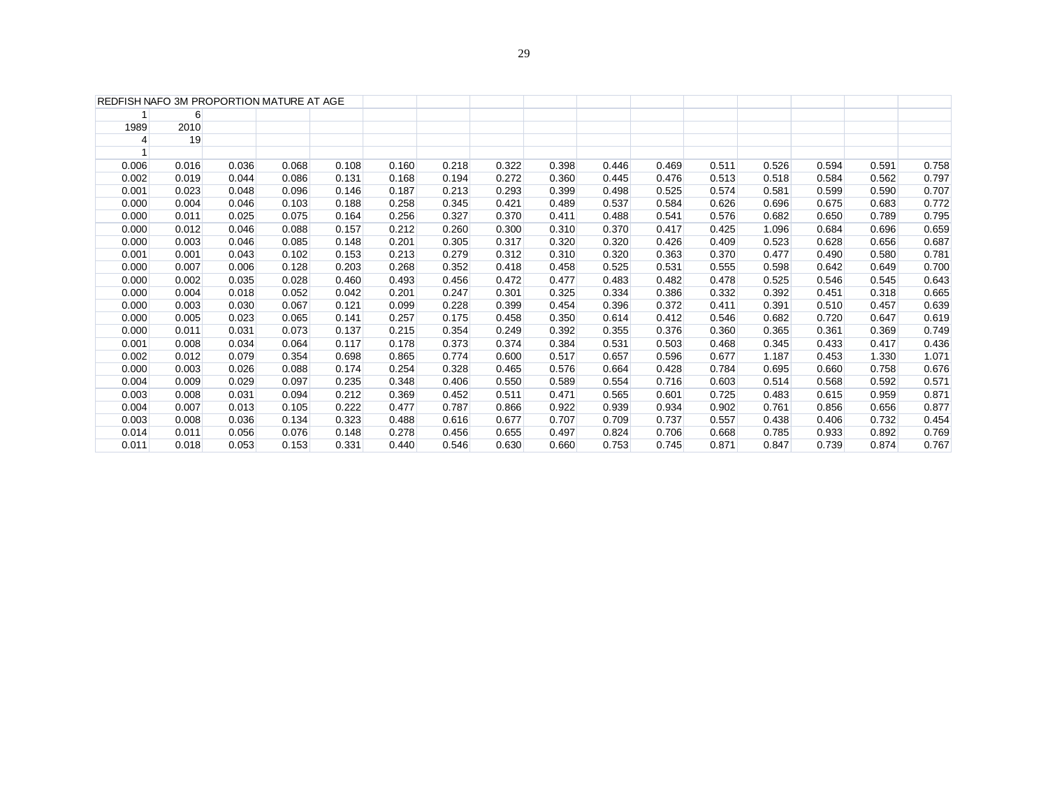| $6 \overline{}$<br>1989<br>2010<br>19<br>4<br>0.006<br>0.016<br>0.036<br>0.068<br>0.108<br>0.218<br>0.322<br>0.398<br>0.446<br>0.469<br>0.526<br>0.594<br>0.591<br>0.160<br>0.511<br>0.086<br>0.272<br>0.002<br>0.019<br>0.044<br>0.131<br>0.168<br>0.194<br>0.360<br>0.445<br>0.476<br>0.513<br>0.518<br>0.584<br>0.562<br>0.001<br>0.096<br>0.213<br>0.023<br>0.048<br>0.146<br>0.187<br>0.293<br>0.399<br>0.498<br>0.525<br>0.574<br>0.581<br>0.599<br>0.590<br>0.000<br>0.004<br>0.103<br>0.188<br>0.345<br>0.537<br>0.626<br>0.046<br>0.258<br>0.421<br>0.489<br>0.584<br>0.696<br>0.675<br>0.683<br>0.327<br>0.000<br>0.011<br>0.025<br>0.075<br>0.164<br>0.256<br>0.370<br>0.411<br>0.488<br>0.541<br>0.576<br>0.682<br>0.650<br>0.789<br>0.088<br>0.260<br>0.425<br>0.684<br>0.696<br>0.000<br>0.012<br>0.046<br>0.157<br>0.212<br>0.300<br>0.310<br>0.370<br>0.417<br>1.096<br>0.000<br>0.003<br>0.085<br>0.148<br>0.305<br>0.317<br>0.320<br>0.320<br>0.409<br>0.523<br>0.628<br>0.656<br>0.046<br>0.201<br>0.426<br>0.001<br>0.001<br>0.102<br>0.153<br>0.213<br>0.279<br>0.312<br>0.310<br>0.320<br>0.363<br>0.370<br>0.477<br>0.490<br>0.580<br>0.043<br>0.000<br>0.007<br>0.006<br>0.128<br>0.268<br>0.352<br>0.418<br>0.458<br>0.525<br>0.531<br>0.555<br>0.642<br>0.649<br>0.203<br>0.598<br>0.000<br>0.002<br>0.028<br>0.456<br>0.483<br>0.035<br>0.460<br>0.493<br>0.472<br>0.477<br>0.482<br>0.478<br>0.525<br>0.546<br>0.545<br>0.052<br>0.247<br>0.334<br>0.000<br>0.004<br>0.018<br>0.042<br>0.201<br>0.301<br>0.325<br>0.386<br>0.332<br>0.392<br>0.451<br>0.318<br>0.000<br>0.003<br>0.067<br>0.121<br>0.228<br>0.399<br>0.396<br>0.372<br>0.391<br>0.457<br>0.030<br>0.099<br>0.454<br>0.411<br>0.510<br>0.000<br>0.005<br>0.065<br>0.141<br>0.175<br>0.614<br>0.412<br>0.546<br>0.647<br>0.023<br>0.257<br>0.458<br>0.350<br>0.682<br>0.720<br>0.000<br>0.011<br>0.073<br>0.137<br>0.354<br>0.249<br>0.392<br>0.355<br>0.360<br>0.365<br>0.369<br>0.031<br>0.215<br>0.376<br>0.361<br>0.001<br>0.008<br>0.034<br>0.064<br>0.117<br>0.373<br>0.384<br>0.531<br>0.503<br>0.468<br>0.345<br>0.417<br>0.178<br>0.374<br>0.433<br>0.002<br>0.354<br>0.774<br>0.012<br>0.079<br>0.698<br>0.865<br>0.600<br>0.517<br>0.657<br>0.596<br>0.677<br>1.187<br>0.453<br>1.330<br>0.000<br>0.088<br>0.328<br>0.003<br>0.026<br>0.174<br>0.254<br>0.465<br>0.576<br>0.664<br>0.428<br>0.784<br>0.695<br>0.660<br>0.758<br>0.004<br>0.009<br>0.029<br>0.097<br>0.235<br>0.348<br>0.406<br>0.589<br>0.554<br>0.603<br>0.514<br>0.568<br>0.592<br>0.550<br>0.716<br>0.003<br>0.008<br>0.094<br>0.212<br>0.725<br>0.959<br>0.031<br>0.369<br>0.452<br>0.511<br>0.471<br>0.565<br>0.601<br>0.483<br>0.615<br>0.004<br>0.007<br>0.105<br>0.787<br>0.939<br>0.902<br>0.656<br>0.013<br>0.222<br>0.477<br>0.866<br>0.922<br>0.934<br>0.761<br>0.856<br>0.003<br>0.134<br>0.616<br>0.709<br>0.557<br>0.732<br>0.008<br>0.036<br>0.323<br>0.488<br>0.677<br>0.707<br>0.737<br>0.438<br>0.406<br>0.076<br>0.668<br>0.014<br>0.011<br>0.056<br>0.148<br>0.278<br>0.456<br>0.655<br>0.497<br>0.824<br>0.706<br>0.785<br>0.933<br>0.892<br>0.011<br>0.153<br>0.546<br>0.660<br>0.753<br>0.871<br>0.847<br>0.874<br>0.018<br>0.053<br>0.331<br>0.440<br>0.630<br>0.745<br>0.739 | REDFISH NAFO 3M PROPORTION MATURE AT AGE |  |  |  |  |  |  |  |       |
|-----------------------------------------------------------------------------------------------------------------------------------------------------------------------------------------------------------------------------------------------------------------------------------------------------------------------------------------------------------------------------------------------------------------------------------------------------------------------------------------------------------------------------------------------------------------------------------------------------------------------------------------------------------------------------------------------------------------------------------------------------------------------------------------------------------------------------------------------------------------------------------------------------------------------------------------------------------------------------------------------------------------------------------------------------------------------------------------------------------------------------------------------------------------------------------------------------------------------------------------------------------------------------------------------------------------------------------------------------------------------------------------------------------------------------------------------------------------------------------------------------------------------------------------------------------------------------------------------------------------------------------------------------------------------------------------------------------------------------------------------------------------------------------------------------------------------------------------------------------------------------------------------------------------------------------------------------------------------------------------------------------------------------------------------------------------------------------------------------------------------------------------------------------------------------------------------------------------------------------------------------------------------------------------------------------------------------------------------------------------------------------------------------------------------------------------------------------------------------------------------------------------------------------------------------------------------------------------------------------------------------------------------------------------------------------------------------------------------------------------------------------------------------------------------------------------------------------------------------------------------------------------------------------------------------------------------------------------------------------------------------------------------------------------------------------------------------------------------------------------------------------------------------------------------------------------------------------------------------------------------------------------------------|------------------------------------------|--|--|--|--|--|--|--|-------|
|                                                                                                                                                                                                                                                                                                                                                                                                                                                                                                                                                                                                                                                                                                                                                                                                                                                                                                                                                                                                                                                                                                                                                                                                                                                                                                                                                                                                                                                                                                                                                                                                                                                                                                                                                                                                                                                                                                                                                                                                                                                                                                                                                                                                                                                                                                                                                                                                                                                                                                                                                                                                                                                                                                                                                                                                                                                                                                                                                                                                                                                                                                                                                                                                                                                                             |                                          |  |  |  |  |  |  |  |       |
|                                                                                                                                                                                                                                                                                                                                                                                                                                                                                                                                                                                                                                                                                                                                                                                                                                                                                                                                                                                                                                                                                                                                                                                                                                                                                                                                                                                                                                                                                                                                                                                                                                                                                                                                                                                                                                                                                                                                                                                                                                                                                                                                                                                                                                                                                                                                                                                                                                                                                                                                                                                                                                                                                                                                                                                                                                                                                                                                                                                                                                                                                                                                                                                                                                                                             |                                          |  |  |  |  |  |  |  |       |
|                                                                                                                                                                                                                                                                                                                                                                                                                                                                                                                                                                                                                                                                                                                                                                                                                                                                                                                                                                                                                                                                                                                                                                                                                                                                                                                                                                                                                                                                                                                                                                                                                                                                                                                                                                                                                                                                                                                                                                                                                                                                                                                                                                                                                                                                                                                                                                                                                                                                                                                                                                                                                                                                                                                                                                                                                                                                                                                                                                                                                                                                                                                                                                                                                                                                             |                                          |  |  |  |  |  |  |  |       |
|                                                                                                                                                                                                                                                                                                                                                                                                                                                                                                                                                                                                                                                                                                                                                                                                                                                                                                                                                                                                                                                                                                                                                                                                                                                                                                                                                                                                                                                                                                                                                                                                                                                                                                                                                                                                                                                                                                                                                                                                                                                                                                                                                                                                                                                                                                                                                                                                                                                                                                                                                                                                                                                                                                                                                                                                                                                                                                                                                                                                                                                                                                                                                                                                                                                                             |                                          |  |  |  |  |  |  |  |       |
|                                                                                                                                                                                                                                                                                                                                                                                                                                                                                                                                                                                                                                                                                                                                                                                                                                                                                                                                                                                                                                                                                                                                                                                                                                                                                                                                                                                                                                                                                                                                                                                                                                                                                                                                                                                                                                                                                                                                                                                                                                                                                                                                                                                                                                                                                                                                                                                                                                                                                                                                                                                                                                                                                                                                                                                                                                                                                                                                                                                                                                                                                                                                                                                                                                                                             |                                          |  |  |  |  |  |  |  | 0.758 |
|                                                                                                                                                                                                                                                                                                                                                                                                                                                                                                                                                                                                                                                                                                                                                                                                                                                                                                                                                                                                                                                                                                                                                                                                                                                                                                                                                                                                                                                                                                                                                                                                                                                                                                                                                                                                                                                                                                                                                                                                                                                                                                                                                                                                                                                                                                                                                                                                                                                                                                                                                                                                                                                                                                                                                                                                                                                                                                                                                                                                                                                                                                                                                                                                                                                                             |                                          |  |  |  |  |  |  |  | 0.797 |
|                                                                                                                                                                                                                                                                                                                                                                                                                                                                                                                                                                                                                                                                                                                                                                                                                                                                                                                                                                                                                                                                                                                                                                                                                                                                                                                                                                                                                                                                                                                                                                                                                                                                                                                                                                                                                                                                                                                                                                                                                                                                                                                                                                                                                                                                                                                                                                                                                                                                                                                                                                                                                                                                                                                                                                                                                                                                                                                                                                                                                                                                                                                                                                                                                                                                             |                                          |  |  |  |  |  |  |  | 0.707 |
|                                                                                                                                                                                                                                                                                                                                                                                                                                                                                                                                                                                                                                                                                                                                                                                                                                                                                                                                                                                                                                                                                                                                                                                                                                                                                                                                                                                                                                                                                                                                                                                                                                                                                                                                                                                                                                                                                                                                                                                                                                                                                                                                                                                                                                                                                                                                                                                                                                                                                                                                                                                                                                                                                                                                                                                                                                                                                                                                                                                                                                                                                                                                                                                                                                                                             |                                          |  |  |  |  |  |  |  | 0.772 |
|                                                                                                                                                                                                                                                                                                                                                                                                                                                                                                                                                                                                                                                                                                                                                                                                                                                                                                                                                                                                                                                                                                                                                                                                                                                                                                                                                                                                                                                                                                                                                                                                                                                                                                                                                                                                                                                                                                                                                                                                                                                                                                                                                                                                                                                                                                                                                                                                                                                                                                                                                                                                                                                                                                                                                                                                                                                                                                                                                                                                                                                                                                                                                                                                                                                                             |                                          |  |  |  |  |  |  |  | 0.795 |
|                                                                                                                                                                                                                                                                                                                                                                                                                                                                                                                                                                                                                                                                                                                                                                                                                                                                                                                                                                                                                                                                                                                                                                                                                                                                                                                                                                                                                                                                                                                                                                                                                                                                                                                                                                                                                                                                                                                                                                                                                                                                                                                                                                                                                                                                                                                                                                                                                                                                                                                                                                                                                                                                                                                                                                                                                                                                                                                                                                                                                                                                                                                                                                                                                                                                             |                                          |  |  |  |  |  |  |  | 0.659 |
|                                                                                                                                                                                                                                                                                                                                                                                                                                                                                                                                                                                                                                                                                                                                                                                                                                                                                                                                                                                                                                                                                                                                                                                                                                                                                                                                                                                                                                                                                                                                                                                                                                                                                                                                                                                                                                                                                                                                                                                                                                                                                                                                                                                                                                                                                                                                                                                                                                                                                                                                                                                                                                                                                                                                                                                                                                                                                                                                                                                                                                                                                                                                                                                                                                                                             |                                          |  |  |  |  |  |  |  | 0.687 |
|                                                                                                                                                                                                                                                                                                                                                                                                                                                                                                                                                                                                                                                                                                                                                                                                                                                                                                                                                                                                                                                                                                                                                                                                                                                                                                                                                                                                                                                                                                                                                                                                                                                                                                                                                                                                                                                                                                                                                                                                                                                                                                                                                                                                                                                                                                                                                                                                                                                                                                                                                                                                                                                                                                                                                                                                                                                                                                                                                                                                                                                                                                                                                                                                                                                                             |                                          |  |  |  |  |  |  |  | 0.781 |
|                                                                                                                                                                                                                                                                                                                                                                                                                                                                                                                                                                                                                                                                                                                                                                                                                                                                                                                                                                                                                                                                                                                                                                                                                                                                                                                                                                                                                                                                                                                                                                                                                                                                                                                                                                                                                                                                                                                                                                                                                                                                                                                                                                                                                                                                                                                                                                                                                                                                                                                                                                                                                                                                                                                                                                                                                                                                                                                                                                                                                                                                                                                                                                                                                                                                             |                                          |  |  |  |  |  |  |  | 0.700 |
|                                                                                                                                                                                                                                                                                                                                                                                                                                                                                                                                                                                                                                                                                                                                                                                                                                                                                                                                                                                                                                                                                                                                                                                                                                                                                                                                                                                                                                                                                                                                                                                                                                                                                                                                                                                                                                                                                                                                                                                                                                                                                                                                                                                                                                                                                                                                                                                                                                                                                                                                                                                                                                                                                                                                                                                                                                                                                                                                                                                                                                                                                                                                                                                                                                                                             |                                          |  |  |  |  |  |  |  | 0.643 |
|                                                                                                                                                                                                                                                                                                                                                                                                                                                                                                                                                                                                                                                                                                                                                                                                                                                                                                                                                                                                                                                                                                                                                                                                                                                                                                                                                                                                                                                                                                                                                                                                                                                                                                                                                                                                                                                                                                                                                                                                                                                                                                                                                                                                                                                                                                                                                                                                                                                                                                                                                                                                                                                                                                                                                                                                                                                                                                                                                                                                                                                                                                                                                                                                                                                                             |                                          |  |  |  |  |  |  |  | 0.665 |
|                                                                                                                                                                                                                                                                                                                                                                                                                                                                                                                                                                                                                                                                                                                                                                                                                                                                                                                                                                                                                                                                                                                                                                                                                                                                                                                                                                                                                                                                                                                                                                                                                                                                                                                                                                                                                                                                                                                                                                                                                                                                                                                                                                                                                                                                                                                                                                                                                                                                                                                                                                                                                                                                                                                                                                                                                                                                                                                                                                                                                                                                                                                                                                                                                                                                             |                                          |  |  |  |  |  |  |  | 0.639 |
|                                                                                                                                                                                                                                                                                                                                                                                                                                                                                                                                                                                                                                                                                                                                                                                                                                                                                                                                                                                                                                                                                                                                                                                                                                                                                                                                                                                                                                                                                                                                                                                                                                                                                                                                                                                                                                                                                                                                                                                                                                                                                                                                                                                                                                                                                                                                                                                                                                                                                                                                                                                                                                                                                                                                                                                                                                                                                                                                                                                                                                                                                                                                                                                                                                                                             |                                          |  |  |  |  |  |  |  | 0.619 |
|                                                                                                                                                                                                                                                                                                                                                                                                                                                                                                                                                                                                                                                                                                                                                                                                                                                                                                                                                                                                                                                                                                                                                                                                                                                                                                                                                                                                                                                                                                                                                                                                                                                                                                                                                                                                                                                                                                                                                                                                                                                                                                                                                                                                                                                                                                                                                                                                                                                                                                                                                                                                                                                                                                                                                                                                                                                                                                                                                                                                                                                                                                                                                                                                                                                                             |                                          |  |  |  |  |  |  |  | 0.749 |
|                                                                                                                                                                                                                                                                                                                                                                                                                                                                                                                                                                                                                                                                                                                                                                                                                                                                                                                                                                                                                                                                                                                                                                                                                                                                                                                                                                                                                                                                                                                                                                                                                                                                                                                                                                                                                                                                                                                                                                                                                                                                                                                                                                                                                                                                                                                                                                                                                                                                                                                                                                                                                                                                                                                                                                                                                                                                                                                                                                                                                                                                                                                                                                                                                                                                             |                                          |  |  |  |  |  |  |  | 0.436 |
|                                                                                                                                                                                                                                                                                                                                                                                                                                                                                                                                                                                                                                                                                                                                                                                                                                                                                                                                                                                                                                                                                                                                                                                                                                                                                                                                                                                                                                                                                                                                                                                                                                                                                                                                                                                                                                                                                                                                                                                                                                                                                                                                                                                                                                                                                                                                                                                                                                                                                                                                                                                                                                                                                                                                                                                                                                                                                                                                                                                                                                                                                                                                                                                                                                                                             |                                          |  |  |  |  |  |  |  | 1.071 |
|                                                                                                                                                                                                                                                                                                                                                                                                                                                                                                                                                                                                                                                                                                                                                                                                                                                                                                                                                                                                                                                                                                                                                                                                                                                                                                                                                                                                                                                                                                                                                                                                                                                                                                                                                                                                                                                                                                                                                                                                                                                                                                                                                                                                                                                                                                                                                                                                                                                                                                                                                                                                                                                                                                                                                                                                                                                                                                                                                                                                                                                                                                                                                                                                                                                                             |                                          |  |  |  |  |  |  |  | 0.676 |
|                                                                                                                                                                                                                                                                                                                                                                                                                                                                                                                                                                                                                                                                                                                                                                                                                                                                                                                                                                                                                                                                                                                                                                                                                                                                                                                                                                                                                                                                                                                                                                                                                                                                                                                                                                                                                                                                                                                                                                                                                                                                                                                                                                                                                                                                                                                                                                                                                                                                                                                                                                                                                                                                                                                                                                                                                                                                                                                                                                                                                                                                                                                                                                                                                                                                             |                                          |  |  |  |  |  |  |  | 0.571 |
|                                                                                                                                                                                                                                                                                                                                                                                                                                                                                                                                                                                                                                                                                                                                                                                                                                                                                                                                                                                                                                                                                                                                                                                                                                                                                                                                                                                                                                                                                                                                                                                                                                                                                                                                                                                                                                                                                                                                                                                                                                                                                                                                                                                                                                                                                                                                                                                                                                                                                                                                                                                                                                                                                                                                                                                                                                                                                                                                                                                                                                                                                                                                                                                                                                                                             |                                          |  |  |  |  |  |  |  | 0.871 |
|                                                                                                                                                                                                                                                                                                                                                                                                                                                                                                                                                                                                                                                                                                                                                                                                                                                                                                                                                                                                                                                                                                                                                                                                                                                                                                                                                                                                                                                                                                                                                                                                                                                                                                                                                                                                                                                                                                                                                                                                                                                                                                                                                                                                                                                                                                                                                                                                                                                                                                                                                                                                                                                                                                                                                                                                                                                                                                                                                                                                                                                                                                                                                                                                                                                                             |                                          |  |  |  |  |  |  |  | 0.877 |
|                                                                                                                                                                                                                                                                                                                                                                                                                                                                                                                                                                                                                                                                                                                                                                                                                                                                                                                                                                                                                                                                                                                                                                                                                                                                                                                                                                                                                                                                                                                                                                                                                                                                                                                                                                                                                                                                                                                                                                                                                                                                                                                                                                                                                                                                                                                                                                                                                                                                                                                                                                                                                                                                                                                                                                                                                                                                                                                                                                                                                                                                                                                                                                                                                                                                             |                                          |  |  |  |  |  |  |  | 0.454 |
|                                                                                                                                                                                                                                                                                                                                                                                                                                                                                                                                                                                                                                                                                                                                                                                                                                                                                                                                                                                                                                                                                                                                                                                                                                                                                                                                                                                                                                                                                                                                                                                                                                                                                                                                                                                                                                                                                                                                                                                                                                                                                                                                                                                                                                                                                                                                                                                                                                                                                                                                                                                                                                                                                                                                                                                                                                                                                                                                                                                                                                                                                                                                                                                                                                                                             |                                          |  |  |  |  |  |  |  | 0.769 |
|                                                                                                                                                                                                                                                                                                                                                                                                                                                                                                                                                                                                                                                                                                                                                                                                                                                                                                                                                                                                                                                                                                                                                                                                                                                                                                                                                                                                                                                                                                                                                                                                                                                                                                                                                                                                                                                                                                                                                                                                                                                                                                                                                                                                                                                                                                                                                                                                                                                                                                                                                                                                                                                                                                                                                                                                                                                                                                                                                                                                                                                                                                                                                                                                                                                                             |                                          |  |  |  |  |  |  |  | 0.767 |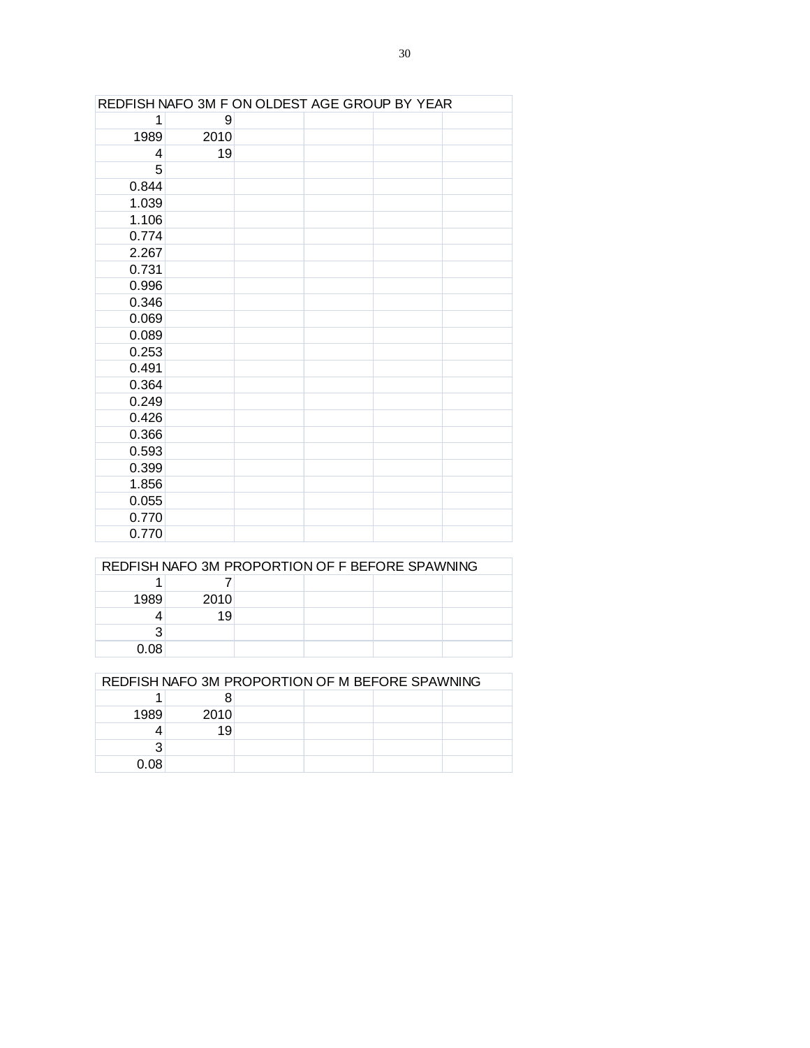|       | REDFISH NAFO 3M F ON OLDEST AGE GROUP BY YEAR |  |  |
|-------|-----------------------------------------------|--|--|
| 1     | 9                                             |  |  |
| 1989  | 2010                                          |  |  |
| 4     | 19                                            |  |  |
| 5     |                                               |  |  |
| 0.844 |                                               |  |  |
| 1.039 |                                               |  |  |
| 1.106 |                                               |  |  |
| 0.774 |                                               |  |  |
| 2.267 |                                               |  |  |
| 0.731 |                                               |  |  |
| 0.996 |                                               |  |  |
| 0.346 |                                               |  |  |
| 0.069 |                                               |  |  |
| 0.089 |                                               |  |  |
| 0.253 |                                               |  |  |
| 0.491 |                                               |  |  |
| 0.364 |                                               |  |  |
| 0.249 |                                               |  |  |
| 0.426 |                                               |  |  |
| 0.366 |                                               |  |  |
| 0.593 |                                               |  |  |
| 0.399 |                                               |  |  |
| 1.856 |                                               |  |  |
| 0.055 |                                               |  |  |
| 0.770 |                                               |  |  |
| 0.770 |                                               |  |  |

|      | REDFISH NAFO 3M PROPORTION OF F BEFORE SPAWNING |  |  |
|------|-------------------------------------------------|--|--|
|      |                                                 |  |  |
| 1989 | 2010                                            |  |  |
|      | 19                                              |  |  |
|      |                                                 |  |  |
| 0.08 |                                                 |  |  |

|      |      | REDFISH NAFO 3M PROPORTION OF M BEFORE SPAWNING |  |  |  |  |  |  |  |  |  |  |  |  |
|------|------|-------------------------------------------------|--|--|--|--|--|--|--|--|--|--|--|--|
|      |      |                                                 |  |  |  |  |  |  |  |  |  |  |  |  |
| 1989 | 2010 |                                                 |  |  |  |  |  |  |  |  |  |  |  |  |
|      | 19   |                                                 |  |  |  |  |  |  |  |  |  |  |  |  |
|      |      |                                                 |  |  |  |  |  |  |  |  |  |  |  |  |
| 0.08 |      |                                                 |  |  |  |  |  |  |  |  |  |  |  |  |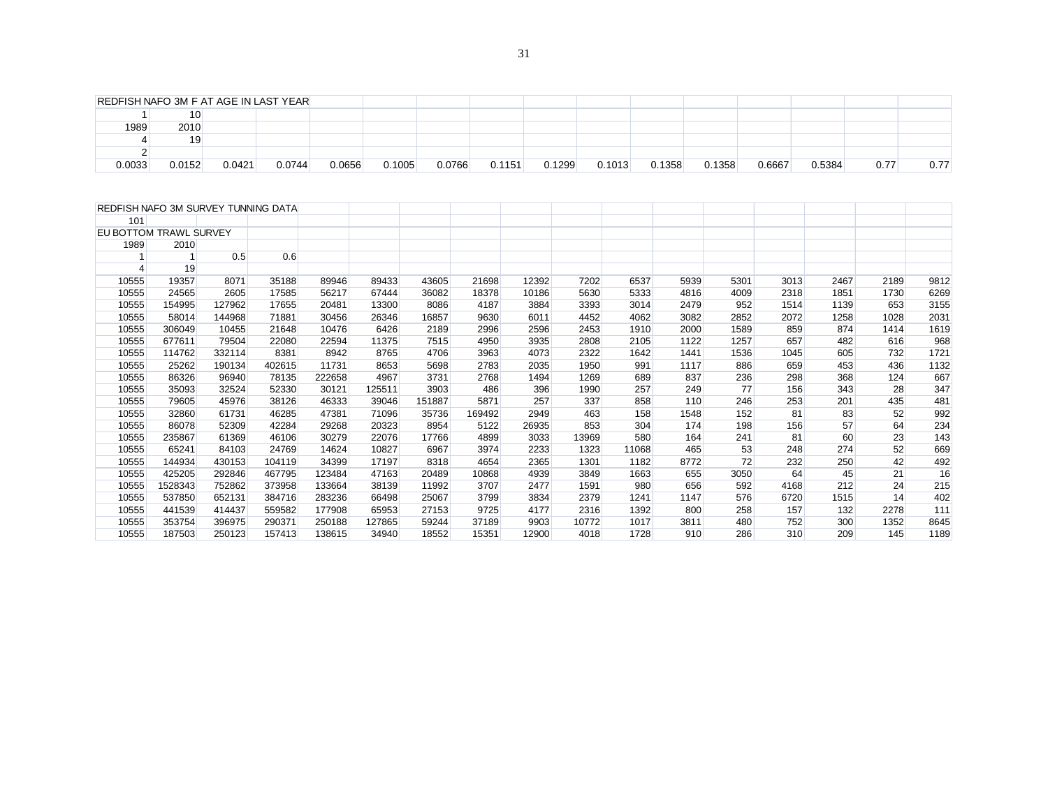| REDFISH NAFO 3M SURVEY TUNNING DATA |                         |        |        |        |        |        |        |       |       |       |      |      |      |      |      |      |
|-------------------------------------|-------------------------|--------|--------|--------|--------|--------|--------|-------|-------|-------|------|------|------|------|------|------|
| 101                                 |                         |        |        |        |        |        |        |       |       |       |      |      |      |      |      |      |
| EU BOTTOM TRAWL SURVEY              |                         |        |        |        |        |        |        |       |       |       |      |      |      |      |      |      |
| 1989                                | 2010                    |        |        |        |        |        |        |       |       |       |      |      |      |      |      |      |
|                                     | $\overline{\mathbf{1}}$ | 0.5    | 0.6    |        |        |        |        |       |       |       |      |      |      |      |      |      |
| 4                                   | 19                      |        |        |        |        |        |        |       |       |       |      |      |      |      |      |      |
| 10555                               | 19357                   | 8071   | 35188  | 89946  | 89433  | 43605  | 21698  | 12392 | 7202  | 6537  | 5939 | 5301 | 3013 | 2467 | 2189 | 9812 |
| 10555                               | 24565                   | 2605   | 17585  | 56217  | 67444  | 36082  | 18378  | 10186 | 5630  | 5333  | 4816 | 4009 | 2318 | 1851 | 1730 | 6269 |
| 10555                               | 154995                  | 127962 | 17655  | 20481  | 13300  | 8086   | 4187   | 3884  | 3393  | 3014  | 2479 | 952  | 1514 | 1139 | 653  | 3155 |
| 10555                               | 58014                   | 144968 | 71881  | 30456  | 26346  | 16857  | 9630   | 6011  | 4452  | 4062  | 3082 | 2852 | 2072 | 1258 | 1028 | 2031 |
| 10555                               | 306049                  | 10455  | 21648  | 10476  | 6426   | 2189   | 2996   | 2596  | 2453  | 1910  | 2000 | 1589 | 859  | 874  | 1414 | 1619 |
| 10555                               | 677611                  | 79504  | 22080  | 22594  | 11375  | 7515   | 4950   | 3935  | 2808  | 2105  | 1122 | 1257 | 657  | 482  | 616  | 968  |
| 10555                               | 114762                  | 332114 | 8381   | 8942   | 8765   | 4706   | 3963   | 4073  | 2322  | 1642  | 1441 | 1536 | 1045 | 605  | 732  | 1721 |
| 10555                               | 25262                   | 190134 | 402615 | 11731  | 8653   | 5698   | 2783   | 2035  | 1950  | 991   | 1117 | 886  | 659  | 453  | 436  | 1132 |
| 10555                               | 86326                   | 96940  | 78135  | 222658 | 4967   | 3731   | 2768   | 1494  | 1269  | 689   | 837  | 236  | 298  | 368  | 124  | 667  |
| 10555                               | 35093                   | 32524  | 52330  | 30121  | 125511 | 3903   | 486    | 396   | 1990  | 257   | 249  | 77   | 156  | 343  | 28   | 347  |
| 10555                               | 79605                   | 45976  | 38126  | 46333  | 39046  | 151887 | 5871   | 257   | 337   | 858   | 110  | 246  | 253  | 201  | 435  | 481  |
| 10555                               | 32860                   | 61731  | 46285  | 47381  | 71096  | 35736  | 169492 | 2949  | 463   | 158   | 1548 | 152  | 81   | 83   | 52   | 992  |
| 10555                               | 86078                   | 52309  | 42284  | 29268  | 20323  | 8954   | 5122   | 26935 | 853   | 304   | 174  | 198  | 156  | 57   | 64   | 234  |
| 10555                               | 235867                  | 61369  | 46106  | 30279  | 22076  | 17766  | 4899   | 3033  | 13969 | 580   | 164  | 241  | 81   | 60   | 23   | 143  |
| 10555                               | 65241                   | 84103  | 24769  | 14624  | 10827  | 6967   | 3974   | 2233  | 1323  | 11068 | 465  | 53   | 248  | 274  | 52   | 669  |
| 10555                               | 144934                  | 430153 | 104119 | 34399  | 17197  | 8318   | 4654   | 2365  | 1301  | 1182  | 8772 | 72   | 232  | 250  | 42   | 492  |
| 10555                               | 425205                  | 292846 | 467795 | 123484 | 47163  | 20489  | 10868  | 4939  | 3849  | 1663  | 655  | 3050 | 64   | 45   | 21   | 16   |
| 10555                               | 1528343                 | 752862 | 373958 | 133664 | 38139  | 11992  | 3707   | 2477  | 1591  | 980   | 656  | 592  | 4168 | 212  | 24   | 215  |
| 10555                               | 537850                  | 652131 | 384716 | 283236 | 66498  | 25067  | 3799   | 3834  | 2379  | 1241  | 1147 | 576  | 6720 | 1515 | 14   | 402  |
| 10555                               | 441539                  | 414437 | 559582 | 177908 | 65953  | 27153  | 9725   | 4177  | 2316  | 1392  | 800  | 258  | 157  | 132  | 2278 | 111  |
| 10555                               | 353754                  | 396975 | 290371 | 250188 | 127865 | 59244  | 37189  | 9903  | 10772 | 1017  | 3811 | 480  | 752  | 300  | 1352 | 8645 |
| 10555                               | 187503                  | 250123 | 157413 | 138615 | 34940  | 18552  | 15351  | 12900 | 4018  | 1728  | 910  | 286  | 310  | 209  | 145  | 1189 |

| REDFISH NAFO 3M F AT AGE IN LAST YEAR |        |        |        |        |        |        |        |        |        |        |        |        |        |      |      |
|---------------------------------------|--------|--------|--------|--------|--------|--------|--------|--------|--------|--------|--------|--------|--------|------|------|
|                                       | 10     |        |        |        |        |        |        |        |        |        |        |        |        |      |      |
| 1989                                  | 2010   |        |        |        |        |        |        |        |        |        |        |        |        |      |      |
|                                       | 19     |        |        |        |        |        |        |        |        |        |        |        |        |      |      |
|                                       |        |        |        |        |        |        |        |        |        |        |        |        |        |      |      |
| 0.0033                                | 0.0152 | 0.0421 | 0.0744 | 0.0656 | 0.1005 | 0.0766 | 0.1151 | 0.1299 | 0.1013 | 0.1358 | 0.1358 | 0.6667 | 0.5384 | 0.77 | 0.77 |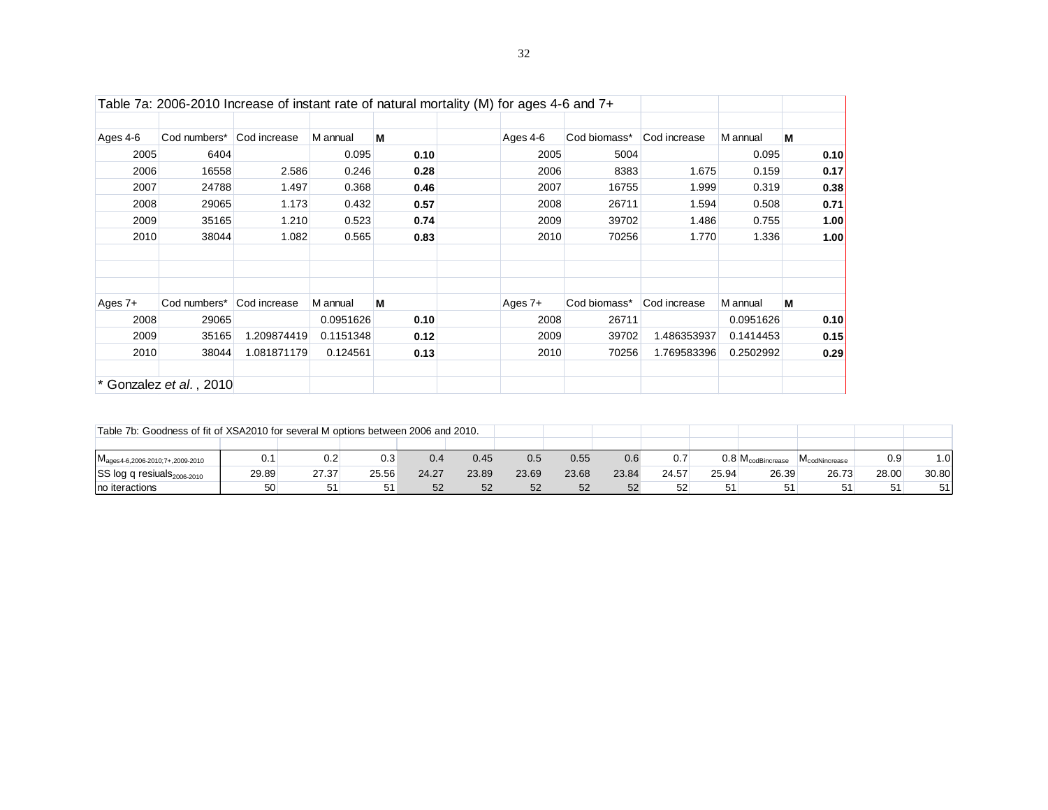|           |                           | Table 7a: 2006-2010 Increase of instant rate of natural mortality (M) for ages 4-6 and 7+ |           |      |           |              |              |           |      |
|-----------|---------------------------|-------------------------------------------------------------------------------------------|-----------|------|-----------|--------------|--------------|-----------|------|
| Ages 4-6  | Cod numbers* Cod increase |                                                                                           | M annual  | M    | Ages 4-6  | Cod biomass* | Cod increase | M annual  | м    |
| 2005      | 6404                      |                                                                                           | 0.095     | 0.10 | 2005      | 5004         |              | 0.095     | 0.10 |
| 2006      | 16558                     | 2.586                                                                                     | 0.246     | 0.28 | 2006      | 8383         | 1.675        | 0.159     | 0.17 |
| 2007      | 24788                     | 1.497                                                                                     | 0.368     | 0.46 | 2007      | 16755        | 1.999        | 0.319     | 0.38 |
| 2008      | 29065                     | 1.173                                                                                     | 0.432     | 0.57 | 2008      | 26711        | 1.594        | 0.508     | 0.71 |
| 2009      | 35165                     | 1.210                                                                                     | 0.523     | 0.74 | 2009      | 39702        | 1.486        | 0.755     | 1.00 |
| 2010      | 38044                     | 1.082                                                                                     | 0.565     | 0.83 | 2010      | 70256        | 1.770        | 1.336     | 1.00 |
|           |                           |                                                                                           |           |      |           |              |              |           |      |
| Ages $7+$ | Cod numbers*              | Cod increase                                                                              | M annual  | M    | Ages $7+$ | Cod biomass* | Cod increase | M annual  | м    |
| 2008      | 29065                     |                                                                                           | 0.0951626 | 0.10 | 2008      | 26711        |              | 0.0951626 | 0.10 |
| 2009      | 35165                     | 1.209874419                                                                               | 0.1151348 | 0.12 | 2009      | 39702        | 1.486353937  | 0.1414453 | 0.15 |
| 2010      | 38044                     | 1.081871179                                                                               | 0.124561  | 0.13 | 2010      | 70256        | 1.769583396  | 0.2502992 | 0.29 |
|           | Gonzalez et al., 2010     |                                                                                           |           |      |           |              |              |           |      |

| Table 7b: Goodness of fit of XSA2010 for several M options between 2006 and 2010. |       |       |       |       |       |       |       |       |       |       |                                |                           |       |       |
|-----------------------------------------------------------------------------------|-------|-------|-------|-------|-------|-------|-------|-------|-------|-------|--------------------------------|---------------------------|-------|-------|
|                                                                                   |       |       |       |       |       |       |       |       |       |       |                                |                           |       |       |
| IVI <sub>ages4-6</sub> , 2006-2010: 7+, 2009-2010                                 | 0.1   | 0.2   | 0.3   | 0.4   | 0.45  | 0.5   | 0.55  | 0.6   |       |       | $0.8\,M_{\text{codBincrease}}$ | M <sub>codNincrease</sub> | 0.9   | .0    |
| SS log q resiuals <sub>2006-2010</sub>                                            | 29.89 | 27.37 | 25.56 | 24.27 | 23.89 | 23.69 | 23.68 | 23.84 | 24.57 | 25.94 | 26.39                          | 26.73                     | 28.00 | 30.80 |
| Ino iteractions                                                                   | 50    | 51    |       | 52    | 52    | 52    | 52    | 52    | 52    | 51    | 51                             |                           | 51    | 51    |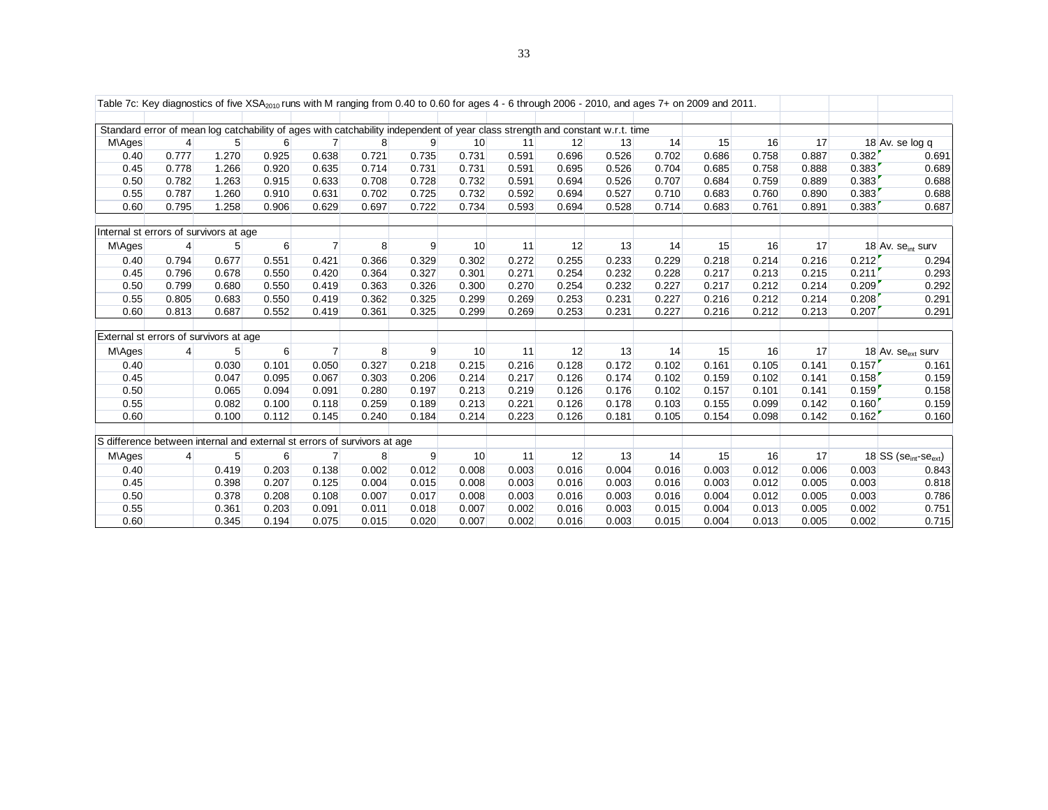| Table 7c: Key diagnostics of five $XSA2010$ runs with M ranging from 0.40 to 0.60 for ages 4 - 6 through 2006 - 2010, and ages 7+ on 2009 and 2011. |       |       |       |                |       |       |                                                                                                                               |       |       |       |       |       |       |       |        |                                                 |
|-----------------------------------------------------------------------------------------------------------------------------------------------------|-------|-------|-------|----------------|-------|-------|-------------------------------------------------------------------------------------------------------------------------------|-------|-------|-------|-------|-------|-------|-------|--------|-------------------------------------------------|
|                                                                                                                                                     |       |       |       |                |       |       |                                                                                                                               |       |       |       |       |       |       |       |        |                                                 |
|                                                                                                                                                     |       |       |       |                |       |       | Standard error of mean log catchability of ages with catchability independent of year class strength and constant w.r.t. time |       |       |       |       |       |       |       |        |                                                 |
| M\Ages                                                                                                                                              | 4     | 5     | 6     | $\overline{7}$ | 8     | 9     | 10                                                                                                                            | 11    | 12    | 13    | 14    | 15    | 16    | 17    |        | 18 Av. se log q                                 |
| 0.40                                                                                                                                                | 0.777 | 1.270 | 0.925 | 0.638          | 0.721 | 0.735 | 0.731                                                                                                                         | 0.591 | 0.696 | 0.526 | 0.702 | 0.686 | 0.758 | 0.887 | 0.382  | 0.691                                           |
| 0.45                                                                                                                                                | 0.778 | 1.266 | 0.920 | 0.635          | 0.714 | 0.731 | 0.731                                                                                                                         | 0.591 | 0.695 | 0.526 | 0.704 | 0.685 | 0.758 | 0.888 | 0.383  | 0.689                                           |
| 0.50                                                                                                                                                | 0.782 | 1.263 | 0.915 | 0.633          | 0.708 | 0.728 | 0.732                                                                                                                         | 0.591 | 0.694 | 0.526 | 0.707 | 0.684 | 0.759 | 0.889 | 0.383  | 0.688                                           |
| 0.55                                                                                                                                                | 0.787 | 1.260 | 0.910 | 0.631          | 0.702 | 0.725 | 0.732                                                                                                                         | 0.592 | 0.694 | 0.527 | 0.710 | 0.683 | 0.760 | 0.890 | 0.383  | 0.688                                           |
| 0.60                                                                                                                                                | 0.795 | 1.258 | 0.906 | 0.629          | 0.697 | 0.722 | 0.734                                                                                                                         | 0.593 | 0.694 | 0.528 | 0.714 | 0.683 | 0.761 | 0.891 | 0.383' | 0.687                                           |
| Internal st errors of survivors at age                                                                                                              |       |       |       |                |       |       |                                                                                                                               |       |       |       |       |       |       |       |        |                                                 |
| M\Ages                                                                                                                                              | 4     | 5     | 6     | $\overline{7}$ | 8     | 9     | 10                                                                                                                            | 11    | 12    | 13    | 14    | 15    | 16    | 17    |        | 18 Av. se <sub>int</sub> surv                   |
| 0.40                                                                                                                                                | 0.794 | 0.677 | 0.551 | 0.421          | 0.366 | 0.329 | 0.302                                                                                                                         | 0.272 | 0.255 | 0.233 | 0.229 | 0.218 | 0.214 | 0.216 | 0.212' | 0.294                                           |
| 0.45                                                                                                                                                | 0.796 | 0.678 | 0.550 | 0.420          | 0.364 | 0.327 | 0.301                                                                                                                         | 0.271 | 0.254 | 0.232 | 0.228 | 0.217 | 0.213 | 0.215 | 0.211  | 0.293                                           |
| 0.50                                                                                                                                                | 0.799 | 0.680 | 0.550 | 0.419          | 0.363 | 0.326 | 0.300                                                                                                                         | 0.270 | 0.254 | 0.232 | 0.227 | 0.217 | 0.212 | 0.214 | 0.209  | 0.292                                           |
| 0.55                                                                                                                                                | 0.805 | 0.683 | 0.550 | 0.419          | 0.362 | 0.325 | 0.299                                                                                                                         | 0.269 | 0.253 | 0.231 | 0.227 | 0.216 | 0.212 | 0.214 | 0.208  | 0.291                                           |
| 0.60                                                                                                                                                | 0.813 | 0.687 | 0.552 | 0.419          | 0.361 | 0.325 | 0.299                                                                                                                         | 0.269 | 0.253 | 0.231 | 0.227 | 0.216 | 0.212 | 0.213 | 0.207  | 0.291                                           |
| External st errors of survivors at age                                                                                                              |       |       |       |                |       |       |                                                                                                                               |       |       |       |       |       |       |       |        |                                                 |
| M\Ages                                                                                                                                              | 4     | 5     | 6     | $\overline{7}$ | 8     | 9     | 10                                                                                                                            | 11    | 12    | 13    | 14    | 15    | 16    | 17    |        | 18 Av. $se_{\text{ext}}$ surv                   |
| 0.40                                                                                                                                                |       | 0.030 | 0.101 | 0.050          | 0.327 | 0.218 | 0.215                                                                                                                         | 0.216 | 0.128 | 0.172 | 0.102 | 0.161 | 0.105 | 0.141 | 0.157  | 0.161                                           |
| 0.45                                                                                                                                                |       | 0.047 | 0.095 | 0.067          | 0.303 | 0.206 | 0.214                                                                                                                         | 0.217 | 0.126 | 0.174 | 0.102 | 0.159 | 0.102 | 0.141 | 0.158  | 0.159                                           |
| 0.50                                                                                                                                                |       | 0.065 | 0.094 | 0.091          | 0.280 | 0.197 | 0.213                                                                                                                         | 0.219 | 0.126 | 0.176 | 0.102 | 0.157 | 0.101 | 0.141 | 0.159  | 0.158                                           |
| 0.55                                                                                                                                                |       | 0.082 | 0.100 | 0.118          | 0.259 | 0.189 | 0.213                                                                                                                         | 0.221 | 0.126 | 0.178 | 0.103 | 0.155 | 0.099 | 0.142 | 0.160' | 0.159                                           |
| 0.60                                                                                                                                                |       | 0.100 | 0.112 | 0.145          | 0.240 | 0.184 | 0.214                                                                                                                         | 0.223 | 0.126 | 0.181 | 0.105 | 0.154 | 0.098 | 0.142 | 0.162  | 0.160                                           |
|                                                                                                                                                     |       |       |       |                |       |       |                                                                                                                               |       |       |       |       |       |       |       |        |                                                 |
| S difference between internal and external st errors of survivors at age                                                                            |       |       |       |                |       |       |                                                                                                                               |       |       |       |       |       |       |       |        |                                                 |
| M\Ages                                                                                                                                              | 4     | 5     | 6     | $\overline{7}$ | 8     | 9     | 10                                                                                                                            | 11    | 12    | 13    | 14    | 15    | 16    | 17    |        | $18$ SS (se <sub>int</sub> -se <sub>ext</sub> ) |
| 0.40                                                                                                                                                |       | 0.419 | 0.203 | 0.138          | 0.002 | 0.012 | 0.008                                                                                                                         | 0.003 | 0.016 | 0.004 | 0.016 | 0.003 | 0.012 | 0.006 | 0.003  | 0.843                                           |
| 0.45                                                                                                                                                |       | 0.398 | 0.207 | 0.125          | 0.004 | 0.015 | 0.008                                                                                                                         | 0.003 | 0.016 | 0.003 | 0.016 | 0.003 | 0.012 | 0.005 | 0.003  | 0.818                                           |
| 0.50                                                                                                                                                |       | 0.378 | 0.208 | 0.108          | 0.007 | 0.017 | 0.008                                                                                                                         | 0.003 | 0.016 | 0.003 | 0.016 | 0.004 | 0.012 | 0.005 | 0.003  | 0.786                                           |
| 0.55                                                                                                                                                |       | 0.361 | 0.203 | 0.091          | 0.011 | 0.018 | 0.007                                                                                                                         | 0.002 | 0.016 | 0.003 | 0.015 | 0.004 | 0.013 | 0.005 | 0.002  | 0.751                                           |
| 0.60                                                                                                                                                |       | 0.345 | 0.194 | 0.075          | 0.015 | 0.020 | 0.007                                                                                                                         | 0.002 | 0.016 | 0.003 | 0.015 | 0.004 | 0.013 | 0.005 | 0.002  | 0.715                                           |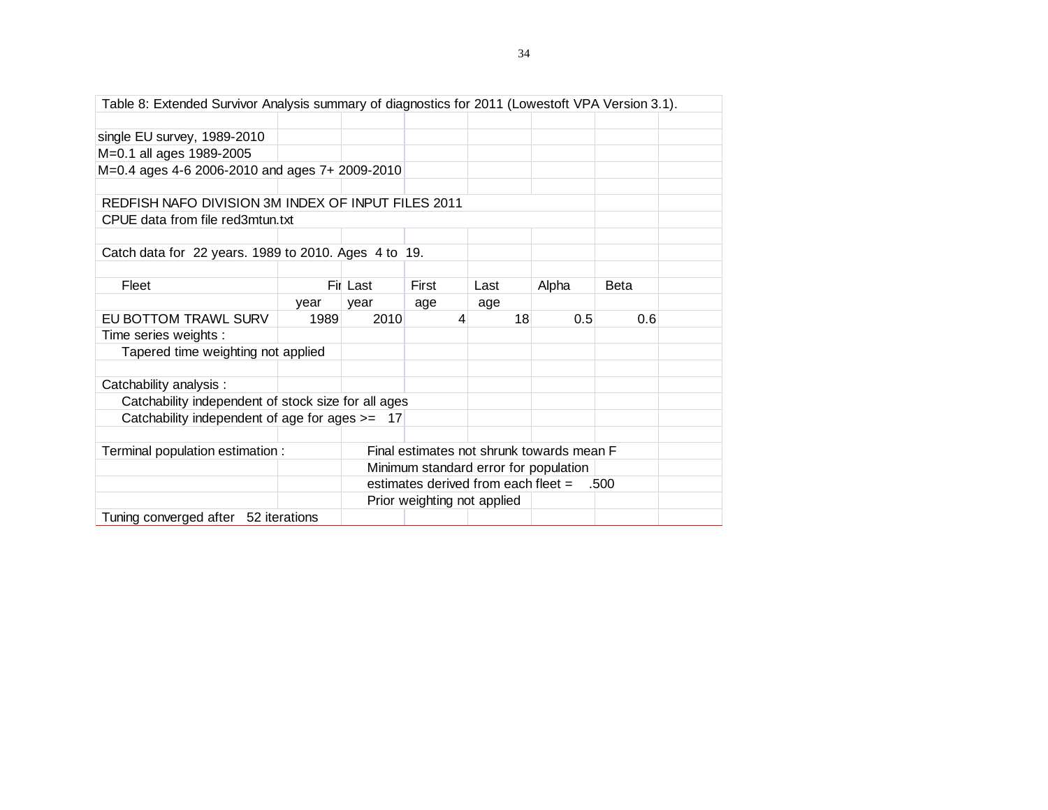| Table 8: Extended Survivor Analysis summary of diagnostics for 2011 (Lowestoft VPA Version 3.1). |      |          |                             |                                            |       |             |  |  |  |  |  |  |
|--------------------------------------------------------------------------------------------------|------|----------|-----------------------------|--------------------------------------------|-------|-------------|--|--|--|--|--|--|
|                                                                                                  |      |          |                             |                                            |       |             |  |  |  |  |  |  |
| single EU survey, 1989-2010                                                                      |      |          |                             |                                            |       |             |  |  |  |  |  |  |
| M=0.1 all ages 1989-2005                                                                         |      |          |                             |                                            |       |             |  |  |  |  |  |  |
| M=0.4 ages 4-6 2006-2010 and ages 7+ 2009-2010                                                   |      |          |                             |                                            |       |             |  |  |  |  |  |  |
|                                                                                                  |      |          |                             |                                            |       |             |  |  |  |  |  |  |
| REDFISH NAFO DIVISION 3M INDEX OF INPUT FILES 2011                                               |      |          |                             |                                            |       |             |  |  |  |  |  |  |
| CPUE data from file red3mtun.txt                                                                 |      |          |                             |                                            |       |             |  |  |  |  |  |  |
|                                                                                                  |      |          |                             |                                            |       |             |  |  |  |  |  |  |
| Catch data for 22 years. 1989 to 2010. Ages 4 to 19.                                             |      |          |                             |                                            |       |             |  |  |  |  |  |  |
|                                                                                                  |      |          |                             |                                            |       |             |  |  |  |  |  |  |
| Fleet                                                                                            |      | Fil Last | First                       | Last                                       | Alpha | <b>Beta</b> |  |  |  |  |  |  |
|                                                                                                  | year | year     | age                         | age                                        |       |             |  |  |  |  |  |  |
| EU BOTTOM TRAWL SURV                                                                             | 1989 | 2010     | 4                           | 18                                         | 0.5   | 0.6         |  |  |  |  |  |  |
| Time series weights :                                                                            |      |          |                             |                                            |       |             |  |  |  |  |  |  |
| Tapered time weighting not applied                                                               |      |          |                             |                                            |       |             |  |  |  |  |  |  |
|                                                                                                  |      |          |                             |                                            |       |             |  |  |  |  |  |  |
| Catchability analysis :                                                                          |      |          |                             |                                            |       |             |  |  |  |  |  |  |
| Catchability independent of stock size for all ages                                              |      |          |                             |                                            |       |             |  |  |  |  |  |  |
| Catchability independent of age for ages $>= 17$                                                 |      |          |                             |                                            |       |             |  |  |  |  |  |  |
|                                                                                                  |      |          |                             |                                            |       |             |  |  |  |  |  |  |
| Final estimates not shrunk towards mean F<br>Terminal population estimation :                    |      |          |                             |                                            |       |             |  |  |  |  |  |  |
|                                                                                                  |      |          |                             | Minimum standard error for population      |       |             |  |  |  |  |  |  |
|                                                                                                  |      |          |                             | estimates derived from each fleet $=$ .500 |       |             |  |  |  |  |  |  |
|                                                                                                  |      |          | Prior weighting not applied |                                            |       |             |  |  |  |  |  |  |
| Tuning converged after 52 iterations                                                             |      |          |                             |                                            |       |             |  |  |  |  |  |  |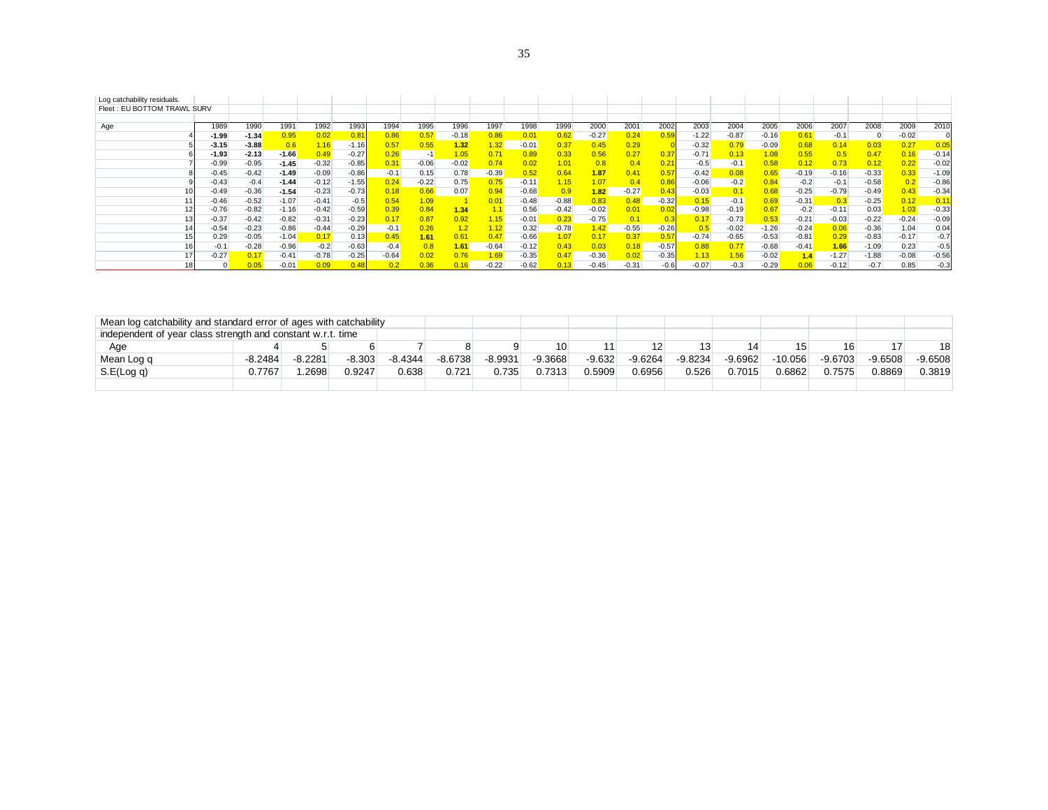| Log catchability residuals. |         |         |         |         |         |         |         |         |                  |         |         |         |         |         |         |         |         |         |         |                |         |         |
|-----------------------------|---------|---------|---------|---------|---------|---------|---------|---------|------------------|---------|---------|---------|---------|---------|---------|---------|---------|---------|---------|----------------|---------|---------|
| Fleet: EU BOTTOM TRAWL SURV |         |         |         |         |         |         |         |         |                  |         |         |         |         |         |         |         |         |         |         |                |         |         |
|                             |         |         |         |         |         |         |         |         |                  |         |         |         |         |         |         |         |         |         |         |                |         |         |
| Age                         | 1989    | 1990    | 1991    | 1992    | 1993    | 1994    | 1995    | 1996    | 1997             | 1998    | 1999    | 2000    | 2001    | 2002    | 2003    | 2004    | 2005    | 2006    | 2007    | 2008           | 2009    | 2010    |
|                             | $-1.99$ | $-1.34$ | 0.95    | 0.02    |         | 0.86    | 0.57    | $-0.18$ | 0.86             | 0.01    | 0.62    | $-0.27$ | 0.24    | 0.59    | $-1.22$ | $-0.87$ | $-0.16$ | 0.61    | $-0.1$  | $\overline{0}$ | $-0.02$ |         |
|                             | $-3.15$ | $-3.88$ | 0.6     | 1.16    | $-1.16$ | 0.57    | 0.55    | 1.32    | .32 <sub>1</sub> | $-0.01$ | 0.37    | 0.45    | 0.29    |         | $-0.32$ | 0.79    | $-0.09$ | 0.68    | 0.14    | 0.03           | 0.27    | 0.05    |
|                             | $-1.93$ | $-2.13$ | $-1.66$ | 0.49    | $-0.27$ | 0.26    | $-1$    | 1.05    | 0.71             | 0.89    | 0.33    | 0.56    | 0.27    | 0.37    | $-0.71$ | 0.13    | 1.08    | 0.55    | 0.5     | 0.47           |         | $-0.14$ |
|                             | $-0.99$ | $-0.95$ | $-1.45$ | $-0.32$ | $-0.85$ | 0.31    | $-0.06$ | $-0.02$ | 0.74             | 0.02    | 1.01    | 0.8     | 0.4     | 0.21    | $-0.5$  | $-0.1$  | 0.58    | 0.12    | 0.73    | 0.12           | 0.22    | $-0.02$ |
|                             | $-0.45$ | $-0.42$ | $-1.49$ | $-0.09$ | $-0.86$ | $-0.1$  | 0.15    | 0.78    | $-0.39$          | 0.52    | 0.64    | 1.87    | 0.41    | 0.57    | $-0.42$ | 0.08    | 0.65    | $-0.19$ | $-0.16$ | $-0.33$        | 0.33    | $-1.09$ |
|                             | $-0.43$ | $-0.4$  | $-1.44$ | $-0.12$ | $-1.55$ | 0.24    | $-0.22$ | 0.75    | 0.75             | $-0.11$ | .15     | 1.07    | 0.4     | 0.86    | $-0.06$ | $-0.2$  | 0.84    | $-0.2$  | -0.1    | $-0.58$        |         | $-0.86$ |
|                             | $-0.49$ | $-0.36$ | $-1.54$ | $-0.23$ | $-0.73$ | 0.18    | 0.66    | 0.07    | 0.94             | $-0.68$ | 0.9     | 1.82    | $-0.27$ | 0.43    | $-0.03$ | 0.1     | 0.68    | $-0.25$ | $-0.79$ | $-0.49$        | 0.43    | $-0.34$ |
|                             | $-0.46$ | $-0.52$ | $-1.07$ | $-0.41$ | $-0.5$  | 0.54    | 1.09    |         | 0.01             | $-0.48$ | $-0.88$ | 0.83    | 0.48    | $-0.32$ | 0.15    | $-0.1$  | 0.69    | $-0.31$ | 0.3     | $-0.25$        | 0.12    | 0.11    |
|                             | $-0.76$ | $-0.82$ | $-1.16$ | $-0.42$ | $-0.59$ | 0.39    | 0.84    | 1.34    | 1.1              | 0.56    | $-0.42$ | $-0.02$ | 0.01    |         | $-0.98$ | $-0.19$ | 0.67    | $-0.2$  | $-0.11$ | 0.03           | 1.03    | $-0.33$ |
|                             | $-0.37$ | $-0.42$ | $-0.82$ | $-0.31$ | $-0.23$ | 0.17    | 0.87    | 0.92    | .15              | $-0.01$ |         | $-0.75$ | 0.1     | 0.3     | 0.17    | $-0.73$ | 0.53    | $-0.21$ | $-0.03$ | $-0.22$        | $-0.24$ | $-0.09$ |
|                             | $-0.54$ | $-0.23$ | $-0.86$ | $-0.44$ | $-0.29$ | $-0.1$  | 0.26    | 1.2     | 1.12             | 0.32    | $-0.78$ | 1.42    | $-0.55$ | $-0.26$ | 0.5     | $-0.02$ | $-1.26$ | $-0.24$ | 0.06    | $-0.36$        | 1.04    | 0.04    |
|                             | 0.29    | $-0.05$ | $-1.04$ | 0.17    | 0.13    | 0.45    | 1.61    | 0.61    | 0.47             | $-0.66$ | 1.07    | 0.17    | 0.37    | 0.57    | $-0.74$ | $-0.65$ | $-0.53$ | $-0.81$ | 0.29    | $-0.83$        | $-0.17$ | $-0.7$  |
|                             | $-0.1$  | $-0.28$ | $-0.96$ | $-0.2$  | $-0.63$ | $-0.4$  | 0.8     | 1.61    | $-0.64$          | $-0.12$ | 0.43    | 0.03    | 0.18    | $-0.57$ | 0.88    | 0.77    | $-0.68$ | $-0.41$ | 1.66    | $-1.09$        | 0.23    | $-0.5$  |
|                             | $-0.27$ | 0.17    | $-0.41$ | $-0.78$ | $-0.25$ | $-0.64$ |         | 0.76    | 1.69             | $-0.35$ |         | $-0.36$ |         | $-0.35$ | 1.13    | 1.56    | $-0.02$ | 1.4     | $-1.27$ | $-1.88$        | $-0.08$ | $-0.56$ |
|                             |         |         | $-0.01$ | 0.09    |         |         | , 36    | 0.16    | $-0.22$          | $-0.62$ |         | $-0.45$ | $-0.31$ | $-0.6$  | $-0.07$ | $-0.3$  | $-0.29$ |         | $-0.12$ | $-0.7$         | 0.85    | $-0.3$  |

| Mean log catchability and standard error of ages with catchability |           |           |          |           |           |           |           |          |           |           |           |           |           |           |           |
|--------------------------------------------------------------------|-----------|-----------|----------|-----------|-----------|-----------|-----------|----------|-----------|-----------|-----------|-----------|-----------|-----------|-----------|
| independent of year class strength and constant w.r.t. time        |           |           |          |           |           |           |           |          |           |           |           |           |           |           |           |
| Age                                                                |           |           |          |           |           |           | 10        |          |           |           |           |           | 16        | 17        | 18        |
| Mean Log q                                                         | $-8.2484$ | $-8.2281$ | $-8.303$ | $-8.4344$ | $-8.6738$ | $-8.9931$ | $-9.3668$ | $-9.632$ | $-9.6264$ | $-9.8234$ | $-9.6962$ | $-10.056$ | $-9.6703$ | $-9.6508$ | $-9.6508$ |
| S.E(Log q)                                                         | 0.7767    | .2698     | 0.9247   | 0.638     | 0.721     | 0.735     | 0.7313    | 0.5909   | 0.6956    | 0.526     | 0.7015    | 0.6862    | 0.7575    | 0.8869    | 0.3819    |
|                                                                    |           |           |          |           |           |           |           |          |           |           |           |           |           |           |           |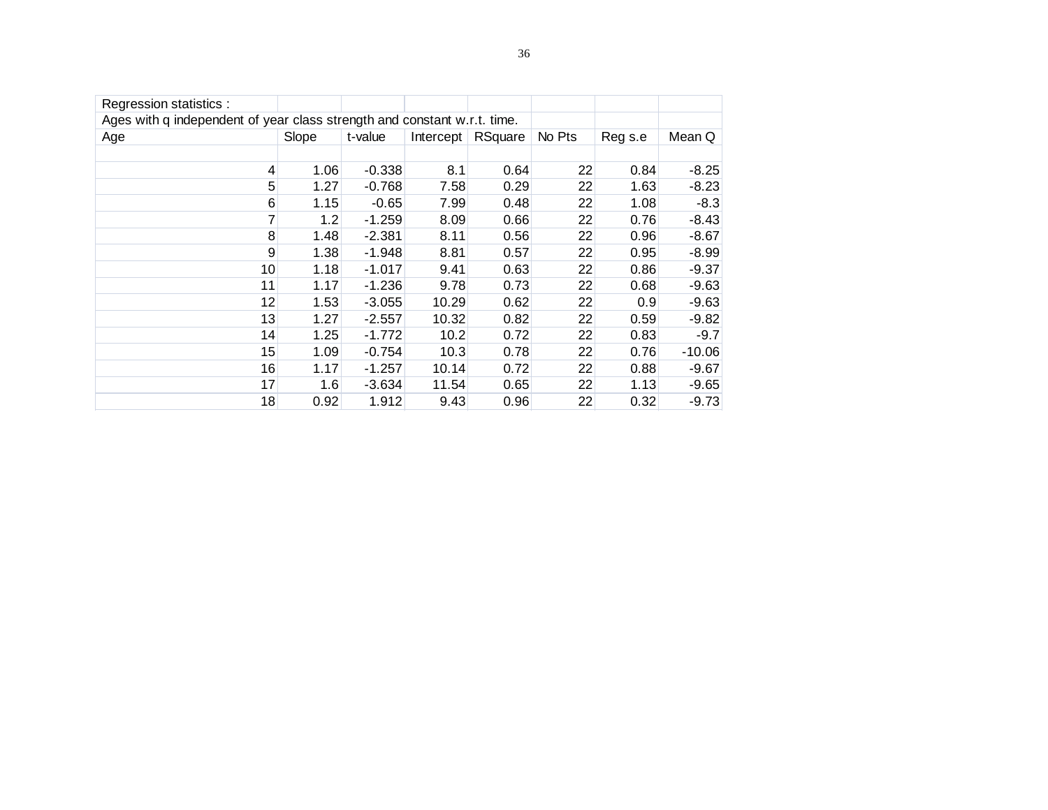| Regression statistics :                                                  |       |          |           |         |        |         |          |
|--------------------------------------------------------------------------|-------|----------|-----------|---------|--------|---------|----------|
| Ages with q independent of year class strength and constant w.r.t. time. |       |          |           |         |        |         |          |
| Age                                                                      | Slope | t-value  | Intercept | RSquare | No Pts | Reg s.e | Mean Q   |
|                                                                          |       |          |           |         |        |         |          |
| 4                                                                        | 1.06  | $-0.338$ | 8.1       | 0.64    | 22     | 0.84    | $-8.25$  |
| 5                                                                        | 1.27  | $-0.768$ | 7.58      | 0.29    | 22     | 1.63    | $-8.23$  |
| 6                                                                        | 1.15  | $-0.65$  | 7.99      | 0.48    | 22     | 1.08    | $-8.3$   |
| 7                                                                        | 1.2   | $-1.259$ | 8.09      | 0.66    | 22     | 0.76    | $-8.43$  |
| 8                                                                        | 1.48  | $-2.381$ | 8.11      | 0.56    | 22     | 0.96    | $-8.67$  |
| 9                                                                        | 1.38  | $-1.948$ | 8.81      | 0.57    | 22     | 0.95    | $-8.99$  |
| 10                                                                       | 1.18  | $-1.017$ | 9.41      | 0.63    | 22     | 0.86    | $-9.37$  |
| 11                                                                       | 1.17  | $-1.236$ | 9.78      | 0.73    | 22     | 0.68    | $-9.63$  |
| 12                                                                       | 1.53  | $-3.055$ | 10.29     | 0.62    | 22     | 0.9     | $-9.63$  |
| 13                                                                       | 1.27  | $-2.557$ | 10.32     | 0.82    | 22     | 0.59    | $-9.82$  |
| 14                                                                       | 1.25  | $-1.772$ | 10.2      | 0.72    | 22     | 0.83    | -9.7     |
| 15                                                                       | 1.09  | $-0.754$ | 10.3      | 0.78    | 22     | 0.76    | $-10.06$ |
| 16                                                                       | 1.17  | $-1.257$ | 10.14     | 0.72    | 22     | 0.88    | $-9.67$  |
| 17                                                                       | 1.6   | $-3.634$ | 11.54     | 0.65    | 22     | 1.13    | $-9.65$  |
| 18                                                                       | 0.92  | 1.912    | 9.43      | 0.96    | 22     | 0.32    | $-9.73$  |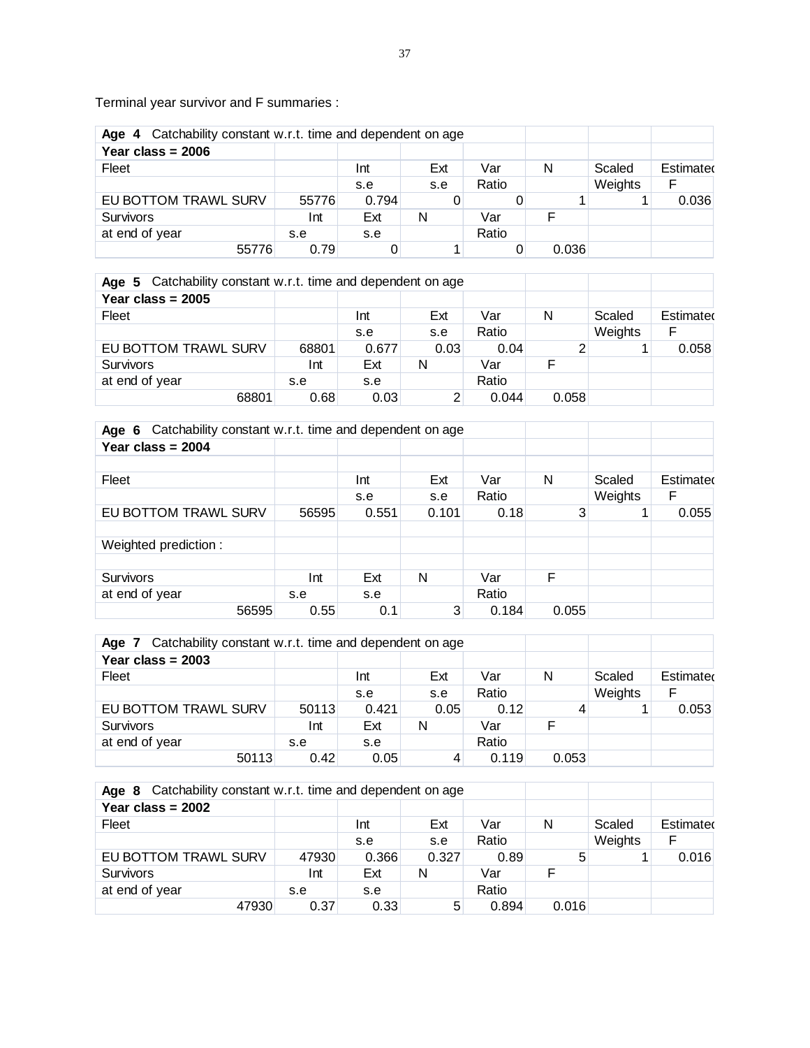Terminal year survivor and F summaries :

| Catchability constant w.r.t. time and dependent on age<br>Age 4 |       |       |     |       |       |         |           |
|-----------------------------------------------------------------|-------|-------|-----|-------|-------|---------|-----------|
| Year class = $2006$                                             |       |       |     |       |       |         |           |
| Fleet                                                           |       | Int   | Ext | Var   | N     | Scaled  | Estimated |
|                                                                 |       | s.e   | s.e | Ratio |       | Weights | F         |
| EU BOTTOM TRAWL SURV                                            | 55776 | 0.794 |     |       |       |         | 0.036     |
| Survivors                                                       | Int   | Ext   | N   | Var   |       |         |           |
| at end of year                                                  | s.e   | s.e   |     | Ratio |       |         |           |
| 55776                                                           | 0.79  |       |     |       | 0.036 |         |           |

| Age 5 Catchability constant w.r.t. time and dependent on age |       |       |      |       |       |         |           |
|--------------------------------------------------------------|-------|-------|------|-------|-------|---------|-----------|
| Year class = $2005$                                          |       |       |      |       |       |         |           |
| Fleet                                                        |       | Int   | Ext  | Var   | N     | Scaled  | Estimated |
|                                                              |       | s.e   | s.e  | Ratio |       | Weights | F         |
| EU BOTTOM TRAWL SURV                                         | 68801 | 0.677 | 0.03 | 0.04  |       |         | 0.058     |
| <b>Survivors</b>                                             | Int   | Ext   | N    | Var   |       |         |           |
| at end of year                                               | s.e   | s.e   |      | Ratio |       |         |           |
| 68801                                                        | 0.68  | 0.03  |      | 0.044 | 0.058 |         |           |

| Catchability constant w.r.t. time and dependent on age<br>Age 6 |       |       |       |       |       |         |           |
|-----------------------------------------------------------------|-------|-------|-------|-------|-------|---------|-----------|
| Year class = $2004$                                             |       |       |       |       |       |         |           |
|                                                                 |       |       |       |       |       |         |           |
| Fleet                                                           |       | Int   | Ext   | Var   | N     | Scaled  | Estimated |
|                                                                 |       | s.e   | s.e   | Ratio |       | Weights | F         |
| EU BOTTOM TRAWL SURV                                            | 56595 | 0.551 | 0.101 | 0.18  | 3     |         | 0.055     |
|                                                                 |       |       |       |       |       |         |           |
| Weighted prediction:                                            |       |       |       |       |       |         |           |
|                                                                 |       |       |       |       |       |         |           |
| <b>Survivors</b>                                                | Int   | Ext   | Ν     | Var   | F     |         |           |
| at end of year                                                  | s.e   | s.e   |       | Ratio |       |         |           |
| 56595                                                           | 0.55  | 0.1   | 3     | 0.184 | 0.055 |         |           |

| Catchability constant w.r.t. time and dependent on age<br>Age 7 |       |       |      |       |       |         |           |
|-----------------------------------------------------------------|-------|-------|------|-------|-------|---------|-----------|
| Year class = $2003$                                             |       |       |      |       |       |         |           |
| Fleet                                                           |       | Int   | Ext  | Var   | N     | Scaled  | Estimated |
|                                                                 |       | s.e   | s.e  | Ratio |       | Weights | F         |
| EU BOTTOM TRAWL SURV                                            | 50113 | 0.421 | 0.05 | 0.12  |       |         | 0.053     |
| <b>Survivors</b>                                                | Int   | Ext   | N    | Var   |       |         |           |
| at end of year                                                  | s.e   | s.e   |      | Ratio |       |         |           |
| 50113                                                           | 0.42  | 0.05  |      | 0.119 | 0.053 |         |           |

| Catchability constant w.r.t. time and dependent on age<br>Age 8 |       |       |       |       |       |         |           |
|-----------------------------------------------------------------|-------|-------|-------|-------|-------|---------|-----------|
| Year class = $2002$                                             |       |       |       |       |       |         |           |
| Fleet                                                           |       | Int   | Ext   | Var   | N     | Scaled  | Estimated |
|                                                                 |       | s.e   | s.e   | Ratio |       | Weights | F         |
| EU BOTTOM TRAWL SURV                                            | 47930 | 0.366 | 0.327 | 0.89  | 5     |         | 0.016     |
| Survivors                                                       | Int   | Ext   | N     | Var   |       |         |           |
| at end of year                                                  | s.e   | s.e   |       | Ratio |       |         |           |
| 47930                                                           | 0.37  | 0.33  | 5     | 0.894 | 0.016 |         |           |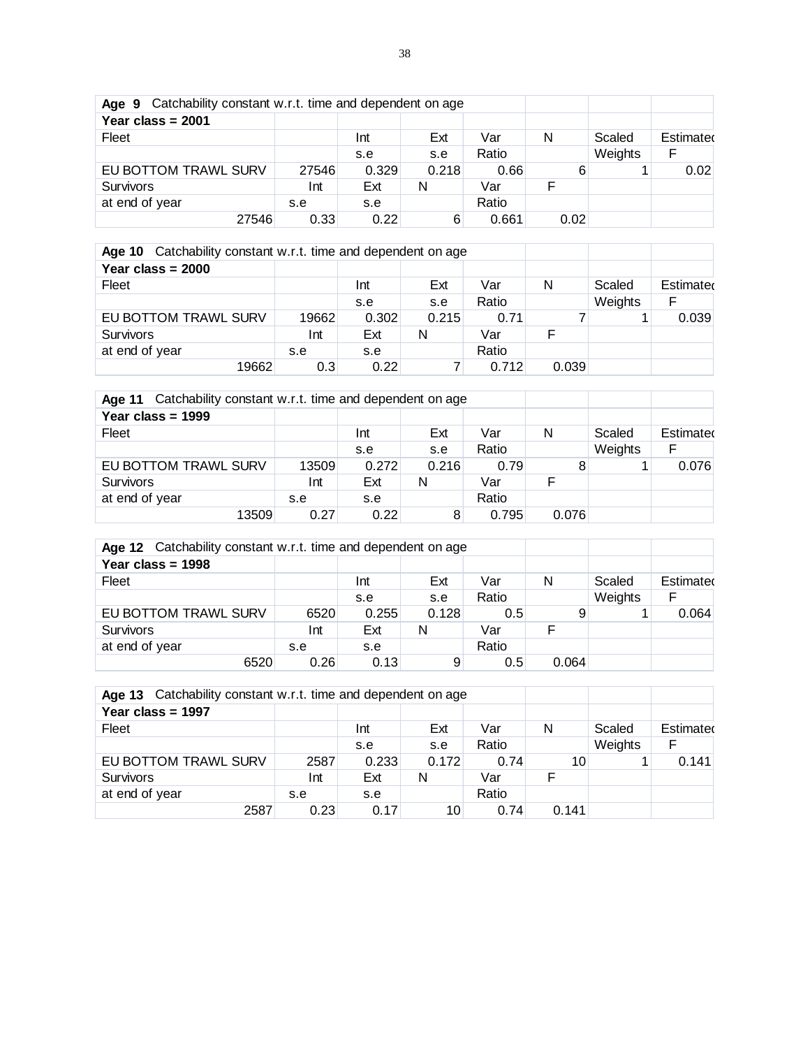| Age 9 Catchability constant w.r.t. time and dependent on age |       |       |       |       |      |         |           |
|--------------------------------------------------------------|-------|-------|-------|-------|------|---------|-----------|
| Year class = $2001$                                          |       |       |       |       |      |         |           |
| Fleet                                                        |       | Int   | Ext   | Var   | N    | Scaled  | Estimated |
|                                                              |       | s.e   | s.e   | Ratio |      | Weights | F         |
| EU BOTTOM TRAWL SURV                                         | 27546 | 0.329 | 0.218 | 0.66  | 6    |         | 0.02      |
| <b>Survivors</b>                                             | Int   | Ext   | N     | Var   |      |         |           |
| at end of year                                               | s.e   | s.e   |       | Ratio |      |         |           |
| 27546                                                        | 0.33  | 0.22  | 6     | 0.661 | 0.02 |         |           |

| Catchability constant w.r.t. time and dependent on age<br><b>Age 10</b> |       |       |       |       |       |         |           |
|-------------------------------------------------------------------------|-------|-------|-------|-------|-------|---------|-----------|
| Year class = $2000$                                                     |       |       |       |       |       |         |           |
| Fleet                                                                   |       | Int   | Ext   | Var   | N     | Scaled  | Estimated |
|                                                                         |       | s.e   | s.e   | Ratio |       | Weights | F         |
| EU BOTTOM TRAWL SURV                                                    | 19662 | 0.302 | 0.215 | 0.71  |       |         | 0.039     |
| <b>Survivors</b>                                                        | Int   | Ext   | N     | Var   |       |         |           |
| at end of year                                                          | s.e   | s.e   |       | Ratio |       |         |           |
| 19662                                                                   | 0.3   | 0.22  |       | 0.712 | 0.039 |         |           |

| Age 11 Catchability constant w.r.t. time and dependent on age |       |       |       |       |       |         |           |
|---------------------------------------------------------------|-------|-------|-------|-------|-------|---------|-----------|
| Year class = $1999$                                           |       |       |       |       |       |         |           |
| Fleet                                                         |       | Int   | Ext   | Var   | N     | Scaled  | Estimated |
|                                                               |       | s.e   | s.e   | Ratio |       | Weights | F         |
| EU BOTTOM TRAWL SURV                                          | 13509 | 0.272 | 0.216 | 0.79  |       |         | 0.076     |
| Survivors                                                     | Int   | Ext   | N     | Var   |       |         |           |
| at end of year                                                | s.e   | s.e   |       | Ratio |       |         |           |
| 13509                                                         | 0.27  | 0.22  |       | 0.795 | 0.076 |         |           |

| Age 12 Catchability constant w.r.t. time and dependent on age |      |       |       |       |       |         |           |
|---------------------------------------------------------------|------|-------|-------|-------|-------|---------|-----------|
| Year class = $1998$                                           |      |       |       |       |       |         |           |
| Fleet                                                         |      | Int   | Ext   | Var   | N     | Scaled  | Estimated |
|                                                               |      | s.e   | s.e   | Ratio |       | Weights | F         |
| EU BOTTOM TRAWL SURV                                          | 6520 | 0.255 | 0.128 | 0.5   | 9     |         | 0.064     |
| <b>Survivors</b>                                              | Int  | Ext   | N     | Var   |       |         |           |
| at end of year                                                | s.e  | s.e   |       | Ratio |       |         |           |
| 6520                                                          | 0.26 | 0.13  | 9     | 0.5   | 0.064 |         |           |

| Catchability constant w.r.t. time and dependent on age<br>Age 13 |      |       |       |       |       |         |           |
|------------------------------------------------------------------|------|-------|-------|-------|-------|---------|-----------|
| Year class = $1997$                                              |      |       |       |       |       |         |           |
| Fleet                                                            |      | Int   | Ext   | Var   | N     | Scaled  | Estimated |
|                                                                  |      | s.e   | s.e   | Ratio |       | Weights | F         |
| EU BOTTOM TRAWL SURV                                             | 2587 | 0.233 | 0.172 | 0.74  | 10    |         | 0.141     |
| <b>Survivors</b>                                                 | Int  | Ext   | N     | Var   |       |         |           |
| at end of year                                                   | s.e  | s.e   |       | Ratio |       |         |           |
| 2587                                                             | 0.23 | 0.17  | 10    | 0.74  | 0.141 |         |           |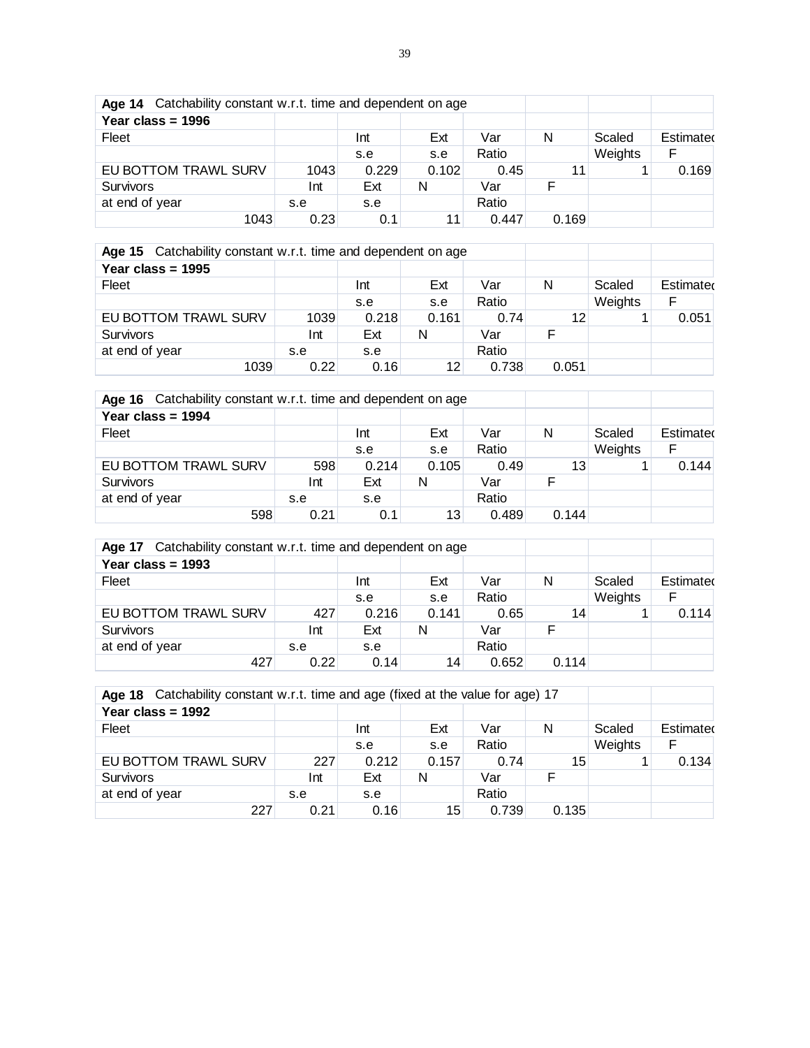| Age 14 Catchability constant w.r.t. time and dependent on age |      |       |       |       |       |         |           |
|---------------------------------------------------------------|------|-------|-------|-------|-------|---------|-----------|
| Year class = $1996$                                           |      |       |       |       |       |         |           |
| Fleet                                                         |      | Int   | Ext   | Var   | N     | Scaled  | Estimated |
|                                                               |      | s.e   | s.e   | Ratio |       | Weights | F         |
| EU BOTTOM TRAWL SURV                                          | 1043 | 0.229 | 0.102 | 0.45  | 11    |         | 0.169     |
| <b>Survivors</b>                                              | Int  | Ext   | N     | Var   |       |         |           |
| at end of year                                                | s.e  | s.e   |       | Ratio |       |         |           |
| 1043                                                          | 0.23 | 0.1   | 11    | 0.447 | 0.169 |         |           |

| Age 15 Catchability constant w.r.t. time and dependent on age |      |       |       |       |       |         |           |
|---------------------------------------------------------------|------|-------|-------|-------|-------|---------|-----------|
| Year class = $1995$                                           |      |       |       |       |       |         |           |
| Fleet                                                         |      | Int   | Ext   | Var   | N     | Scaled  | Estimated |
|                                                               |      | s.e   | s.e   | Ratio |       | Weights | F         |
| EU BOTTOM TRAWL SURV                                          | 1039 | 0.218 | 0.161 | 0.74  | 12    |         | 0.051     |
| <b>Survivors</b>                                              | Int  | Ext   | N     | Var   |       |         |           |
| at end of year                                                | s.e  | s.e   |       | Ratio |       |         |           |
| 1039                                                          | 0.22 | 0.16  | 12    | 0.738 | 0.051 |         |           |

| Age 16 Catchability constant w.r.t. time and dependent on age |      |       |       |       |       |         |           |
|---------------------------------------------------------------|------|-------|-------|-------|-------|---------|-----------|
| Year class = $1994$                                           |      |       |       |       |       |         |           |
| Fleet                                                         |      | Int   | Ext   | Var   | N     | Scaled  | Estimated |
|                                                               |      | s.e   | s.e   | Ratio |       | Weights | F         |
| EU BOTTOM TRAWL SURV                                          | 598  | 0.214 | 0.105 | 0.49  | 13    |         | 0.144     |
| Survivors                                                     | Int  | Ext   | N     | Var   |       |         |           |
| at end of year                                                | s.e  | s.e   |       | Ratio |       |         |           |
| 598                                                           | 0.21 | 0.1   | 13    | 0.489 | 0.144 |         |           |

| Age 17 Catchability constant w.r.t. time and dependent on age |      |       |       |       |       |         |           |  |  |  |  |
|---------------------------------------------------------------|------|-------|-------|-------|-------|---------|-----------|--|--|--|--|
| Year class = $1993$                                           |      |       |       |       |       |         |           |  |  |  |  |
| Fleet                                                         |      | Int   | Ext   | Var   | N     | Scaled  | Estimated |  |  |  |  |
|                                                               |      | s.e   | s.e   | Ratio |       | Weights | F         |  |  |  |  |
| EU BOTTOM TRAWL SURV                                          | 427  | 0.216 | 0.141 | 0.65  | 14    |         | 0.114     |  |  |  |  |
| <b>Survivors</b>                                              | Int  | Ext   | N     | Var   |       |         |           |  |  |  |  |
| at end of year                                                | s.e  | s.e   |       | Ratio |       |         |           |  |  |  |  |
| 427                                                           | 0.22 | 0.14  | 14    | 0.652 | 0.114 |         |           |  |  |  |  |

| Age 18 Catchability constant w.r.t. time and age (fixed at the value for age) 17 |      |       |       |       |       |         |           |  |  |  |  |
|----------------------------------------------------------------------------------|------|-------|-------|-------|-------|---------|-----------|--|--|--|--|
| Year class = $1992$                                                              |      |       |       |       |       |         |           |  |  |  |  |
| Fleet                                                                            |      | Int   | Ext   | Var   | N     | Scaled  | Estimated |  |  |  |  |
|                                                                                  |      | s.e   | s.e   | Ratio |       | Weights | F         |  |  |  |  |
| EU BOTTOM TRAWL SURV                                                             | 227  | 0.212 | 0.157 | 0.74  | 15    |         | 0.134     |  |  |  |  |
| <b>Survivors</b>                                                                 | Int  | Ext   | N     | Var   |       |         |           |  |  |  |  |
| at end of year                                                                   | s.e  | s.e   |       | Ratio |       |         |           |  |  |  |  |
| 227                                                                              | 0.21 | 0.16  | 15    | 0.739 | 0.135 |         |           |  |  |  |  |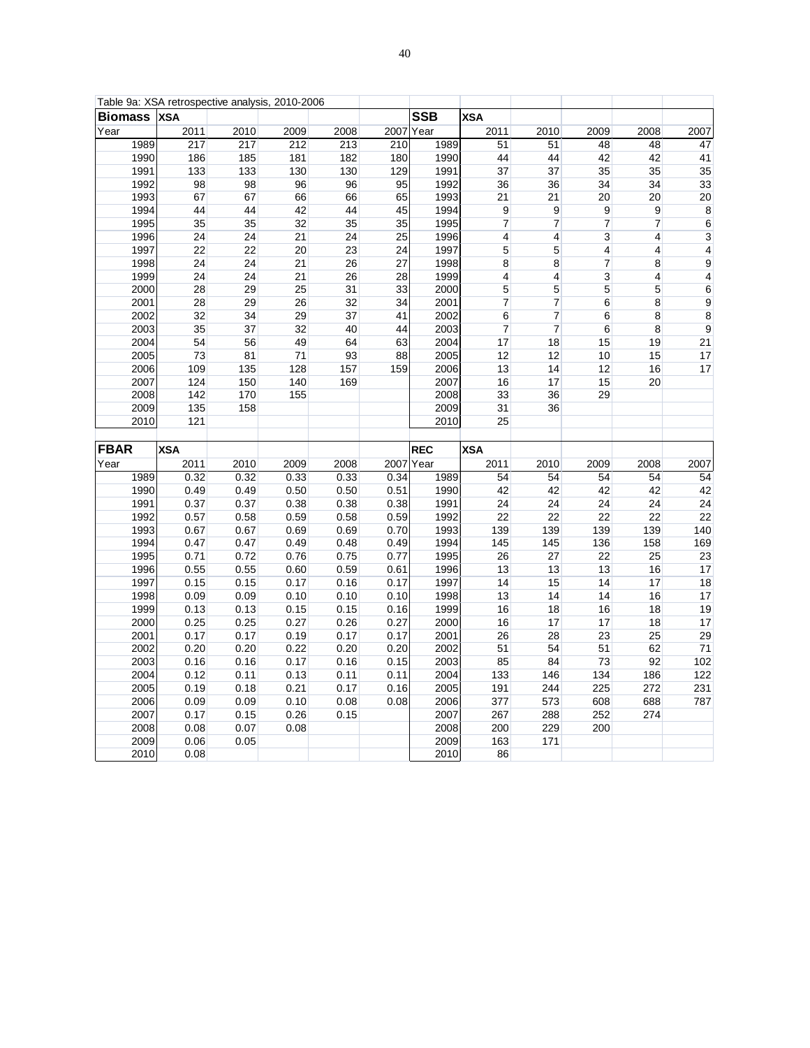| Table 9a: XSA retrospective analysis, 2010-2006 |                  |      |      |      |                 |              |                          |                          |                 |                 |                         |
|-------------------------------------------------|------------------|------|------|------|-----------------|--------------|--------------------------|--------------------------|-----------------|-----------------|-------------------------|
| <b>Biomass</b>                                  | <b>XSA</b>       |      |      |      |                 | <b>SSB</b>   | <b>XSA</b>               |                          |                 |                 |                         |
| Year                                            | 2011             | 2010 | 2009 | 2008 | 2007            | Year         | 2011                     | 2010                     | 2009            | 2008            | 2007                    |
| 1989                                            | $\overline{217}$ | 217  | 212  | 213  | 210             | 1989         | 51                       | 51                       | 48              | 48              | $\overline{47}$         |
| 1990                                            | 186              | 185  | 181  | 182  | 180             | 1990         | 44                       | 44                       | 42              | 42              | 41                      |
| 1991                                            | 133              | 133  | 130  | 130  | 129             | 1991         | 37                       | 37                       | 35              | 35              | 35                      |
| 1992                                            | 98               | 98   | 96   | 96   | 95              | 1992         | 36                       | 36                       | 34              | 34              | 33                      |
| 1993                                            | 67               | 67   | 66   | 66   | 65              | 1993         | 21                       | 21                       | 20              | 20              | 20                      |
| 1994                                            | 44               | 44   | 42   | 44   | 45              | 1994         | 9                        | $9$                      | $9$             | 9               | $^8$                    |
| 1995                                            | 35               | 35   | 32   | 35   | 35              | 1995         | $\overline{7}$           | $\overline{\mathcal{I}}$ | $\overline{7}$  | 7               | $\,6$                   |
| 1996                                            | 24               | 24   | 21   | 24   | $\overline{25}$ | 1996         | 4                        | 4                        | $\mathbf{3}$    | $\overline{4}$  | 3                       |
| 1997                                            | 22               | 22   | 20   | 23   | 24              | 1997         | $\overline{5}$           | 5                        | $\vert 4 \vert$ | $\overline{4}$  | $\overline{\mathbf{4}}$ |
| 1998                                            | 24               | 24   | 21   | 26   | 27              | 1998         | 8                        | 8                        | 7               | 8               | $\overline{9}$          |
| 1999                                            | 24               | 24   | 21   | 26   | 28              | 1999         | $\overline{4}$           | 4                        | $\overline{3}$  | $\overline{4}$  | 4                       |
| 2000                                            | 28               | 29   | 25   | 31   | 33              | 2000         | 5                        | 5                        | 5               | 5               | $6\overline{6}$         |
| 2001                                            | 28               | 29   | 26   | 32   | 34              | 2001         | $\overline{\mathcal{I}}$ | 7                        | 6               | 8               | $\overline{9}$          |
| 2002                                            | 32               | 34   | 29   | 37   | 41              | 2002         | 6                        | 7                        | 6               | 8               | $\overline{8}$          |
| 2003                                            | 35               | 37   | 32   | 40   | 44              | 2003         | $\overline{7}$           | $\overline{7}$           | 6               | $\bf 8$         | $\overline{9}$          |
| 2004                                            | 54               | 56   | 49   | 64   | 63              | 2004         | 17                       | 18                       | 15              | 19              | 21                      |
| 2005                                            | 73               | 81   | 71   | 93   | 88              | 2005         | 12                       | 12                       | 10              | 15              | 17                      |
| 2006                                            | 109              | 135  | 128  | 157  | 159             | 2006         | 13                       | 14                       | 12              | 16              | 17                      |
| 2007                                            | 124              | 150  | 140  | 169  |                 | 2007         | 16                       | 17                       | 15              | 20              |                         |
| 2008                                            | 142              | 170  | 155  |      |                 | 2008         | 33                       | 36                       | 29              |                 |                         |
| 2009                                            | 135              | 158  |      |      |                 | 2009         | 31                       | 36                       |                 |                 |                         |
| 2010                                            | 121              |      |      |      |                 | 2010         | 25                       |                          |                 |                 |                         |
|                                                 |                  |      |      |      |                 |              |                          |                          |                 |                 |                         |
|                                                 |                  |      |      |      |                 |              |                          |                          |                 |                 |                         |
| FBAR                                            | <b>XSA</b>       |      |      |      |                 | <b>REC</b>   | <b>XSA</b>               |                          |                 |                 |                         |
| Year                                            | 2011             | 2010 | 2009 | 2008 |                 | 2007 Year    | 2011                     | 2010                     | 2009            | 2008            | 2007                    |
| 1989                                            | 0.32             | 0.32 | 0.33 | 0.33 | 0.34            | 1989         | 54                       | 54                       | 54              | 54              | 54                      |
| 1990                                            | 0.49             | 0.49 | 0.50 | 0.50 | 0.51            | 1990         | 42                       | 42                       | 42              | 42              | 42                      |
| 1991                                            | 0.37             | 0.37 | 0.38 | 0.38 | 0.38            | 1991         | 24                       | 24                       | 24              | 24              | 24                      |
| 1992                                            | 0.57             | 0.58 | 0.59 | 0.58 | 0.59            | 1992         | $\overline{22}$          | $\overline{22}$          | $\overline{22}$ | $\overline{22}$ | 22                      |
| 1993                                            | 0.67             | 0.67 | 0.69 | 0.69 | 0.70            | 1993         | 139                      | 139                      | 139             | 139             | 140                     |
| 1994                                            | 0.47             | 0.47 | 0.49 | 0.48 | 0.49            | 1994         | 145                      | 145                      | 136             | 158             | 169                     |
| 1995                                            | 0.71             | 0.72 | 0.76 | 0.75 | 0.77            | 1995         | 26                       | 27                       | 22              | 25              | 23                      |
| 1996                                            | 0.55             | 0.55 | 0.60 | 0.59 | 0.61            | 1996         | 13                       | 13                       | 13              | 16              | 17                      |
| 1997                                            | 0.15             | 0.15 | 0.17 | 0.16 | 0.17            | 1997         | 14                       | 15                       | 14              | 17              | $\overline{18}$         |
| 1998                                            | 0.09             | 0.09 | 0.10 | 0.10 | 0.10            | 1998         | 13                       | 14                       | 14              | 16              | 17                      |
| 1999                                            | 0.13             | 0.13 | 0.15 | 0.15 | 0.16            | 1999         | 16                       | 18                       | 16              | 18              | 19                      |
| 2000                                            | 0.25             | 0.25 | 0.27 | 0.26 | 0.27            | 2000         | 16                       | 17                       | 17              | 18              | 17                      |
| 2001                                            | 0.17             | 0.17 | 0.19 | 0.17 | 0.17            | 2001         | 26                       | 28                       | 23              | 25              | 29                      |
| 2002                                            | 0.20             | 0.20 | 0.22 | 0.20 | 0.20            | 2002         | 51                       | 54                       | 51              | 62              | 71                      |
| 2003                                            | 0.16             | 0.16 | 0.17 | 0.16 | 0.15            | 2003         | 85                       | 84                       | 73              | 92              | 102                     |
| 2004                                            | 0.12             | 0.11 | 0.13 | 0.11 | 0.11            | 2004         | 133                      | 146                      | 134             | 186             | 122                     |
| 2005                                            | 0.19             | 0.18 | 0.21 | 0.17 | 0.16            | 2005         | 191                      | 244                      | 225             | 272             | 231                     |
| 2006                                            | 0.09             | 0.09 | 0.10 | 0.08 | 0.08            | 2006         | 377                      | 573                      | 608             | 688             | 787                     |
| 2007                                            | 0.17             | 0.15 | 0.26 | 0.15 |                 | 2007         | 267                      | 288                      | 252             | 274             |                         |
| 2008                                            | 0.08             | 0.07 | 0.08 |      |                 | 2008         | 200                      | 229                      | 200             |                 |                         |
| 2009<br>2010                                    | 0.06<br>0.08     | 0.05 |      |      |                 | 2009<br>2010 | 163<br>86                | 171                      |                 |                 |                         |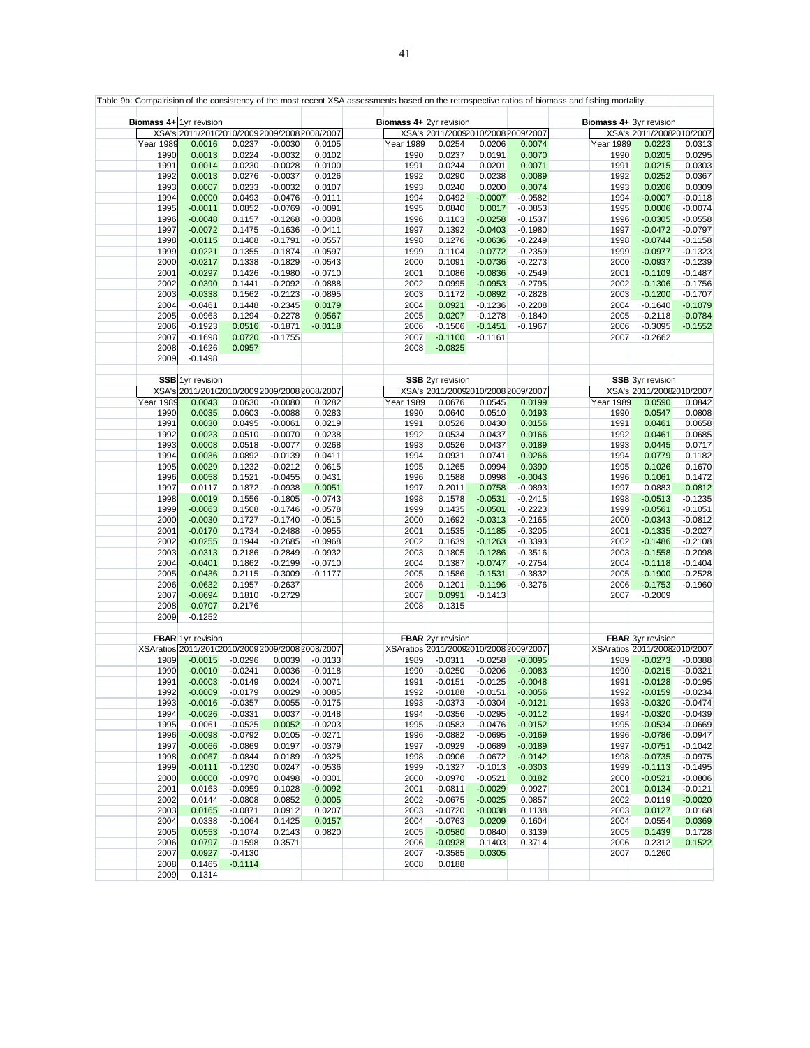|                  |                          |                        |                                                  |                        |                  | Table 9b: Compairision of the consistency of the most recent XSA assessments based on the retrospective ratios of biomass and fishing mortality. |                        |           |                  |                              |                        |
|------------------|--------------------------|------------------------|--------------------------------------------------|------------------------|------------------|--------------------------------------------------------------------------------------------------------------------------------------------------|------------------------|-----------|------------------|------------------------------|------------------------|
|                  |                          |                        |                                                  |                        |                  |                                                                                                                                                  |                        |           |                  |                              |                        |
|                  | Biomass 4+ 1yr revision  |                        |                                                  |                        |                  | Biomass 4+ 2yr revision                                                                                                                          |                        |           |                  | Biomass 4+ 3yr revision      |                        |
|                  |                          |                        | XSA's 2011/20102010/2009 2009/2008 2008/2007     |                        |                  | XSA's 2011/20092010/2008 2009/2007                                                                                                               |                        |           |                  | XSA's 2011/20082010/2007     |                        |
| <b>Year 1989</b> | 0.0016                   | 0.0237                 | $-0.0030$                                        | 0.0105                 | <b>Year 1989</b> | 0.0254                                                                                                                                           | 0.0206                 | 0.0074    | <b>Year 1989</b> | 0.0223                       | 0.0313                 |
| 1990             | 0.0013                   | 0.0224                 | $-0.0032$                                        | 0.0102                 | 1990             | 0.0237                                                                                                                                           | 0.0191                 | 0.0070    | 1990             | 0.0205                       | 0.0295                 |
| 1991             | 0.0014                   | 0.0230                 | $-0.0028$                                        | 0.0100                 | 1991             | 0.0244                                                                                                                                           | 0.0201                 | 0.0071    | 1991             | 0.0215                       | 0.0303                 |
| 1992             | 0.0013                   | 0.0276                 | $-0.0037$                                        | 0.0126                 | 1992             | 0.0290                                                                                                                                           | 0.0238                 | 0.0089    | 1992             | 0.0252                       | 0.0367                 |
| 1993             | 0.0007                   | 0.0233                 | $-0.0032$                                        | 0.0107                 | 1993             | 0.0240                                                                                                                                           | 0.0200                 | 0.0074    | 1993             | 0.0206                       | 0.0309                 |
| 1994             | 0.0000                   | 0.0493                 | $-0.0476$                                        | $-0.0111$              | 1994             | 0.0492                                                                                                                                           | $-0.0007$              | $-0.0582$ | 1994             | $-0.0007$                    | $-0.0118$              |
| 1995             | $-0.0011$                | 0.0852                 | $-0.0769$                                        | $-0.0091$              | 1995             | 0.0840                                                                                                                                           | 0.0017                 | $-0.0853$ | 1995             | 0.0006                       | $-0.0074$              |
| 1996             | $-0.0048$                | 0.1157                 | $-0.1268$                                        | $-0.0308$              | 1996             | 0.1103                                                                                                                                           | $-0.0258$              | $-0.1537$ | 1996             | $-0.0305$                    | $-0.0558$              |
| 1997             | $-0.0072$                | 0.1475                 | $-0.1636$                                        | $-0.0411$              | 1997             | 0.1392                                                                                                                                           | $-0.0403$              | $-0.1980$ | 1997             | $-0.0472$                    | $-0.0797$              |
| 1998             | $-0.0115$                | 0.1408                 | $-0.1791$                                        | $-0.0557$              | 1998             | 0.1276                                                                                                                                           | $-0.0636$              | $-0.2249$ | 1998             | $-0.0744$                    | $-0.1158$              |
| 1999             | $-0.0221$                | 0.1355                 | $-0.1874$                                        | $-0.0597$              | 1999             | 0.1104                                                                                                                                           | $-0.0772$              | $-0.2359$ | 1999             | $-0.0977$                    | $-0.1323$              |
| 2000             | $-0.0217$                | 0.1338                 | $-0.1829$                                        | $-0.0543$              | 2000             | 0.1091                                                                                                                                           | $-0.0736$              | $-0.2273$ | 2000             | $-0.0937$                    | $-0.1239$              |
| 2001             | $-0.0297$                | 0.1426                 | $-0.1980$                                        | $-0.0710$              | 2001             | 0.1086                                                                                                                                           | $-0.0836$              | $-0.2549$ | 2001             | $-0.1109$                    | $-0.1487$              |
| 2002             | $-0.0390$                | 0.1441                 | $-0.2092$                                        | $-0.0888$              | 2002             | 0.0995                                                                                                                                           | $-0.0953$              | $-0.2795$ | 2002             | $-0.1306$                    | $-0.1756$              |
| 2003             | $-0.0338$                | 0.1562                 | $-0.2123$                                        | $-0.0895$              | 2003             | 0.1172                                                                                                                                           | $-0.0892$              | $-0.2828$ | 2003             | $-0.1200$                    | $-0.1707$              |
| 2004             | $-0.0461$                | 0.1448                 | $-0.2345$                                        | 0.0179                 | 2004             | 0.0921                                                                                                                                           | $-0.1236$              | $-0.2208$ | 2004             | $-0.1640$                    | $-0.1079$              |
| 2005             | $-0.0963$                | 0.1294                 | $-0.2278$                                        | 0.0567                 | 2005             | 0.0207                                                                                                                                           | $-0.1278$              | $-0.1840$ | 2005             | $-0.2118$                    | $-0.0784$              |
| 2006             | $-0.1923$                | 0.0516                 | $-0.1871$                                        | $-0.0118$              | 2006             | $-0.1506$                                                                                                                                        | $-0.1451$              | $-0.1967$ | 2006             | $-0.3095$                    | $-0.1552$              |
| 2007             | $-0.1698$                | 0.0720                 | $-0.1755$                                        |                        | 2007             | $-0.1100$                                                                                                                                        | $-0.1161$              |           | 2007             | $-0.2662$                    |                        |
| 2008             | $-0.1626$                | 0.0957                 |                                                  |                        | 2008             | $-0.0825$                                                                                                                                        |                        |           |                  |                              |                        |
| 2009             | $-0.1498$                |                        |                                                  |                        |                  |                                                                                                                                                  |                        |           |                  |                              |                        |
|                  |                          |                        |                                                  |                        |                  |                                                                                                                                                  |                        |           |                  |                              |                        |
|                  | SSB 1yr revision         |                        |                                                  |                        |                  | SSB 2yr revision                                                                                                                                 |                        |           |                  | SSB 3yr revision             |                        |
|                  |                          |                        | XSA's 2011/20102010/2009 2009/2008 2008/2007     |                        |                  | XSA's 2011/20092010/2008 2009/2007                                                                                                               |                        |           |                  | XSA's 2011/20082010/2007     |                        |
| Year 1989        | 0.0043                   | 0.0630                 | $-0.0080$                                        | 0.0282                 | <b>Year 1989</b> | 0.0676                                                                                                                                           | 0.0545                 | 0.0199    | <b>Year 1989</b> | 0.0590                       | 0.0842                 |
| 1990             | 0.0035                   | 0.0603                 | $-0.0088$                                        | 0.0283                 | 1990             | 0.0640                                                                                                                                           | 0.0510                 | 0.0193    | 1990             | 0.0547                       | 0.0808                 |
| 1991             | 0.0030                   | 0.0495                 | $-0.0061$                                        | 0.0219                 | 1991             | 0.0526                                                                                                                                           | 0.0430                 | 0.0156    | 1991             | 0.0461                       | 0.0658                 |
| 1992             | 0.0023                   | 0.0510                 | $-0.0070$                                        | 0.0238                 | 1992             | 0.0534                                                                                                                                           | 0.0437                 | 0.0166    | 1992             | 0.0461                       | 0.0685                 |
| 1993             | 0.0008                   | 0.0518                 | $-0.0077$                                        | 0.0268                 | 1993             | 0.0526                                                                                                                                           | 0.0437                 | 0.0189    | 1993             | 0.0445                       | 0.0717                 |
| 1994             | 0.0036                   | 0.0892                 | $-0.0139$                                        | 0.0411                 | 1994             | 0.0931                                                                                                                                           | 0.0741                 | 0.0266    | 1994             | 0.0779                       | 0.1182                 |
| 1995             | 0.0029                   | 0.1232                 | $-0.0212$                                        | 0.0615                 | 1995             | 0.1265                                                                                                                                           | 0.0994                 | 0.0390    | 1995             | 0.1026                       | 0.1670                 |
| 1996             | 0.0058                   | 0.1521                 | $-0.0455$                                        | 0.0431                 | 1996             | 0.1588                                                                                                                                           | 0.0998                 | $-0.0043$ | 1996             | 0.1061                       | 0.1472                 |
| 1997             | 0.0117                   | 0.1872                 | $-0.0938$                                        | 0.0051                 | 1997             | 0.2011                                                                                                                                           | 0.0758                 | $-0.0893$ | 1997             | 0.0883                       | 0.0812                 |
| 1998             | 0.0019                   | 0.1556                 | $-0.1805$                                        | $-0.0743$              | 1998             | 0.1578                                                                                                                                           | $-0.0531$              | $-0.2415$ | 1998             | $-0.0513$                    | $-0.1235$              |
| 1999             | $-0.0063$                | 0.1508                 | $-0.1746$                                        | $-0.0578$              | 1999             | 0.1435                                                                                                                                           | $-0.0501$              | $-0.2223$ | 1999             | $-0.0561$                    | $-0.1051$              |
| 2000             | $-0.0030$                | 0.1727                 | $-0.1740$                                        | $-0.0515$              | 2000             | 0.1692                                                                                                                                           | $-0.0313$              | $-0.2165$ | 2000             | $-0.0343$                    | $-0.0812$              |
| 2001             | $-0.0170$                | 0.1734                 | $-0.2488$                                        | $-0.0955$              | 2001             | 0.1535                                                                                                                                           | $-0.1185$              | $-0.3205$ | 2001             | $-0.1335$                    | $-0.2027$              |
| 2002             | $-0.0255$                | 0.1944                 | $-0.2685$                                        | $-0.0968$              | 2002             | 0.1639                                                                                                                                           | $-0.1263$              | $-0.3393$ | 2002             | $-0.1486$                    | $-0.2108$              |
| 2003             | $-0.0313$                | 0.2186                 | $-0.2849$                                        | $-0.0932$              | 2003             | 0.1805                                                                                                                                           | $-0.1286$              | $-0.3516$ | 2003             | $-0.1558$                    | $-0.2098$              |
| 2004             | $-0.0401$                | 0.1862                 | $-0.2199$                                        | $-0.0710$              | 2004             | 0.1387                                                                                                                                           | $-0.0747$              | $-0.2754$ | 2004             | $-0.1118$                    | $-0.1404$              |
| 2005             | $-0.0436$                | 0.2115                 | $-0.3009$                                        | $-0.1177$              | 2005             | 0.1586                                                                                                                                           | $-0.1531$              | $-0.3832$ | 2005             | $-0.1900$                    | $-0.2528$              |
| 2006             | $-0.0632$                | 0.1957                 | $-0.2637$                                        |                        | 2006             | 0.1201                                                                                                                                           | $-0.1196$              | $-0.3276$ | 2006             | $-0.1753$                    | $-0.1960$              |
| 2007             | $-0.0694$                | 0.1810                 | $-0.2729$                                        |                        | 2007             | 0.0991                                                                                                                                           | $-0.1413$              |           | 2007             | $-0.2009$                    |                        |
| 2008             | $-0.0707$                | 0.2176                 |                                                  |                        | 2008             |                                                                                                                                                  |                        |           |                  |                              |                        |
| 2009             | $-0.1252$                |                        |                                                  |                        |                  | 0.1315                                                                                                                                           |                        |           |                  |                              |                        |
|                  |                          |                        |                                                  |                        |                  |                                                                                                                                                  |                        |           |                  |                              |                        |
|                  |                          |                        |                                                  |                        |                  |                                                                                                                                                  |                        |           |                  |                              |                        |
|                  | <b>FBAR</b> 1yr revision |                        |                                                  |                        |                  | FBAR 2yr revision<br>XSAratios 2011/20092010/2008 2009/2007                                                                                      |                        |           |                  | <b>FBAR</b> 3yr revision     |                        |
|                  |                          |                        | XSAratios 2011/20102010/2009 2009/2008 2008/2007 |                        |                  |                                                                                                                                                  |                        |           |                  | XSAratios 2011/20082010/2007 |                        |
| 1989<br>1990     | $-0.0015$<br>$-0.0010$   | $-0.0296$<br>$-0.0241$ | 0.0039<br>0.0036                                 | $-0.0133$              | 1989<br>1990     | $-0.0311$<br>$-0.0250$                                                                                                                           | $-0.0258$<br>$-0.0206$ | $-0.0095$ | 1989<br>1990     | $-0.0273$<br>$-0.0215$       | $-0.0388$              |
|                  |                          |                        |                                                  | $-0.0118$              |                  |                                                                                                                                                  |                        | $-0.0083$ |                  |                              | $-0.0321$              |
| 1991             | $-0.0003$                | $-0.0149$              | 0.0024                                           | $-0.0071$              | 1991             | $-0.0151$                                                                                                                                        | $-0.0125$              | $-0.0048$ | 1991             | $-0.0128$                    | $-0.0195$              |
| 1992             | $-0.0009$                | $-0.0179$<br>$-0.0357$ | 0.0029                                           | $-0.0085$              | 1992             | $-0.0188$<br>$-0.0373$                                                                                                                           | $-0.0151$              | $-0.0056$ | 1992             | $-0.0159$                    | $-0.0234$<br>$-0.0474$ |
| 1993             | $-0.0016$                |                        | 0.0055                                           | $-0.0175$<br>$-0.0148$ | 1993             |                                                                                                                                                  | $-0.0304$              | $-0.0121$ | 1993             | $-0.0320$                    |                        |
| 1994             | $-0.0026$                | $-0.0331$              | 0.0037                                           |                        | 1994             | $-0.0356$                                                                                                                                        | $-0.0295$              | $-0.0112$ | 1994             | $-0.0320$                    | $-0.0439$              |
| 1995             | $-0.0061$                | $-0.0525$              | 0.0052                                           | $-0.0203$              | 1995             | $-0.0583$                                                                                                                                        | $-0.0476$              | $-0.0152$ | 1995             | $-0.0534$                    | $-0.0669$              |
| 1996             | $-0.0098$                | $-0.0792$              | 0.0105                                           | $-0.0271$              | 1996             | $-0.0882$                                                                                                                                        | $-0.0695$              | $-0.0169$ | 1996             | $-0.0786$                    | $-0.0947$              |
| 1997             | $-0.0066$                | $-0.0869$              | 0.0197                                           | $-0.0379$              | 1997             | $-0.0929$                                                                                                                                        | $-0.0689$              | $-0.0189$ | 1997             | $-0.0751$                    | $-0.1042$              |
| 1998             | $-0.0067$                | $-0.0844$              | 0.0189                                           | $-0.0325$              | 1998             | $-0.0906$                                                                                                                                        | $-0.0672$              | $-0.0142$ | 1998             | $-0.0735$                    | $-0.0975$              |
| 1999             | $-0.0111$                | $-0.1230$              | 0.0247                                           | $-0.0536$              | 1999             | $-0.1327$                                                                                                                                        | $-0.1013$              | $-0.0303$ | 1999             | $-0.1113$                    | $-0.1495$              |
| 2000             | 0.0000                   | $-0.0970$              | 0.0498                                           | $-0.0301$              | 2000             | $-0.0970$                                                                                                                                        | $-0.0521$              | 0.0182    | 2000             | $-0.0521$                    | $-0.0806$              |
| 2001             | 0.0163                   | $-0.0959$              | 0.1028                                           | $-0.0092$              | 2001             | $-0.0811$                                                                                                                                        | $-0.0029$              | 0.0927    | 2001             | 0.0134                       | $-0.0121$              |
| 2002             | 0.0144                   | $-0.0808$              | 0.0852                                           | 0.0005                 | 2002             | $-0.0675$                                                                                                                                        | $-0.0025$              | 0.0857    | 2002             | 0.0119                       | $-0.0020$              |
| 2003             | 0.0165                   | $-0.0871$              | 0.0912                                           | 0.0207                 | 2003             | $-0.0720$                                                                                                                                        | $-0.0038$              | 0.1138    | 2003             | 0.0127                       | 0.0168                 |
| 2004             | 0.0338                   | $-0.1064$              | 0.1425                                           | 0.0157                 | 2004             | $-0.0763$                                                                                                                                        | 0.0209                 | 0.1604    | 2004             | 0.0554                       | 0.0369                 |
| 2005             | 0.0553                   | $-0.1074$              | 0.2143                                           | 0.0820                 | 2005             | $-0.0580$                                                                                                                                        | 0.0840                 | 0.3139    | 2005             | 0.1439                       | 0.1728                 |
| 2006             | 0.0797                   | $-0.1598$              | 0.3571                                           |                        | 2006             | $-0.0928$                                                                                                                                        | 0.1403                 | 0.3714    | 2006             | 0.2312                       | 0.1522                 |
| 2007             | 0.0927                   | $-0.4130$              |                                                  |                        | 2007             | $-0.3585$                                                                                                                                        | 0.0305                 |           | 2007             | 0.1260                       |                        |
| 2008             | 0.1465                   | $-0.1114$              |                                                  |                        | 2008             | 0.0188                                                                                                                                           |                        |           |                  |                              |                        |
| 2009             | 0.1314                   |                        |                                                  |                        |                  |                                                                                                                                                  |                        |           |                  |                              |                        |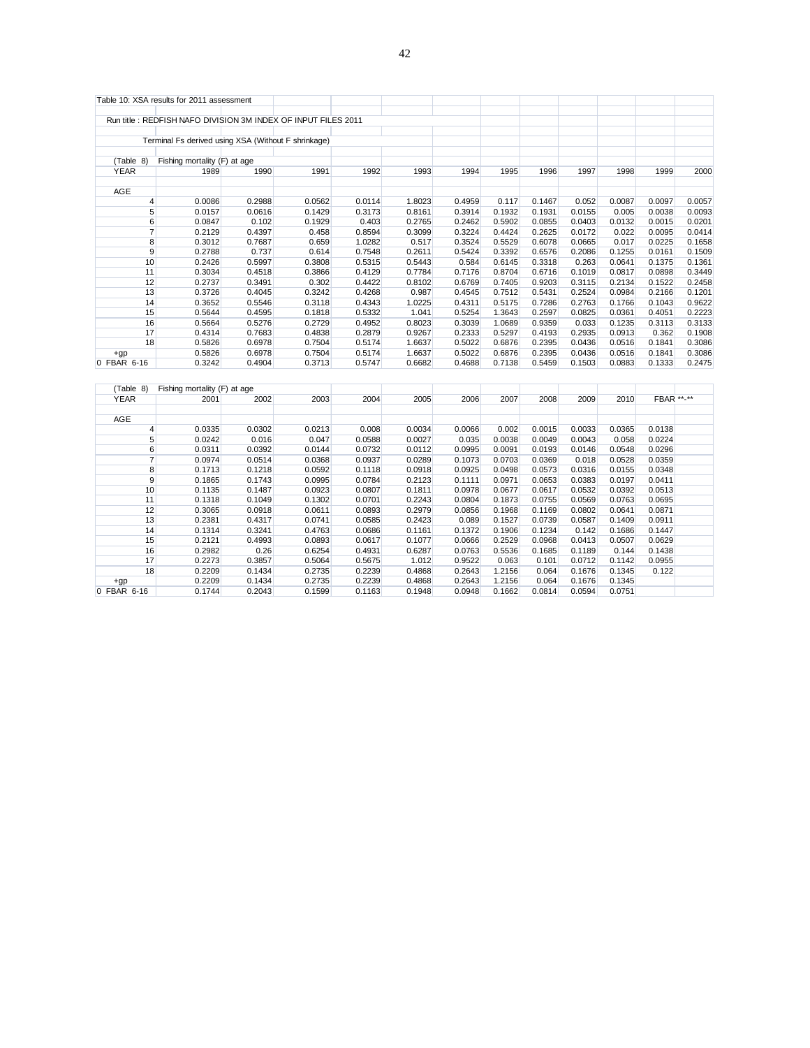|                  | Table 10: XSA results for 2011 assessment                     |        |        |        |        |        |        |        |        |        |            |        |
|------------------|---------------------------------------------------------------|--------|--------|--------|--------|--------|--------|--------|--------|--------|------------|--------|
|                  |                                                               |        |        |        |        |        |        |        |        |        |            |        |
|                  | Run title: REDFISH NAFO DIVISION 3M INDEX OF INPUT FILES 2011 |        |        |        |        |        |        |        |        |        |            |        |
|                  | Terminal Fs derived using XSA (Without F shrinkage)           |        |        |        |        |        |        |        |        |        |            |        |
|                  |                                                               |        |        |        |        |        |        |        |        |        |            |        |
| (Table 8)        | Fishing mortality (F) at age                                  |        |        |        |        |        |        |        |        |        |            |        |
| <b>YEAR</b>      | 1989                                                          | 1990   | 1991   | 1992   | 1993   | 1994   | 1995   | 1996   | 1997   | 1998   | 1999       | 2000   |
| AGE              |                                                               |        |        |        |        |        |        |        |        |        |            |        |
| $\overline{4}$   | 0.0086                                                        | 0.2988 | 0.0562 | 0.0114 | 1.8023 | 0.4959 | 0.117  | 0.1467 | 0.052  | 0.0087 | 0.0097     | 0.0057 |
| 5 <sup>5</sup>   | 0.0157                                                        | 0.0616 | 0.1429 | 0.3173 | 0.8161 | 0.3914 | 0.1932 | 0.1931 | 0.0155 | 0.005  | 0.0038     | 0.0093 |
| 6                | 0.0847                                                        | 0.102  | 0.1929 | 0.403  | 0.2765 | 0.2462 | 0.5902 | 0.0855 | 0.0403 | 0.0132 | 0.0015     | 0.0201 |
| $\overline{7}$   | 0.2129                                                        | 0.4397 | 0.458  | 0.8594 | 0.3099 | 0.3224 | 0.4424 | 0.2625 | 0.0172 | 0.022  | 0.0095     | 0.0414 |
| 8                | 0.3012                                                        | 0.7687 | 0.659  | 1.0282 | 0.517  | 0.3524 | 0.5529 | 0.6078 | 0.0665 | 0.017  | 0.0225     | 0.1658 |
| 9                | 0.2788                                                        | 0.737  | 0.614  | 0.7548 | 0.2611 | 0.5424 | 0.3392 | 0.6576 | 0.2086 | 0.1255 | 0.0161     | 0.1509 |
| 10               | 0.2426                                                        | 0.5997 | 0.3808 | 0.5315 | 0.5443 | 0.584  | 0.6145 | 0.3318 | 0.263  | 0.0641 | 0.1375     | 0.1361 |
| 11               | 0.3034                                                        | 0.4518 | 0.3866 | 0.4129 | 0.7784 | 0.7176 | 0.8704 | 0.6716 | 0.1019 | 0.0817 | 0.0898     | 0.3449 |
| 12               | 0.2737                                                        | 0.3491 | 0.302  | 0.4422 | 0.8102 | 0.6769 | 0.7405 | 0.9203 | 0.3115 | 0.2134 | 0.1522     | 0.2458 |
| 13               | 0.3726                                                        | 0.4045 | 0.3242 | 0.4268 | 0.987  | 0.4545 | 0.7512 | 0.5431 | 0.2524 | 0.0984 | 0.2166     | 0.1201 |
| 14               | 0.3652                                                        | 0.5546 | 0.3118 | 0.4343 | 1.0225 | 0.4311 | 0.5175 | 0.7286 | 0.2763 | 0.1766 | 0.1043     | 0.9622 |
| 15               | 0.5644                                                        | 0.4595 | 0.1818 | 0.5332 | 1.041  | 0.5254 | 1.3643 | 0.2597 | 0.0825 | 0.0361 | 0.4051     | 0.2223 |
| 16               | 0.5664                                                        | 0.5276 | 0.2729 | 0.4952 | 0.8023 | 0.3039 | 1.0689 | 0.9359 | 0.033  | 0.1235 | 0.3113     | 0.3133 |
| 17               | 0.4314                                                        | 0.7683 | 0.4838 | 0.2879 | 0.9267 | 0.2333 | 0.5297 | 0.4193 | 0.2935 | 0.0913 | 0.362      | 0.1908 |
| 18               | 0.5826                                                        | 0.6978 | 0.7504 | 0.5174 | 1.6637 | 0.5022 | 0.6876 | 0.2395 | 0.0436 | 0.0516 | 0.1841     | 0.3086 |
| $+qp$            | 0.5826                                                        | 0.6978 | 0.7504 | 0.5174 | 1.6637 | 0.5022 | 0.6876 | 0.2395 | 0.0436 | 0.0516 | 0.1841     | 0.3086 |
| 0 FBAR 6-16      | 0.3242                                                        | 0.4904 | 0.3713 | 0.5747 | 0.6682 | 0.4688 | 0.7138 | 0.5459 | 0.1503 | 0.0883 | 0.1333     | 0.2475 |
|                  |                                                               |        |        |        |        |        |        |        |        |        |            |        |
| (Table 8)        | Fishing mortality (F) at age                                  |        |        |        |        |        |        |        |        |        |            |        |
| <b>YEAR</b>      | 2001                                                          | 2002   | 2003   | 2004   | 2005   | 2006   | 2007   | 2008   | 2009   | 2010   | FBAR **-** |        |
|                  |                                                               |        |        |        |        |        |        |        |        |        |            |        |
| AGE              |                                                               |        |        |        |        |        |        |        |        |        |            |        |
| $\overline{4}$   | 0.0335                                                        | 0.0302 | 0.0213 | 0.008  | 0.0034 | 0.0066 | 0.002  | 0.0015 | 0.0033 | 0.0365 | 0.0138     |        |
| 5 <sup>5</sup>   | 0.0242                                                        | 0.016  | 0.047  | 0.0588 | 0.0027 | 0.035  | 0.0038 | 0.0049 | 0.0043 | 0.058  | 0.0224     |        |
| $6 \overline{6}$ | 0.0311                                                        | 0.0392 | 0.0144 | 0.0732 | 0.0112 | 0.0995 | 0.0091 | 0.0193 | 0.0146 | 0.0548 | 0.0296     |        |
| $\overline{7}$   | 0.0974                                                        | 0.0514 | 0.0368 | 0.0937 | 0.0289 | 0.1073 | 0.0703 | 0.0369 | 0.018  | 0.0528 | 0.0359     |        |
| 8                | 0.1713                                                        | 0.1218 | 0.0592 | 0.1118 | 0.0918 | 0.0925 | 0.0498 | 0.0573 | 0.0316 | 0.0155 | 0.0348     |        |
| $\overline{9}$   | 0.1865                                                        | 0.1743 | 0.0995 | 0.0784 | 0.2123 | 0.1111 | 0.0971 | 0.0653 | 0.0383 | 0.0197 | 0.0411     |        |
| 10               | 0.1135                                                        | 0.1487 | 0.0923 | 0.0807 | 0.1811 | 0.0978 | 0.0677 | 0.0617 | 0.0532 | 0.0392 | 0.0513     |        |
| 11               | 0.1318                                                        | 0.1049 | 0.1302 | 0.0701 | 0.2243 | 0.0804 | 0.1873 | 0.0755 | 0.0569 | 0.0763 | 0.0695     |        |
| 12               | 0.3065                                                        | 0.0918 | 0.0611 | 0.0893 | 0.2979 | 0.0856 | 0.1968 | 0.1169 | 0.0802 | 0.0641 | 0.0871     |        |
| 13               | 0.2381                                                        | 0.4317 | 0.0741 | 0.0585 | 0.2423 | 0.089  | 0.1527 | 0.0739 | 0.0587 | 0.1409 | 0.0911     |        |
| 14               | 0.1314                                                        | 0.3241 | 0.4763 | 0.0686 | 0.1161 | 0.1372 | 0.1906 | 0.1234 | 0.142  | 0.1686 | 0.1447     |        |
| 15               | 0.2121                                                        | 0.4993 | 0.0893 | 0.0617 | 0.1077 | 0.0666 | 0.2529 | 0.0968 | 0.0413 | 0.0507 | 0.0629     |        |
| 16               | 0.2982                                                        | 0.26   | 0.6254 | 0.4931 | 0.6287 | 0.0763 | 0.5536 | 0.1685 | 0.1189 | 0.144  | 0.1438     |        |
| 17               | 0.2273                                                        | 0.3857 | 0.5064 | 0.5675 | 1.012  | 0.9522 | 0.063  | 0.101  | 0.0712 | 0.1142 | 0.0955     |        |
| 18               | 0.2209                                                        | 0.1434 | 0.2735 | 0.2239 | 0.4868 | 0.2643 | 1.2156 | 0.064  | 0.1676 | 0.1345 | 0.122      |        |
| $+qp$            | 0.2209                                                        | 0.1434 | 0.2735 | 0.2239 | 0.4868 | 0.2643 | 1.2156 | 0.064  | 0.1676 | 0.1345 |            |        |
| 0 FBAR 6-16      | 0.1744                                                        | 0.2043 | 0.1599 | 0.1163 | 0.1948 | 0.0948 | 0.1662 | 0.0814 | 0.0594 | 0.0751 |            |        |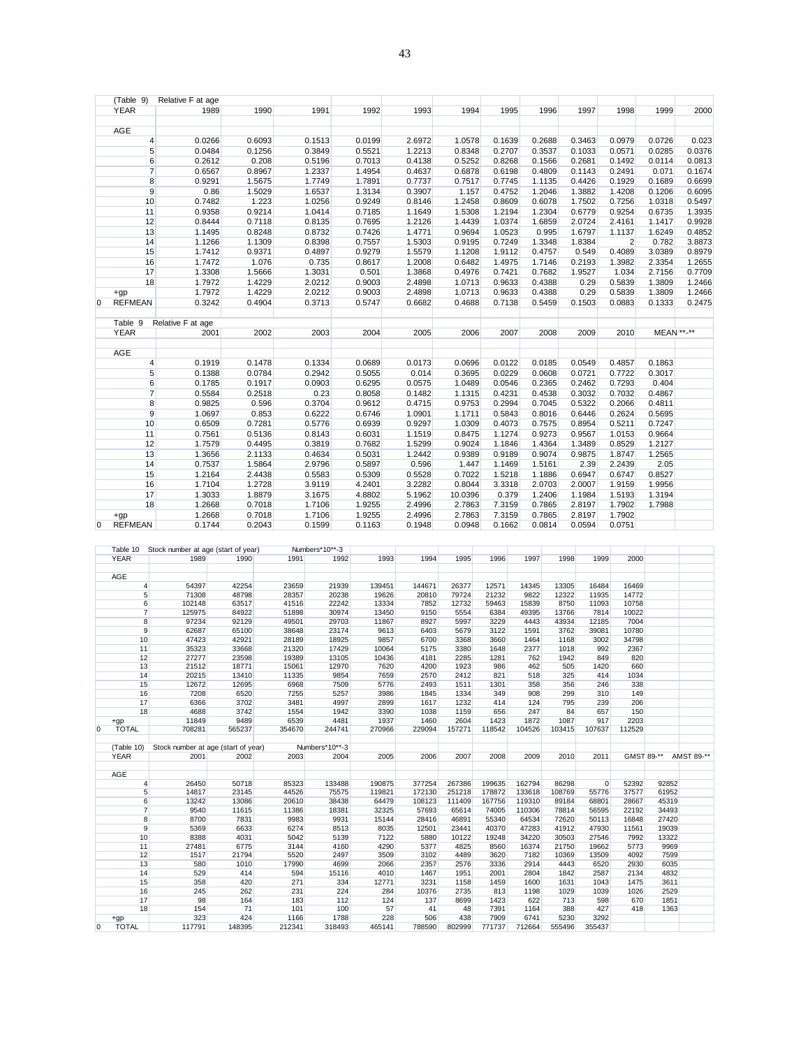|   | (Table 9)       | Relative F at age |        |        |        |        |         |        |        |        |                |            |        |
|---|-----------------|-------------------|--------|--------|--------|--------|---------|--------|--------|--------|----------------|------------|--------|
|   | <b>YEAR</b>     | 1989              | 1990   | 1991   | 1992   | 1993   | 1994    | 1995   | 1996   | 1997   | 1998           | 1999       | 2000   |
|   |                 |                   |        |        |        |        |         |        |        |        |                |            |        |
|   | AGE             |                   |        |        |        |        |         |        |        |        |                |            |        |
|   | 4               | 0.0266            | 0.6093 | 0.1513 | 0.0199 | 2.6972 | 1.0578  | 0.1639 | 0.2688 | 0.3463 | 0.0979         | 0.0726     | 0.023  |
|   | 5 <sup>5</sup>  | 0.0484            | 0.1256 | 0.3849 | 0.5521 | 1.2213 | 0.8348  | 0.2707 | 0.3537 | 0.1033 | 0.0571         | 0.0285     | 0.0376 |
|   | 6               | 0.2612            | 0.208  | 0.5196 | 0.7013 | 0.4138 | 0.5252  | 0.8268 | 0.1566 | 0.2681 | 0.1492         | 0.0114     | 0.0813 |
|   | $\overline{7}$  | 0.6567            | 0.8967 | 1.2337 | 1.4954 | 0.4637 | 0.6878  | 0.6198 | 0.4809 | 0.1143 | 0.2491         | 0.071      | 0.1674 |
|   | 8               | 0.9291            | 1.5675 | 1.7749 | 1.7891 | 0.7737 | 0.7517  | 0.7745 | 1.1135 | 0.4426 | 0.1929         | 0.1689     | 0.6699 |
|   | 9               | 0.86              | 1.5029 | 1.6537 | 1.3134 | 0.3907 | 1.157   | 0.4752 | 1.2046 | 1.3882 | 1.4208         | 0.1206     | 0.6095 |
|   | 10              | 0.7482            | 1.223  | 1.0256 | 0.9249 | 0.8146 | 1.2458  | 0.8609 | 0.6078 | 1.7502 | 0.7256         | 1.0318     | 0.5497 |
|   | 11              | 0.9358            | 0.9214 | 1.0414 | 0.7185 | 1.1649 | 1.5308  | 1.2194 | 1.2304 | 0.6779 | 0.9254         | 0.6735     | 1.3935 |
|   | 12              | 0.8444            | 0.7118 | 0.8135 | 0.7695 | 1.2126 | 1.4439  | 1.0374 | 1.6859 | 2.0724 | 2.4161         | 1.1417     | 0.9928 |
|   | 13              | 1.1495            | 0.8248 | 0.8732 | 0.7426 | 1.4771 | 0.9694  | 1.0523 | 0.995  | 1.6797 | 1.1137         | 1.6249     | 0.4852 |
|   | 14              | 1.1266            | 1.1309 | 0.8398 | 0.7557 | 1.5303 | 0.9195  | 0.7249 | 1.3348 | 1.8384 | $\overline{2}$ | 0.782      | 3.8873 |
|   | 15              | 1.7412            | 0.9371 | 0.4897 | 0.9279 | 1.5579 | 1.1208  | 1.9112 | 0.4757 | 0.549  | 0.4089         | 3.0389     | 0.8979 |
|   | 16              | 1.7472            | 1.076  | 0.735  | 0.8617 | 1.2008 | 0.6482  | 1.4975 | 1.7146 | 0.2193 | 1.3982         | 2.3354     | 1.2655 |
|   | 17              | 1.3308            | 1.5666 | 1.3031 | 0.501  | 1.3868 | 0.4976  | 0.7421 | 0.7682 | 1.9527 | 1.034          | 2.7156     | 0.7709 |
|   | 18              | 1.7972            | 1.4229 | 2.0212 | 0.9003 | 2.4898 | 1.0713  | 0.9633 | 0.4388 | 0.29   | 0.5839         | 1.3809     | 1.2466 |
|   | $+qp$           | 1.7972            | 1.4229 | 2.0212 | 0.9003 | 2.4898 | 1.0713  | 0.9633 | 0.4388 | 0.29   | 0.5839         | 1.3809     | 1.2466 |
| 0 | <b>REFMEAN</b>  | 0.3242            | 0.4904 | 0.3713 | 0.5747 | 0.6682 | 0.4688  | 0.7138 | 0.5459 | 0.1503 | 0.0883         | 0.1333     | 0.2475 |
|   |                 |                   |        |        |        |        |         |        |        |        |                |            |        |
|   | Table 9         | Relative F at age |        |        |        |        |         |        |        |        |                |            |        |
|   | <b>YEAR</b>     | 2001              | 2002   | 2003   | 2004   | 2005   | 2006    | 2007   | 2008   | 2009   | 2010           | MEAN **-** |        |
|   |                 |                   |        |        |        |        |         |        |        |        |                |            |        |
|   | <b>AGE</b>      |                   |        |        |        |        |         |        |        |        |                |            |        |
|   | $\overline{4}$  | 0.1919            | 0.1478 | 0.1334 | 0.0689 | 0.0173 | 0.0696  | 0.0122 | 0.0185 | 0.0549 | 0.4857         | 0.1863     |        |
|   | $5\overline{)}$ | 0.1388            | 0.0784 | 0.2942 | 0.5055 | 0.014  | 0.3695  | 0.0229 | 0.0608 | 0.0721 | 0.7722         | 0.3017     |        |
|   | 6               | 0.1785            | 0.1917 | 0.0903 | 0.6295 | 0.0575 | 1.0489  | 0.0546 | 0.2365 | 0.2462 | 0.7293         | 0.404      |        |
|   | $\overline{7}$  | 0.5584            | 0.2518 | 0.23   | 0.8058 | 0.1482 | 1.1315  | 0.4231 | 0.4538 | 0.3032 | 0.7032         | 0.4867     |        |
|   | 8               | 0.9825            | 0.596  | 0.3704 | 0.9612 | 0.4715 | 0.9753  | 0.2994 | 0.7045 | 0.5322 | 0.2066         | 0.4811     |        |
|   | 9               | 1.0697            | 0.853  | 0.6222 | 0.6746 | 1.0901 | 1.1711  | 0.5843 | 0.8016 | 0.6446 | 0.2624         | 0.5695     |        |
|   | 10              | 0.6509            | 0.7281 | 0.5776 | 0.6939 | 0.9297 | 1.0309  | 0.4073 | 0.7575 | 0.8954 | 0.5211         | 0.7247     |        |
|   | 11              | 0.7561            | 0.5136 | 0.8143 | 0.6031 | 1.1519 | 0.8475  | 1.1274 | 0.9273 | 0.9567 | 1.0153         | 0.9664     |        |
|   | 12              | 1.7579            | 0.4495 | 0.3819 | 0.7682 | 1.5299 | 0.9024  | 1.1846 | 1.4364 | 1.3489 | 0.8529         | 1.2127     |        |
|   | 13              | 1.3656            | 2.1133 | 0.4634 | 0.5031 | 1.2442 | 0.9389  | 0.9189 | 0.9074 | 0.9875 | 1.8747         | 1.2565     |        |
|   | 14              | 0.7537            | 1.5864 | 2.9796 | 0.5897 | 0.596  | 1.447   | 1.1469 | 1.5161 | 2.39   | 2.2439         | 2.05       |        |
|   | 15              | 1.2164            | 2.4438 | 0.5583 | 0.5309 | 0.5528 | 0.7022  | 1.5218 | 1.1886 | 0.6947 | 0.6747         | 0.8527     |        |
|   | 16              | 1.7104            | 1.2728 | 3.9119 | 4.2401 | 3.2282 | 0.8044  | 3.3318 | 2.0703 | 2.0007 | 1.9159         | 1.9956     |        |
|   | 17              | 1.3033            | 1.8879 | 3.1675 | 4.8802 | 5.1962 | 10.0396 | 0.379  | 1.2406 | 1.1984 | 1.5193         | 1.3194     |        |
|   | 18              | 1.2668            | 0.7018 | 1.7106 | 1.9255 | 2.4996 | 2.7863  | 7.3159 | 0.7865 | 2.8197 | 1.7902         | 1.7988     |        |
|   | $+qp$           | 1.2668            | 0.7018 | 1.7106 | 1.9255 | 2.4996 | 2.7863  | 7.3159 | 0.7865 | 2.8197 | 1.7902         |            |        |
| 0 | <b>REFMEAN</b>  | 0.1744            | 0.2043 | 0.1599 | 0.1163 | 0.1948 | 0.0948  | 0.1662 | 0.0814 | 0.0594 | 0.0751         |            |        |

|   | Table 10       | Stock number at age (start of year) |        |        | Numbers*10**-3 |        |        |        |        |        |        |                |        |            |            |
|---|----------------|-------------------------------------|--------|--------|----------------|--------|--------|--------|--------|--------|--------|----------------|--------|------------|------------|
|   | <b>YEAR</b>    | 1989                                | 1990   | 1991   | 1992           | 1993   | 1994   | 1995   | 1996   | 1997   | 1998   | 1999           | 2000   |            |            |
|   |                |                                     |        |        |                |        |        |        |        |        |        |                |        |            |            |
|   | AGE            |                                     |        |        |                |        |        |        |        |        |        |                |        |            |            |
|   | 4              | 54397                               | 42254  | 23659  | 21939          | 139451 | 144671 | 26377  | 12571  | 14345  | 13305  | 16484          | 16469  |            |            |
|   | 5              | 71308                               | 48798  | 28357  | 20238          | 19626  | 20810  | 79724  | 21232  | 9822   | 12322  | 11935          | 14772  |            |            |
|   | 6              | 102148                              | 63517  | 41516  | 22242          | 13334  | 7852   | 12732  | 59463  | 15839  | 8750   | 11093          | 10758  |            |            |
|   | $\overline{7}$ | 125975                              | 84922  | 51898  | 30974          | 13450  | 9150   | 5554   | 6384   | 49395  | 13766  | 7814           | 10022  |            |            |
|   | 8              | 97234                               | 92129  | 49501  | 29703          | 11867  | 8927   | 5997   | 3229   | 4443   | 43934  | 12185          | 7004   |            |            |
|   | $\overline{9}$ | 62687                               | 65100  | 38648  | 23174          | 9613   | 6403   | 5679   | 3122   | 1591   | 3762   | 39081          | 10780  |            |            |
|   | 10             | 47423                               | 42921  | 28189  | 18925          | 9857   | 6700   | 3368   | 3660   | 1464   | 1168   | 3002           | 34798  |            |            |
|   | 11             | 35323                               | 33668  | 21320  | 17429          | 10064  | 5175   | 3380   | 1648   | 2377   | 1018   | 992            | 2367   |            |            |
|   | 12             | 27277                               | 23598  | 19389  | 13105          | 10436  | 4181   | 2285   | 1281   | 762    | 1942   | 849            | 820    |            |            |
|   | 13             | 21512                               | 18771  | 15061  | 12970          | 7620   | 4200   | 1923   | 986    | 462    | 505    | 1420           | 660    |            |            |
|   | 14             | 20215                               | 13410  | 11335  | 9854           | 7659   | 2570   | 2412   | 821    | 518    | 325    | 414            | 1034   |            |            |
|   | 15             | 12672                               | 12695  | 6968   | 7509           | 5776   | 2493   | 1511   | 1301   | 358    | 356    | 246            | 338    |            |            |
|   | 16             | 7208                                | 6520   | 7255   | 5257           | 3986   | 1845   | 1334   | 349    | 908    | 299    | 310            | 149    |            |            |
|   | 17             | 6366                                | 3702   | 3481   | 4997           | 2899   | 1617   | 1232   | 414    | 124    | 795    | 239            | 206    |            |            |
|   | 18             | 4688                                | 3742   | 1554   | 1942           | 3390   | 1038   | 1159   | 656    | 247    | 84     | 657            | 150    |            |            |
|   | $+qp$          | 11849                               | 9489   | 6539   | 4481           | 1937   | 1460   | 2604   | 1423   | 1872   | 1087   | 917            | 2203   |            |            |
| 0 | <b>TOTAL</b>   | 708281                              | 565237 | 354670 | 244741         | 270966 | 229094 | 157271 | 118542 | 104526 | 103415 | 107637         | 112529 |            |            |
|   |                |                                     |        |        |                |        |        |        |        |        |        |                |        |            |            |
|   | (Table 10)     | Stock number at age (start of year) |        |        | Numbers*10**-3 |        |        |        |        |        |        |                |        |            |            |
|   | <b>YEAR</b>    | 2001                                | 2002   | 2003   | 2004           | 2005   | 2006   | 2007   | 2008   | 2009   | 2010   | 2011           |        | GMST 89-** | AMST 89-** |
|   |                |                                     |        |        |                |        |        |        |        |        |        |                |        |            |            |
|   | AGE            |                                     |        |        |                |        |        |        |        |        |        |                |        |            |            |
|   | $\overline{4}$ | 26450                               | 50718  | 85323  | 133488         | 190875 | 377254 | 267386 | 199635 | 162794 | 86298  | $\overline{0}$ | 52392  | 92852      |            |
|   | 5              | 14817                               | 23145  | 44526  | 75575          | 119821 | 172130 | 251218 | 178872 | 133618 | 108769 | 55776          | 37577  | 61952      |            |
|   | 6              | 13242                               | 13086  | 20610  | 38438          | 64479  | 108123 | 111409 | 167756 | 119310 | 89184  | 68801          | 28667  | 45319      |            |
|   | $\overline{7}$ | 9540                                | 11615  | 11386  | 18381          | 32325  | 57693  | 65614  | 74005  | 110306 | 78814  | 56595          | 22192  | 34493      |            |
|   | 8              | 8700                                | 7831   | 9983   | 9931           | 15144  | 28416  | 46891  | 55340  | 64534  | 72620  | 50113          | 16848  | 27420      |            |
|   | $\overline{9}$ | 5369                                | 6633   | 6274   | 8513           | 8035   | 12501  | 23441  | 40370  | 47283  | 41912  | 47930          | 11561  | 19039      |            |
|   | 10             | 8388                                | 4031   | 5042   | 5139           | 7122   | 5880   | 10122  | 19248  | 34220  | 30503  | 27546          | 7992   | 13322      |            |
|   | 11             | 27481                               | 6775   | 3144   | 4160           | 4290   | 5377   | 4825   | 8560   | 16374  | 21750  | 19662          | 5773   | 9969       |            |
|   | 12             | 1517                                | 21794  | 5520   | 2497           | 3509   | 3102   | 4489   | 3620   | 7182   | 10369  | 13509          | 4092   | 7599       |            |
|   | 13             | 580                                 | 1010   | 17990  | 4699           | 2066   | 2357   | 2576   | 3336   | 2914   | 4443   | 6520           | 2930   | 6035       |            |
|   | 14             | 529                                 | 414    | 594    | 15116          | 4010   | 1467   | 1951   | 2001   | 2804   | 1842   | 2587           | 2134   | 4832       |            |
|   | 15             | 358                                 | 420    | 271    | 334            | 12771  | 3231   | 1158   | 1459   | 1600   | 1631   | 1043           | 1475   | 3611       |            |
|   | 16             | 245                                 | 262    | 231    | 224            | 284    | 10376  | 2735   | 813    | 1198   | 1029   | 1039           | 1026   | 2529       |            |
|   | 17             | 98                                  | 164    | 183    | 112            | 124    | 137    | 8699   | 1423   | 622    | 713    | 598            | 670    | 1851       |            |
|   | 18             | 154                                 | 71     | 101    | 100            | 57     | 41     | 48     | 7391   | 1164   | 388    | 427            | 418    | 1363       |            |
|   | $+qp$          | 323                                 | 424    | 1166   | 1788           | 228    | 506    | 438    | 7909   | 6741   | 5230   | 3292           |        |            |            |
| 0 | <b>TOTAL</b>   | 117791                              | 148395 | 212341 | 318493         | 465141 | 788590 | 802999 | 771737 | 712664 | 555496 | 355437         |        |            |            |
|   |                |                                     |        |        |                |        |        |        |        |        |        |                |        |            |            |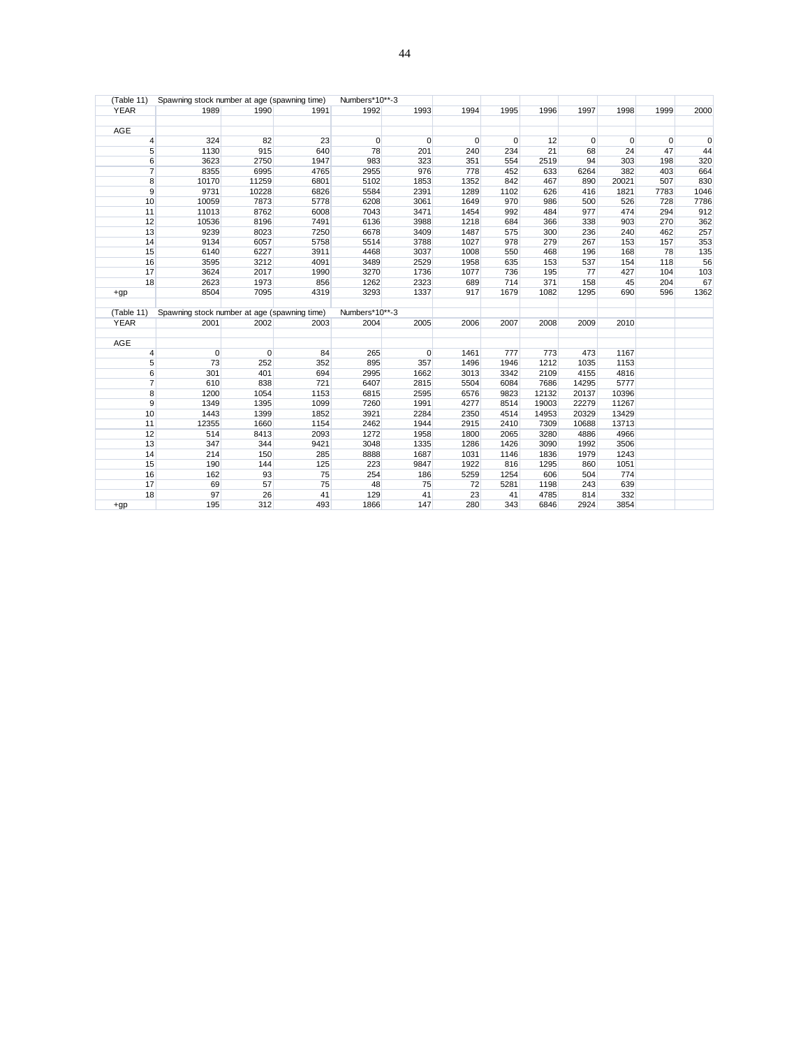| (Table 11)     | Spawning stock number at age (spawning time) |             |      | Numbers*10**-3 |             |      |             |       |                |          |      |      |
|----------------|----------------------------------------------|-------------|------|----------------|-------------|------|-------------|-------|----------------|----------|------|------|
| <b>YEAR</b>    | 1989                                         | 1990        | 1991 | 1992           | 1993        | 1994 | 1995        | 1996  | 1997           | 1998     | 1999 | 2000 |
| <b>AGE</b>     |                                              |             |      |                |             |      |             |       |                |          |      |      |
| $\overline{4}$ | 324                                          | 82          | 23   | $\overline{0}$ | $\mathbf 0$ | 0    | $\mathbf 0$ | 12    | $\overline{0}$ | $\Omega$ | 0    |      |
| 5              | 1130                                         | 915         | 640  | 78             | 201         | 240  | 234         | 21    | 68             | 24       | 47   | 44   |
| 6              | 3623                                         | 2750        | 1947 | 983            | 323         | 351  | 554         | 2519  | 94             | 303      | 198  | 320  |
| $\overline{7}$ | 8355                                         | 6995        | 4765 | 2955           | 976         | 778  | 452         | 633   | 6264           | 382      | 403  | 664  |
| 8              | 10170                                        | 11259       | 6801 | 5102           | 1853        | 1352 | 842         | 467   | 890            | 20021    | 507  | 830  |
| 9              | 9731                                         | 10228       | 6826 | 5584           | 2391        | 1289 | 1102        | 626   | 416            | 1821     | 7783 | 1046 |
| 10             | 10059                                        | 7873        | 5778 | 6208           | 3061        | 1649 | 970         | 986   | 500            | 526      | 728  | 7786 |
| 11             | 11013                                        | 8762        | 6008 | 7043           | 3471        | 1454 | 992         | 484   | 977            | 474      | 294  | 912  |
| 12             | 10536                                        | 8196        | 7491 | 6136           | 3988        | 1218 | 684         | 366   | 338            | 903      | 270  | 362  |
| 13             | 9239                                         | 8023        | 7250 | 6678           | 3409        | 1487 | 575         | 300   | 236            | 240      | 462  | 257  |
| 14             | 9134                                         | 6057        | 5758 | 5514           | 3788        | 1027 | 978         | 279   | 267            | 153      | 157  | 353  |
| 15             | 6140                                         | 6227        | 3911 | 4468           | 3037        | 1008 | 550         | 468   | 196            | 168      | 78   | 135  |
| 16             | 3595                                         | 3212        | 4091 | 3489           | 2529        | 1958 | 635         | 153   | 537            | 154      | 118  | 56   |
| 17             | 3624                                         | 2017        | 1990 | 3270           | 1736        | 1077 | 736         | 195   | 77             | 427      | 104  | 103  |
| 18             | 2623                                         | 1973        | 856  | 1262           | 2323        | 689  | 714         | 371   | 158            | 45       | 204  | 67   |
| $+qp$          | 8504                                         | 7095        | 4319 | 3293           | 1337        | 917  | 1679        | 1082  | 1295           | 690      | 596  | 1362 |
| (Table 11)     | Spawning stock number at age (spawning time) |             |      | Numbers*10**-3 |             |      |             |       |                |          |      |      |
| <b>YEAR</b>    | 2001                                         | 2002        | 2003 | 2004           | 2005        | 2006 | 2007        | 2008  | 2009           | 2010     |      |      |
| AGE            |                                              |             |      |                |             |      |             |       |                |          |      |      |
| $\overline{4}$ | $\mathbf 0$                                  | $\mathbf 0$ | 84   | 265            | 0           | 1461 | 777         | 773   | 473            | 1167     |      |      |
| 5              | 73                                           | 252         | 352  | 895            | 357         | 1496 | 1946        | 1212  | 1035           | 1153     |      |      |
| 6              | 301                                          | 401         | 694  | 2995           | 1662        | 3013 | 3342        | 2109  | 4155           | 4816     |      |      |
| $\overline{7}$ | 610                                          | 838         | 721  | 6407           | 2815        | 5504 | 6084        | 7686  | 14295          | 5777     |      |      |
| 8              | 1200                                         | 1054        | 1153 | 6815           | 2595        | 6576 | 9823        | 12132 | 20137          | 10396    |      |      |
| 9              | 1349                                         | 1395        | 1099 | 7260           | 1991        | 4277 | 8514        | 19003 | 22279          | 11267    |      |      |
| 10             | 1443                                         | 1399        | 1852 | 3921           | 2284        | 2350 | 4514        | 14953 | 20329          | 13429    |      |      |
| 11             | 12355                                        | 1660        | 1154 | 2462           | 1944        | 2915 | 2410        | 7309  | 10688          | 13713    |      |      |
| 12             | 514                                          | 8413        | 2093 | 1272           | 1958        | 1800 | 2065        | 3280  | 4886           | 4966     |      |      |
| 13             | 347                                          | 344         | 9421 | 3048           | 1335        | 1286 | 1426        | 3090  | 1992           | 3506     |      |      |
| 14             | 214                                          | 150         | 285  | 8888           | 1687        | 1031 | 1146        | 1836  | 1979           | 1243     |      |      |
| 15             | 190                                          | 144         | 125  | 223            | 9847        | 1922 | 816         | 1295  | 860            | 1051     |      |      |
| 16             | 162                                          | 93          | 75   | 254            | 186         | 5259 | 1254        | 606   | 504            | 774      |      |      |
| 17             | 69                                           | 57          | 75   | 48             | 75          | 72   | 5281        | 1198  | 243            | 639      |      |      |
| 18             | 97                                           | 26          | 41   | 129            | 41          | 23   | 41          | 4785  | 814            | 332      |      |      |
|                |                                              | 312         |      |                |             |      |             |       |                |          |      |      |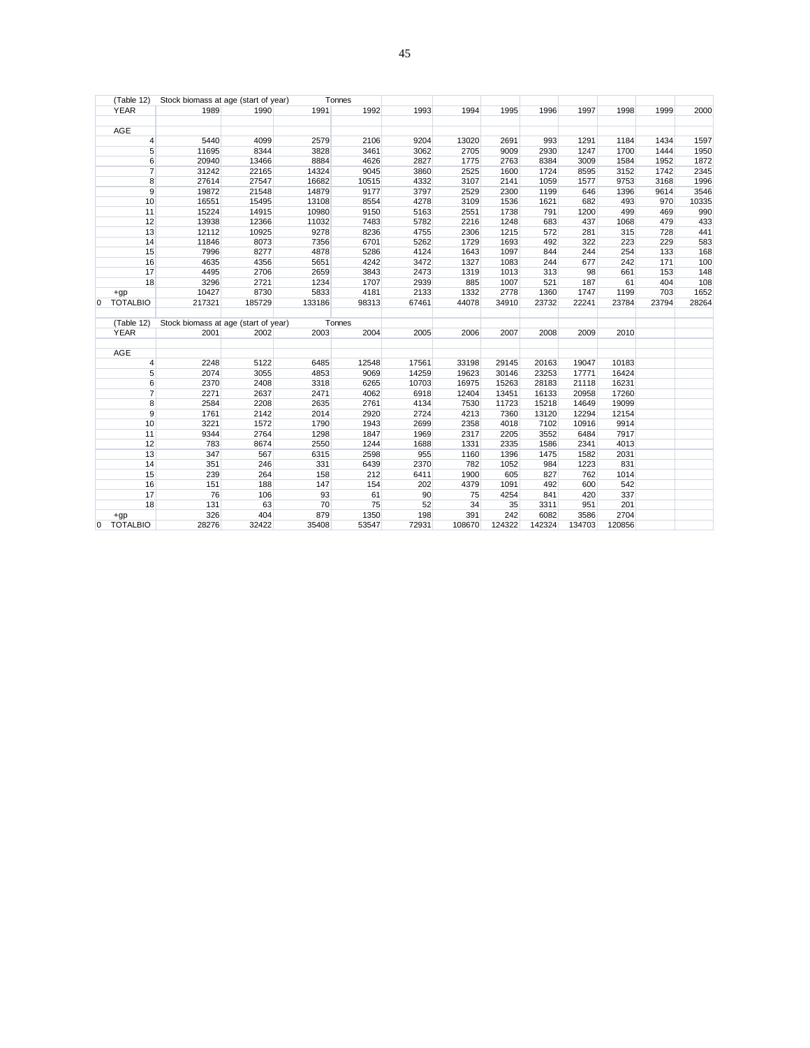|              | 2000                                                                                                                                                                                        |
|--------------|---------------------------------------------------------------------------------------------------------------------------------------------------------------------------------------------|
|              |                                                                                                                                                                                             |
|              |                                                                                                                                                                                             |
|              | 1597                                                                                                                                                                                        |
|              | 1950                                                                                                                                                                                        |
| 1584<br>1952 | 1872                                                                                                                                                                                        |
|              | 2345                                                                                                                                                                                        |
| 3168         | 1996                                                                                                                                                                                        |
| 1396<br>9614 | 3546                                                                                                                                                                                        |
| 493<br>970   | 10335                                                                                                                                                                                       |
| 499<br>469   | 990                                                                                                                                                                                         |
| 1068<br>479  | 433                                                                                                                                                                                         |
| 728<br>315   | 441                                                                                                                                                                                         |
| 223<br>229   | 583                                                                                                                                                                                         |
| 133<br>254   | 168                                                                                                                                                                                         |
| 171<br>242   | 100                                                                                                                                                                                         |
| 661<br>153   | 148                                                                                                                                                                                         |
| 404<br>61    | 108                                                                                                                                                                                         |
| 1199<br>703  | 1652                                                                                                                                                                                        |
|              | 28264                                                                                                                                                                                       |
|              |                                                                                                                                                                                             |
|              |                                                                                                                                                                                             |
|              |                                                                                                                                                                                             |
|              |                                                                                                                                                                                             |
|              |                                                                                                                                                                                             |
|              |                                                                                                                                                                                             |
|              |                                                                                                                                                                                             |
|              |                                                                                                                                                                                             |
|              |                                                                                                                                                                                             |
|              |                                                                                                                                                                                             |
|              |                                                                                                                                                                                             |
|              |                                                                                                                                                                                             |
|              |                                                                                                                                                                                             |
|              |                                                                                                                                                                                             |
|              |                                                                                                                                                                                             |
|              |                                                                                                                                                                                             |
| 1014         |                                                                                                                                                                                             |
|              |                                                                                                                                                                                             |
|              |                                                                                                                                                                                             |
| 542          |                                                                                                                                                                                             |
| 337          |                                                                                                                                                                                             |
| 201<br>2704  |                                                                                                                                                                                             |
|              | 1998<br>1999<br>1184<br>1434<br>1700<br>1444<br>3152<br>1742<br>9753<br>23784<br>23794<br>2010<br>10183<br>16424<br>16231<br>17260<br>19099<br>12154<br>9914<br>7917<br>4013<br>2031<br>831 |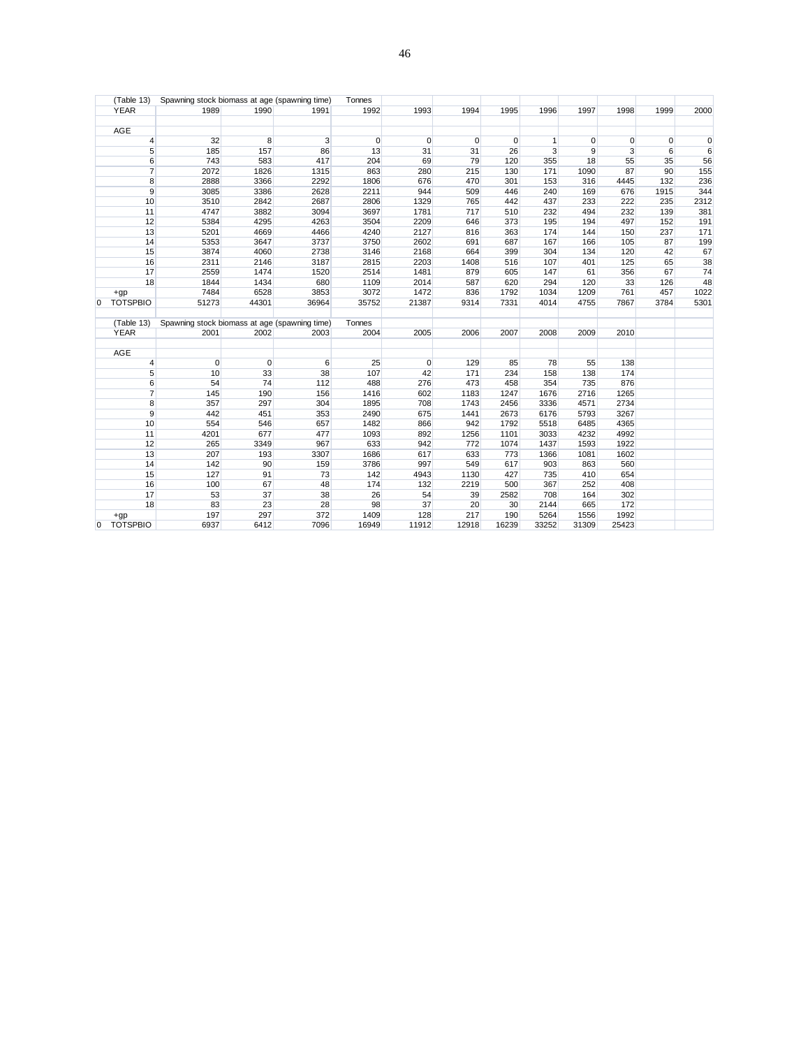|                | (Table 13)          | Spawning stock biomass at age (spawning time) |         |            | Tonnes         |             |             |           |                |       |            |      |      |
|----------------|---------------------|-----------------------------------------------|---------|------------|----------------|-------------|-------------|-----------|----------------|-------|------------|------|------|
|                | <b>YEAR</b>         | 1989                                          | 1990    | 1991       | 1992           | 1993        | 1994        | 1995      | 1996           | 1997  | 1998       | 1999 | 2000 |
|                |                     |                                               |         |            |                |             |             |           |                |       |            |      |      |
|                | AGE                 |                                               |         |            |                |             |             |           |                |       |            |      |      |
|                | 4                   | 32                                            | 8       | 3          | $\overline{0}$ | $\mathbf 0$ | 0           | 0         | 1              | 0     | 0          | 0    | 0    |
|                | 5 <sup>1</sup>      | 185                                           | 157     | 86         | 13             | 31          | 31          | 26        | $\overline{3}$ | 9     | 3          | 6    | 6    |
|                | 6                   | 743                                           | 583     | 417        | 204            | 69          | 79          | 120       | 355            | 18    | 55         | 35   | 56   |
|                | $\overline{7}$      | 2072                                          | 1826    | 1315       | 863            | 280         | 215         | 130       | 171            | 1090  | 87         | 90   | 155  |
|                | 8                   | 2888                                          | 3366    | 2292       | 1806           | 676         | 470         | 301       | 153            | 316   | 4445       | 132  | 236  |
|                | 9                   | 3085                                          | 3386    | 2628       | 2211           | 944         | 509         | 446       | 240            | 169   | 676        | 1915 | 344  |
|                | 10                  | 3510                                          | 2842    | 2687       | 2806           | 1329        | 765         | 442       | 437            | 233   | 222        | 235  | 2312 |
|                | 11                  | 4747                                          | 3882    | 3094       | 3697           | 1781        | 717         | 510       | 232            | 494   | 232        | 139  | 381  |
|                | 12                  | 5384                                          | 4295    | 4263       | 3504           | 2209        | 646         | 373       | 195            | 194   | 497        | 152  | 191  |
|                | 13                  | 5201                                          | 4669    | 4466       | 4240           | 2127        | 816         | 363       | 174            | 144   | 150        | 237  | 171  |
|                | 14                  | 5353                                          | 3647    | 3737       | 3750           | 2602        | 691         | 687       | 167            | 166   | 105        | 87   | 199  |
|                | 15                  | 3874                                          | 4060    | 2738       | 3146           | 2168        | 664         | 399       | 304            | 134   | 120        | 42   | 67   |
|                | 16                  | 2311                                          | 2146    | 3187       | 2815           | 2203        | 1408        | 516       | 107            | 401   | 125        | 65   | 38   |
|                | 17                  | 2559                                          | 1474    | 1520       | 2514           | 1481        | 879         | 605       | 147            | 61    | 356        | 67   | 74   |
|                | 18                  | 1844                                          | 1434    | 680        | 1109           | 2014        | 587         | 620       | 294            | 120   | 33         | 126  | 48   |
|                | $+gp$               | 7484                                          | 6528    | 3853       | 3072           | 1472        | 836         | 1792      | 1034           | 1209  | 761        | 457  | 1022 |
| $\overline{0}$ | <b>TOTSPBIO</b>     | 51273                                         | 44301   | 36964      | 35752          | 21387       | 9314        | 7331      | 4014           | 4755  | 7867       | 3784 | 5301 |
|                | (Table 13)          | Spawning stock biomass at age (spawning time) |         |            | Tonnes         |             |             |           |                |       |            |      |      |
|                | <b>YEAR</b>         | 2001                                          | 2002    | 2003       | 2004           | 2005        | 2006        | 2007      | 2008           | 2009  | 2010       |      |      |
|                | AGE                 |                                               |         |            |                |             |             |           |                |       |            |      |      |
|                |                     | $\mathbf 0$                                   |         |            | 25             |             | 129         |           |                | 55    |            |      |      |
|                | 4                   |                                               | 0<br>33 | 6<br>38    | 107            | 0<br>42     | 171         | 85<br>234 | 78<br>158      | 138   | 138<br>174 |      |      |
|                | 5                   | 10                                            |         |            |                |             |             |           | 354            |       |            |      |      |
|                | 6<br>$\overline{7}$ | 54                                            | 74      | 112        | 488            | 276         | 473         | 458       |                | 735   | 876        |      |      |
|                |                     | 145<br>357                                    | 190     | 156        | 1416           | 602         | 1183        | 1247      | 1676           | 2716  | 1265       |      |      |
|                | 8                   |                                               | 297     | 304        | 1895           | 708         | 1743        | 2456      | 3336           | 4571  | 2734       |      |      |
|                | 9                   | 442<br>554                                    | 451     | 353<br>657 | 2490<br>1482   | 675<br>866  | 1441<br>942 | 2673      | 6176           | 5793  | 3267       |      |      |
|                | 10                  |                                               | 546     |            |                |             |             | 1792      | 5518           | 6485  | 4365       |      |      |
|                | 11                  | 4201                                          | 677     | 477        | 1093           | 892         | 1256        | 1101      | 3033           | 4232  | 4992       |      |      |
|                | 12                  | 265                                           | 3349    | 967        | 633            | 942         | 772         | 1074      | 1437           | 1593  | 1922       |      |      |
|                | 13                  | 207                                           | 193     | 3307       | 1686<br>3786   | 617         | 633         | 773       | 1366           | 1081  | 1602       |      |      |
|                | 14                  | 142                                           | 90      | 159        |                | 997         | 549         | 617       | 903            | 863   | 560        |      |      |
|                | 15                  | 127                                           | 91      | 73         | 142            | 4943        | 1130        | 427       | 735            | 410   | 654        |      |      |
|                | 16                  | 100                                           | 67      | 48         | 174            | 132         | 2219        | 500       | 367            | 252   | 408        |      |      |
|                | 17                  | 53                                            | 37      | 38         | 26             | 54          | 39          | 2582      | 708            | 164   | 302        |      |      |
|                | 18                  | 83                                            | 23      | 28         | 98             | 37          | 20          | 30        | 2144           | 665   | 172        |      |      |
|                | $+qp$               | 197                                           | 297     | 372        | 1409           | 128         | 217         | 190       | 5264           | 1556  | 1992       |      |      |
| 0              | <b>TOTSPBIO</b>     | 6937                                          | 6412    | 7096       | 16949          | 11912       | 12918       | 16239     | 33252          | 31309 | 25423      |      |      |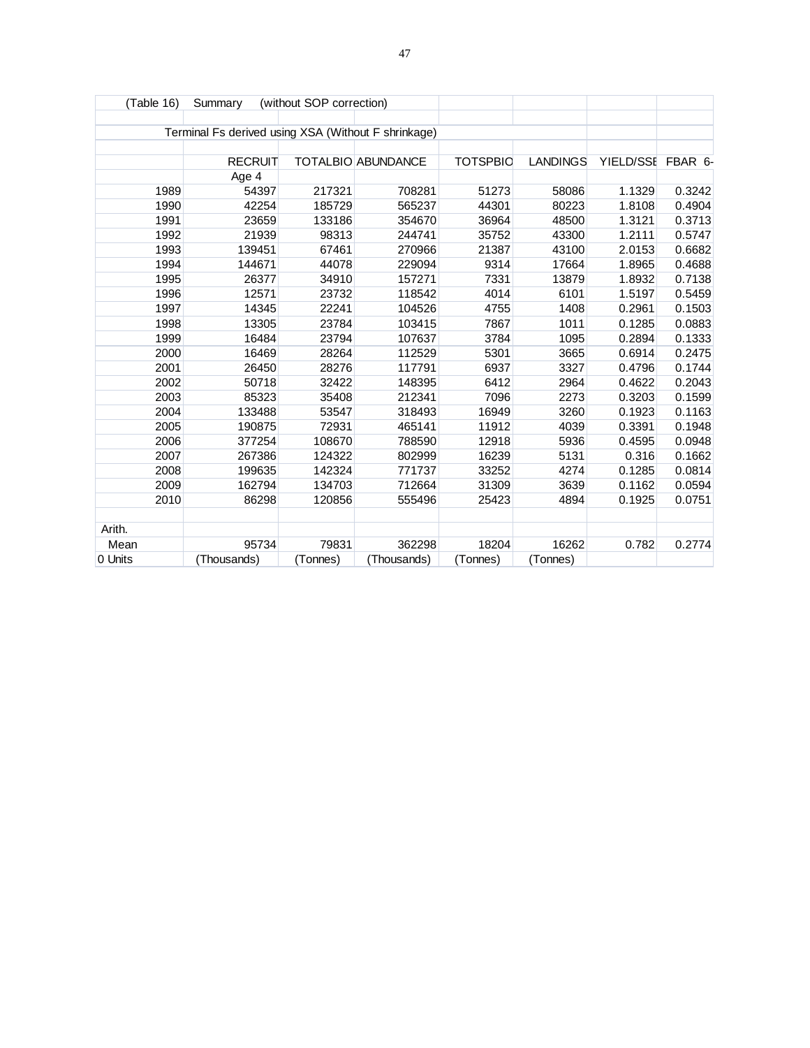| (Table 16) | Summary                                             | (without SOP correction) |                    |                 |                 |                   |        |
|------------|-----------------------------------------------------|--------------------------|--------------------|-----------------|-----------------|-------------------|--------|
|            |                                                     |                          |                    |                 |                 |                   |        |
|            | Terminal Fs derived using XSA (Without F shrinkage) |                          |                    |                 |                 |                   |        |
|            |                                                     |                          |                    |                 |                 |                   |        |
|            | <b>RECRUIT</b>                                      |                          | TOTALBIO ABUNDANCE | <b>TOTSPBIC</b> | <b>LANDINGS</b> | YIELD/SSE FBAR 6- |        |
|            | Age 4                                               |                          |                    |                 |                 |                   |        |
| 1989       | 54397                                               | 217321                   | 708281             | 51273           | 58086           | 1.1329            | 0.3242 |
| 1990       | 42254                                               | 185729                   | 565237             | 44301           | 80223           | 1.8108            | 0.4904 |
| 1991       | 23659                                               | 133186                   | 354670             | 36964           | 48500           | 1.3121            | 0.3713 |
| 1992       | 21939                                               | 98313                    | 244741             | 35752           | 43300           | 1.2111            | 0.5747 |
| 1993       | 139451                                              | 67461                    | 270966             | 21387           | 43100           | 2.0153            | 0.6682 |
| 1994       | 144671                                              | 44078                    | 229094             | 9314            | 17664           | 1.8965            | 0.4688 |
| 1995       | 26377                                               | 34910                    | 157271             | 7331            | 13879           | 1.8932            | 0.7138 |
| 1996       | 12571                                               | 23732                    | 118542             | 4014            | 6101            | 1.5197            | 0.5459 |
| 1997       | 14345                                               | 22241                    | 104526             | 4755            | 1408            | 0.2961            | 0.1503 |
| 1998       | 13305                                               | 23784                    | 103415             | 7867            | 1011            | 0.1285            | 0.0883 |
| 1999       | 16484                                               | 23794                    | 107637             | 3784            | 1095            | 0.2894            | 0.1333 |
| 2000       | 16469                                               | 28264                    | 112529             | 5301            | 3665            | 0.6914            | 0.2475 |
| 2001       | 26450                                               | 28276                    | 117791             | 6937            | 3327            | 0.4796            | 0.1744 |
| 2002       | 50718                                               | 32422                    | 148395             | 6412            | 2964            | 0.4622            | 0.2043 |
| 2003       | 85323                                               | 35408                    | 212341             | 7096            | 2273            | 0.3203            | 0.1599 |
| 2004       | 133488                                              | 53547                    | 318493             | 16949           | 3260            | 0.1923            | 0.1163 |
| 2005       | 190875                                              | 72931                    | 465141             | 11912           | 4039            | 0.3391            | 0.1948 |
| 2006       | 377254                                              | 108670                   | 788590             | 12918           | 5936            | 0.4595            | 0.0948 |
| 2007       | 267386                                              | 124322                   | 802999             | 16239           | 5131            | 0.316             | 0.1662 |
| 2008       | 199635                                              | 142324                   | 771737             | 33252           | 4274            | 0.1285            | 0.0814 |
| 2009       | 162794                                              | 134703                   | 712664             | 31309           | 3639            | 0.1162            | 0.0594 |
| 2010       | 86298                                               | 120856                   | 555496             | 25423           | 4894            | 0.1925            | 0.0751 |
|            |                                                     |                          |                    |                 |                 |                   |        |
| Arith.     |                                                     |                          |                    |                 |                 |                   |        |
| Mean       | 95734                                               | 79831                    | 362298             | 18204           | 16262           | 0.782             | 0.2774 |
| 0 Units    | (Thousands)                                         | (Tonnes)                 | (Thousands)        | (Tonnes)        | (Tonnes)        |                   |        |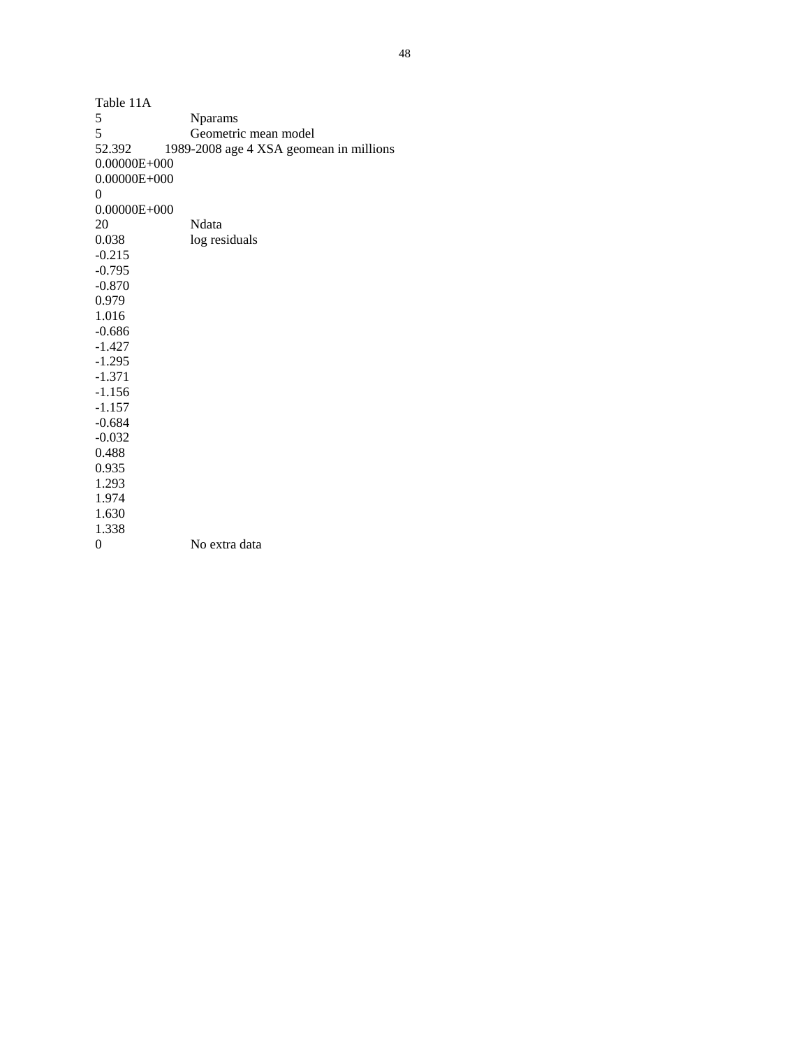| Table 11A        |                                         |
|------------------|-----------------------------------------|
| 5                | <b>Nparams</b>                          |
| 5                | Geometric mean model                    |
| 52.392           | 1989-2008 age 4 XSA geomean in millions |
| $0.00000E + 000$ |                                         |
| $0.00000E + 000$ |                                         |
| 0                |                                         |
| $0.00000E + 000$ |                                         |
| 20               | Ndata                                   |
| 0.038            | log residuals                           |
| $-0.215$         |                                         |
| $-0.795$         |                                         |
| $-0.870$         |                                         |
| 0.979            |                                         |
| 1.016            |                                         |
| $-0.686$         |                                         |
| $-1.427$         |                                         |
| $-1.295$         |                                         |
| $-1.371$         |                                         |
| $-1.156$         |                                         |
| $-1.157$         |                                         |
| $-0.684$         |                                         |
| $-0.032$         |                                         |
| 0.488            |                                         |
| 0.935            |                                         |
| 1.293            |                                         |
| 1.974            |                                         |
| 1.630            |                                         |
| 1.338            |                                         |
| 0                | No extra data                           |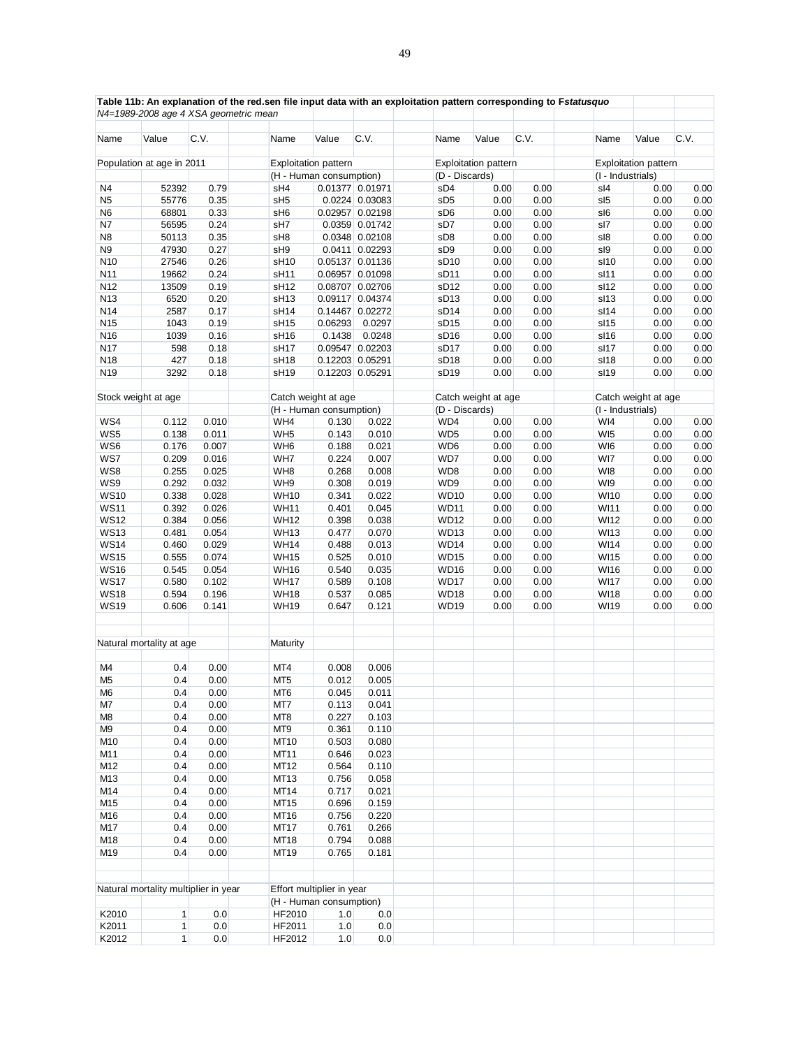|                 |                           | N4=1989-2008 age 4 XSA geometric mean | Table 11b: An explanation of the red.sen file input data with an exploitation pattern corresponding to Fstatusquo |                                                      |                 |                  |                                               |      |                     |                             |      |
|-----------------|---------------------------|---------------------------------------|-------------------------------------------------------------------------------------------------------------------|------------------------------------------------------|-----------------|------------------|-----------------------------------------------|------|---------------------|-----------------------------|------|
| Name            | Value                     | C.V.                                  | Name                                                                                                              | Value                                                | C.V.            | Name             | Value                                         | C.V. | Name                | Value                       | C.V. |
|                 | Population at age in 2011 |                                       |                                                                                                                   |                                                      |                 |                  |                                               |      |                     | <b>Exploitation pattern</b> |      |
|                 |                           |                                       | <b>Exploitation pattern</b><br>(H - Human consumption)                                                            |                                                      |                 |                  | <b>Exploitation pattern</b><br>(D - Discards) |      | (I - Industrials)   |                             |      |
| N4              | 52392                     | 0.79                                  | sH4                                                                                                               |                                                      | 0.01377 0.01971 | sD4              | 0.00                                          | 0.00 | sl4                 | 0.00                        | 0.00 |
|                 |                           |                                       |                                                                                                                   |                                                      | 0.0224 0.03083  |                  |                                               |      |                     |                             |      |
| N <sub>5</sub>  | 55776                     | 0.35                                  | sH <sub>5</sub>                                                                                                   |                                                      |                 | sD <sub>5</sub>  | 0.00                                          | 0.00 | sl <sub>5</sub>     | 0.00                        | 0.00 |
| N6              | 68801                     | 0.33                                  | sH <sub>6</sub>                                                                                                   |                                                      | 0.02957 0.02198 | sD6              | 0.00                                          | 0.00 | sl6                 | 0.00                        | 0.00 |
| N7              | 56595                     | 0.24                                  | sH7                                                                                                               |                                                      | 0.0359 0.01742  | sD7              | 0.00                                          | 0.00 | sl7                 | 0.00                        | 0.00 |
| N8              | 50113                     | 0.35                                  | sH <sub>8</sub>                                                                                                   |                                                      | 0.0348 0.02108  | sD8              | 0.00                                          | 0.00 | sl8                 | 0.00                        | 0.00 |
| N9              | 47930                     | 0.27                                  | sH9                                                                                                               |                                                      | 0.0411 0.02293  | sD <sub>9</sub>  | 0.00                                          | 0.00 | sl9                 | 0.00                        | 0.00 |
| N <sub>10</sub> | 27546                     | 0.26                                  | sH <sub>10</sub>                                                                                                  |                                                      | 0.05137 0.01136 | sD <sub>10</sub> | 0.00                                          | 0.00 | sl <sub>10</sub>    | 0.00                        | 0.00 |
| N11             | 19662                     | 0.24                                  | sH <sub>11</sub>                                                                                                  |                                                      | 0.06957 0.01098 | sD <sub>11</sub> | 0.00                                          | 0.00 | sl11                | 0.00                        | 0.00 |
| N12             | 13509                     | 0.19                                  | sH <sub>12</sub>                                                                                                  |                                                      | 0.08707 0.02706 | sD <sub>12</sub> | 0.00                                          | 0.00 | sl12                | 0.00                        | 0.00 |
| N13             | 6520                      | 0.20                                  | sH <sub>13</sub>                                                                                                  |                                                      | 0.09117 0.04374 | sD <sub>13</sub> | 0.00                                          | 0.00 | sl <sub>13</sub>    | 0.00                        | 0.00 |
| N14             | 2587                      | 0.17                                  | sH <sub>14</sub>                                                                                                  |                                                      | 0.14467 0.02272 | sD <sub>14</sub> | 0.00                                          | 0.00 | sl14                | 0.00                        | 0.00 |
| N <sub>15</sub> | 1043                      | 0.19                                  | sH <sub>15</sub>                                                                                                  | 0.06293                                              | 0.0297          | sD <sub>15</sub> | 0.00                                          | 0.00 | sl <sub>15</sub>    | 0.00                        | 0.00 |
| N16             | 1039                      | 0.16                                  | sH <sub>16</sub>                                                                                                  | 0.1438                                               | 0.0248          | sD <sub>16</sub> | 0.00                                          | 0.00 | sl16                | 0.00                        | 0.00 |
| N17             | 598                       | 0.18                                  | sH <sub>17</sub>                                                                                                  |                                                      | 0.09547 0.02203 | sD <sub>17</sub> | 0.00                                          | 0.00 | sl17                | 0.00                        | 0.00 |
| N18             | 427                       | 0.18                                  | sH <sub>18</sub>                                                                                                  |                                                      | 0.12203 0.05291 | sD <sub>18</sub> | 0.00                                          | 0.00 | sl18                | 0.00                        | 0.00 |
|                 |                           |                                       |                                                                                                                   |                                                      |                 |                  |                                               |      |                     |                             |      |
| N <sub>19</sub> | 3292                      | 0.18                                  | sH <sub>19</sub>                                                                                                  |                                                      | 0.12203 0.05291 | sD <sub>19</sub> | 0.00                                          | 0.00 | sl <sub>19</sub>    | 0.00                        | 0.00 |
|                 | Stock weight at age       |                                       | Catch weight at age                                                                                               |                                                      |                 |                  | Catch weight at age                           |      | Catch weight at age |                             |      |
|                 |                           |                                       |                                                                                                                   | (H - Human consumption)                              |                 | (D - Discards)   |                                               |      | (I - Industrials)   |                             |      |
| WS4             | 0.112                     | 0.010                                 | WH4                                                                                                               | 0.130                                                | 0.022           | WD4              | 0.00                                          | 0.00 | WI4                 | 0.00                        | 0.00 |
| WS5             | 0.138                     | 0.011                                 | WH <sub>5</sub>                                                                                                   | 0.143                                                | 0.010           | WD <sub>5</sub>  | 0.00                                          | 0.00 | WI <sub>5</sub>     | 0.00                        | 0.00 |
| WS6             | 0.176                     | 0.007                                 | WH <sub>6</sub>                                                                                                   | 0.188                                                | 0.021           | WD6              | 0.00                                          | 0.00 | WI6                 | 0.00                        | 0.00 |
| WS7             | 0.209                     | 0.016                                 | WH7                                                                                                               | 0.224                                                | 0.007           | WD7              | 0.00                                          | 0.00 | WI7                 | 0.00                        | 0.00 |
| WS8             |                           |                                       |                                                                                                                   |                                                      |                 |                  |                                               |      | WI8                 |                             | 0.00 |
|                 | 0.255                     | 0.025                                 | WH8                                                                                                               | 0.268                                                | 0.008           | WD8              | 0.00                                          | 0.00 |                     | 0.00                        |      |
| WS9             | 0.292                     | 0.032                                 | WH9                                                                                                               | 0.308                                                | 0.019           | WD9              | 0.00                                          | 0.00 | WI9                 | 0.00                        | 0.00 |
| <b>WS10</b>     | 0.338                     | 0.028                                 | <b>WH10</b>                                                                                                       | 0.341                                                | 0.022           | <b>WD10</b>      | 0.00                                          | 0.00 | <b>WI10</b>         | 0.00                        | 0.00 |
| <b>WS11</b>     | 0.392                     | 0.026                                 | <b>WH11</b>                                                                                                       | 0.401                                                | 0.045           | <b>WD11</b>      | 0.00                                          | 0.00 | <b>WI11</b>         | 0.00                        | 0.00 |
| <b>WS12</b>     | 0.384                     | 0.056                                 | <b>WH12</b>                                                                                                       | 0.398                                                | 0.038           | <b>WD12</b>      | 0.00                                          | 0.00 | <b>WI12</b>         | 0.00                        | 0.00 |
| <b>WS13</b>     | 0.481                     | 0.054                                 | <b>WH13</b>                                                                                                       | 0.477                                                | 0.070           | <b>WD13</b>      | 0.00                                          | 0.00 | <b>WI13</b>         | 0.00                        | 0.00 |
| <b>WS14</b>     | 0.460                     | 0.029                                 | <b>WH14</b>                                                                                                       | 0.488                                                | 0.013           | <b>WD14</b>      | 0.00                                          | 0.00 | <b>WI14</b>         | 0.00                        | 0.00 |
| <b>WS15</b>     | 0.555                     | 0.074                                 | <b>WH15</b>                                                                                                       | 0.525                                                | 0.010           | <b>WD15</b>      | 0.00                                          | 0.00 | <b>WI15</b>         | 0.00                        | 0.00 |
| <b>WS16</b>     | 0.545                     | 0.054                                 | <b>WH16</b>                                                                                                       | 0.540                                                | 0.035           | <b>WD16</b>      | 0.00                                          | 0.00 | <b>WI16</b>         | 0.00                        | 0.00 |
| <b>WS17</b>     | 0.580                     | 0.102                                 | <b>WH17</b>                                                                                                       | 0.589                                                | 0.108           | <b>WD17</b>      | 0.00                                          | 0.00 | <b>WI17</b>         | 0.00                        | 0.00 |
| <b>WS18</b>     | 0.594                     | 0.196                                 | <b>WH18</b>                                                                                                       | 0.537                                                | 0.085           | <b>WD18</b>      | 0.00                                          | 0.00 | <b>WI18</b>         | 0.00                        | 0.00 |
| <b>WS19</b>     | 0.606                     | 0.141                                 | <b>WH19</b>                                                                                                       | 0.647                                                | 0.121           | <b>WD19</b>      | 0.00                                          | 0.00 | WI19                | 0.00                        | 0.00 |
|                 | Natural mortality at age  |                                       | Maturity                                                                                                          |                                                      |                 |                  |                                               |      |                     |                             |      |
|                 |                           |                                       |                                                                                                                   |                                                      |                 |                  |                                               |      |                     |                             |      |
| M4              | 0.4                       | 0.00                                  | MT4                                                                                                               | 0.008                                                | 0.006           |                  |                                               |      |                     |                             |      |
| M <sub>5</sub>  | 0.4                       | 0.00                                  | MT <sub>5</sub>                                                                                                   | 0.012                                                | 0.005           |                  |                                               |      |                     |                             |      |
| M <sub>6</sub>  | 0.4                       | 0.00                                  | MT6                                                                                                               | 0.045                                                | 0.011           |                  |                                               |      |                     |                             |      |
| M7              | 0.4                       | 0.00                                  | MT7                                                                                                               | 0.113                                                | 0.041           |                  |                                               |      |                     |                             |      |
| M8              | 0.4                       | 0.00                                  | MT8                                                                                                               | 0.227                                                | 0.103           |                  |                                               |      |                     |                             |      |
| M9              | 0.4                       | 0.00                                  | MT9                                                                                                               | 0.361                                                | 0.110           |                  |                                               |      |                     |                             |      |
| M10             | 0.4                       | 0.00                                  | MT10                                                                                                              | 0.503                                                | 0.080           |                  |                                               |      |                     |                             |      |
| M11             | 0.4                       | 0.00                                  | MT11                                                                                                              | 0.646                                                | 0.023           |                  |                                               |      |                     |                             |      |
|                 |                           |                                       |                                                                                                                   |                                                      |                 |                  |                                               |      |                     |                             |      |
| M12             | 0.4                       | 0.00                                  | MT12                                                                                                              | 0.564                                                | 0.110           |                  |                                               |      |                     |                             |      |
| M13             | 0.4                       | 0.00                                  | MT13                                                                                                              | 0.756                                                | 0.058           |                  |                                               |      |                     |                             |      |
| M14             | 0.4                       | 0.00                                  | MT14                                                                                                              | 0.717                                                | 0.021           |                  |                                               |      |                     |                             |      |
| M15             | 0.4                       | 0.00                                  | MT15                                                                                                              | 0.696                                                | 0.159           |                  |                                               |      |                     |                             |      |
| M16             | 0.4                       | 0.00                                  | MT16                                                                                                              | 0.756                                                | 0.220           |                  |                                               |      |                     |                             |      |
| M17             | 0.4                       | 0.00                                  | <b>MT17</b>                                                                                                       | 0.761                                                | 0.266           |                  |                                               |      |                     |                             |      |
| M18             | 0.4                       | 0.00                                  | MT18                                                                                                              | 0.794                                                | 0.088           |                  |                                               |      |                     |                             |      |
| M19             | 0.4                       | 0.00                                  | MT19                                                                                                              | 0.765                                                | 0.181           |                  |                                               |      |                     |                             |      |
|                 |                           |                                       |                                                                                                                   |                                                      |                 |                  |                                               |      |                     |                             |      |
|                 |                           | Natural mortality multiplier in year  |                                                                                                                   | Effort multiplier in year<br>(H - Human consumption) |                 |                  |                                               |      |                     |                             |      |
| K2010           | 1                         | 0.0                                   | HF2010                                                                                                            | 1.0                                                  | 0.0             |                  |                                               |      |                     |                             |      |
| K2011           | $\mathbf{1}$              | 0.0                                   | HF2011                                                                                                            | 1.0                                                  | 0.0             |                  |                                               |      |                     |                             |      |
|                 |                           |                                       |                                                                                                                   |                                                      |                 |                  |                                               |      |                     |                             |      |
| K2012           | 1                         | 0.0                                   | HF2012                                                                                                            | 1.0                                                  | 0.0             |                  |                                               |      |                     |                             |      |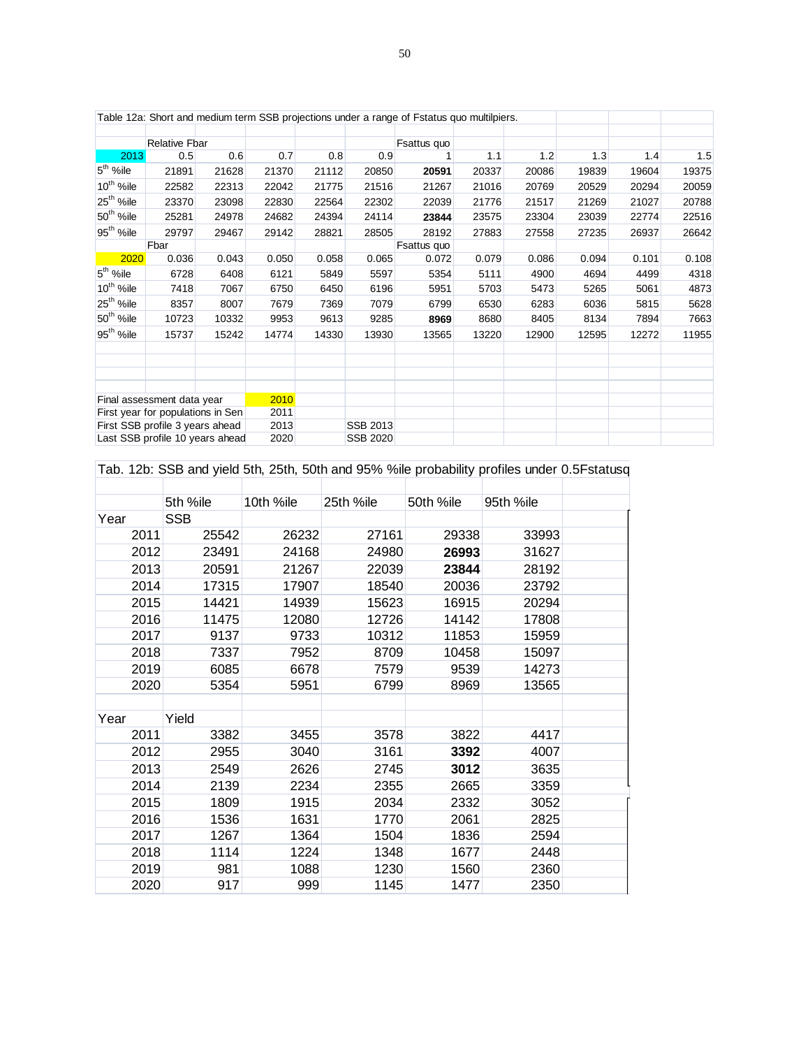|                                   |                                 |       |       |                 |          | Table 12a: Short and medium term SSB projections under a range of Fstatus quo multilpiers. |       |       |       |       |       |
|-----------------------------------|---------------------------------|-------|-------|-----------------|----------|--------------------------------------------------------------------------------------------|-------|-------|-------|-------|-------|
|                                   |                                 |       |       |                 |          |                                                                                            |       |       |       |       |       |
|                                   | <b>Relative Fbar</b>            |       |       |                 |          | Fsattus quo                                                                                |       |       |       |       |       |
| 2013                              | 0.5                             | 0.6   | 0.7   | 0.8             | 0.9      |                                                                                            | 1.1   | 1.2   | 1.3   | 1.4   | 1.5   |
| $5th$ %ile                        | 21891                           | 21628 | 21370 | 21112           | 20850    | 20591                                                                                      | 20337 | 20086 | 19839 | 19604 | 19375 |
| 10 <sup>th</sup> %ile             | 22582                           | 22313 | 22042 | 21775           | 21516    | 21267                                                                                      | 21016 | 20769 | 20529 | 20294 | 20059 |
| 25 <sup>th</sup> %ile             | 23370                           | 23098 | 22830 | 22564           | 22302    | 22039                                                                                      | 21776 | 21517 | 21269 | 21027 | 20788 |
| 50 <sup>th</sup> %ile             | 25281                           | 24978 | 24682 | 24394           | 24114    | 23844                                                                                      | 23575 | 23304 | 23039 | 22774 | 22516 |
| 95 <sup>th</sup> %ile             | 29797                           | 29467 | 29142 | 28821           | 28505    | 28192                                                                                      | 27883 | 27558 | 27235 | 26937 | 26642 |
|                                   | Fbar                            |       |       |                 |          | Fsattus quo                                                                                |       |       |       |       |       |
| 2020                              | 0.036                           | 0.043 | 0.050 | 0.058           | 0.065    | 0.072                                                                                      | 0.079 | 0.086 | 0.094 | 0.101 | 0.108 |
| $5th$ %ile                        | 6728                            | 6408  | 6121  | 5849            | 5597     | 5354                                                                                       | 5111  | 4900  | 4694  | 4499  | 4318  |
| 10 <sup>th</sup> %ile             | 7418                            | 7067  | 6750  | 6450            | 6196     | 5951                                                                                       | 5703  | 5473  | 5265  | 5061  | 4873  |
| 25 <sup>th</sup> %ile             | 8357                            | 8007  | 7679  | 7369            | 7079     | 6799                                                                                       | 6530  | 6283  | 6036  | 5815  | 5628  |
| 50 <sup>th</sup> %ile             | 10723                           | 10332 | 9953  | 9613            | 9285     | 8969                                                                                       | 8680  | 8405  | 8134  | 7894  | 7663  |
| $95th$ %ile                       | 15737                           | 15242 | 14774 | 14330           | 13930    | 13565                                                                                      | 13220 | 12900 | 12595 | 12272 | 11955 |
|                                   |                                 |       |       |                 |          |                                                                                            |       |       |       |       |       |
|                                   | Final assessment data year      |       | 2010  |                 |          |                                                                                            |       |       |       |       |       |
| First year for populations in Sen |                                 | 2011  |       |                 |          |                                                                                            |       |       |       |       |       |
|                                   | First SSB profile 3 years ahead |       | 2013  |                 | SSB 2013 |                                                                                            |       |       |       |       |       |
| Last SSB profile 10 years ahead   |                                 | 2020  |       | <b>SSB 2020</b> |          |                                                                                            |       |       |       |       |       |

Tab. 12b: SSB and yield 5th, 25th, 50th and 95% %ile probability profiles under 0.5Fstatusq

|      | 5th %ile   | 10th %ile | 25th %ile | 50th %ile | 95th %ile |  |
|------|------------|-----------|-----------|-----------|-----------|--|
| Year | <b>SSB</b> |           |           |           |           |  |
| 2011 | 25542      | 26232     | 27161     | 29338     | 33993     |  |
| 2012 | 23491      | 24168     | 24980     | 26993     | 31627     |  |
| 2013 | 20591      | 21267     | 22039     | 23844     | 28192     |  |
| 2014 | 17315      | 17907     | 18540     | 20036     | 23792     |  |
| 2015 | 14421      | 14939     | 15623     | 16915     | 20294     |  |
| 2016 | 11475      | 12080     | 12726     | 14142     | 17808     |  |
| 2017 | 9137       | 9733      | 10312     | 11853     | 15959     |  |
| 2018 | 7337       | 7952      | 8709      | 10458     | 15097     |  |
| 2019 | 6085       | 6678      | 7579      | 9539      | 14273     |  |
| 2020 | 5354       | 5951      | 6799      | 8969      | 13565     |  |
|      |            |           |           |           |           |  |
| Year | Yield      |           |           |           |           |  |
| 2011 | 3382       | 3455      | 3578      | 3822      | 4417      |  |
| 2012 | 2955       | 3040      | 3161      | 3392      | 4007      |  |
| 2013 | 2549       | 2626      | 2745      | 3012      | 3635      |  |
| 2014 | 2139       | 2234      | 2355      | 2665      | 3359      |  |
| 2015 | 1809       | 1915      | 2034      | 2332      | 3052      |  |
| 2016 | 1536       | 1631      | 1770      | 2061      | 2825      |  |
| 2017 | 1267       | 1364      | 1504      | 1836      | 2594      |  |
| 2018 | 1114       | 1224      | 1348      | 1677      | 2448      |  |
| 2019 | 981        | 1088      | 1230      | 1560      | 2360      |  |
| 2020 | 917        | 999       | 1145      | 1477      | 2350      |  |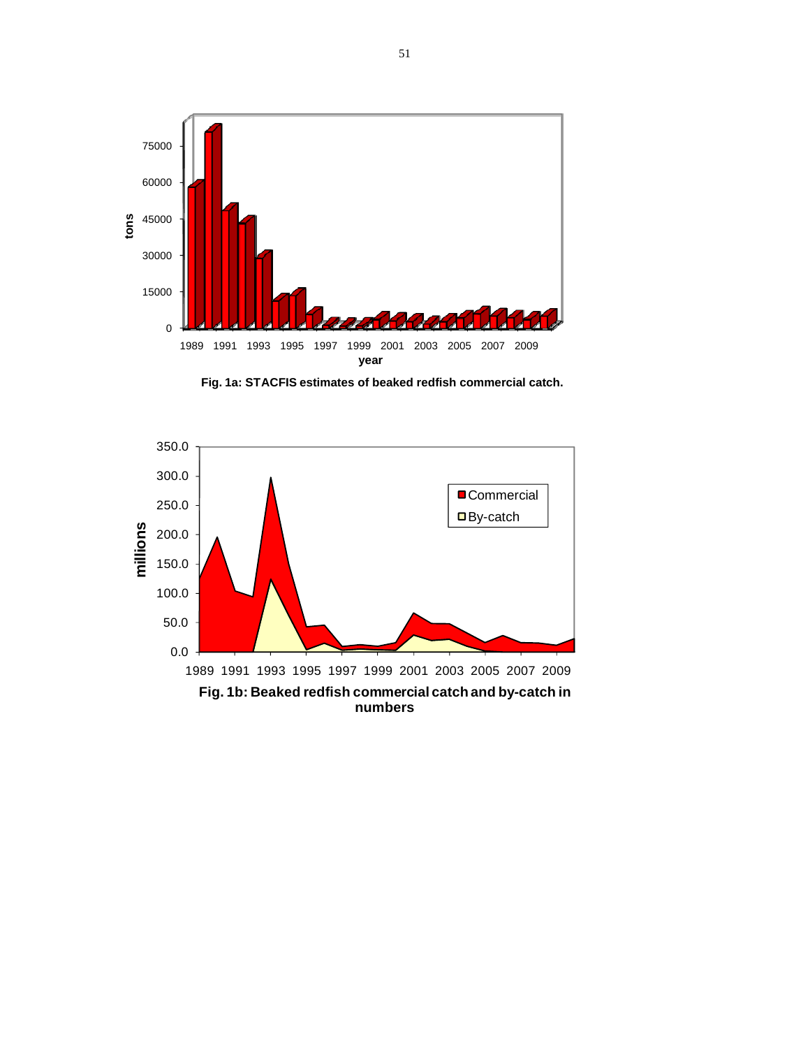

**Fig. 1a: STACFIS estimates of beaked redfish commercial catch.** 

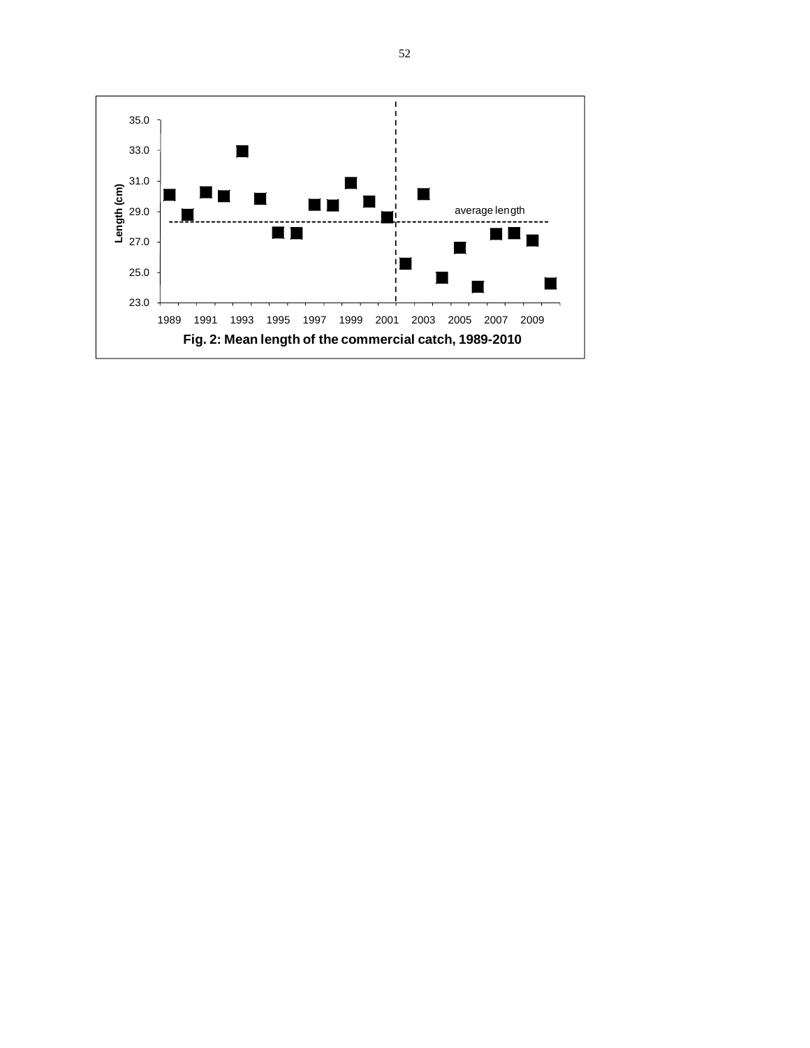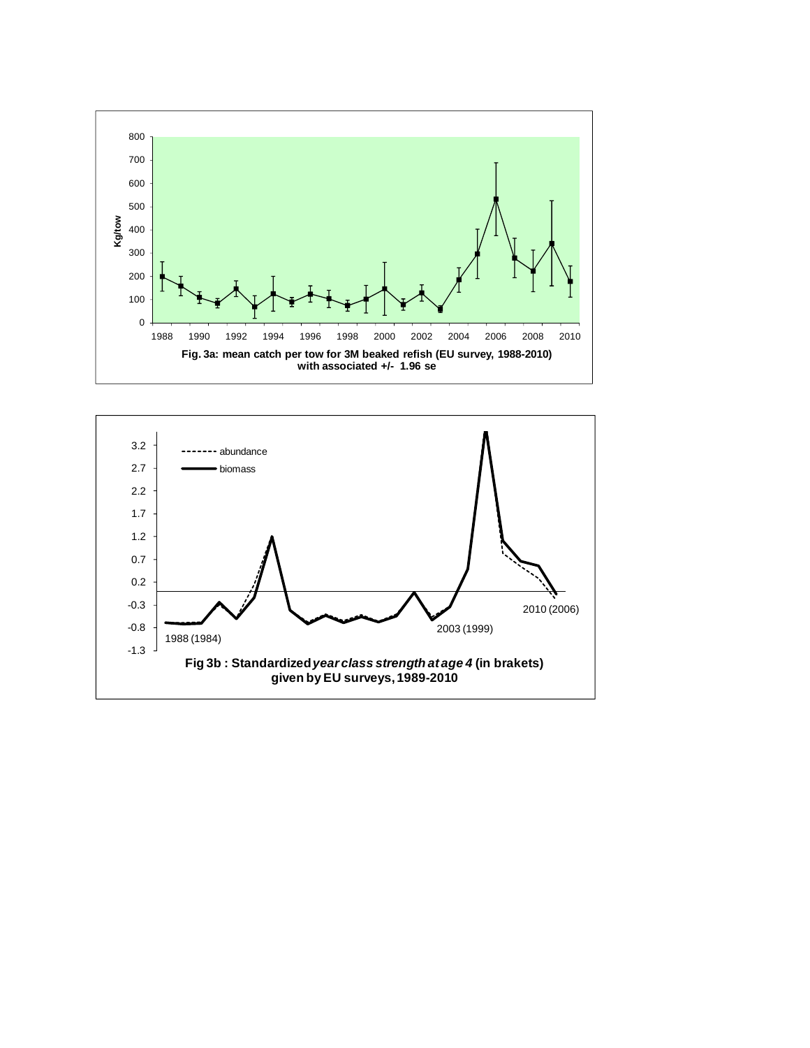

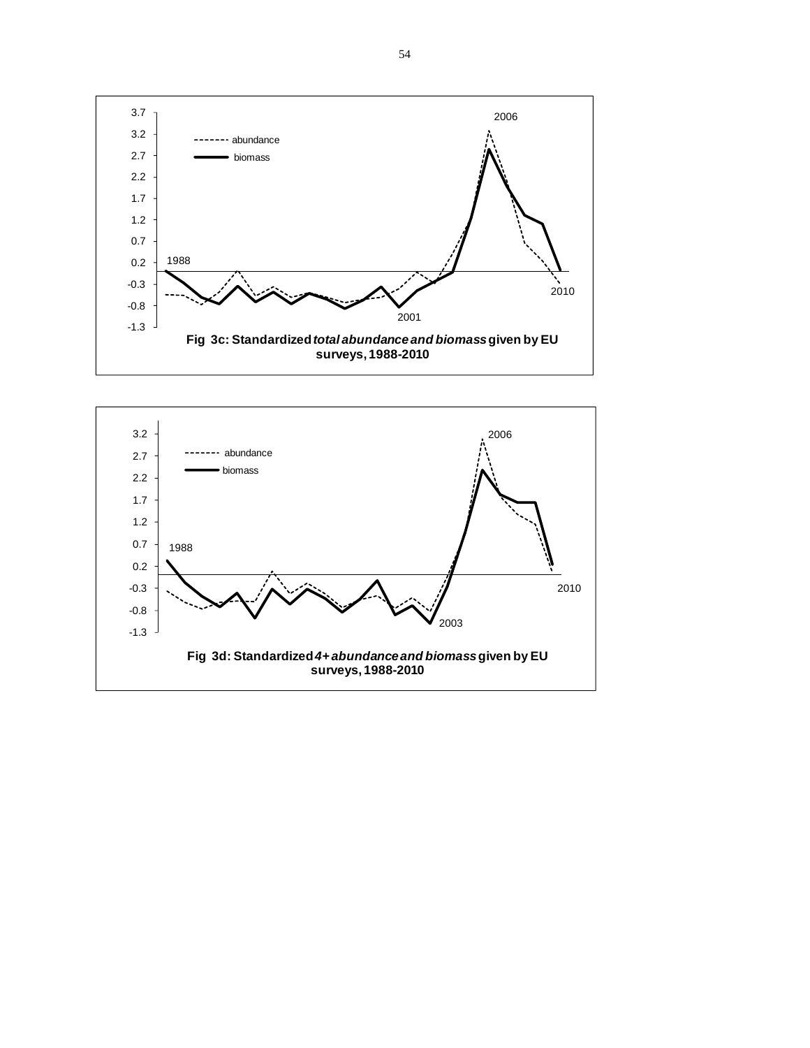

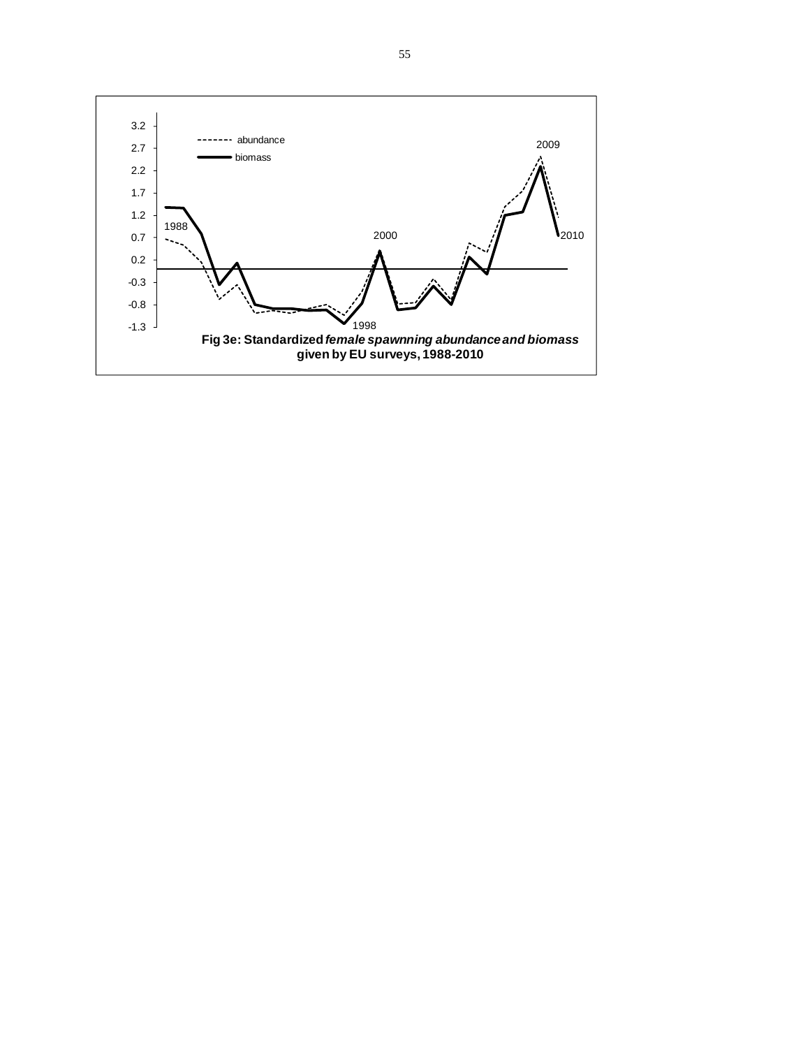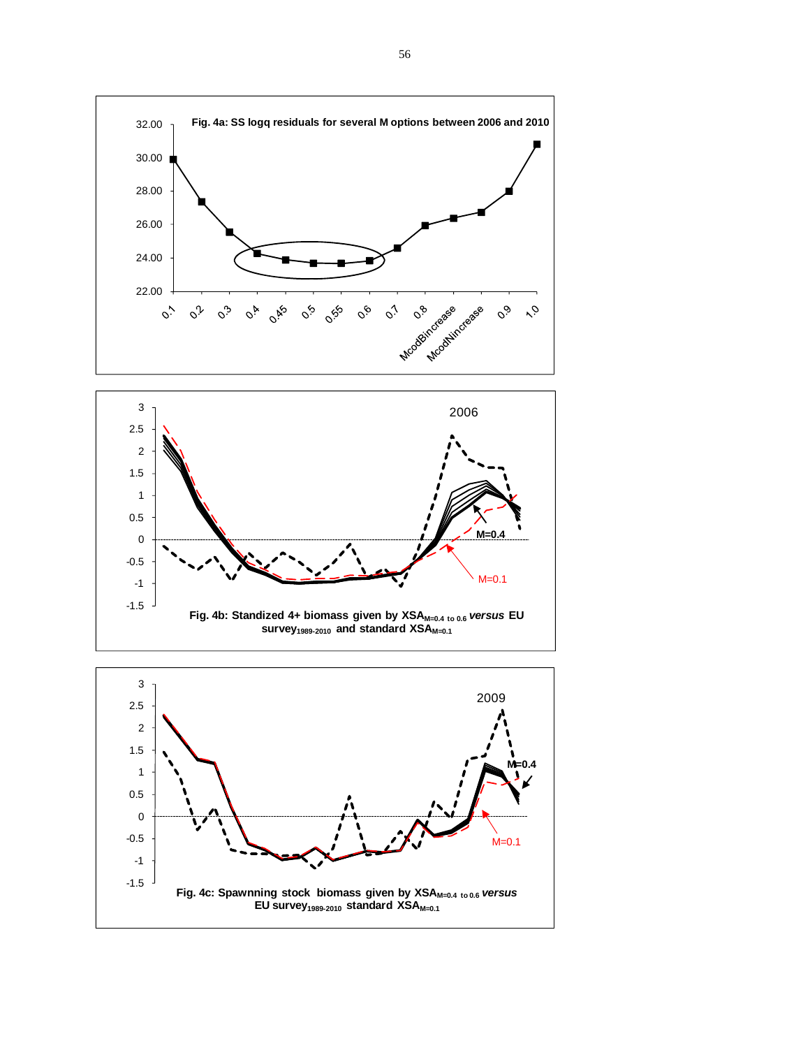



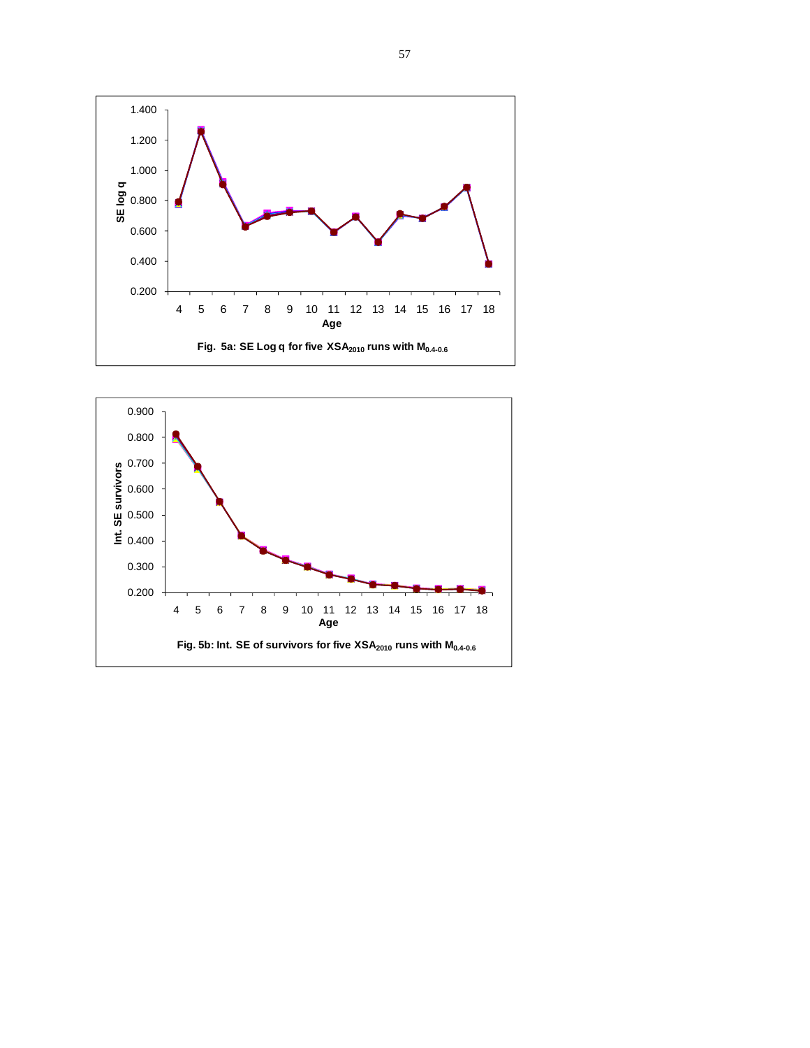

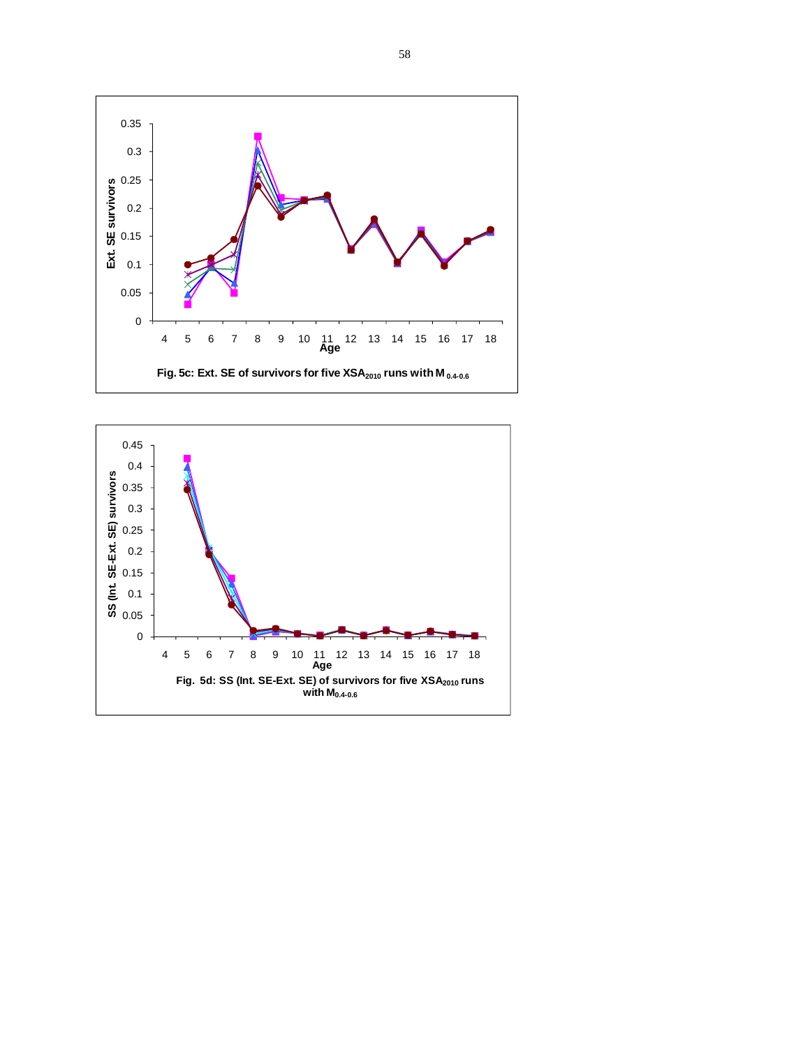

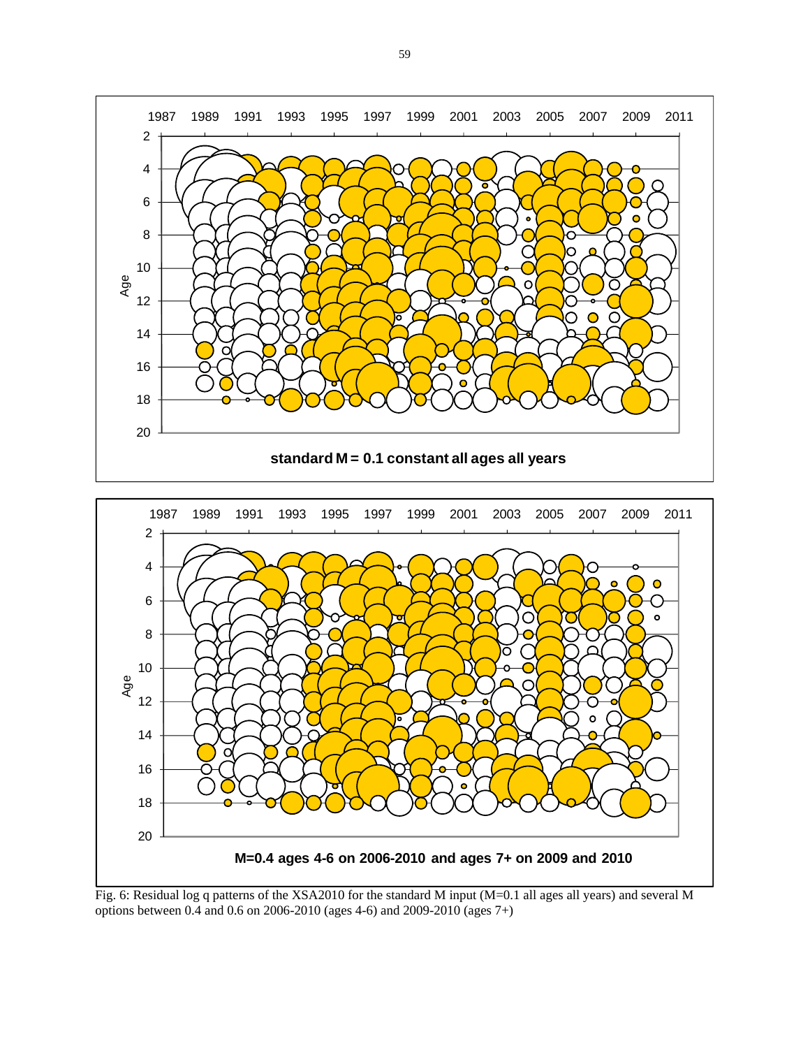



options between 0.4 and 0.6 on 2006-2010 (ages 4-6) and 2009-2010 (ages 7+)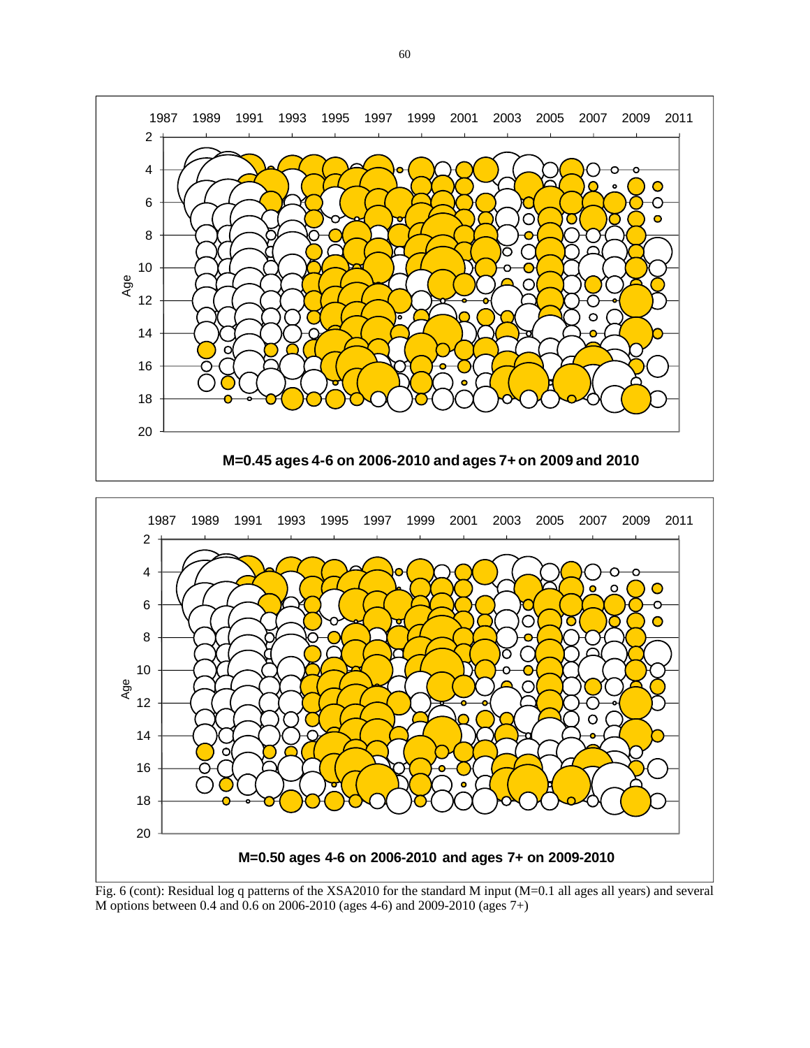



Fig. 6 (cont): Residual log q patterns of the XSA2010 for the standard M input (M=0.1 all ages all years) and several M options between 0.4 and 0.6 on 2006-2010 (ages 4-6) and 2009-2010 (ages 7+)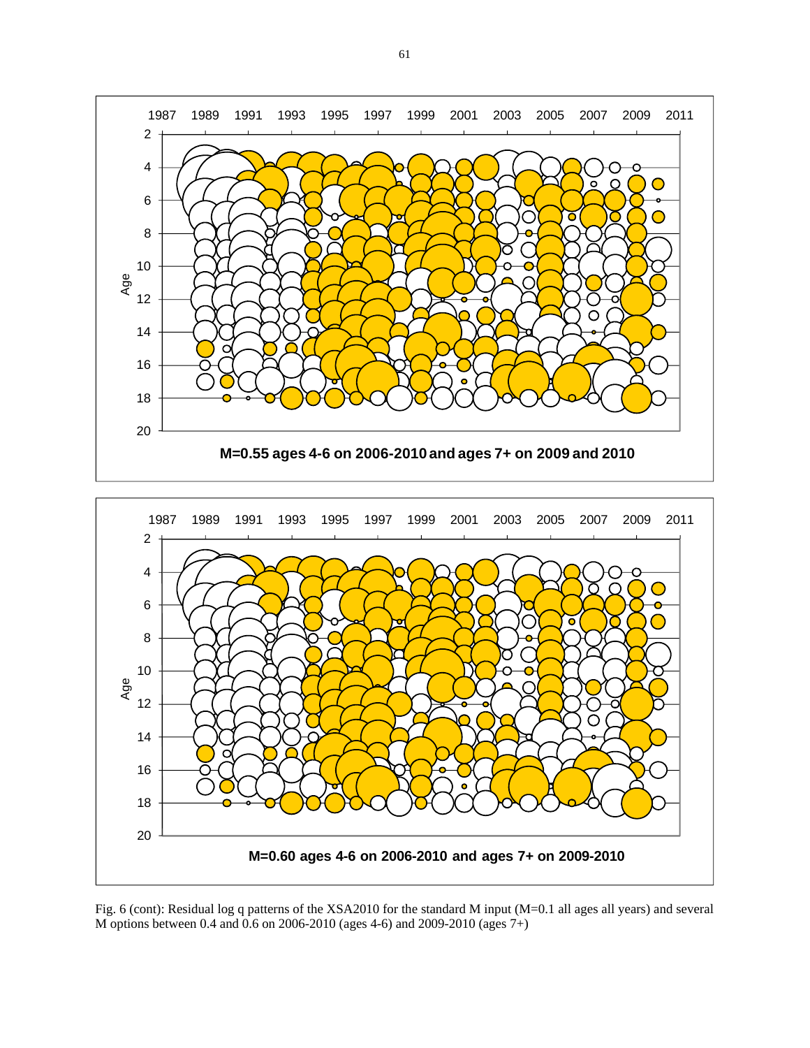



Fig. 6 (cont): Residual log q patterns of the XSA2010 for the standard M input (M=0.1 all ages all years) and several M options between 0.4 and 0.6 on 2006-2010 (ages 4-6) and 2009-2010 (ages 7+)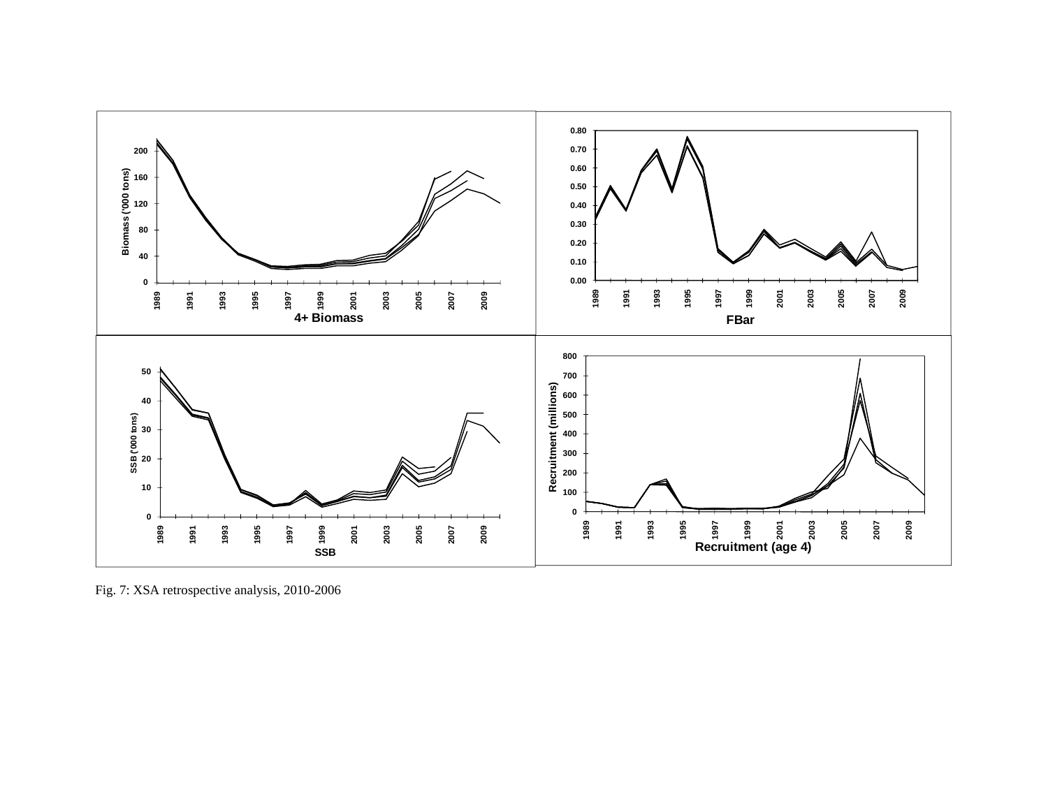

Fig. 7: XSA retrospective analysis, 2010-2006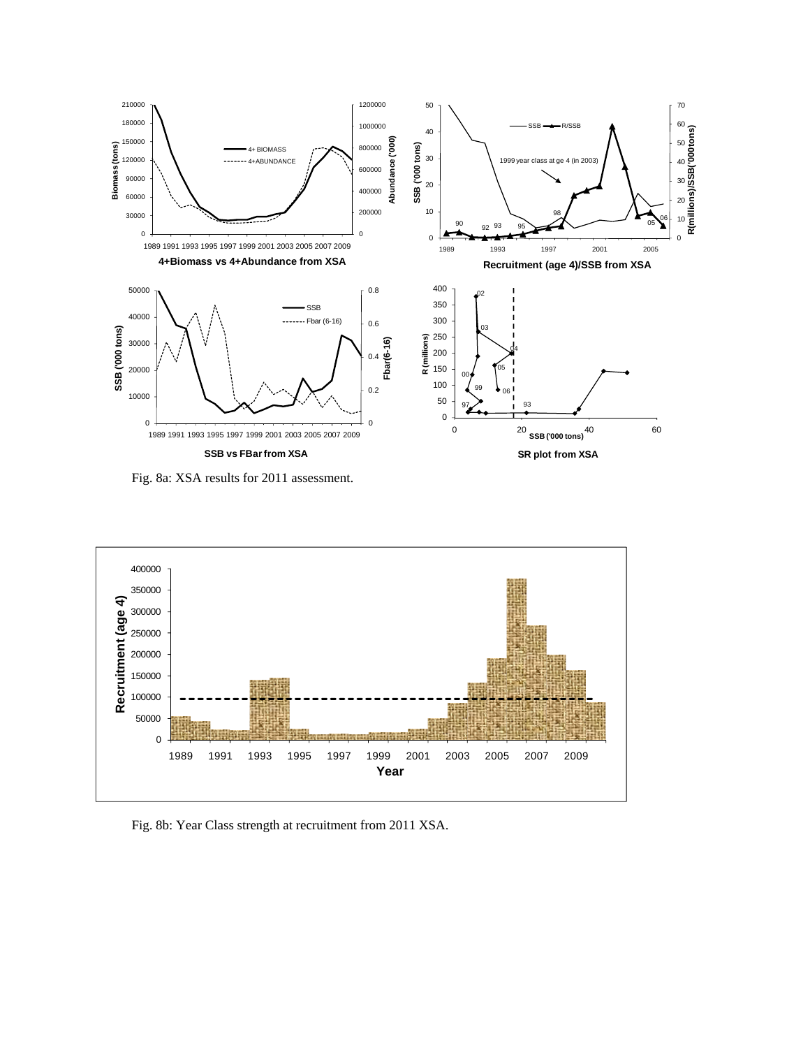

Fig. 8a: XSA results for 2011 assessment.



Fig. 8b: Year Class strength at recruitment from 2011 XSA.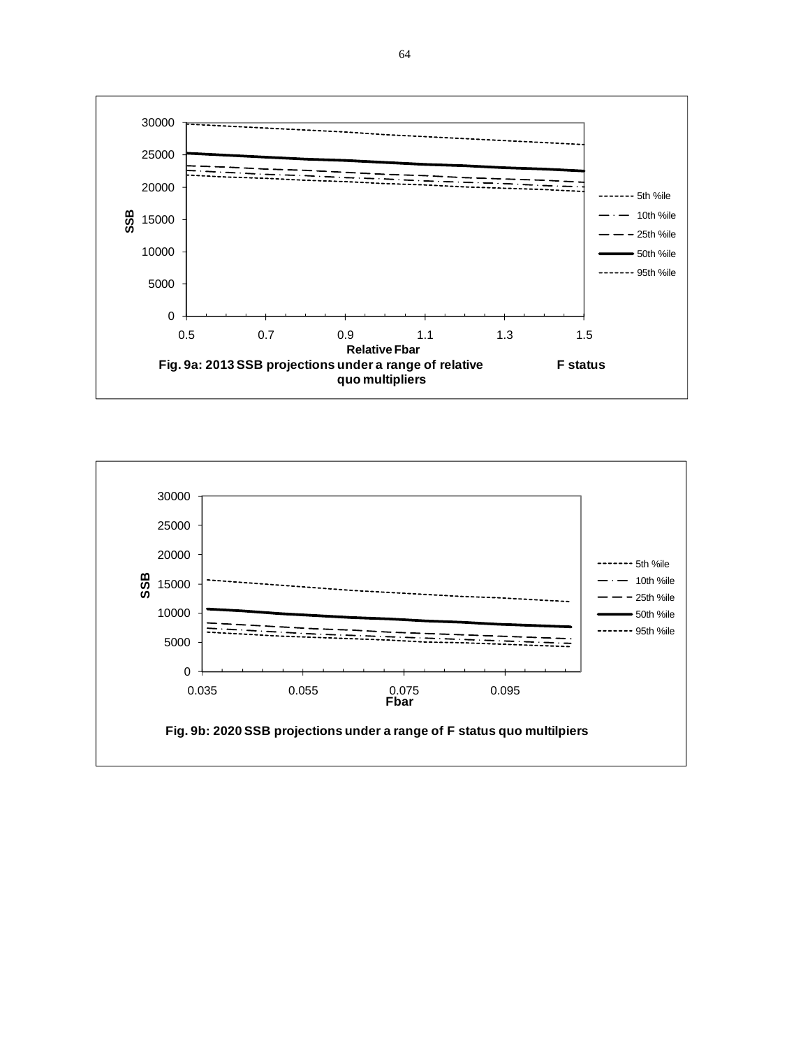